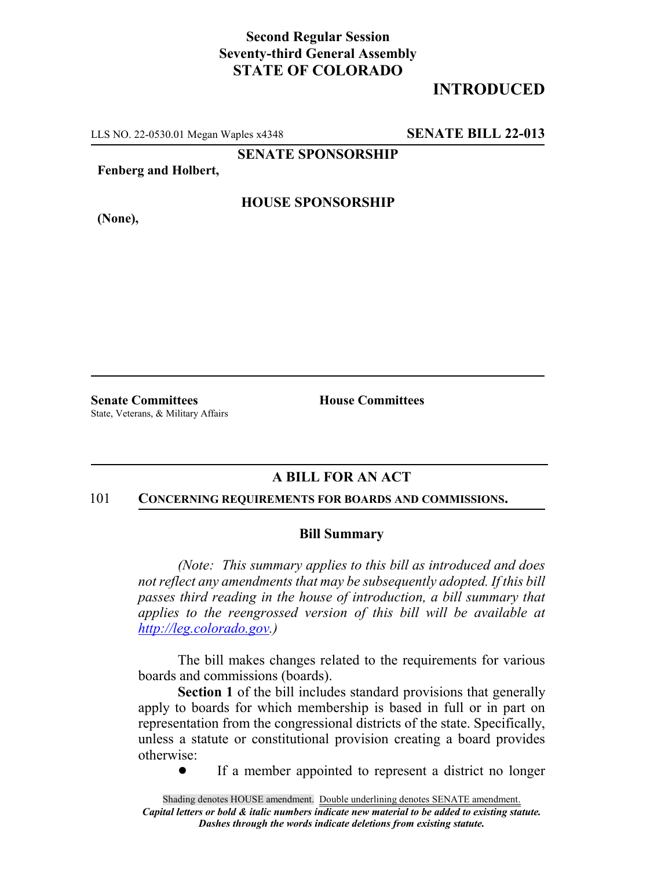## **Second Regular Session Seventy-third General Assembly STATE OF COLORADO**

# **INTRODUCED**

LLS NO. 22-0530.01 Megan Waples x4348 **SENATE BILL 22-013**

**SENATE SPONSORSHIP**

**Fenberg and Holbert,**

**(None),**

### **HOUSE SPONSORSHIP**

**Senate Committees House Committees** State, Veterans, & Military Affairs

## **A BILL FOR AN ACT**

#### 101 **CONCERNING REQUIREMENTS FOR BOARDS AND COMMISSIONS.**

#### **Bill Summary**

*(Note: This summary applies to this bill as introduced and does not reflect any amendments that may be subsequently adopted. If this bill passes third reading in the house of introduction, a bill summary that applies to the reengrossed version of this bill will be available at http://leg.colorado.gov.)*

The bill makes changes related to the requirements for various boards and commissions (boards).

**Section 1** of the bill includes standard provisions that generally apply to boards for which membership is based in full or in part on representation from the congressional districts of the state. Specifically, unless a statute or constitutional provision creating a board provides otherwise:

• If a member appointed to represent a district no longer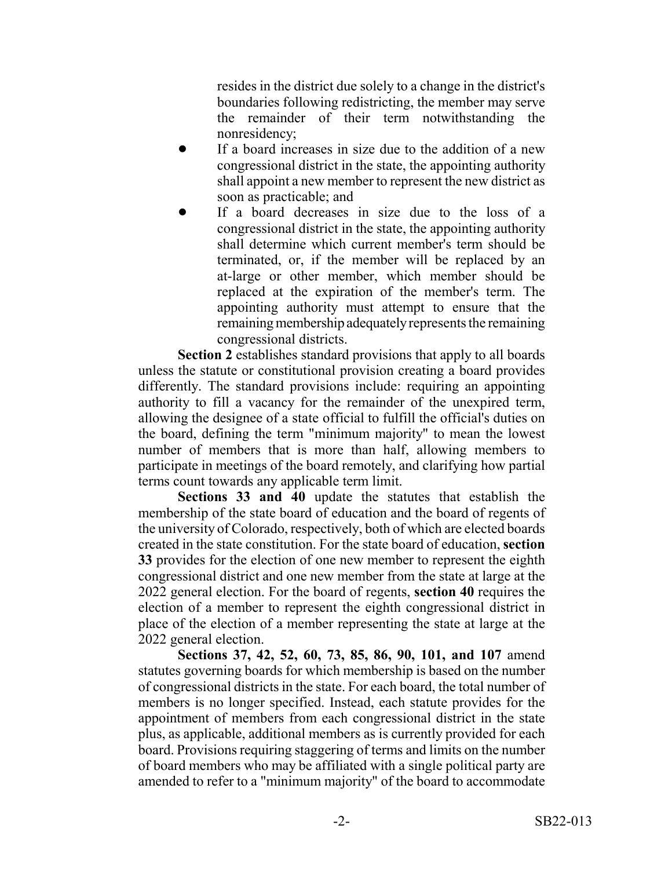resides in the district due solely to a change in the district's boundaries following redistricting, the member may serve the remainder of their term notwithstanding the nonresidency;

- If a board increases in size due to the addition of a new congressional district in the state, the appointing authority shall appoint a new member to represent the new district as soon as practicable; and
- If a board decreases in size due to the loss of a congressional district in the state, the appointing authority shall determine which current member's term should be terminated, or, if the member will be replaced by an at-large or other member, which member should be replaced at the expiration of the member's term. The appointing authority must attempt to ensure that the remaining membership adequately represents the remaining congressional districts.

**Section 2** establishes standard provisions that apply to all boards unless the statute or constitutional provision creating a board provides differently. The standard provisions include: requiring an appointing authority to fill a vacancy for the remainder of the unexpired term, allowing the designee of a state official to fulfill the official's duties on the board, defining the term "minimum majority" to mean the lowest number of members that is more than half, allowing members to participate in meetings of the board remotely, and clarifying how partial terms count towards any applicable term limit.

**Sections 33 and 40** update the statutes that establish the membership of the state board of education and the board of regents of the university of Colorado, respectively, both of which are elected boards created in the state constitution. For the state board of education, **section 33** provides for the election of one new member to represent the eighth congressional district and one new member from the state at large at the 2022 general election. For the board of regents, **section 40** requires the election of a member to represent the eighth congressional district in place of the election of a member representing the state at large at the 2022 general election.

**Sections 37, 42, 52, 60, 73, 85, 86, 90, 101, and 107** amend statutes governing boards for which membership is based on the number of congressional districts in the state. For each board, the total number of members is no longer specified. Instead, each statute provides for the appointment of members from each congressional district in the state plus, as applicable, additional members as is currently provided for each board. Provisions requiring staggering of terms and limits on the number of board members who may be affiliated with a single political party are amended to refer to a "minimum majority" of the board to accommodate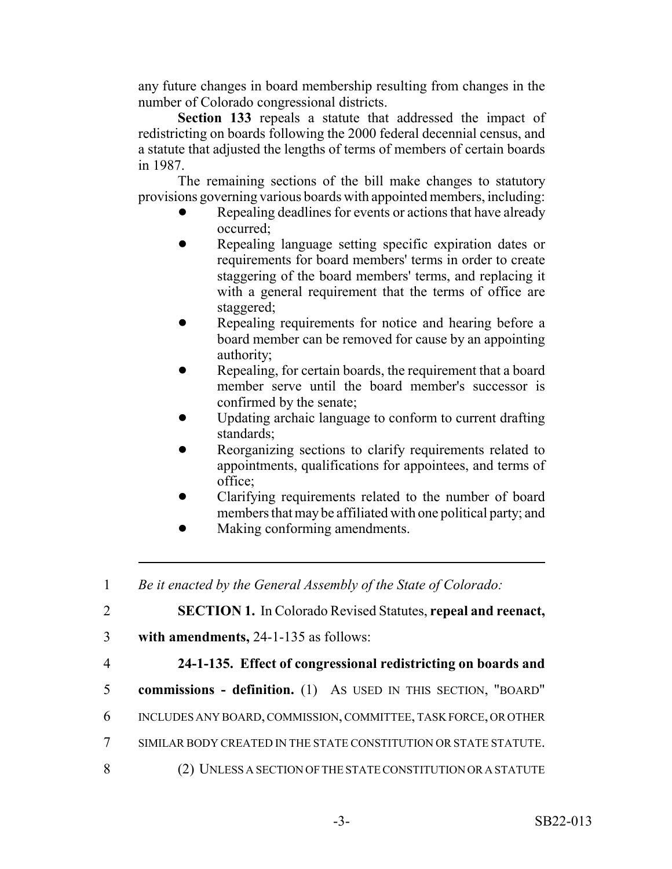any future changes in board membership resulting from changes in the number of Colorado congressional districts.

**Section 133** repeals a statute that addressed the impact of redistricting on boards following the 2000 federal decennial census, and a statute that adjusted the lengths of terms of members of certain boards in 1987.

The remaining sections of the bill make changes to statutory provisions governing various boards with appointed members, including:

- Repealing deadlines for events or actions that have already occurred;
- Repealing language setting specific expiration dates or requirements for board members' terms in order to create staggering of the board members' terms, and replacing it with a general requirement that the terms of office are staggered;
- Repealing requirements for notice and hearing before a board member can be removed for cause by an appointing authority;
- Repealing, for certain boards, the requirement that a board member serve until the board member's successor is confirmed by the senate;
- ! Updating archaic language to conform to current drafting standards;
- Reorganizing sections to clarify requirements related to appointments, qualifications for appointees, and terms of office;
- Clarifying requirements related to the number of board members that may be affiliated with one political party; and
- **I.** Making conforming amendments.

1 *Be it enacted by the General Assembly of the State of Colorado:*

2 **SECTION 1.** In Colorado Revised Statutes, **repeal and reenact,**

- 3 **with amendments,** 24-1-135 as follows:
- 

# 4 **24-1-135. Effect of congressional redistricting on boards and**

- 5 **commissions definition.** (1) AS USED IN THIS SECTION, "BOARD"
- 6 INCLUDES ANY BOARD, COMMISSION, COMMITTEE, TASK FORCE, OR OTHER
- 7 SIMILAR BODY CREATED IN THE STATE CONSTITUTION OR STATE STATUTE.
- 8 (2) UNLESS A SECTION OF THE STATE CONSTITUTION OR A STATUTE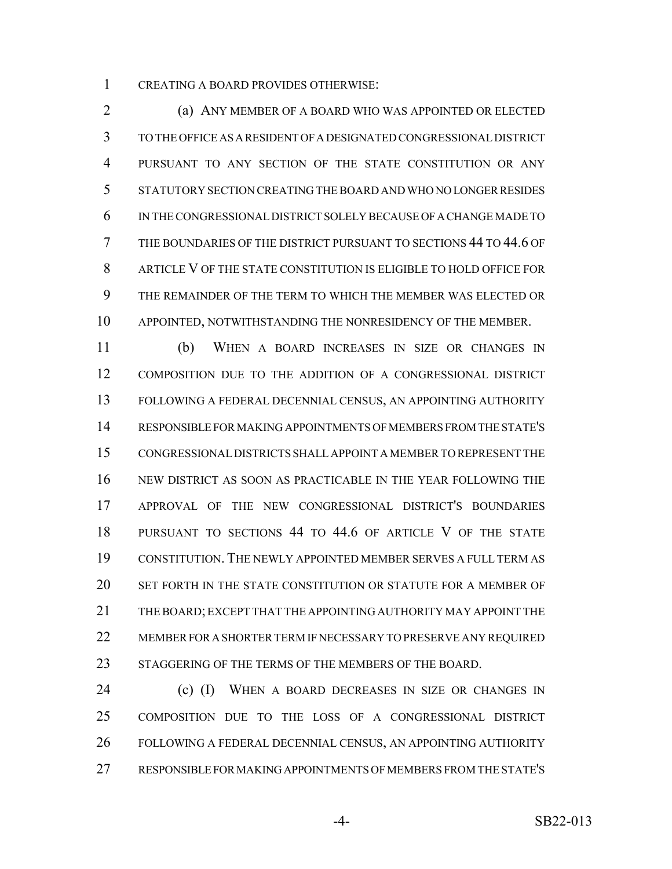CREATING A BOARD PROVIDES OTHERWISE:

 (a) ANY MEMBER OF A BOARD WHO WAS APPOINTED OR ELECTED TO THE OFFICE AS A RESIDENT OF A DESIGNATED CONGRESSIONAL DISTRICT PURSUANT TO ANY SECTION OF THE STATE CONSTITUTION OR ANY STATUTORY SECTION CREATING THE BOARD AND WHO NO LONGER RESIDES IN THE CONGRESSIONAL DISTRICT SOLELY BECAUSE OF A CHANGE MADE TO THE BOUNDARIES OF THE DISTRICT PURSUANT TO SECTIONS 44 TO 44.6 OF ARTICLE V OF THE STATE CONSTITUTION IS ELIGIBLE TO HOLD OFFICE FOR THE REMAINDER OF THE TERM TO WHICH THE MEMBER WAS ELECTED OR APPOINTED, NOTWITHSTANDING THE NONRESIDENCY OF THE MEMBER.

 (b) WHEN A BOARD INCREASES IN SIZE OR CHANGES IN COMPOSITION DUE TO THE ADDITION OF A CONGRESSIONAL DISTRICT FOLLOWING A FEDERAL DECENNIAL CENSUS, AN APPOINTING AUTHORITY RESPONSIBLE FOR MAKING APPOINTMENTS OF MEMBERS FROM THE STATE'S CONGRESSIONAL DISTRICTS SHALL APPOINT A MEMBER TO REPRESENT THE NEW DISTRICT AS SOON AS PRACTICABLE IN THE YEAR FOLLOWING THE APPROVAL OF THE NEW CONGRESSIONAL DISTRICT'S BOUNDARIES PURSUANT TO SECTIONS 44 TO 44.6 OF ARTICLE V OF THE STATE CONSTITUTION. THE NEWLY APPOINTED MEMBER SERVES A FULL TERM AS SET FORTH IN THE STATE CONSTITUTION OR STATUTE FOR A MEMBER OF THE BOARD; EXCEPT THAT THE APPOINTING AUTHORITY MAY APPOINT THE MEMBER FOR A SHORTER TERM IF NECESSARY TO PRESERVE ANY REQUIRED 23 STAGGERING OF THE TERMS OF THE MEMBERS OF THE BOARD.

**(c) (I)** WHEN A BOARD DECREASES IN SIZE OR CHANGES IN COMPOSITION DUE TO THE LOSS OF A CONGRESSIONAL DISTRICT FOLLOWING A FEDERAL DECENNIAL CENSUS, AN APPOINTING AUTHORITY RESPONSIBLE FOR MAKING APPOINTMENTS OF MEMBERS FROM THE STATE'S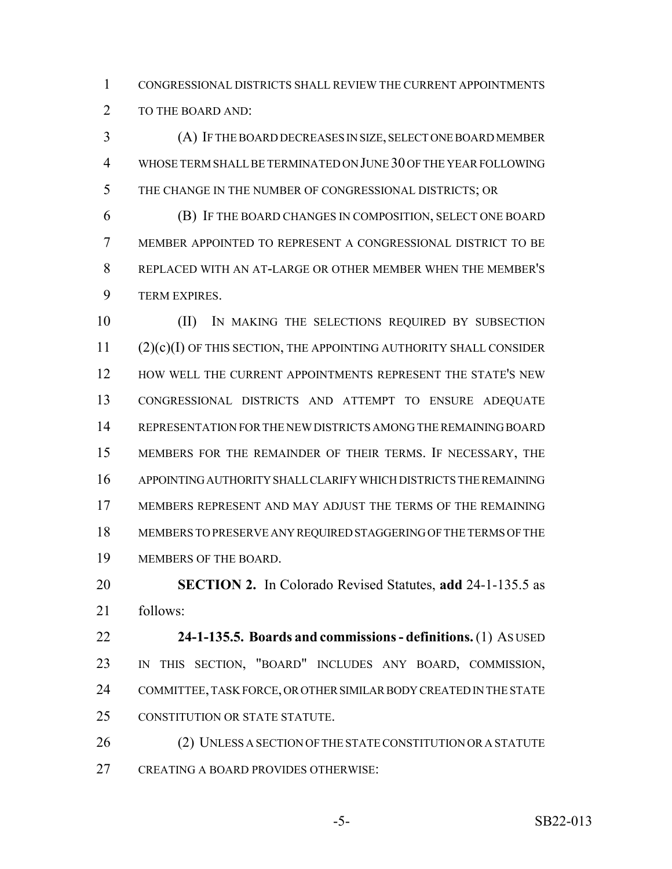CONGRESSIONAL DISTRICTS SHALL REVIEW THE CURRENT APPOINTMENTS 2 TO THE BOARD AND:

 (A) IF THE BOARD DECREASES IN SIZE, SELECT ONE BOARD MEMBER WHOSE TERM SHALL BE TERMINATED ON JUNE 30 OF THE YEAR FOLLOWING THE CHANGE IN THE NUMBER OF CONGRESSIONAL DISTRICTS; OR

 (B) IF THE BOARD CHANGES IN COMPOSITION, SELECT ONE BOARD MEMBER APPOINTED TO REPRESENT A CONGRESSIONAL DISTRICT TO BE REPLACED WITH AN AT-LARGE OR OTHER MEMBER WHEN THE MEMBER'S TERM EXPIRES.

 (II) IN MAKING THE SELECTIONS REQUIRED BY SUBSECTION (2)(c)(I) OF THIS SECTION, THE APPOINTING AUTHORITY SHALL CONSIDER 12 HOW WELL THE CURRENT APPOINTMENTS REPRESENT THE STATE'S NEW CONGRESSIONAL DISTRICTS AND ATTEMPT TO ENSURE ADEQUATE REPRESENTATION FOR THE NEW DISTRICTS AMONG THE REMAINING BOARD MEMBERS FOR THE REMAINDER OF THEIR TERMS. IF NECESSARY, THE APPOINTING AUTHORITY SHALL CLARIFY WHICH DISTRICTS THE REMAINING MEMBERS REPRESENT AND MAY ADJUST THE TERMS OF THE REMAINING MEMBERS TO PRESERVE ANY REQUIRED STAGGERING OF THE TERMS OF THE MEMBERS OF THE BOARD.

 **SECTION 2.** In Colorado Revised Statutes, **add** 24-1-135.5 as follows:

 **24-1-135.5. Boards and commissions - definitions.** (1) AS USED IN THIS SECTION, "BOARD" INCLUDES ANY BOARD, COMMISSION, COMMITTEE, TASK FORCE, OR OTHER SIMILAR BODY CREATED IN THE STATE CONSTITUTION OR STATE STATUTE.

26 (2) UNLESS A SECTION OF THE STATE CONSTITUTION OR A STATUTE CREATING A BOARD PROVIDES OTHERWISE: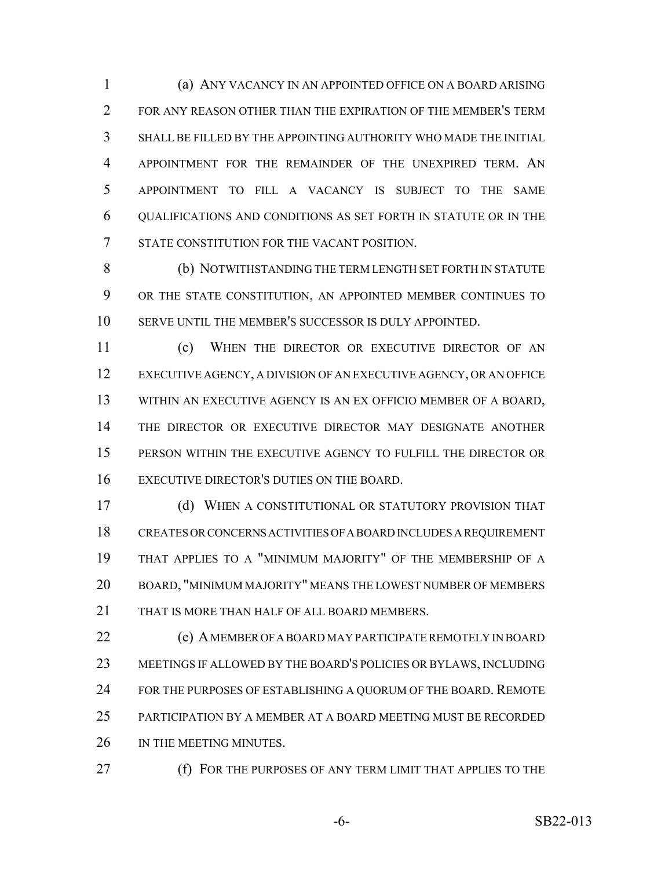(a) ANY VACANCY IN AN APPOINTED OFFICE ON A BOARD ARISING FOR ANY REASON OTHER THAN THE EXPIRATION OF THE MEMBER'S TERM SHALL BE FILLED BY THE APPOINTING AUTHORITY WHO MADE THE INITIAL APPOINTMENT FOR THE REMAINDER OF THE UNEXPIRED TERM. AN APPOINTMENT TO FILL A VACANCY IS SUBJECT TO THE SAME QUALIFICATIONS AND CONDITIONS AS SET FORTH IN STATUTE OR IN THE STATE CONSTITUTION FOR THE VACANT POSITION.

 (b) NOTWITHSTANDING THE TERM LENGTH SET FORTH IN STATUTE OR THE STATE CONSTITUTION, AN APPOINTED MEMBER CONTINUES TO SERVE UNTIL THE MEMBER'S SUCCESSOR IS DULY APPOINTED.

 (c) WHEN THE DIRECTOR OR EXECUTIVE DIRECTOR OF AN EXECUTIVE AGENCY, A DIVISION OF AN EXECUTIVE AGENCY, OR AN OFFICE WITHIN AN EXECUTIVE AGENCY IS AN EX OFFICIO MEMBER OF A BOARD, THE DIRECTOR OR EXECUTIVE DIRECTOR MAY DESIGNATE ANOTHER PERSON WITHIN THE EXECUTIVE AGENCY TO FULFILL THE DIRECTOR OR EXECUTIVE DIRECTOR'S DUTIES ON THE BOARD.

 (d) WHEN A CONSTITUTIONAL OR STATUTORY PROVISION THAT CREATES OR CONCERNS ACTIVITIES OF A BOARD INCLUDES A REQUIREMENT THAT APPLIES TO A "MINIMUM MAJORITY" OF THE MEMBERSHIP OF A BOARD, "MINIMUM MAJORITY" MEANS THE LOWEST NUMBER OF MEMBERS 21 THAT IS MORE THAN HALF OF ALL BOARD MEMBERS.

 (e) A MEMBER OF A BOARD MAY PARTICIPATE REMOTELY IN BOARD MEETINGS IF ALLOWED BY THE BOARD'S POLICIES OR BYLAWS, INCLUDING 24 FOR THE PURPOSES OF ESTABLISHING A QUORUM OF THE BOARD. REMOTE PARTICIPATION BY A MEMBER AT A BOARD MEETING MUST BE RECORDED 26 IN THE MEETING MINUTES.

(f) FOR THE PURPOSES OF ANY TERM LIMIT THAT APPLIES TO THE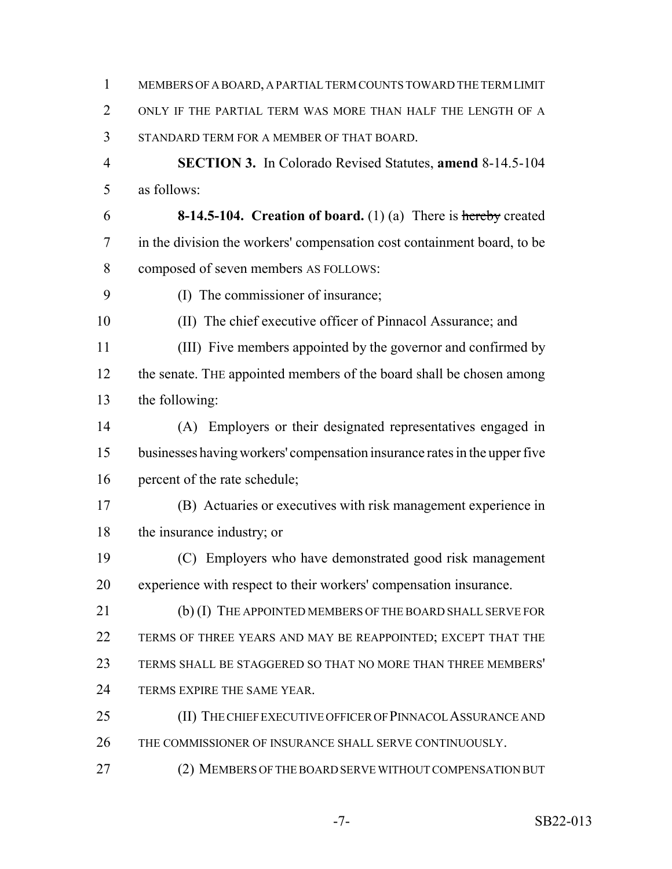MEMBERS OF A BOARD, A PARTIAL TERM COUNTS TOWARD THE TERM LIMIT ONLY IF THE PARTIAL TERM WAS MORE THAN HALF THE LENGTH OF A STANDARD TERM FOR A MEMBER OF THAT BOARD. **SECTION 3.** In Colorado Revised Statutes, **amend** 8-14.5-104 as follows: **8-14.5-104. Creation of board.** (1) (a) There is hereby created in the division the workers' compensation cost containment board, to be composed of seven members AS FOLLOWS: (I) The commissioner of insurance; (II) The chief executive officer of Pinnacol Assurance; and (III) Five members appointed by the governor and confirmed by 12 the senate. The appointed members of the board shall be chosen among the following: (A) Employers or their designated representatives engaged in businesses having workers' compensation insurance rates in the upper five percent of the rate schedule; (B) Actuaries or executives with risk management experience in the insurance industry; or (C) Employers who have demonstrated good risk management experience with respect to their workers' compensation insurance. 21 (b) (I) THE APPOINTED MEMBERS OF THE BOARD SHALL SERVE FOR 22 TERMS OF THREE YEARS AND MAY BE REAPPOINTED; EXCEPT THAT THE TERMS SHALL BE STAGGERED SO THAT NO MORE THAN THREE MEMBERS' 24 TERMS EXPIRE THE SAME YEAR. 25 (II) THE CHIEF EXECUTIVE OFFICER OF PINNACOL ASSURANCE AND 26 THE COMMISSIONER OF INSURANCE SHALL SERVE CONTINUOUSLY. (2) MEMBERS OF THE BOARD SERVE WITHOUT COMPENSATION BUT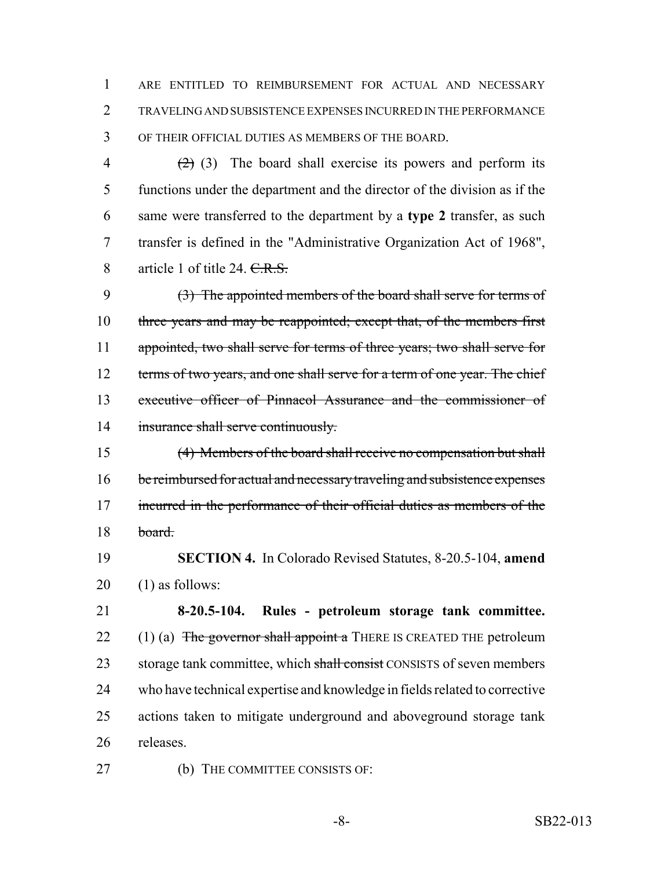1 ARE ENTITLED TO REIMBURSEMENT FOR ACTUAL AND NECESSARY 2 TRAVELING AND SUBSISTENCE EXPENSES INCURRED IN THE PERFORMANCE 3 OF THEIR OFFICIAL DUTIES AS MEMBERS OF THE BOARD.

 $(2)$  (3) The board shall exercise its powers and perform its functions under the department and the director of the division as if the same were transferred to the department by a **type 2** transfer, as such transfer is defined in the "Administrative Organization Act of 1968", 8 article 1 of title 24. C.R.S.

9 (3) The appointed members of the board shall serve for terms of 10 three years and may be reappointed; except that, of the members first 11 appointed, two shall serve for terms of three years; two shall serve for 12 terms of two years, and one shall serve for a term of one year. The chief 13 executive officer of Pinnacol Assurance and the commissioner of 14 insurance shall serve continuously.

15 (4) Members of the board shall receive no compensation but shall 16 be reimbursed for actual and necessary traveling and subsistence expenses 17 incurred in the performance of their official duties as members of the 18 board.

19 **SECTION 4.** In Colorado Revised Statutes, 8-20.5-104, **amend** 20 (1) as follows:

 **8-20.5-104. Rules - petroleum storage tank committee.** 22 (1) (a) The governor shall appoint a THERE IS CREATED THE petroleum 23 storage tank committee, which shall consist CONSISTS of seven members who have technical expertise and knowledge in fields related to corrective actions taken to mitigate underground and aboveground storage tank releases.

27 (b) THE COMMITTEE CONSISTS OF: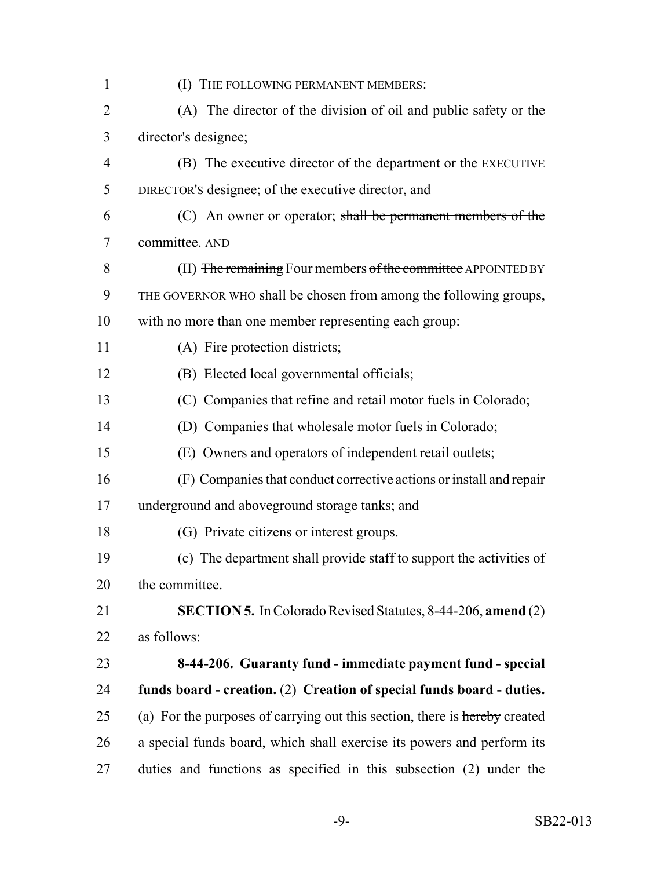| $\mathbf{1}$   | (I) THE FOLLOWING PERMANENT MEMBERS:                                       |
|----------------|----------------------------------------------------------------------------|
| $\overline{2}$ | (A) The director of the division of oil and public safety or the           |
| 3              | director's designee;                                                       |
| $\overline{4}$ | (B) The executive director of the department or the EXECUTIVE              |
| 5              | DIRECTOR's designee; of the executive director, and                        |
| 6              | $(C)$ An owner or operator; shall be permanent members of the              |
| 7              | committee. AND                                                             |
| 8              | (II) The remaining Four members of the committee APPOINTED BY              |
| 9              | THE GOVERNOR WHO shall be chosen from among the following groups,          |
| 10             | with no more than one member representing each group:                      |
| 11             | (A) Fire protection districts;                                             |
| 12             | (B) Elected local governmental officials;                                  |
| 13             | (C) Companies that refine and retail motor fuels in Colorado;              |
| 14             | (D) Companies that wholesale motor fuels in Colorado;                      |
| 15             | (E) Owners and operators of independent retail outlets;                    |
| 16             | (F) Companies that conduct corrective actions or install and repair        |
| 17             | underground and aboveground storage tanks; and                             |
| 18             | (G) Private citizens or interest groups.                                   |
| 19             | (c) The department shall provide staff to support the activities of        |
| 20             | the committee.                                                             |
| 21             | SECTION 5. In Colorado Revised Statutes, 8-44-206, amend (2)               |
| 22             | as follows:                                                                |
| 23             | 8-44-206. Guaranty fund - immediate payment fund - special                 |
| 24             | funds board - creation. (2) Creation of special funds board - duties.      |
| 25             | (a) For the purposes of carrying out this section, there is hereby created |
| 26             | a special funds board, which shall exercise its powers and perform its     |
| 27             | duties and functions as specified in this subsection (2) under the         |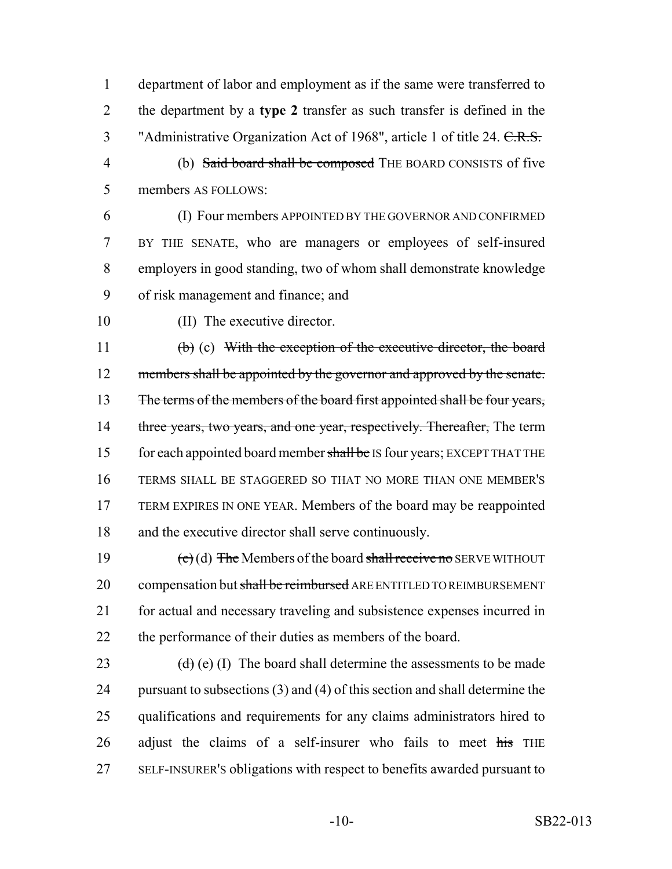department of labor and employment as if the same were transferred to the department by a **type 2** transfer as such transfer is defined in the 3 "Administrative Organization Act of 1968", article 1 of title 24. C.R.S.

- (b) Said board shall be composed THE BOARD CONSISTS of five members AS FOLLOWS:
- (I) Four members APPOINTED BY THE GOVERNOR AND CONFIRMED BY THE SENATE, who are managers or employees of self-insured employers in good standing, two of whom shall demonstrate knowledge of risk management and finance; and
- 

(II) The executive director.

 (b) (c) With the exception of the executive director, the board 12 members shall be appointed by the governor and approved by the senate. 13 The terms of the members of the board first appointed shall be four years, 14 three years, two years, and one year, respectively. Thereafter, The term 15 for each appointed board member shall be IS four years; EXCEPT THAT THE TERMS SHALL BE STAGGERED SO THAT NO MORE THAN ONE MEMBER'S TERM EXPIRES IN ONE YEAR. Members of the board may be reappointed and the executive director shall serve continuously.

 $\left(\text{e}\right)$  (d) The Members of the board shall receive no SERVE WITHOUT 20 compensation but shall be reimbursed ARE ENTITLED TO REIMBURSEMENT for actual and necessary traveling and subsistence expenses incurred in the performance of their duties as members of the board.

 $(d)$  (e) (I) The board shall determine the assessments to be made pursuant to subsections (3) and (4) of this section and shall determine the qualifications and requirements for any claims administrators hired to adjust the claims of a self-insurer who fails to meet  $\frac{1}{115}$  THE SELF-INSURER'S obligations with respect to benefits awarded pursuant to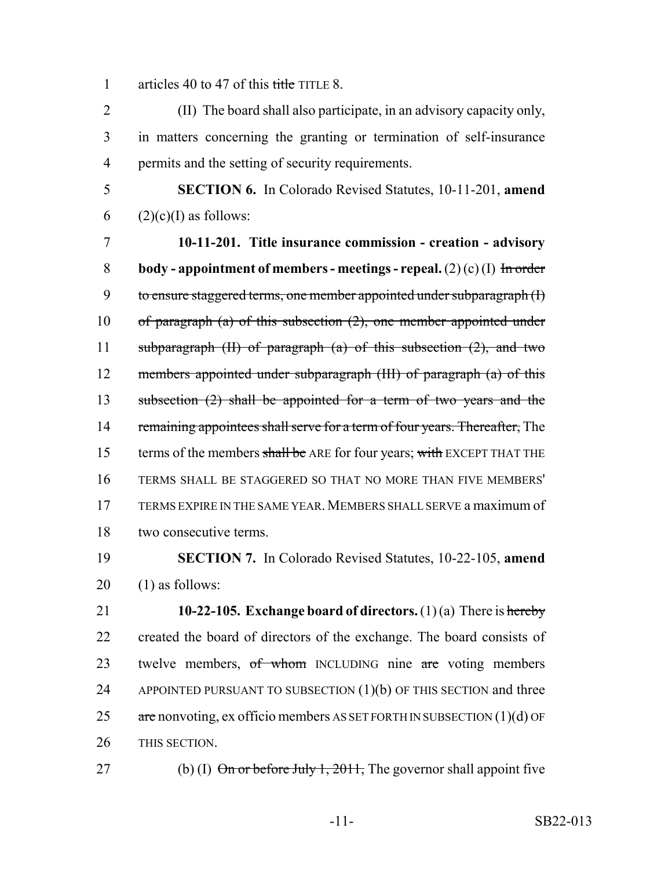1 articles 40 to 47 of this title TITLE 8.

2 (II) The board shall also participate, in an advisory capacity only, 3 in matters concerning the granting or termination of self-insurance 4 permits and the setting of security requirements.

5 **SECTION 6.** In Colorado Revised Statutes, 10-11-201, **amend** 6 (2)(c)(I) as follows:

7 **10-11-201. Title insurance commission - creation - advisory** 8 **body - appointment of members - meetings - repeal.** (2) (c) (I)  $\overline{ }$  In order 9 to ensure staggered terms, one member appointed under subparagraph (I) 10 of paragraph (a) of this subsection  $(2)$ , one member appointed under 11 subparagraph  $(H)$  of paragraph  $(a)$  of this subsection  $(2)$ , and two 12 members appointed under subparagraph (III) of paragraph (a) of this 13 subsection (2) shall be appointed for a term of two years and the 14 remaining appointees shall serve for a term of four years. Thereafter, The 15 terms of the members shall be ARE for four years; with EXCEPT THAT THE 16 TERMS SHALL BE STAGGERED SO THAT NO MORE THAN FIVE MEMBERS' 17 TERMS EXPIRE IN THE SAME YEAR.MEMBERS SHALL SERVE a maximum of 18 two consecutive terms.

19 **SECTION 7.** In Colorado Revised Statutes, 10-22-105, **amend** 20 (1) as follows:

 **10-22-105. Exchange board of directors.** (1) (a) There is hereby created the board of directors of the exchange. The board consists of 23 twelve members, of whom INCLUDING nine are voting members 24 APPOINTED PURSUANT TO SUBSECTION  $(1)(b)$  OF THIS SECTION and three  $\alpha$  are nonvoting, ex officio members AS SET FORTH IN SUBSECTION (1)(d) OF THIS SECTION.

27 (b) (I)  $\Theta$  or before July 1, 2011, The governor shall appoint five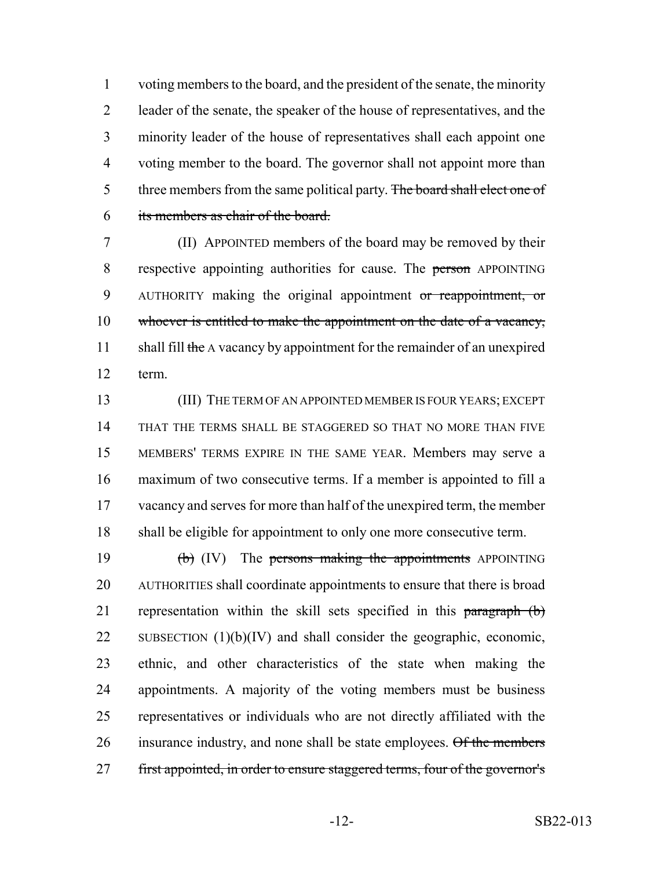voting members to the board, and the president of the senate, the minority leader of the senate, the speaker of the house of representatives, and the minority leader of the house of representatives shall each appoint one voting member to the board. The governor shall not appoint more than 5 three members from the same political party. The board shall elect one of its members as chair of the board.

 (II) APPOINTED members of the board may be removed by their 8 respective appointing authorities for cause. The person APPOINTING 9 AUTHORITY making the original appointment or reappointment, or whoever is entitled to make the appointment on the date of a vacancy, 11 shall fill the A vacancy by appointment for the remainder of an unexpired term.

 (III) THE TERM OF AN APPOINTED MEMBER IS FOUR YEARS; EXCEPT THAT THE TERMS SHALL BE STAGGERED SO THAT NO MORE THAN FIVE MEMBERS' TERMS EXPIRE IN THE SAME YEAR. Members may serve a maximum of two consecutive terms. If a member is appointed to fill a 17 vacancy and serves for more than half of the unexpired term, the member shall be eligible for appointment to only one more consecutive term.

19  $\text{(b)}$  (IV) The persons making the appointments APPOINTING AUTHORITIES shall coordinate appointments to ensure that there is broad 21 representation within the skill sets specified in this paragraph (b) 22 SUBSECTION  $(1)(b)(IV)$  and shall consider the geographic, economic, ethnic, and other characteristics of the state when making the appointments. A majority of the voting members must be business representatives or individuals who are not directly affiliated with the 26 insurance industry, and none shall be state employees. Of the members 27 first appointed, in order to ensure staggered terms, four of the governor's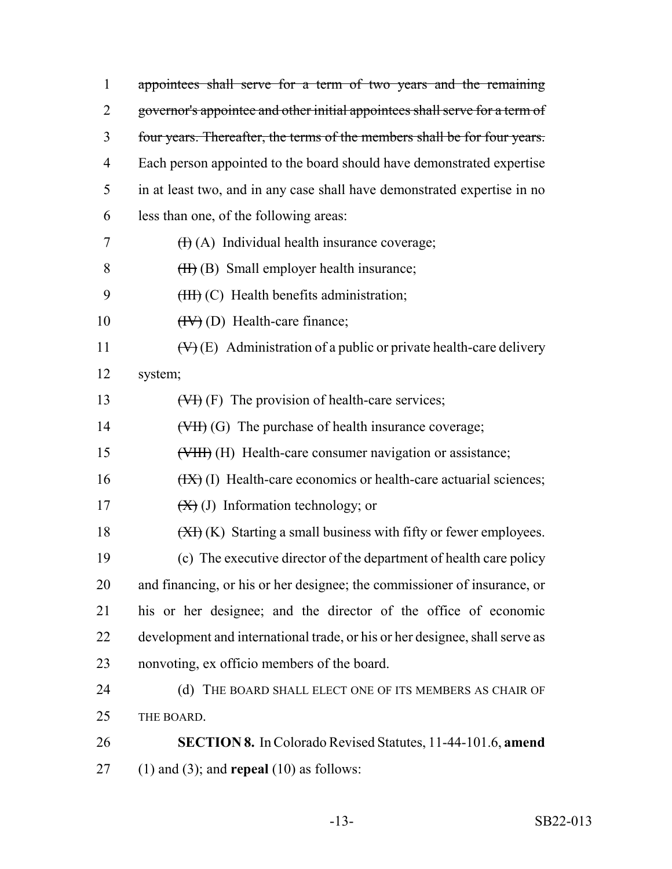| $\mathbf{1}$   | appointees shall serve for a term of two years and the remaining               |
|----------------|--------------------------------------------------------------------------------|
| $\overline{2}$ | governor's appointee and other initial appointees shall serve for a term of    |
| 3              | four years. Thereafter, the terms of the members shall be for four years.      |
| 4              | Each person appointed to the board should have demonstrated expertise          |
| 5              | in at least two, and in any case shall have demonstrated expertise in no       |
| 6              | less than one, of the following areas:                                         |
| 7              | $(H)$ (A) Individual health insurance coverage;                                |
| 8              | $(H)$ (B) Small employer health insurance;                                     |
| 9              | $(HH)$ (C) Health benefits administration;                                     |
| 10             | $(HV)$ (D) Health-care finance;                                                |
| 11             | $(\forall)$ (E) Administration of a public or private health-care delivery     |
| 12             | system;                                                                        |
| 13             | $(\forall f)$ (F) The provision of health-care services;                       |
| 14             | $(\forall H)(G)$ The purchase of health insurance coverage;                    |
| 15             | (VIII) (H) Health-care consumer navigation or assistance;                      |
| 16             | $(HX)$ (I) Health-care economics or health-care actuarial sciences;            |
| 17             | $(\mathbf{X})$ (J) Information technology; or                                  |
| 18             | $(\overline{XY})$ (K) Starting a small business with fifty or fewer employees. |
| 19             | (c) The executive director of the department of health care policy             |
| 20             | and financing, or his or her designee; the commissioner of insurance, or       |
| 21             | his or her designee; and the director of the office of economic                |
| 22             | development and international trade, or his or her designee, shall serve as    |
| 23             | nonvoting, ex officio members of the board.                                    |
| 24             | THE BOARD SHALL ELECT ONE OF ITS MEMBERS AS CHAIR OF<br>(d)                    |
| 25             | THE BOARD.                                                                     |
| 26             | <b>SECTION 8.</b> In Colorado Revised Statutes, 11-44-101.6, amend             |
| 27             | $(1)$ and $(3)$ ; and <b>repeal</b> $(10)$ as follows:                         |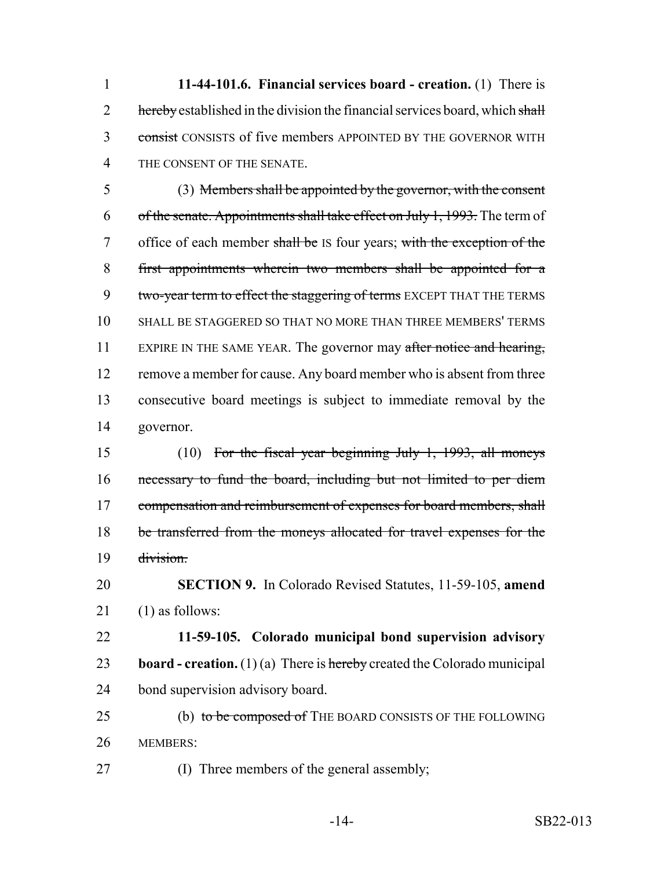**11-44-101.6. Financial services board - creation.** (1) There is 2 hereby established in the division the financial services board, which shall 3 consist CONSISTS of five members APPOINTED BY THE GOVERNOR WITH THE CONSENT OF THE SENATE.

 (3) Members shall be appointed by the governor, with the consent 6 of the senate. Appointments shall take effect on July 1, 1993. The term of 7 office of each member shall be IS four years; with the exception of the first appointments wherein two members shall be appointed for a 9 two-year term to effect the staggering of terms EXCEPT THAT THE TERMS SHALL BE STAGGERED SO THAT NO MORE THAN THREE MEMBERS' TERMS 11 EXPIRE IN THE SAME YEAR. The governor may after notice and hearing, 12 remove a member for cause. Any board member who is absent from three consecutive board meetings is subject to immediate removal by the governor.

 (10) For the fiscal year beginning July 1, 1993, all moneys necessary to fund the board, including but not limited to per diem 17 compensation and reimbursement of expenses for board members, shall be transferred from the moneys allocated for travel expenses for the division.

 **SECTION 9.** In Colorado Revised Statutes, 11-59-105, **amend** (1) as follows:

 **11-59-105. Colorado municipal bond supervision advisory board - creation.** (1) (a) There is hereby created the Colorado municipal bond supervision advisory board.

25 (b) to be composed of THE BOARD CONSISTS OF THE FOLLOWING MEMBERS:

(I) Three members of the general assembly;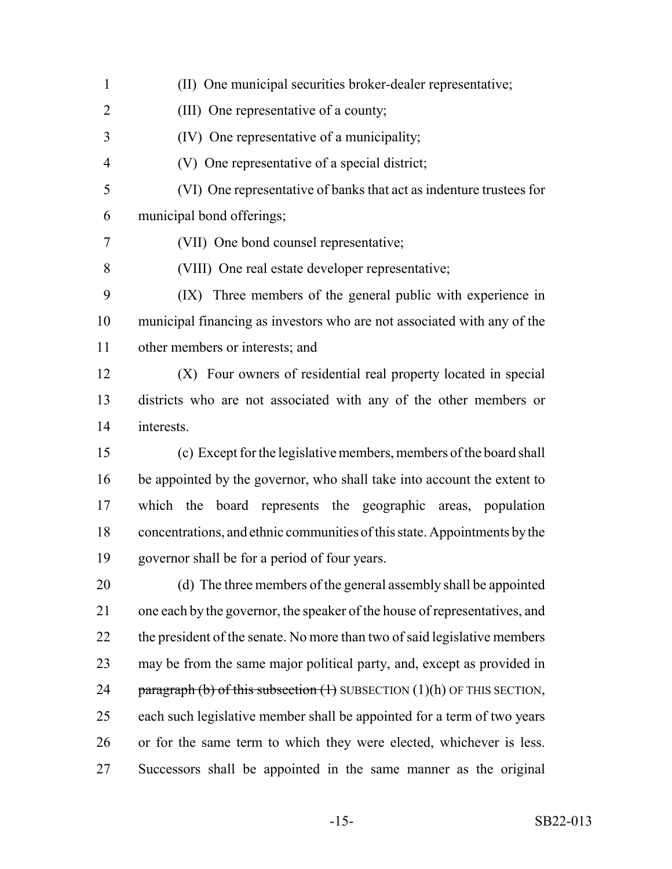(II) One municipal securities broker-dealer representative; (III) One representative of a county; (IV) One representative of a municipality; (V) One representative of a special district; (VI) One representative of banks that act as indenture trustees for municipal bond offerings; (VII) One bond counsel representative; (VIII) One real estate developer representative; (IX) Three members of the general public with experience in municipal financing as investors who are not associated with any of the other members or interests; and (X) Four owners of residential real property located in special districts who are not associated with any of the other members or interests. (c) Except for the legislative members, members of the board shall be appointed by the governor, who shall take into account the extent to which the board represents the geographic areas, population concentrations, and ethnic communities of this state. Appointments by the governor shall be for a period of four years. (d) The three members of the general assembly shall be appointed one each by the governor, the speaker of the house of representatives, and 22 the president of the senate. No more than two of said legislative members may be from the same major political party, and, except as provided in 24 paragraph (b) of this subsection  $(1)$  SUBSECTION  $(1)(h)$  OF THIS SECTION, each such legislative member shall be appointed for a term of two years or for the same term to which they were elected, whichever is less. Successors shall be appointed in the same manner as the original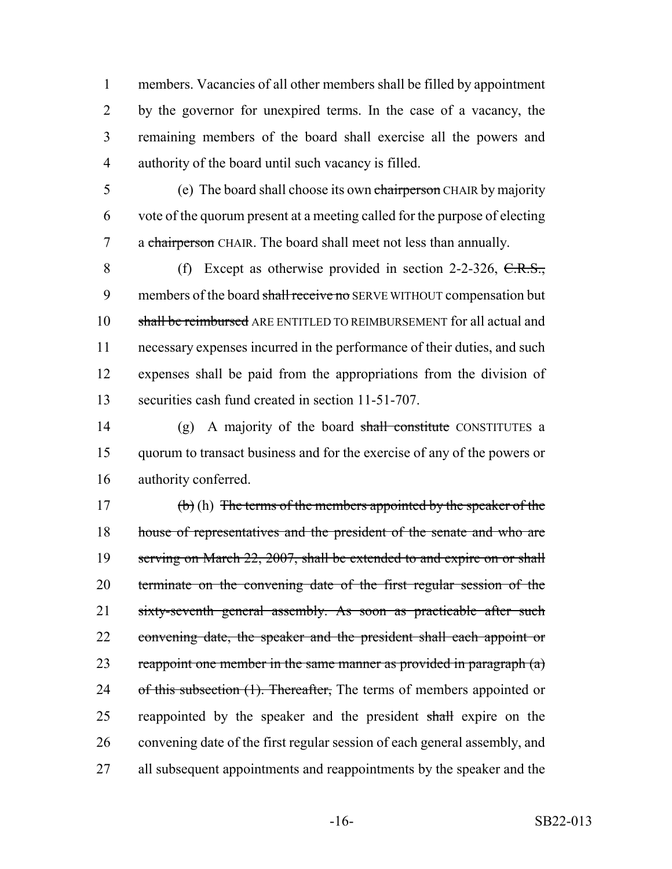members. Vacancies of all other members shall be filled by appointment by the governor for unexpired terms. In the case of a vacancy, the remaining members of the board shall exercise all the powers and authority of the board until such vacancy is filled.

5 (e) The board shall choose its own chairperson CHAIR by majority 6 vote of the quorum present at a meeting called for the purpose of electing 7 a chairperson CHAIR. The board shall meet not less than annually.

8 (f) Except as otherwise provided in section 2-2-326, C.R.S., 9 members of the board shall receive no SERVE WITHOUT compensation but shall be reimbursed ARE ENTITLED TO REIMBURSEMENT for all actual and necessary expenses incurred in the performance of their duties, and such expenses shall be paid from the appropriations from the division of securities cash fund created in section 11-51-707.

14 (g) A majority of the board shall constitute CONSTITUTES a 15 quorum to transact business and for the exercise of any of the powers or 16 authority conferred.

17 (b) (h) The terms of the members appointed by the speaker of the 18 house of representatives and the president of the senate and who are 19 serving on March 22, 2007, shall be extended to and expire on or shall 20 terminate on the convening date of the first regular session of the 21 sixty-seventh general assembly. As soon as practicable after such 22 convening date, the speaker and the president shall each appoint or 23 reappoint one member in the same manner as provided in paragraph  $(a)$ 24 of this subsection (1). Thereafter, The terms of members appointed or 25 reappointed by the speaker and the president shall expire on the 26 convening date of the first regular session of each general assembly, and 27 all subsequent appointments and reappointments by the speaker and the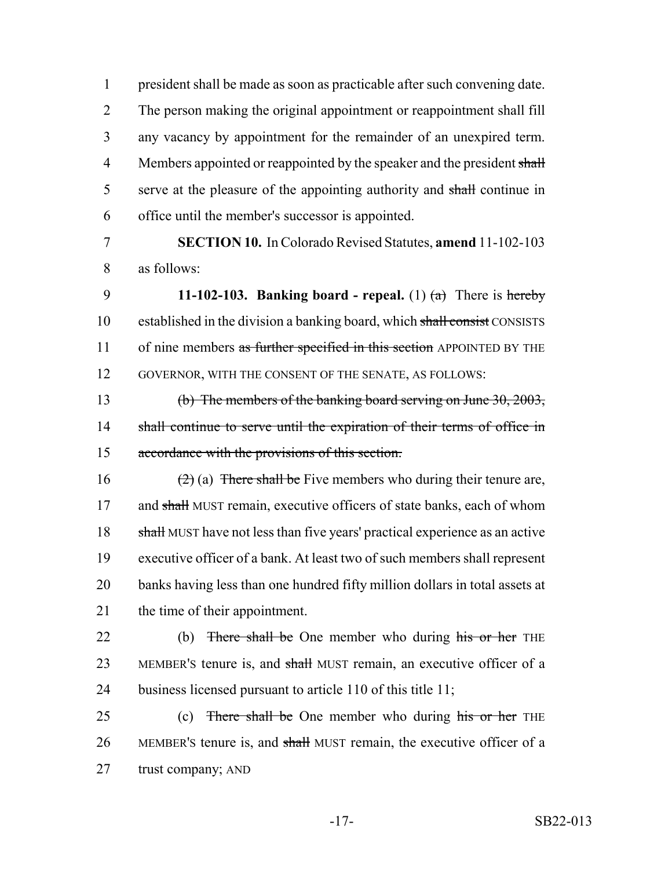president shall be made as soon as practicable after such convening date. The person making the original appointment or reappointment shall fill any vacancy by appointment for the remainder of an unexpired term. 4 Members appointed or reappointed by the speaker and the president shall 5 serve at the pleasure of the appointing authority and shall continue in office until the member's successor is appointed.

7 **SECTION 10.** In Colorado Revised Statutes, **amend** 11-102-103 8 as follows:

9 **11-102-103. Banking board - repeal.** (1)  $(a)$  There is hereby 10 established in the division a banking board, which shall consist CONSISTS 11 of nine members as further specified in this section APPOINTED BY THE 12 GOVERNOR, WITH THE CONSENT OF THE SENATE, AS FOLLOWS:

13 (b) The members of the banking board serving on June 30, 2003, 14 shall continue to serve until the expiration of their terms of office in 15 accordance with the provisions of this section.

16 (2) (a) There shall be Five members who during their tenure are, 17 and shall MUST remain, executive officers of state banks, each of whom 18 shall MUST have not less than five years' practical experience as an active 19 executive officer of a bank. At least two of such members shall represent 20 banks having less than one hundred fifty million dollars in total assets at 21 the time of their appointment.

22 (b) There shall be One member who during his or her THE 23 MEMBER's tenure is, and shall MUST remain, an executive officer of a 24 business licensed pursuant to article 110 of this title 11;

25 (c) There shall be One member who during his or her THE 26 MEMBER's tenure is, and shall MUST remain, the executive officer of a 27 trust company; AND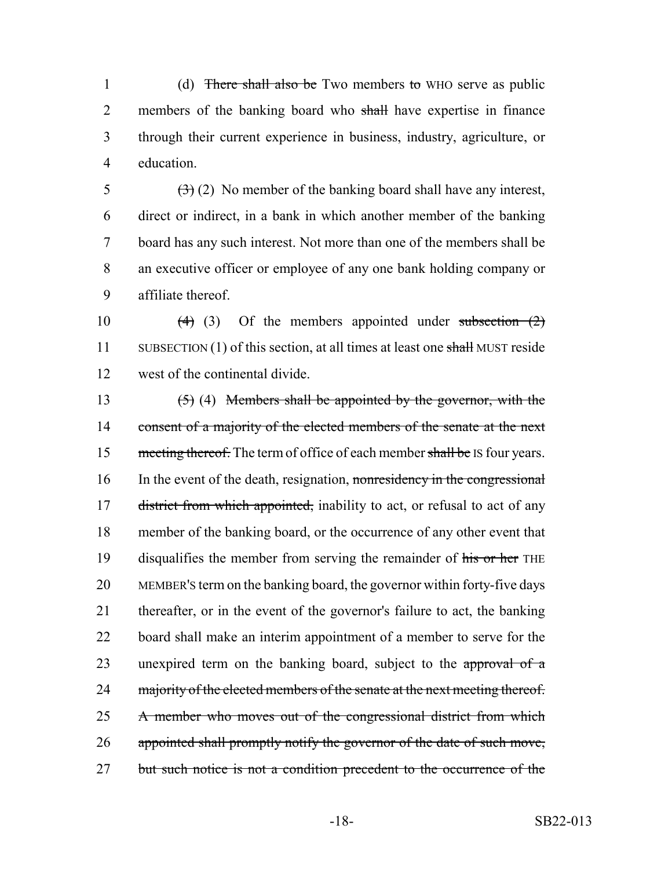1 (d) There shall also be Two members to WHO serve as public 2 members of the banking board who shall have expertise in finance 3 through their current experience in business, industry, agriculture, or 4 education.

 $(3)(2)$  No member of the banking board shall have any interest, direct or indirect, in a bank in which another member of the banking board has any such interest. Not more than one of the members shall be an executive officer or employee of any one bank holding company or affiliate thereof.

10  $(4)$  (3) Of the members appointed under subsection  $(2)$ 11 SUBSECTION (1) of this section, at all times at least one shall MUST reside 12 west of the continental divide.

13  $(5)$  (4) Members shall be appointed by the governor, with the 14 consent of a majority of the elected members of the senate at the next 15 meeting thereof. The term of office of each member shall be IS four years. 16 In the event of the death, resignation, nonresidency in the congressional 17 district from which appointed, inability to act, or refusal to act of any 18 member of the banking board, or the occurrence of any other event that 19 disqualifies the member from serving the remainder of his or her THE 20 MEMBER'S term on the banking board, the governor within forty-five days 21 thereafter, or in the event of the governor's failure to act, the banking 22 board shall make an interim appointment of a member to serve for the 23 unexpired term on the banking board, subject to the approval of a 24 majority of the elected members of the senate at the next meeting thereof. 25 A member who moves out of the congressional district from which 26 appointed shall promptly notify the governor of the date of such move, 27 but such notice is not a condition precedent to the occurrence of the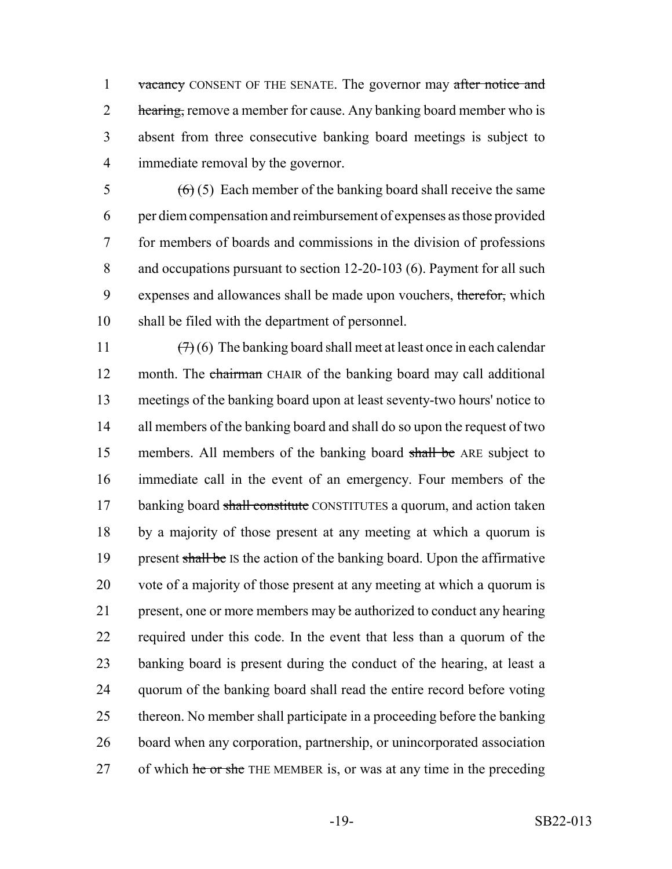1 vacancy CONSENT OF THE SENATE. The governor may after notice and 2 hearing, remove a member for cause. Any banking board member who is 3 absent from three consecutive banking board meetings is subject to 4 immediate removal by the governor.

 $(6)(5)$  Each member of the banking board shall receive the same per diem compensation and reimbursement of expenses as those provided for members of boards and commissions in the division of professions and occupations pursuant to section 12-20-103 (6). Payment for all such 9 expenses and allowances shall be made upon vouchers, therefor, which shall be filed with the department of personnel.

 $(7)(6)$  The banking board shall meet at least once in each calendar 12 month. The chairman CHAIR of the banking board may call additional meetings of the banking board upon at least seventy-two hours' notice to 14 all members of the banking board and shall do so upon the request of two 15 members. All members of the banking board shall be ARE subject to immediate call in the event of an emergency. Four members of the 17 banking board shall constitute CONSTITUTES a quorum, and action taken by a majority of those present at any meeting at which a quorum is 19 present shall be IS the action of the banking board. Upon the affirmative vote of a majority of those present at any meeting at which a quorum is present, one or more members may be authorized to conduct any hearing required under this code. In the event that less than a quorum of the banking board is present during the conduct of the hearing, at least a quorum of the banking board shall read the entire record before voting thereon. No member shall participate in a proceeding before the banking board when any corporation, partnership, or unincorporated association 27 of which he or she THE MEMBER is, or was at any time in the preceding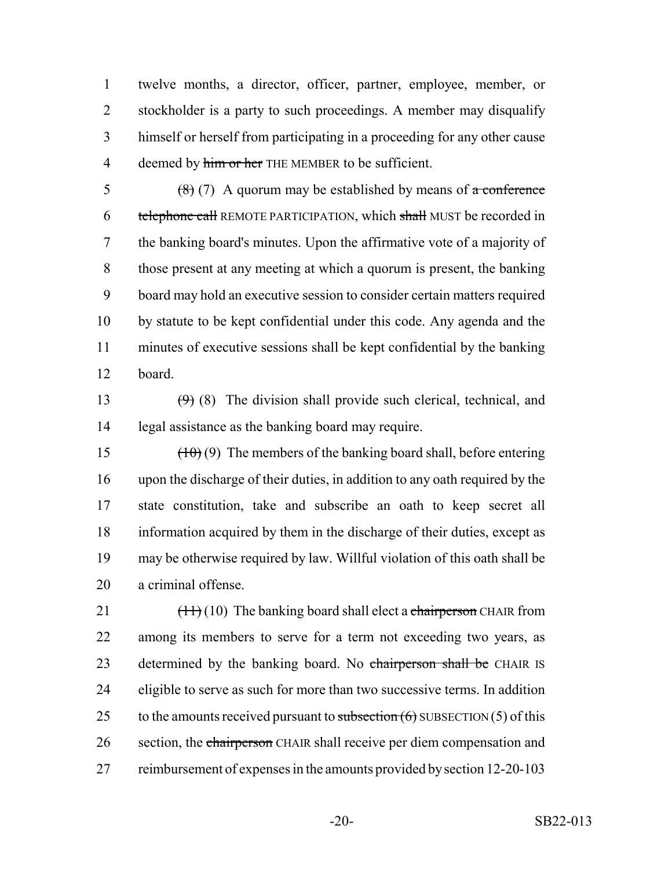twelve months, a director, officer, partner, employee, member, or stockholder is a party to such proceedings. A member may disqualify himself or herself from participating in a proceeding for any other cause 4 deemed by him or her THE MEMBER to be sufficient.

 $(8)(7)$  A quorum may be established by means of a conference 6 telephone call REMOTE PARTICIPATION, which shall MUST be recorded in the banking board's minutes. Upon the affirmative vote of a majority of those present at any meeting at which a quorum is present, the banking board may hold an executive session to consider certain matters required by statute to be kept confidential under this code. Any agenda and the minutes of executive sessions shall be kept confidential by the banking board.

13  $(9)$  (8) The division shall provide such clerical, technical, and legal assistance as the banking board may require.

 $(10)(9)$  The members of the banking board shall, before entering upon the discharge of their duties, in addition to any oath required by the state constitution, take and subscribe an oath to keep secret all information acquired by them in the discharge of their duties, except as may be otherwise required by law. Willful violation of this oath shall be a criminal offense.

21  $\left(\frac{11}{10}\right)$  The banking board shall elect a chairperson CHAIR from among its members to serve for a term not exceeding two years, as 23 determined by the banking board. No chairperson shall be CHAIR IS eligible to serve as such for more than two successive terms. In addition 25 to the amounts received pursuant to subsection  $(6)$  SUBSECTION  $(5)$  of this 26 section, the chairperson CHAIR shall receive per diem compensation and 27 reimbursement of expenses in the amounts provided by section 12-20-103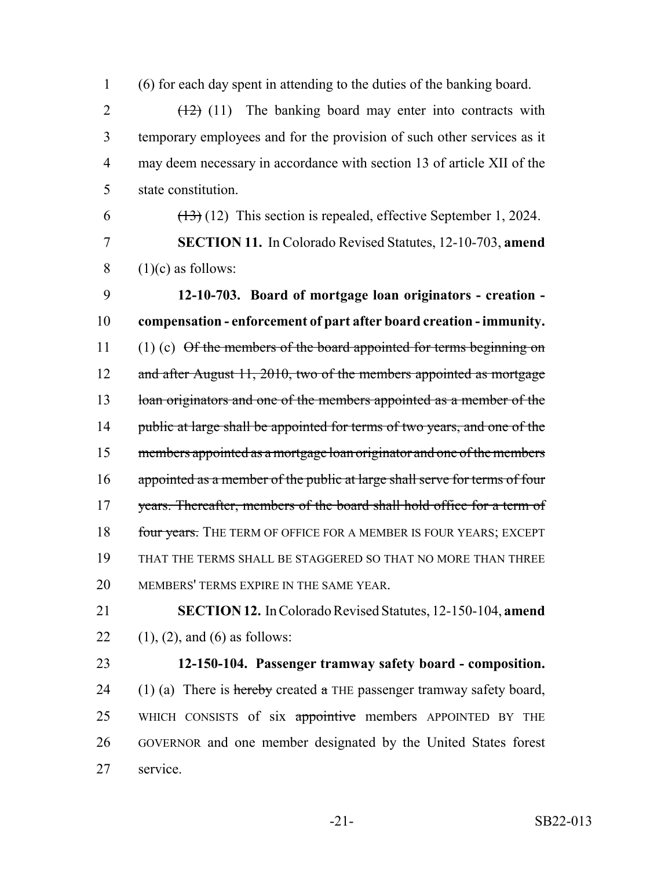1 (6) for each day spent in attending to the duties of the banking board.

 $2 \left(12\right)$  (11) The banking board may enter into contracts with temporary employees and for the provision of such other services as it may deem necessary in accordance with section 13 of article XII of the state constitution.

6  $(13)(12)$  This section is repealed, effective September 1, 2024.

7 **SECTION 11.** In Colorado Revised Statutes, 12-10-703, **amend**  $8$  (1)(c) as follows:

9 **12-10-703. Board of mortgage loan originators - creation -** 10 **compensation - enforcement of part after board creation - immunity.** 11 (1) (c) Of the members of the board appointed for terms beginning on 12 and after August 11, 2010, two of the members appointed as mortgage 13 loan originators and one of the members appointed as a member of the 14 public at large shall be appointed for terms of two years, and one of the 15 members appointed as a mortgage loan originator and one of the members 16 appointed as a member of the public at large shall serve for terms of four 17 years. Thereafter, members of the board shall hold office for a term of 18 four years. The TERM OF OFFICE FOR A MEMBER IS FOUR YEARS; EXCEPT 19 THAT THE TERMS SHALL BE STAGGERED SO THAT NO MORE THAN THREE 20 MEMBERS' TERMS EXPIRE IN THE SAME YEAR.

21 **SECTION 12.** In Colorado Revised Statutes, 12-150-104, **amend** 22 (1), (2), and (6) as follows:

## 23 **12-150-104. Passenger tramway safety board - composition.**

24 (1) (a) There is hereby created a THE passenger tramway safety board, 25 WHICH CONSISTS of six appointive members APPOINTED BY THE 26 GOVERNOR and one member designated by the United States forest 27 service.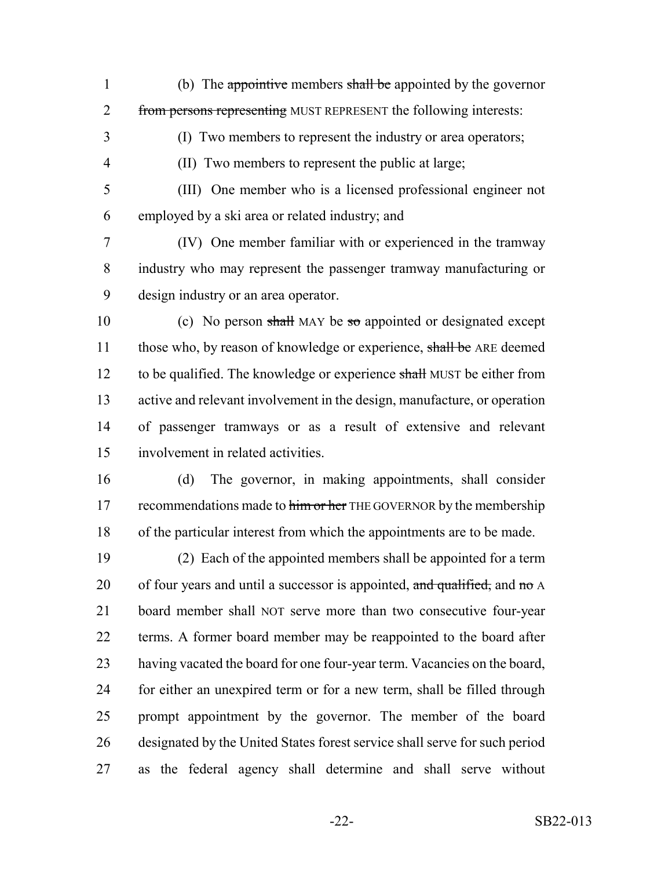1 (b) The appointive members shall be appointed by the governor 2 from persons representing MUST REPRESENT the following interests:

(I) Two members to represent the industry or area operators;

(II) Two members to represent the public at large;

 (III) One member who is a licensed professional engineer not employed by a ski area or related industry; and

 (IV) One member familiar with or experienced in the tramway industry who may represent the passenger tramway manufacturing or design industry or an area operator.

10 (c) No person shall MAY be so appointed or designated except 11 those who, by reason of knowledge or experience, shall be ARE deemed 12 to be qualified. The knowledge or experience shall MUST be either from active and relevant involvement in the design, manufacture, or operation of passenger tramways or as a result of extensive and relevant involvement in related activities.

 (d) The governor, in making appointments, shall consider 17 recommendations made to him or her THE GOVERNOR by the membership of the particular interest from which the appointments are to be made.

 (2) Each of the appointed members shall be appointed for a term 20 of four years and until a successor is appointed, and qualified, and no  $\overline{A}$  board member shall NOT serve more than two consecutive four-year terms. A former board member may be reappointed to the board after having vacated the board for one four-year term. Vacancies on the board, for either an unexpired term or for a new term, shall be filled through prompt appointment by the governor. The member of the board designated by the United States forest service shall serve for such period as the federal agency shall determine and shall serve without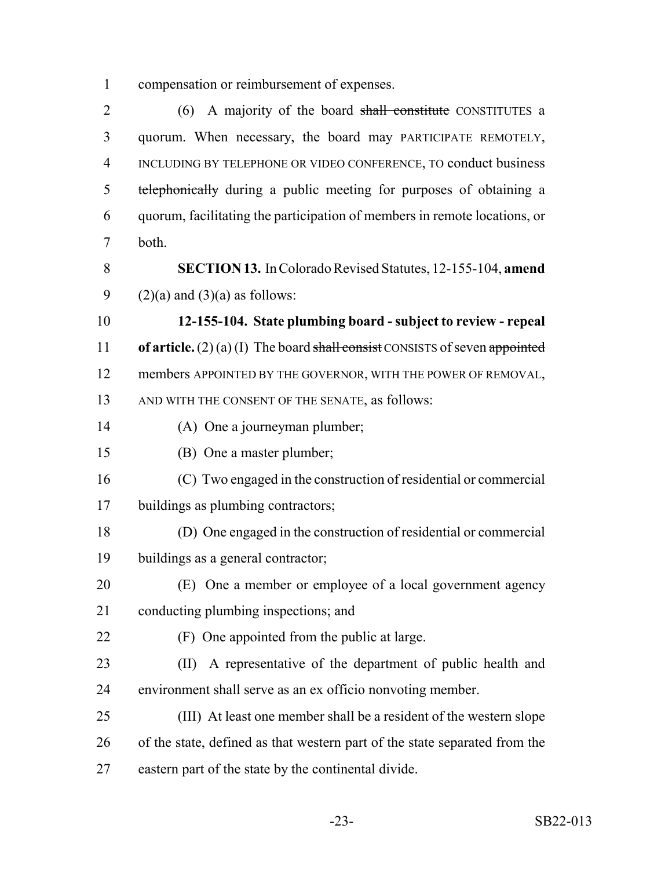compensation or reimbursement of expenses.

2 (6) A majority of the board shall constitute CONSTITUTES a quorum. When necessary, the board may PARTICIPATE REMOTELY, INCLUDING BY TELEPHONE OR VIDEO CONFERENCE, TO conduct business 5 telephonically during a public meeting for purposes of obtaining a quorum, facilitating the participation of members in remote locations, or both.

 **SECTION 13.** In Colorado Revised Statutes, 12-155-104, **amend** 9 (2)(a) and (3)(a) as follows:

 **12-155-104. State plumbing board - subject to review - repeal of article.** (2) (a) (I) The board shall consist CONSISTS of seven appointed members APPOINTED BY THE GOVERNOR, WITH THE POWER OF REMOVAL, AND WITH THE CONSENT OF THE SENATE, as follows:

- (A) One a journeyman plumber;
- (B) One a master plumber;
- (C) Two engaged in the construction of residential or commercial buildings as plumbing contractors;
- (D) One engaged in the construction of residential or commercial buildings as a general contractor;
- (E) One a member or employee of a local government agency conducting plumbing inspections; and
- (F) One appointed from the public at large.
- (II) A representative of the department of public health and environment shall serve as an ex officio nonvoting member.
- (III) At least one member shall be a resident of the western slope of the state, defined as that western part of the state separated from the eastern part of the state by the continental divide.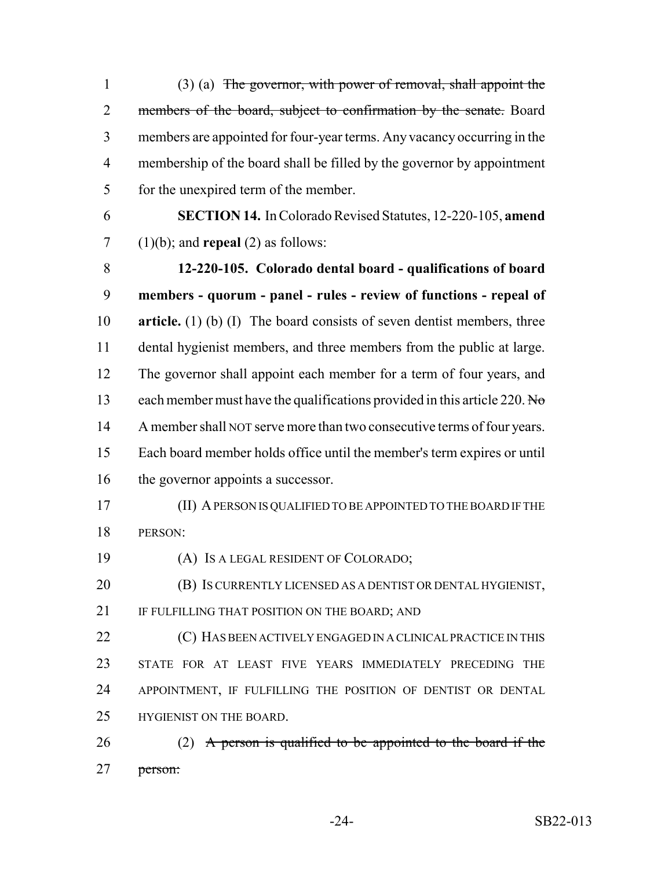(3) (a) The governor, with power of removal, shall appoint the 2 members of the board, subject to confirmation by the senate. Board members are appointed for four-year terms. Any vacancy occurring in the membership of the board shall be filled by the governor by appointment for the unexpired term of the member.

 **SECTION 14.** In Colorado Revised Statutes, 12-220-105, **amend** (1)(b); and **repeal** (2) as follows:

 **12-220-105. Colorado dental board - qualifications of board members - quorum - panel - rules - review of functions - repeal of article.** (1) (b) (I) The board consists of seven dentist members, three dental hygienist members, and three members from the public at large. The governor shall appoint each member for a term of four years, and 13 each member must have the qualifications provided in this article 220. No 14 A member shall NOT serve more than two consecutive terms of four years. Each board member holds office until the member's term expires or until 16 the governor appoints a successor.

- (II) A PERSON IS QUALIFIED TO BE APPOINTED TO THE BOARD IF THE PERSON:
- (A) IS A LEGAL RESIDENT OF COLORADO;
- (B) IS CURRENTLY LICENSED AS A DENTIST OR DENTAL HYGIENIST, 21 IF FULFILLING THAT POSITION ON THE BOARD; AND

 (C) HAS BEEN ACTIVELY ENGAGED IN A CLINICAL PRACTICE IN THIS STATE FOR AT LEAST FIVE YEARS IMMEDIATELY PRECEDING THE APPOINTMENT, IF FULFILLING THE POSITION OF DENTIST OR DENTAL HYGIENIST ON THE BOARD.

26 (2) A person is qualified to be appointed to the board if the person: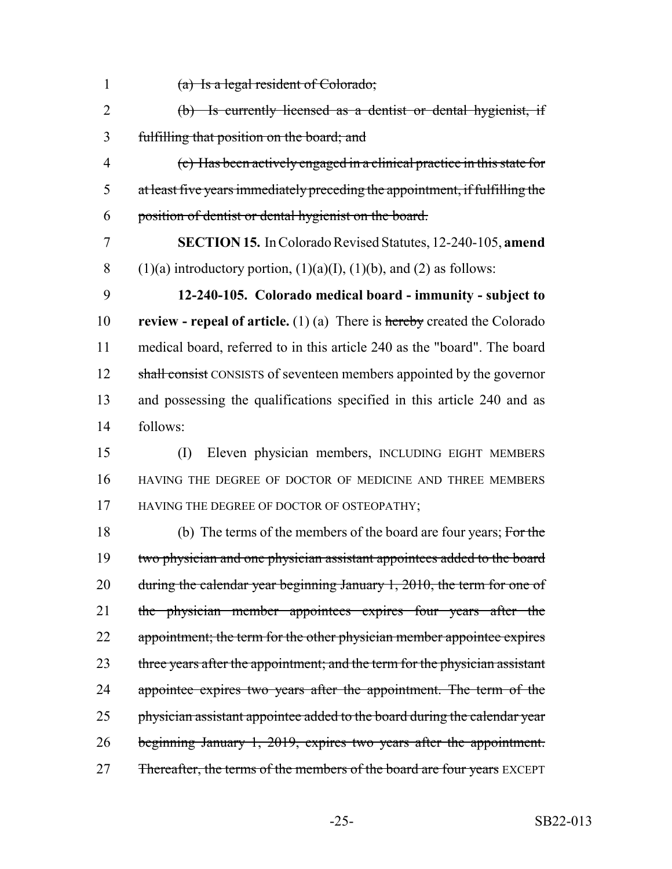- 1 (a) Is a legal resident of Colorado;
- 2 (b) Is currently licensed as a dentist or dental hygienist, if 3 fulfilling that position on the board; and
- 4 (c) Has been actively engaged in a clinical practice in this state for 5 at least five years immediately preceding the appointment, if fulfilling the 6 position of dentist or dental hygienist on the board.
- 7 **SECTION 15.** In Colorado Revised Statutes, 12-240-105, **amend** 8 (1)(a) introductory portion,  $(1)(a)(I)$ ,  $(1)(b)$ , and  $(2)$  as follows:
- 9 **12-240-105. Colorado medical board immunity subject to** 10 **review - repeal of article.** (1) (a) There is hereby created the Colorado 11 medical board, referred to in this article 240 as the "board". The board 12 shall consist CONSISTS of seventeen members appointed by the governor 13 and possessing the qualifications specified in this article 240 and as 14 follows:
- 15 (I) Eleven physician members, INCLUDING EIGHT MEMBERS 16 HAVING THE DEGREE OF DOCTOR OF MEDICINE AND THREE MEMBERS 17 HAVING THE DEGREE OF DOCTOR OF OSTEOPATHY;
- 18 (b) The terms of the members of the board are four years; For the 19 two physician and one physician assistant appointees added to the board 20 during the calendar year beginning January 1, 2010, the term for one of 21 the physician member appointees expires four years after the 22 appointment; the term for the other physician member appointee expires 23 three years after the appointment; and the term for the physician assistant 24 appointee expires two years after the appointment. The term of the 25 physician assistant appointee added to the board during the calendar year 26 beginning January 1, 2019, expires two years after the appointment. 27 Fhereafter, the terms of the members of the board are four years EXCEPT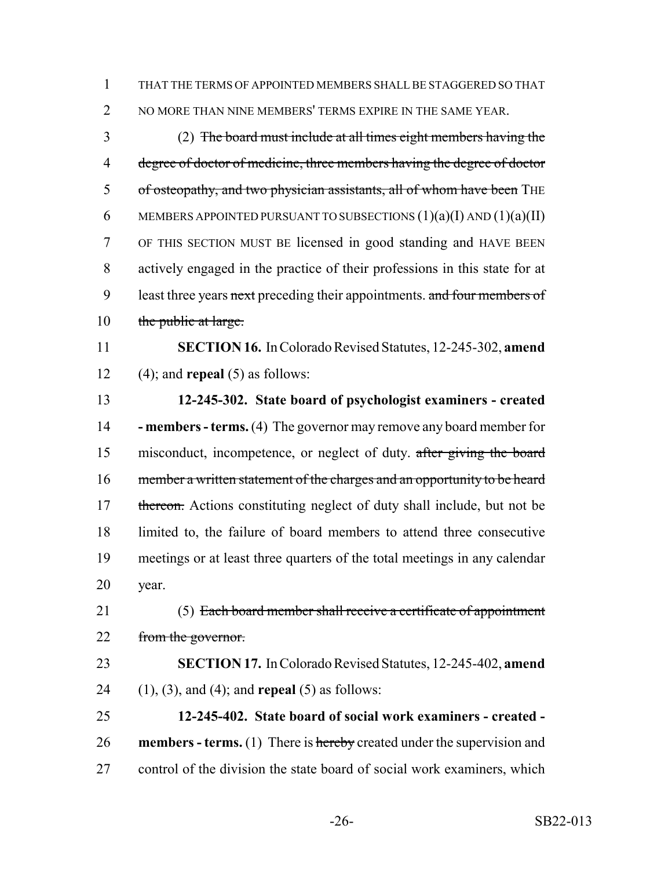THAT THE TERMS OF APPOINTED MEMBERS SHALL BE STAGGERED SO THAT 2 NO MORE THAN NINE MEMBERS' TERMS EXPIRE IN THE SAME YEAR.

 (2) The board must include at all times eight members having the 4 degree of doctor of medicine, three members having the degree of doctor 5 of osteopathy, and two physician assistants, all of whom have been THE 6 MEMBERS APPOINTED PURSUANT TO SUBSECTIONS  $(1)(a)(I)$  AND  $(1)(a)(II)$  OF THIS SECTION MUST BE licensed in good standing and HAVE BEEN actively engaged in the practice of their professions in this state for at 9 least three years next preceding their appointments. and four members of 10 the public at large.

 **SECTION 16.** In Colorado Revised Statutes, 12-245-302, **amend** (4); and **repeal** (5) as follows:

 **12-245-302. State board of psychologist examiners - created - members - terms.** (4) The governor may remove any board member for misconduct, incompetence, or neglect of duty. after giving the board 16 member a written statement of the charges and an opportunity to be heard 17 thereon. Actions constituting neglect of duty shall include, but not be limited to, the failure of board members to attend three consecutive meetings or at least three quarters of the total meetings in any calendar year.

21 (5) Each board member shall receive a certificate of appointment 22 from the governor.

 **SECTION 17.** In Colorado Revised Statutes, 12-245-402, **amend** (1), (3), and (4); and **repeal** (5) as follows:

 **12-245-402. State board of social work examiners - created - members - terms.** (1) There is hereby created under the supervision and control of the division the state board of social work examiners, which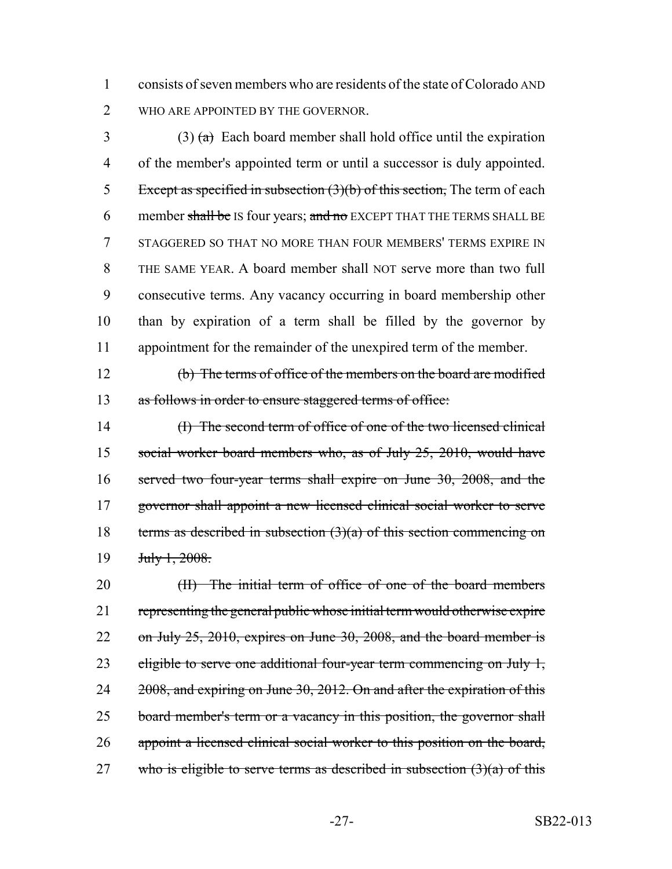1 consists of seven members who are residents of the state of Colorado AND 2 WHO ARE APPOINTED BY THE GOVERNOR.

3 (3)  $\left(\frac{a}{b}\right)$  Each board member shall hold office until the expiration of the member's appointed term or until a successor is duly appointed. 5 Except as specified in subsection  $(3)(b)$  of this section, The term of each 6 member shall be IS four years; and no EXCEPT THAT THE TERMS SHALL BE STAGGERED SO THAT NO MORE THAN FOUR MEMBERS' TERMS EXPIRE IN THE SAME YEAR. A board member shall NOT serve more than two full consecutive terms. Any vacancy occurring in board membership other than by expiration of a term shall be filled by the governor by appointment for the remainder of the unexpired term of the member.

12 (b) The terms of office of the members on the board are modified 13 as follows in order to ensure staggered terms of office:

14 (I) The second term of office of one of the two licensed clinical 15 social worker board members who, as of July 25, 2010, would have 16 served two four-year terms shall expire on June 30, 2008, and the 17 governor shall appoint a new licensed clinical social worker to serve 18 terms as described in subsection  $(3)(a)$  of this section commencing on 19 <del>July 1, 2008.</del>

20 (II) The initial term of office of one of the board members 21 representing the general public whose initial term would otherwise expire 22 on July 25, 2010, expires on June 30, 2008, and the board member is 23 eligible to serve one additional four-year term commencing on July 1, 24 2008, and expiring on June 30, 2012. On and after the expiration of this 25 board member's term or a vacancy in this position, the governor shall 26 appoint a licensed clinical social worker to this position on the board, 27 who is eligible to serve terms as described in subsection  $(3)(a)$  of this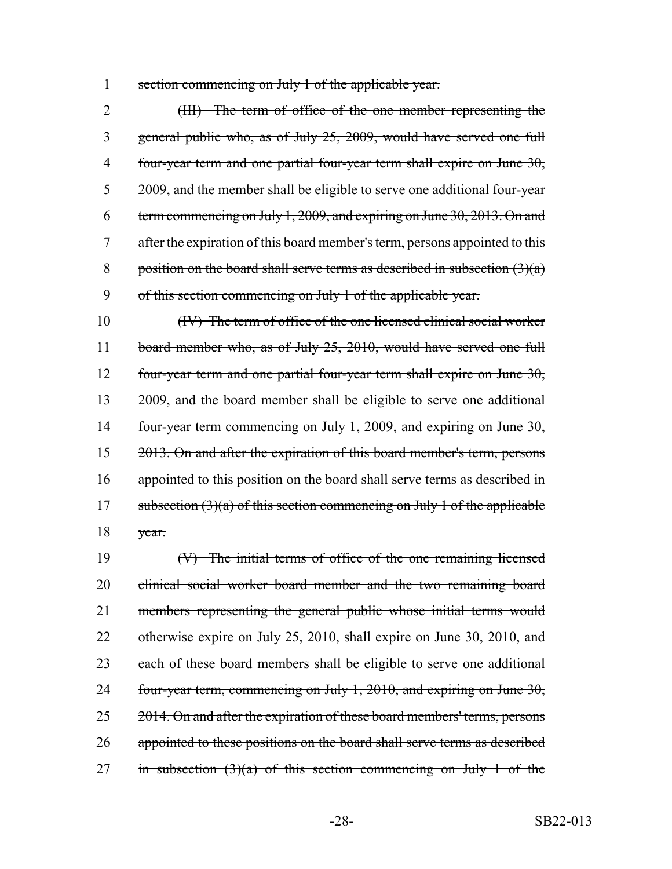1 section commencing on July 1 of the applicable year.

2 (III) The term of office of the one member representing the general public who, as of July 25, 2009, would have served one full four-year term and one partial four-year term shall expire on June 30, 2009, and the member shall be eligible to serve one additional four-year term commencing on July 1, 2009, and expiring on June 30, 2013. On and after the expiration of this board member's term, persons appointed to this 8 position on the board shall serve terms as described in subsection  $(3)(a)$ of this section commencing on July 1 of the applicable year.

10 (IV) The term of office of the one licensed clinical social worker 11 board member who, as of July 25, 2010, would have served one full 12 four-year term and one partial four-year term shall expire on June 30, 13 2009, and the board member shall be eligible to serve one additional 14 four-year term commencing on July 1, 2009, and expiring on June 30, 15 2013. On and after the expiration of this board member's term, persons 16 appointed to this position on the board shall serve terms as described in 17 subsection  $(3)(a)$  of this section commencing on July 1 of the applicable 18 year.

19 (V) The initial terms of office of the one remaining licensed 20 clinical social worker board member and the two remaining board 21 members representing the general public whose initial terms would 22 otherwise expire on July 25, 2010, shall expire on June 30, 2010, and 23 each of these board members shall be eligible to serve one additional 24 four-year term, commencing on July 1,  $2010$ , and expiring on June  $30$ , 25 2014. On and after the expiration of these board members' terms, persons 26 appointed to these positions on the board shall serve terms as described 27 in subsection  $(3)(a)$  of this section commencing on July 1 of the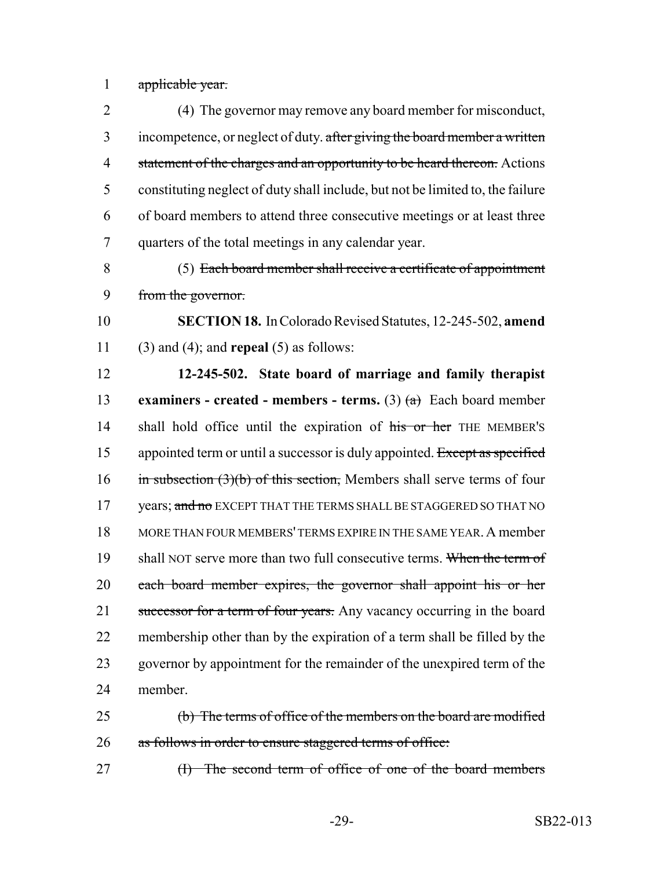1 applicable year.

 (4) The governor may remove any board member for misconduct, 3 incompetence, or neglect of duty. after giving the board member a written 4 statement of the charges and an opportunity to be heard thereon. Actions constituting neglect of duty shall include, but not be limited to, the failure of board members to attend three consecutive meetings or at least three quarters of the total meetings in any calendar year.

8 (5) Each board member shall receive a certificate of appointment 9 from the governor.

10 **SECTION 18.** In Colorado Revised Statutes, 12-245-502, **amend** 11 (3) and (4); and **repeal** (5) as follows:

12 **12-245-502. State board of marriage and family therapist** 13 **examiners - created - members - terms.** (3)  $(a)$  Each board member 14 shall hold office until the expiration of his or her THE MEMBER's 15 appointed term or until a successor is duly appointed. Except as specified 16 in subsection  $(3)(b)$  of this section, Members shall serve terms of four 17 years; and no EXCEPT THAT THE TERMS SHALL BE STAGGERED SO THAT NO 18 MORE THAN FOUR MEMBERS' TERMS EXPIRE IN THE SAME YEAR.A member 19 shall NOT serve more than two full consecutive terms. When the term of 20 each board member expires, the governor shall appoint his or her 21 successor for a term of four years. Any vacancy occurring in the board 22 membership other than by the expiration of a term shall be filled by the 23 governor by appointment for the remainder of the unexpired term of the 24 member.

25 (b) The terms of office of the members on the board are modified 26 as follows in order to ensure staggered terms of office:

27 (I) The second term of office of one of the board members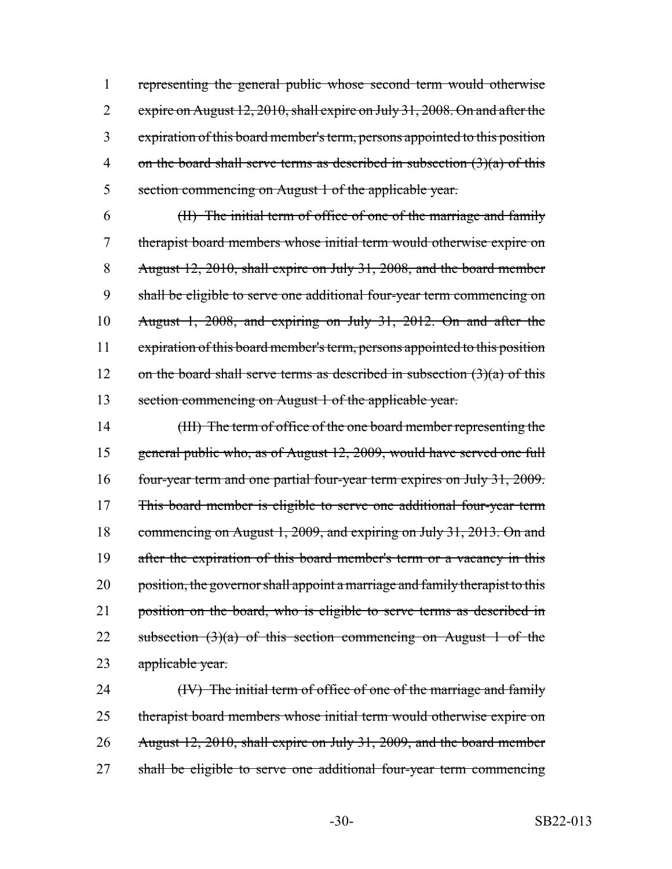1 representing the general public whose second term would otherwise 2 expire on August 12, 2010, shall expire on July 31, 2008. On and after the 3 expiration of this board member's term, persons appointed to this position 4 on the board shall serve terms as described in subsection  $(3)(a)$  of this 5 section commencing on August 1 of the applicable year.

 (II) The initial term of office of one of the marriage and family therapist board members whose initial term would otherwise expire on August 12, 2010, shall expire on July 31, 2008, and the board member shall be eligible to serve one additional four-year term commencing on August 1, 2008, and expiring on July 31, 2012. On and after the expiration of this board member's term, persons appointed to this position 12 on the board shall serve terms as described in subsection  $(3)(a)$  of this section commencing on August 1 of the applicable year.

14 (III) The term of office of the one board member representing the 15 general public who, as of August 12, 2009, would have served one full 16 four-year term and one partial four-year term expires on July 31, 2009. 17 This board member is eligible to serve one additional four-year term 18 commencing on August 1, 2009, and expiring on July 31, 2013. On and 19 after the expiration of this board member's term or a vacancy in this 20 position, the governor shall appoint a marriage and family therapist to this 21 position on the board, who is eligible to serve terms as described in 22 subsection  $(3)(a)$  of this section commencing on August 1 of the 23 applicable year.

24 (IV) The initial term of office of one of the marriage and family 25 therapist board members whose initial term would otherwise expire on 26 August 12, 2010, shall expire on July 31, 2009, and the board member 27 shall be eligible to serve one additional four-year term commencing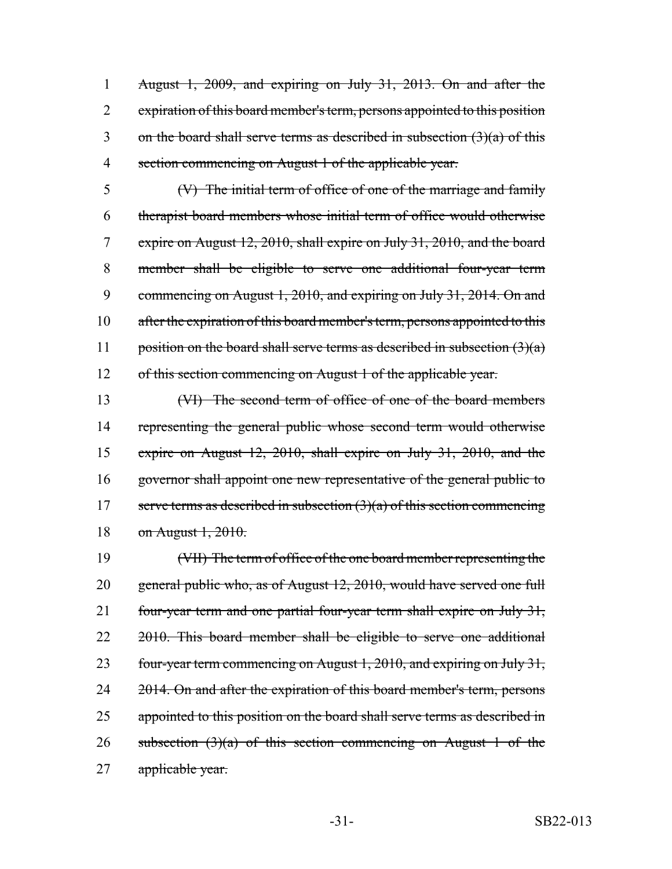August 1, 2009, and expiring on July 31, 2013. On and after the expiration of this board member's term, persons appointed to this position 3 on the board shall serve terms as described in subsection  $(3)(a)$  of this section commencing on August 1 of the applicable year.

 (V) The initial term of office of one of the marriage and family therapist board members whose initial term of office would otherwise expire on August 12, 2010, shall expire on July 31, 2010, and the board member shall be eligible to serve one additional four-year term 9 commencing on August 1, 2010, and expiring on July 31, 2014. On and 10 after the expiration of this board member's term, persons appointed to this 11 position on the board shall serve terms as described in subsection  $(3)(a)$ of this section commencing on August 1 of the applicable year.

 (VI) The second term of office of one of the board members 14 representing the general public whose second term would otherwise expire on August 12, 2010, shall expire on July 31, 2010, and the governor shall appoint one new representative of the general public to 17 serve terms as described in subsection  $(3)(a)$  of this section commencing on August 1, 2010.

19 (VII) The term of office of the one board member representing the 20 general public who, as of August 12, 2010, would have served one full 21 four-year term and one partial four-year term shall expire on July 31, 22 2010. This board member shall be eligible to serve one additional 23 four-year term commencing on August 1, 2010, and expiring on July 31, 24 2014. On and after the expiration of this board member's term, persons 25 appointed to this position on the board shall serve terms as described in 26 subsection  $(3)(a)$  of this section commencing on August 1 of the 27 applicable year.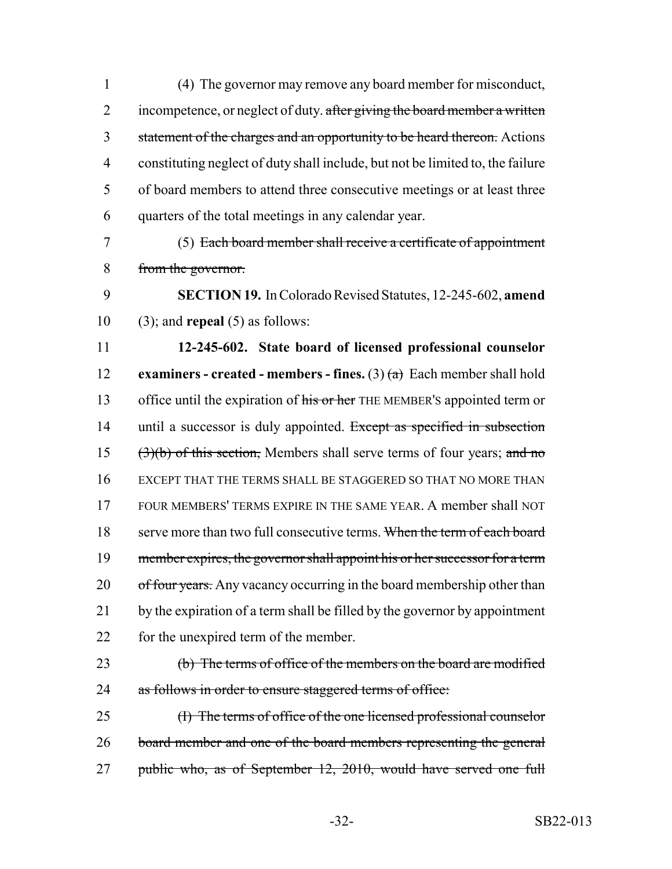(4) The governor may remove any board member for misconduct, 2 incompetence, or neglect of duty. after giving the board member a written 3 statement of the charges and an opportunity to be heard thereon. Actions constituting neglect of duty shall include, but not be limited to, the failure of board members to attend three consecutive meetings or at least three quarters of the total meetings in any calendar year.

7 (5) Each board member shall receive a certificate of appointment 8 from the governor.

9 **SECTION 19.** In Colorado Revised Statutes, 12-245-602, **amend** 10 (3); and **repeal** (5) as follows:

11 **12-245-602. State board of licensed professional counselor** 12 **examiners - created - members - fines.** (3) (a) Each member shall hold 13 office until the expiration of his or her THE MEMBER's appointed term or 14 until a successor is duly appointed. Except as specified in subsection 15 (3)(b) of this section, Members shall serve terms of four years; and no 16 EXCEPT THAT THE TERMS SHALL BE STAGGERED SO THAT NO MORE THAN 17 FOUR MEMBERS' TERMS EXPIRE IN THE SAME YEAR. A member shall NOT 18 serve more than two full consecutive terms. When the term of each board 19 member expires, the governor shall appoint his or her successor for a term 20 of four years. Any vacancy occurring in the board membership other than 21 by the expiration of a term shall be filled by the governor by appointment 22 for the unexpired term of the member.

23 (b) The terms of office of the members on the board are modified 24 as follows in order to ensure staggered terms of office:

25 (I) The terms of office of the one licensed professional counselor 26 board member and one of the board members representing the general 27 public who, as of September 12, 2010, would have served one full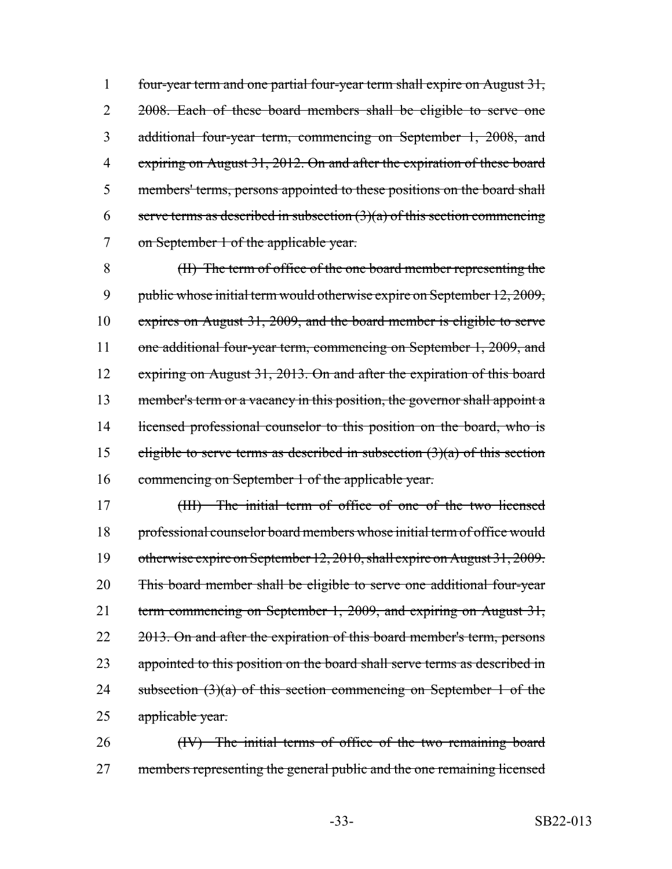1 four-year term and one partial four-year term shall expire on August 31, 2 2008. Each of these board members shall be eligible to serve one 3 additional four-year term, commencing on September 1, 2008, and 4 expiring on August 31, 2012. On and after the expiration of these board 5 members' terms, persons appointed to these positions on the board shall 6 serve terms as described in subsection  $(3)(a)$  of this section commencing 7 on September 1 of the applicable year.

8 (II) The term of office of the one board member representing the 9 public whose initial term would otherwise expire on September 12, 2009, 10 expires on August 31, 2009, and the board member is eligible to serve 11 one additional four-year term, commencing on September 1, 2009, and 12 expiring on August 31, 2013. On and after the expiration of this board 13 member's term or a vacancy in this position, the governor shall appoint a 14 licensed professional counselor to this position on the board, who is 15 eligible to serve terms as described in subsection  $(3)(a)$  of this section 16 commencing on September 1 of the applicable year.

17 (III) The initial term of office of one of the two licensed 18 professional counselor board members whose initial term of office would 19 otherwise expire on September 12, 2010, shall expire on August 31, 2009. 20 This board member shall be eligible to serve one additional four-year 21 term commencing on September 1, 2009, and expiring on August 31, 22 2013. On and after the expiration of this board member's term, persons 23 appointed to this position on the board shall serve terms as described in 24 subsection  $(3)(a)$  of this section commencing on September 1 of the 25 applicable year.

26 (IV) The initial terms of office of the two remaining board 27 members representing the general public and the one remaining licensed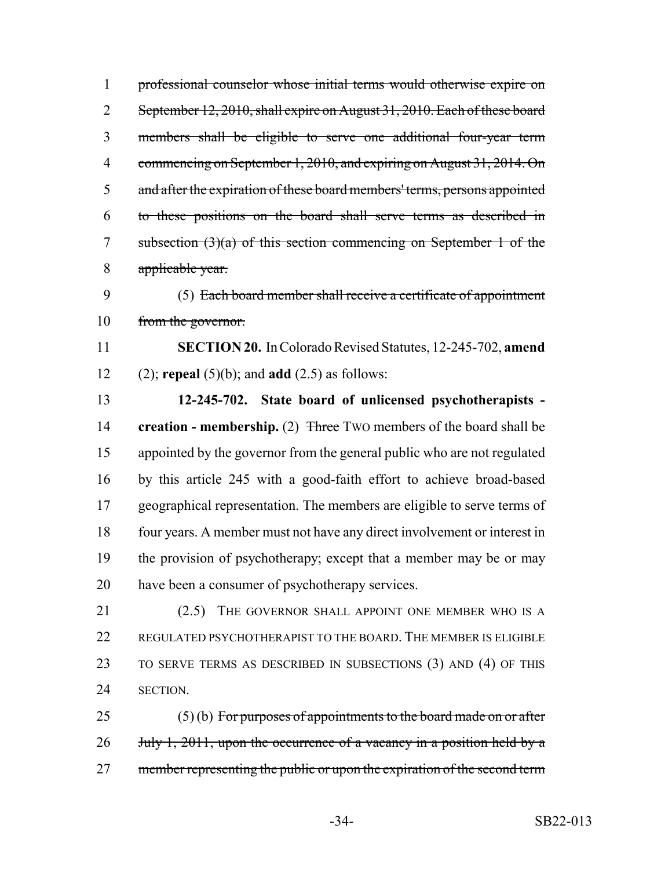professional counselor whose initial terms would otherwise expire on 2 September 12, 2010, shall expire on August 31, 2010. Each of these board members shall be eligible to serve one additional four-year term 4 commencing on September 1, 2010, and expiring on August 31, 2014. On 5 and after the expiration of these board members' terms, persons appointed to these positions on the board shall serve terms as described in subsection (3)(a) of this section commencing on September 1 of the applicable year. (5) Each board member shall receive a certificate of appointment

from the governor.

 **SECTION 20.** In Colorado Revised Statutes, 12-245-702, **amend** (2); **repeal** (5)(b); and **add** (2.5) as follows:

 **12-245-702. State board of unlicensed psychotherapists - creation - membership.** (2) Three Two members of the board shall be appointed by the governor from the general public who are not regulated by this article 245 with a good-faith effort to achieve broad-based geographical representation. The members are eligible to serve terms of four years. A member must not have any direct involvement or interest in the provision of psychotherapy; except that a member may be or may have been a consumer of psychotherapy services.

21 (2.5) THE GOVERNOR SHALL APPOINT ONE MEMBER WHO IS A 22 REGULATED PSYCHOTHERAPIST TO THE BOARD. THE MEMBER IS ELIGIBLE TO SERVE TERMS AS DESCRIBED IN SUBSECTIONS (3) AND (4) OF THIS SECTION.

 (5) (b) For purposes of appointments to the board made on or after 26 July 1, 2011, upon the occurrence of a vacancy in a position held by a 27 member representing the public or upon the expiration of the second term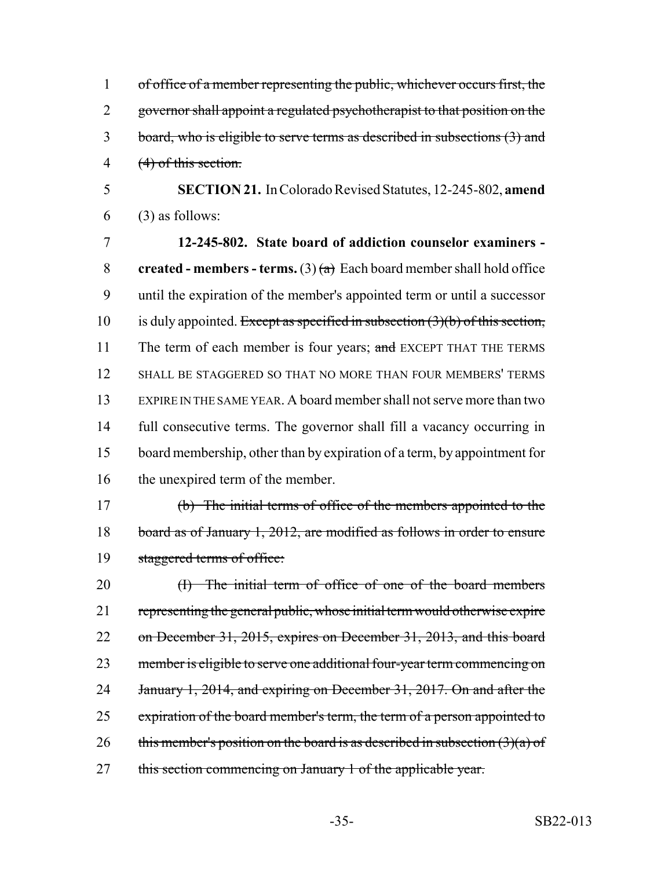of office of a member representing the public, whichever occurs first, the 2 governor shall appoint a regulated psychotherapist to that position on the board, who is eligible to serve terms as described in subsections (3) and (4) of this section.

5 **SECTION 21.** In Colorado Revised Statutes, 12-245-802, **amend**  $6$  (3) as follows:

 **12-245-802. State board of addiction counselor examiners - created - members - terms.** (3)  $(a)$  Each board member shall hold office until the expiration of the member's appointed term or until a successor 10 is duly appointed. Except as specified in subsection  $(3)(b)$  of this section, 11 The term of each member is four years; and EXCEPT THAT THE TERMS SHALL BE STAGGERED SO THAT NO MORE THAN FOUR MEMBERS' TERMS EXPIRE IN THE SAME YEAR. A board member shall not serve more than two full consecutive terms. The governor shall fill a vacancy occurring in board membership, other than by expiration of a term, by appointment for 16 the unexpired term of the member.

17 (b) The initial terms of office of the members appointed to the 18 board as of January 1, 2012, are modified as follows in order to ensure 19 staggered terms of office:

20 (I) The initial term of office of one of the board members 21 representing the general public, whose initial term would otherwise expire 22 on December 31, 2015, expires on December 31, 2013, and this board 23 member is eligible to serve one additional four-year term commencing on 24 January 1, 2014, and expiring on December 31, 2017. On and after the 25 expiration of the board member's term, the term of a person appointed to 26 this member's position on the board is as described in subsection  $(3)(a)$  of 27 this section commencing on January 1 of the applicable year.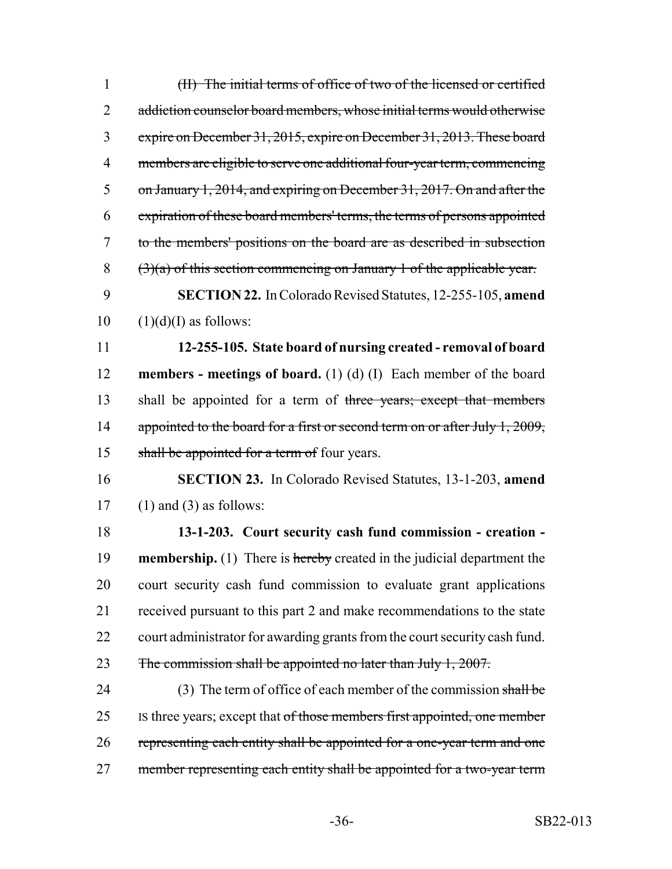| (II) The initial terms of office of two of the licensed or certified          |
|-------------------------------------------------------------------------------|
| addiction counselor board members, whose initial terms would otherwise        |
| expire on December 31, 2015, expire on December 31, 2013. These board         |
| members are eligible to serve one additional four-year term, commencing       |
| on January 1, 2014, and expiring on December 31, 2017. On and after the       |
| expiration of these board members' terms, the terms of persons appointed      |
| to the members' positions on the board are as described in subsection         |
| $(3)(a)$ of this section commencing on January 1 of the applicable year.      |
| <b>SECTION 22.</b> In Colorado Revised Statutes, 12-255-105, amend            |
| $(1)(d)(I)$ as follows:                                                       |
| 12-255-105. State board of nursing created - removal of board                 |
| <b>members - meetings of board.</b> (1) (d) (I) Each member of the board      |
|                                                                               |
| shall be appointed for a term of three years; except that members             |
| appointed to the board for a first or second term on or after July 1, 2009,   |
| shall be appointed for a term of four years.                                  |
| <b>SECTION 23.</b> In Colorado Revised Statutes, 13-1-203, amend              |
| $(1)$ and $(3)$ as follows:                                                   |
| 13-1-203. Court security cash fund commission - creation -                    |
| <b>membership.</b> (1) There is hereby created in the judicial department the |
| court security cash fund commission to evaluate grant applications            |
| received pursuant to this part 2 and make recommendations to the state        |
| court administrator for awarding grants from the court security cash fund.    |
| The commission shall be appointed no later than July 1, 2007.                 |
| (3) The term of office of each member of the commission shall be              |
| Is three years; except that of those members first appointed, one member      |
| representing each entity shall be appointed for a one-year term and one       |
|                                                                               |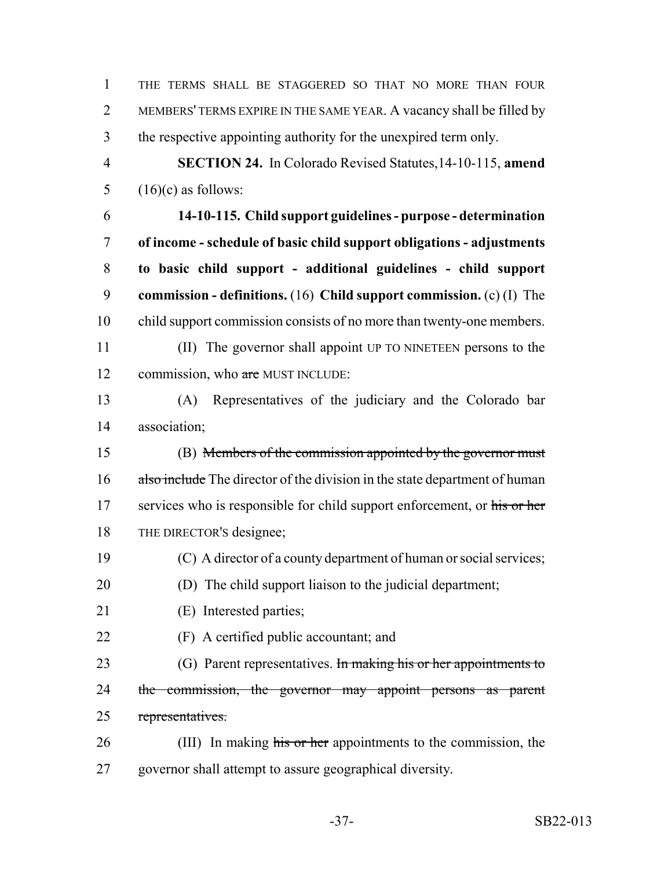THE TERMS SHALL BE STAGGERED SO THAT NO MORE THAN FOUR MEMBERS' TERMS EXPIRE IN THE SAME YEAR. A vacancy shall be filled by the respective appointing authority for the unexpired term only. **SECTION 24.** In Colorado Revised Statutes,14-10-115, **amend**  $(16)(c)$  as follows: **14-10-115. Child support guidelines - purpose - determination of income - schedule of basic child support obligations - adjustments to basic child support - additional guidelines - child support commission - definitions.** (16) **Child support commission.** (c) (I) The child support commission consists of no more than twenty-one members. (II) The governor shall appoint UP TO NINETEEN persons to the 12 commission, who are MUST INCLUDE: (A) Representatives of the judiciary and the Colorado bar association; (B) Members of the commission appointed by the governor must 16 also include The director of the division in the state department of human 17 services who is responsible for child support enforcement, or his or her THE DIRECTOR'S designee; (C) A director of a county department of human or social services; (D) The child support liaison to the judicial department; (E) Interested parties; (F) A certified public accountant; and 23 (G) Parent representatives. In making his or her appointments to 24 the commission, the governor may appoint persons as parent representatives. 26 (III) In making his or her appointments to the commission, the governor shall attempt to assure geographical diversity.

-37- SB22-013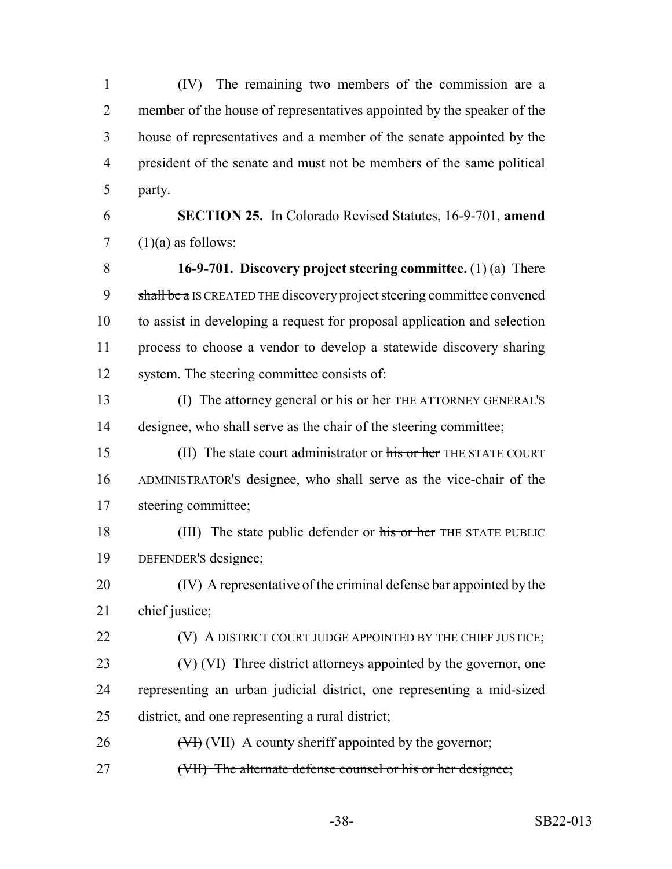(IV) The remaining two members of the commission are a member of the house of representatives appointed by the speaker of the house of representatives and a member of the senate appointed by the president of the senate and must not be members of the same political party.

 **SECTION 25.** In Colorado Revised Statutes, 16-9-701, **amend** 7  $(1)(a)$  as follows:

 **16-9-701. Discovery project steering committee.** (1) (a) There 9 shall be a IS CREATED THE discovery project steering committee convened to assist in developing a request for proposal application and selection process to choose a vendor to develop a statewide discovery sharing system. The steering committee consists of:

13 (I) The attorney general or his or her THE ATTORNEY GENERAL'S designee, who shall serve as the chair of the steering committee;

15 (II) The state court administrator or his or her THE STATE COURT ADMINISTRATOR'S designee, who shall serve as the vice-chair of the steering committee;

18 (III) The state public defender or his or her THE STATE PUBLIC DEFENDER'S designee;

 (IV) A representative of the criminal defense bar appointed by the chief justice;

**(V)** A DISTRICT COURT JUDGE APPOINTED BY THE CHIEF JUSTICE;

23  $(V)$  (VI) Three district attorneys appointed by the governor, one representing an urban judicial district, one representing a mid-sized district, and one representing a rural district;

 $26 \left( \frac{V}{V} \right)$  (VII) A county sheriff appointed by the governor;

27 (VII) The alternate defense counsel or his or her designee;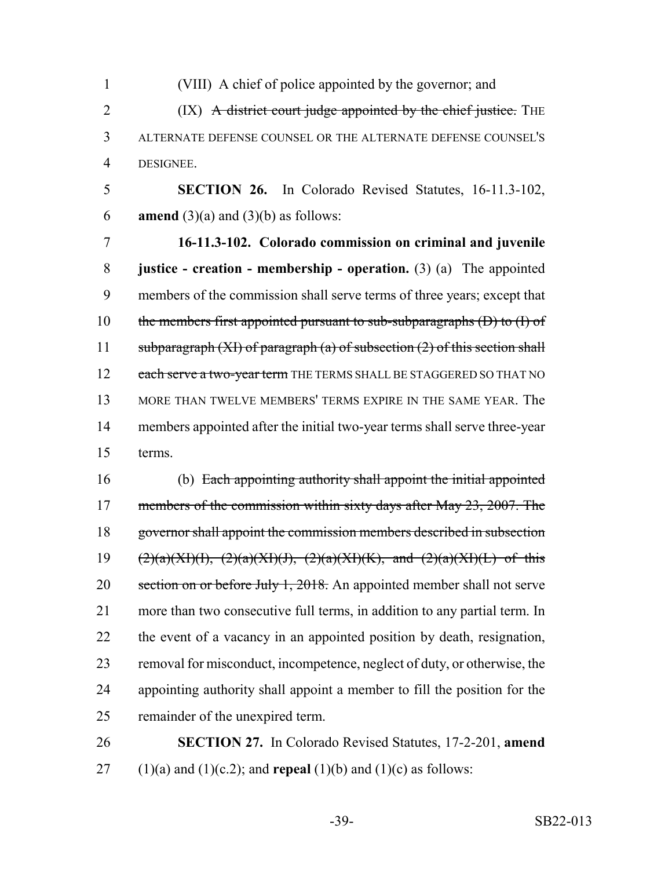(VIII) A chief of police appointed by the governor; and 2 (IX) A district court judge appointed by the chief justice. THE ALTERNATE DEFENSE COUNSEL OR THE ALTERNATE DEFENSE COUNSEL'S DESIGNEE.

 **SECTION 26.** In Colorado Revised Statutes, 16-11.3-102, **amend** (3)(a) and (3)(b) as follows:

 **16-11.3-102. Colorado commission on criminal and juvenile justice - creation - membership - operation.** (3) (a) The appointed members of the commission shall serve terms of three years; except that 10 the members first appointed pursuant to sub-subparagraphs  $(D)$  to  $(I)$  of 11 subparagraph  $(XI)$  of paragraph  $(a)$  of subsection  $(2)$  of this section shall 12 each serve a two-year term THE TERMS SHALL BE STAGGERED SO THAT NO MORE THAN TWELVE MEMBERS' TERMS EXPIRE IN THE SAME YEAR. The members appointed after the initial two-year terms shall serve three-year terms.

 (b) Each appointing authority shall appoint the initial appointed 17 members of the commission within sixty days after May 23, 2007. The 18 governor shall appoint the commission members described in subsection 19 (2)(a)(XI)(I), (2)(a)(XI)(J), (2)(a)(XI)(K), and (2)(a)(XI)(L) of this 20 section on or before July 1, 2018. An appointed member shall not serve more than two consecutive full terms, in addition to any partial term. In the event of a vacancy in an appointed position by death, resignation, removal for misconduct, incompetence, neglect of duty, or otherwise, the appointing authority shall appoint a member to fill the position for the remainder of the unexpired term.

 **SECTION 27.** In Colorado Revised Statutes, 17-2-201, **amend** 27 (1)(a) and (1)(c.2); and **repeal** (1)(b) and (1)(c) as follows: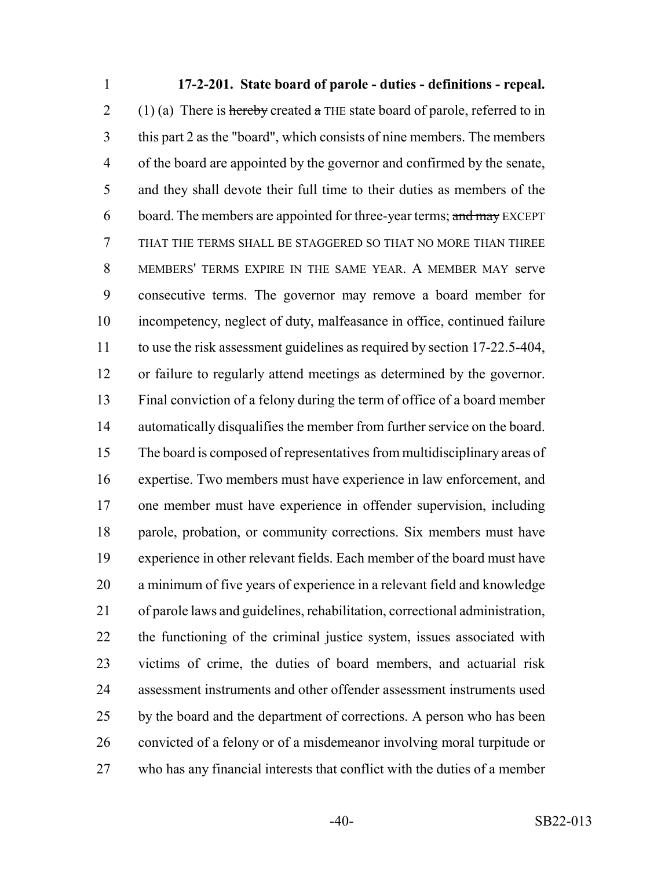**17-2-201. State board of parole - duties - definitions - repeal.** 2 (1) (a) There is hereby created a THE state board of parole, referred to in this part 2 as the "board", which consists of nine members. The members of the board are appointed by the governor and confirmed by the senate, and they shall devote their full time to their duties as members of the 6 board. The members are appointed for three-year terms; and may EXCEPT THAT THE TERMS SHALL BE STAGGERED SO THAT NO MORE THAN THREE MEMBERS' TERMS EXPIRE IN THE SAME YEAR. A MEMBER MAY serve consecutive terms. The governor may remove a board member for incompetency, neglect of duty, malfeasance in office, continued failure to use the risk assessment guidelines as required by section 17-22.5-404, or failure to regularly attend meetings as determined by the governor. Final conviction of a felony during the term of office of a board member automatically disqualifies the member from further service on the board. The board is composed of representatives from multidisciplinary areas of expertise. Two members must have experience in law enforcement, and one member must have experience in offender supervision, including parole, probation, or community corrections. Six members must have experience in other relevant fields. Each member of the board must have a minimum of five years of experience in a relevant field and knowledge of parole laws and guidelines, rehabilitation, correctional administration, the functioning of the criminal justice system, issues associated with victims of crime, the duties of board members, and actuarial risk assessment instruments and other offender assessment instruments used 25 by the board and the department of corrections. A person who has been convicted of a felony or of a misdemeanor involving moral turpitude or who has any financial interests that conflict with the duties of a member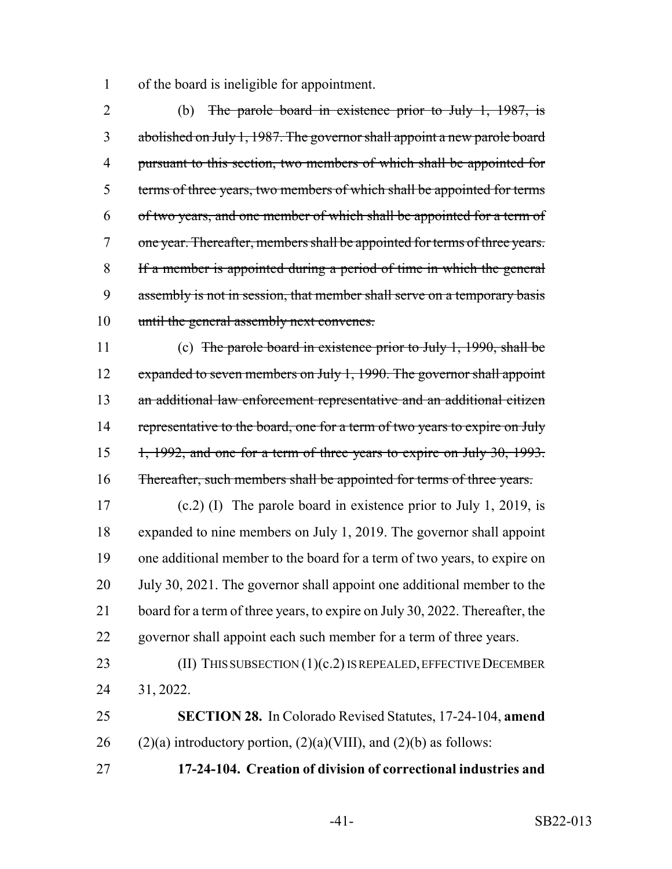of the board is ineligible for appointment.

 (b) The parole board in existence prior to July 1, 1987, is abolished on July 1, 1987. The governor shall appoint a new parole board pursuant to this section, two members of which shall be appointed for terms of three years, two members of which shall be appointed for terms of two years, and one member of which shall be appointed for a term of 7 one year. Thereafter, members shall be appointed for terms of three years. If a member is appointed during a period of time in which the general 9 assembly is not in session, that member shall serve on a temporary basis 10 until the general assembly next convenes.

 (c) The parole board in existence prior to July 1, 1990, shall be 12 expanded to seven members on July 1, 1990. The governor shall appoint an additional law enforcement representative and an additional citizen 14 representative to the board, one for a term of two years to expire on July 15 1, 1992, and one for a term of three years to expire on July 30, 1993. Thereafter, such members shall be appointed for terms of three years.

 (c.2) (I) The parole board in existence prior to July 1, 2019, is expanded to nine members on July 1, 2019. The governor shall appoint one additional member to the board for a term of two years, to expire on 20 July 30, 2021. The governor shall appoint one additional member to the 21 board for a term of three years, to expire on July 30, 2022. Thereafter, the governor shall appoint each such member for a term of three years.

23 (II) THIS SUBSECTION (1)(c.2) IS REPEALED, EFFECTIVE DECEMBER 31, 2022.

 **SECTION 28.** In Colorado Revised Statutes, 17-24-104, **amend** 26 (2)(a) introductory portion,  $(2)(a)(VIII)$ , and  $(2)(b)$  as follows:

**17-24-104. Creation of division of correctional industries and**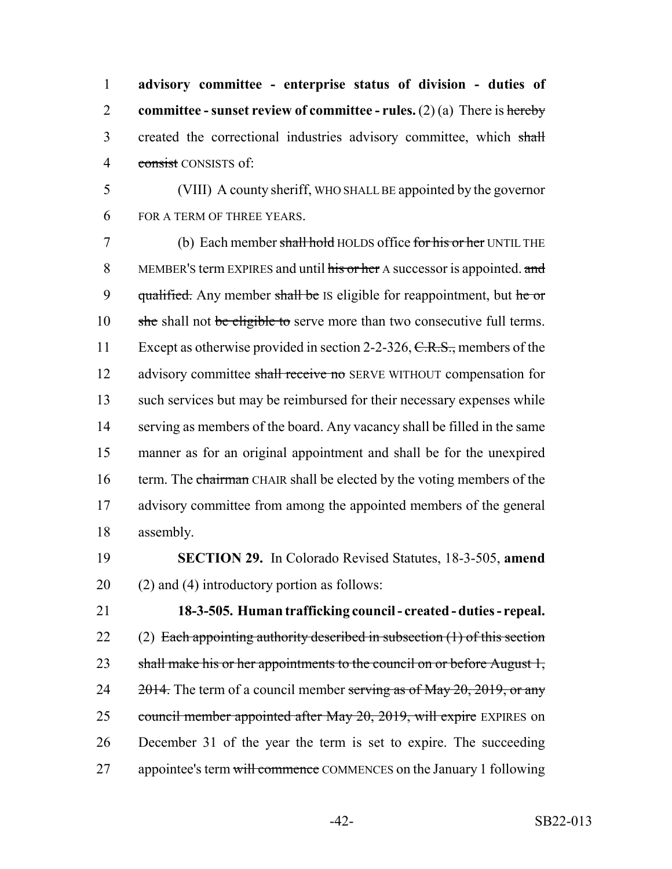**advisory committee - enterprise status of division - duties of committee - sunset review of committee - rules.** (2) (a) There is hereby 3 created the correctional industries advisory committee, which shall consist CONSISTS of:

5 (VIII) A county sheriff, WHO SHALL BE appointed by the governor 6 FOR A TERM OF THREE YEARS.

7 (b) Each member shall hold HOLDS office for his or her UNTIL THE 8 MEMBER'S term EXPIRES and until his or her A successor is appointed. and 9 qualified. Any member shall be IS eligible for reappointment, but he or 10 she shall not be eligible to serve more than two consecutive full terms. 11 Except as otherwise provided in section 2-2-326, C.R.S., members of the 12 advisory committee shall receive no SERVE WITHOUT compensation for 13 such services but may be reimbursed for their necessary expenses while 14 serving as members of the board. Any vacancy shall be filled in the same 15 manner as for an original appointment and shall be for the unexpired 16 term. The chairman CHAIR shall be elected by the voting members of the 17 advisory committee from among the appointed members of the general 18 assembly.

19 **SECTION 29.** In Colorado Revised Statutes, 18-3-505, **amend**  $20$  (2) and (4) introductory portion as follows:

21 **18-3-505. Human trafficking council - created - duties - repeal.** 22 (2) Each appointing authority described in subsection  $(1)$  of this section 23 shall make his or her appointments to the council on or before August 1, 24  $\frac{2014}{100}$ . The term of a council member serving as of May 20, 2019, or any 25 council member appointed after May 20, 2019, will expire EXPIRES on 26 December 31 of the year the term is set to expire. The succeeding 27 appointee's term will commence COMMENCES on the January 1 following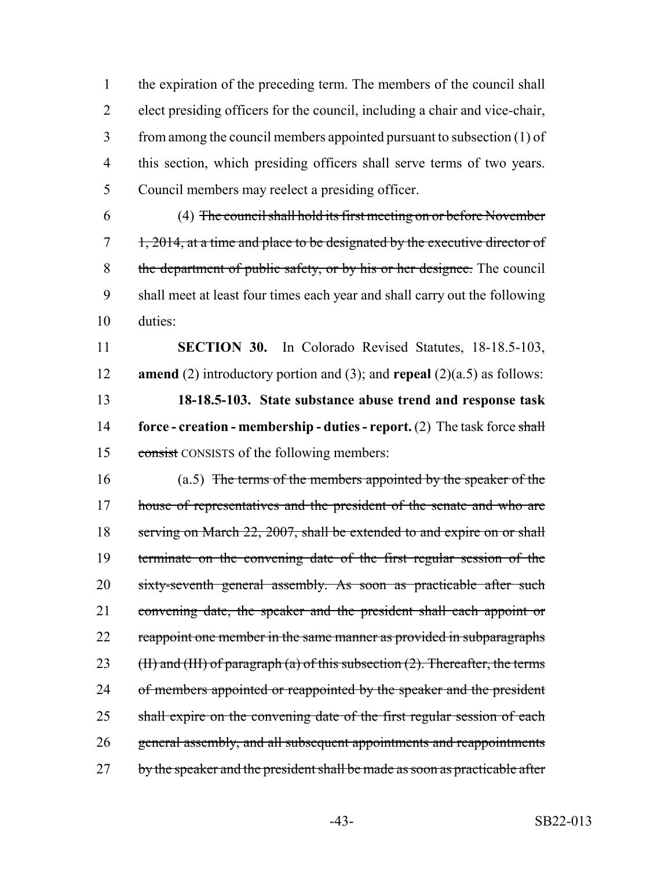the expiration of the preceding term. The members of the council shall elect presiding officers for the council, including a chair and vice-chair, from among the council members appointed pursuant to subsection (1) of this section, which presiding officers shall serve terms of two years. Council members may reelect a presiding officer.

6 (4) The council shall hold its first meeting on or before November  $7\quad 1, 2014$ , at a time and place to be designated by the executive director of 8 the department of public safety, or by his or her designee. The council 9 shall meet at least four times each year and shall carry out the following 10 duties:

 **SECTION 30.** In Colorado Revised Statutes, 18-18.5-103, **amend** (2) introductory portion and (3); and **repeal** (2)(a.5) as follows: **18-18.5-103. State substance abuse trend and response task force - creation - membership - duties - report.** (2) The task force shall consist CONSISTS of the following members:

16 (a.5) The terms of the members appointed by the speaker of the 17 house of representatives and the president of the senate and who are 18 serving on March 22, 2007, shall be extended to and expire on or shall 19 terminate on the convening date of the first regular session of the 20 sixty-seventh general assembly. As soon as practicable after such 21 convening date, the speaker and the president shall each appoint or 22 reappoint one member in the same manner as provided in subparagraphs 23 (II) and (III) of paragraph (a) of this subsection  $(2)$ . Thereafter, the terms 24 of members appointed or reappointed by the speaker and the president 25 shall expire on the convening date of the first regular session of each 26 general assembly, and all subsequent appointments and reappointments 27 by the speaker and the president shall be made as soon as practicable after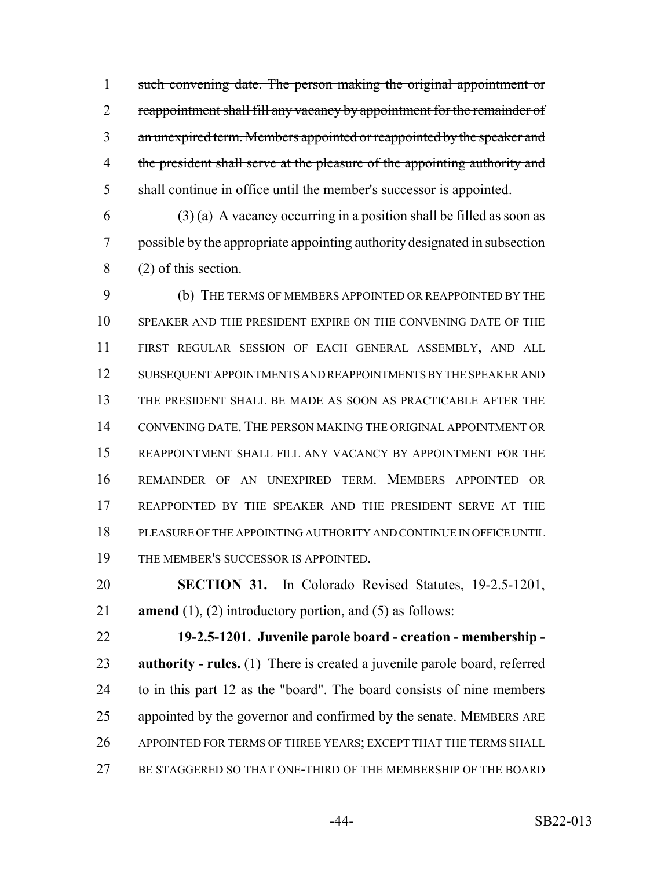such convening date. The person making the original appointment or 2 reappointment shall fill any vacancy by appointment for the remainder of an unexpired term. Members appointed or reappointed by the speaker and 4 the president shall serve at the pleasure of the appointing authority and shall continue in office until the member's successor is appointed.

 $(3)$  (a) A vacancy occurring in a position shall be filled as soon as possible by the appropriate appointing authority designated in subsection (2) of this section.

 (b) THE TERMS OF MEMBERS APPOINTED OR REAPPOINTED BY THE SPEAKER AND THE PRESIDENT EXPIRE ON THE CONVENING DATE OF THE FIRST REGULAR SESSION OF EACH GENERAL ASSEMBLY, AND ALL SUBSEQUENT APPOINTMENTS AND REAPPOINTMENTS BY THE SPEAKER AND THE PRESIDENT SHALL BE MADE AS SOON AS PRACTICABLE AFTER THE CONVENING DATE. THE PERSON MAKING THE ORIGINAL APPOINTMENT OR REAPPOINTMENT SHALL FILL ANY VACANCY BY APPOINTMENT FOR THE REMAINDER OF AN UNEXPIRED TERM. MEMBERS APPOINTED OR REAPPOINTED BY THE SPEAKER AND THE PRESIDENT SERVE AT THE PLEASURE OF THE APPOINTING AUTHORITY AND CONTINUE IN OFFICE UNTIL THE MEMBER'S SUCCESSOR IS APPOINTED.

 **SECTION 31.** In Colorado Revised Statutes, 19-2.5-1201, **amend** (1), (2) introductory portion, and (5) as follows:

 **19-2.5-1201. Juvenile parole board - creation - membership - authority - rules.** (1) There is created a juvenile parole board, referred to in this part 12 as the "board". The board consists of nine members appointed by the governor and confirmed by the senate. MEMBERS ARE APPOINTED FOR TERMS OF THREE YEARS; EXCEPT THAT THE TERMS SHALL BE STAGGERED SO THAT ONE-THIRD OF THE MEMBERSHIP OF THE BOARD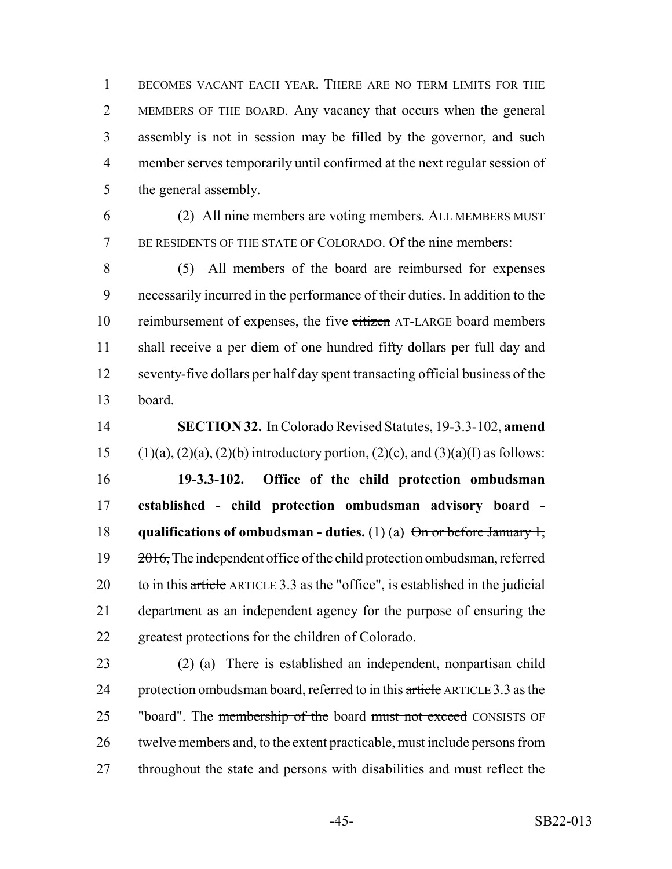BECOMES VACANT EACH YEAR. THERE ARE NO TERM LIMITS FOR THE MEMBERS OF THE BOARD. Any vacancy that occurs when the general assembly is not in session may be filled by the governor, and such member serves temporarily until confirmed at the next regular session of the general assembly.

 (2) All nine members are voting members. ALL MEMBERS MUST BE RESIDENTS OF THE STATE OF COLORADO. Of the nine members:

 (5) All members of the board are reimbursed for expenses necessarily incurred in the performance of their duties. In addition to the 10 reimbursement of expenses, the five citizen AT-LARGE board members shall receive a per diem of one hundred fifty dollars per full day and seventy-five dollars per half day spent transacting official business of the board.

 **SECTION 32.** In Colorado Revised Statutes, 19-3.3-102, **amend** 15 (1)(a), (2)(a), (2)(b) introductory portion, (2)(c), and (3)(a)(I) as follows: **19-3.3-102. Office of the child protection ombudsman established - child protection ombudsman advisory board - qualifications of ombudsman - duties.** (1) (a) On or before January 1,  $\frac{2016}{2010}$ , The independent office of the child protection ombudsman, referred 20 to in this article ARTICLE 3.3 as the "office", is established in the judicial department as an independent agency for the purpose of ensuring the greatest protections for the children of Colorado.

 (2) (a) There is established an independent, nonpartisan child 24 protection ombudsman board, referred to in this article ARTICLE 3.3 as the 25 "board". The membership of the board must not exceed CONSISTS OF twelve members and, to the extent practicable, must include persons from 27 throughout the state and persons with disabilities and must reflect the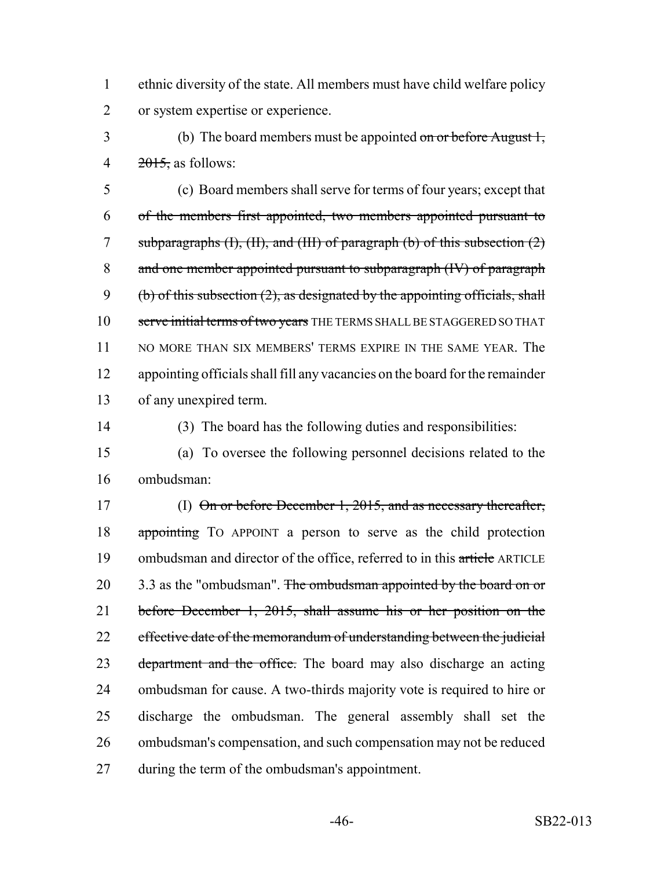ethnic diversity of the state. All members must have child welfare policy or system expertise or experience.

 (b) The board members must be appointed on or before August 1, 4 , as follows:

 (c) Board members shall serve for terms of four years; except that of the members first appointed, two members appointed pursuant to 7 subparagraphs  $(H)$ ,  $(H)$ , and  $(H)$  of paragraph  $(b)$  of this subsection  $(2)$  and one member appointed pursuant to subparagraph (IV) of paragraph 9 (b) of this subsection  $(2)$ , as designated by the appointing officials, shall 10 serve initial terms of two years THE TERMS SHALL BE STAGGERED SO THAT 11 NO MORE THAN SIX MEMBERS' TERMS EXPIRE IN THE SAME YEAR. The appointing officials shall fill any vacancies on the board for the remainder of any unexpired term.

(3) The board has the following duties and responsibilities:

 (a) To oversee the following personnel decisions related to the ombudsman:

 (I) On or before December 1, 2015, and as necessary thereafter, appointing TO APPOINT a person to serve as the child protection 19 ombudsman and director of the office, referred to in this article ARTICLE 20 3.3 as the "ombudsman". The ombudsman appointed by the board on or before December 1, 2015, shall assume his or her position on the 22 effective date of the memorandum of understanding between the judicial 23 department and the office. The board may also discharge an acting ombudsman for cause. A two-thirds majority vote is required to hire or discharge the ombudsman. The general assembly shall set the ombudsman's compensation, and such compensation may not be reduced during the term of the ombudsman's appointment.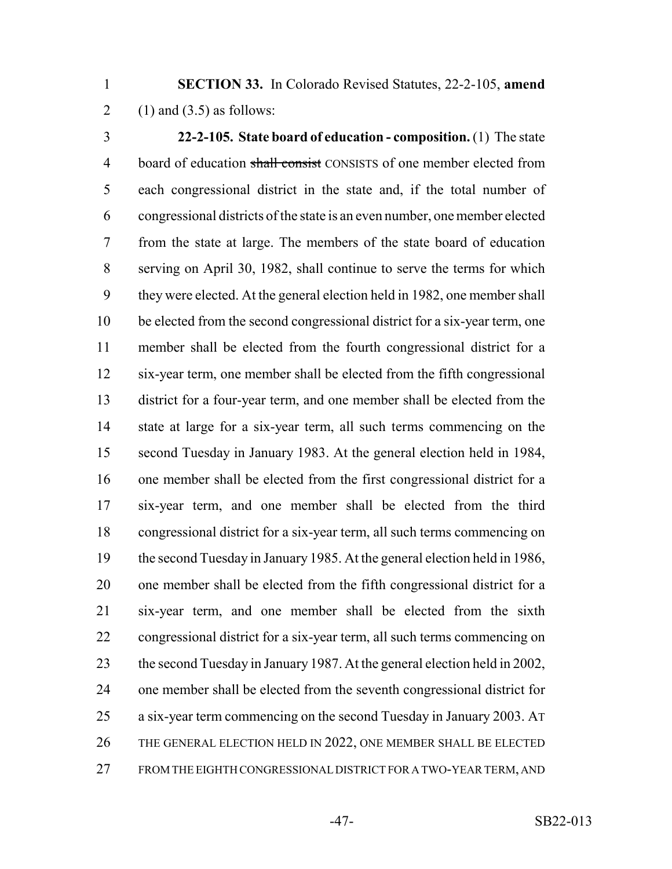**SECTION 33.** In Colorado Revised Statutes, 22-2-105, **amend** 2 (1) and  $(3.5)$  as follows:

 **22-2-105. State board of education - composition.** (1) The state 4 board of education shall consist CONSISTS of one member elected from each congressional district in the state and, if the total number of congressional districts of the state is an even number, one member elected from the state at large. The members of the state board of education serving on April 30, 1982, shall continue to serve the terms for which they were elected. At the general election held in 1982, one member shall be elected from the second congressional district for a six-year term, one member shall be elected from the fourth congressional district for a six-year term, one member shall be elected from the fifth congressional district for a four-year term, and one member shall be elected from the state at large for a six-year term, all such terms commencing on the second Tuesday in January 1983. At the general election held in 1984, one member shall be elected from the first congressional district for a six-year term, and one member shall be elected from the third congressional district for a six-year term, all such terms commencing on the second Tuesday in January 1985. At the general election held in 1986, one member shall be elected from the fifth congressional district for a six-year term, and one member shall be elected from the sixth congressional district for a six-year term, all such terms commencing on the second Tuesday in January 1987. At the general election held in 2002, one member shall be elected from the seventh congressional district for a six-year term commencing on the second Tuesday in January 2003. AT THE GENERAL ELECTION HELD IN 2022, ONE MEMBER SHALL BE ELECTED FROM THE EIGHTH CONGRESSIONAL DISTRICT FOR A TWO-YEAR TERM, AND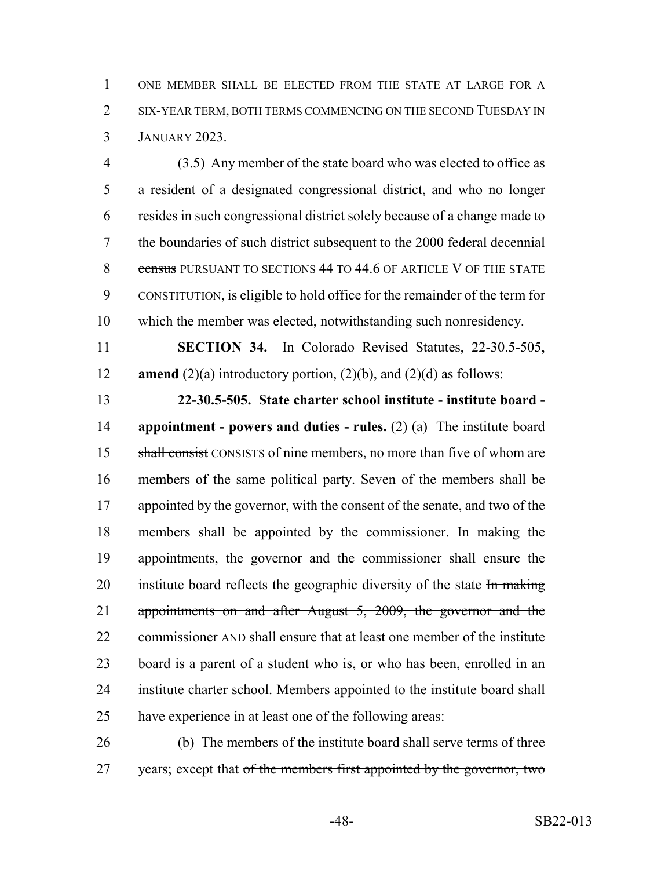ONE MEMBER SHALL BE ELECTED FROM THE STATE AT LARGE FOR A SIX-YEAR TERM, BOTH TERMS COMMENCING ON THE SECOND TUESDAY IN JANUARY 2023.

 (3.5) Any member of the state board who was elected to office as a resident of a designated congressional district, and who no longer resides in such congressional district solely because of a change made to 7 the boundaries of such district subsequent to the 2000 federal decennial 8 census PURSUANT TO SECTIONS 44 TO 44.6 OF ARTICLE V OF THE STATE CONSTITUTION, is eligible to hold office for the remainder of the term for which the member was elected, notwithstanding such nonresidency.

 **SECTION 34.** In Colorado Revised Statutes, 22-30.5-505, **amend** (2)(a) introductory portion, (2)(b), and (2)(d) as follows:

 **22-30.5-505. State charter school institute - institute board - appointment - powers and duties - rules.** (2) (a) The institute board 15 shall consist CONSISTS of nine members, no more than five of whom are members of the same political party. Seven of the members shall be 17 appointed by the governor, with the consent of the senate, and two of the members shall be appointed by the commissioner. In making the appointments, the governor and the commissioner shall ensure the 20 institute board reflects the geographic diversity of the state  $\frac{1}{2}$  making appointments on and after August 5, 2009, the governor and the 22 commissioner AND shall ensure that at least one member of the institute board is a parent of a student who is, or who has been, enrolled in an institute charter school. Members appointed to the institute board shall have experience in at least one of the following areas:

 (b) The members of the institute board shall serve terms of three 27 years; except that of the members first appointed by the governor, two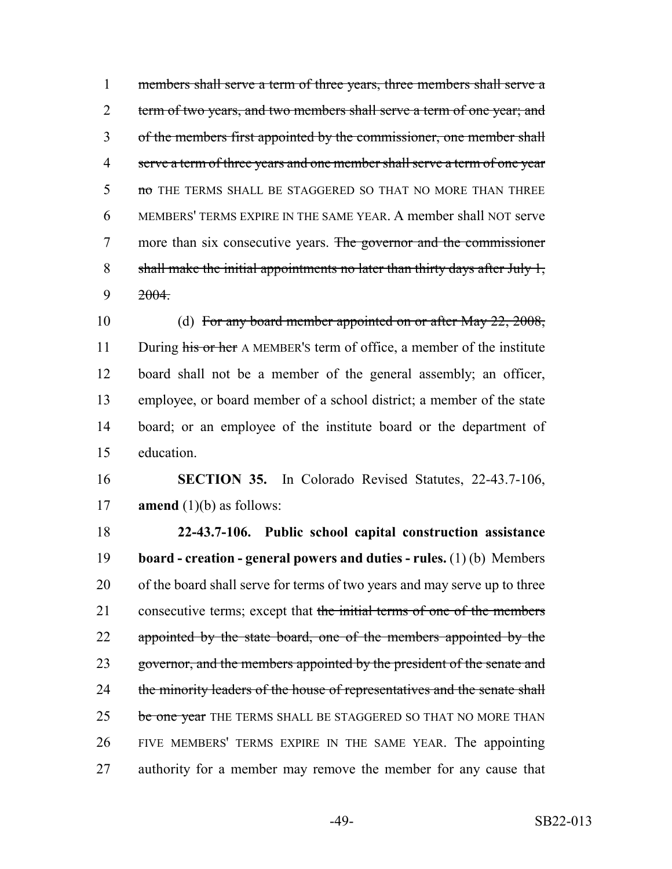1 members shall serve a term of three years, three members shall serve a 2 term of two years, and two members shall serve a term of one year; and 3 of the members first appointed by the commissioner, one member shall 4 serve a term of three years and one member shall serve a term of one year 5 no THE TERMS SHALL BE STAGGERED SO THAT NO MORE THAN THREE 6 MEMBERS' TERMS EXPIRE IN THE SAME YEAR. A member shall NOT serve 7 more than six consecutive years. The governor and the commissioner 8 shall make the initial appointments no later than thirty days after July 1,  $9 \t 2004$ .

10 (d) For any board member appointed on or after May 22, 2008, 11 During his or her A MEMBER's term of office, a member of the institute board shall not be a member of the general assembly; an officer, employee, or board member of a school district; a member of the state board; or an employee of the institute board or the department of education.

16 **SECTION 35.** In Colorado Revised Statutes, 22-43.7-106, 17 **amend** (1)(b) as follows:

18 **22-43.7-106. Public school capital construction assistance** 19 **board - creation - general powers and duties - rules.** (1) (b) Members 20 of the board shall serve for terms of two years and may serve up to three 21 consecutive terms; except that the initial terms of one of the members 22 appointed by the state board, one of the members appointed by the 23 governor, and the members appointed by the president of the senate and 24 the minority leaders of the house of representatives and the senate shall 25 be one year THE TERMS SHALL BE STAGGERED SO THAT NO MORE THAN 26 FIVE MEMBERS' TERMS EXPIRE IN THE SAME YEAR. The appointing 27 authority for a member may remove the member for any cause that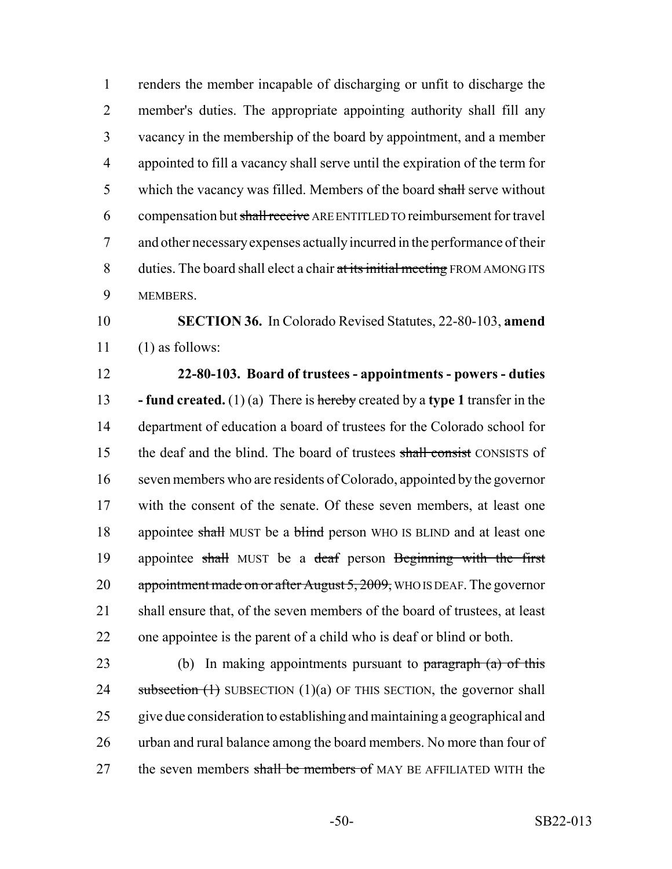renders the member incapable of discharging or unfit to discharge the member's duties. The appropriate appointing authority shall fill any vacancy in the membership of the board by appointment, and a member appointed to fill a vacancy shall serve until the expiration of the term for 5 which the vacancy was filled. Members of the board shall serve without 6 compensation but shall receive ARE ENTITLED TO reimbursement for travel and other necessary expenses actually incurred in the performance of their 8 duties. The board shall elect a chair at its initial meeting FROM AMONG ITS MEMBERS.

 **SECTION 36.** In Colorado Revised Statutes, 22-80-103, **amend** (1) as follows:

 **22-80-103. Board of trustees - appointments - powers - duties - fund created.** (1) (a) There is hereby created by a **type 1** transfer in the department of education a board of trustees for the Colorado school for 15 the deaf and the blind. The board of trustees shall consist CONSISTS of seven members who are residents of Colorado, appointed by the governor with the consent of the senate. Of these seven members, at least one 18 appointee shall MUST be a blind person WHO IS BLIND and at least one 19 appointee shall MUST be a deaf person Beginning with the first 20 appointment made on or after August 5, 2009, WHO IS DEAF. The governor shall ensure that, of the seven members of the board of trustees, at least one appointee is the parent of a child who is deaf or blind or both.

23 (b) In making appointments pursuant to  $\frac{1}{2}$  paragraph (a) of this 24 subsection  $(1)$  SUBSECTION  $(1)(a)$  OF THIS SECTION, the governor shall give due consideration to establishing and maintaining a geographical and urban and rural balance among the board members. No more than four of 27 the seven members shall be members of MAY BE AFFILIATED WITH the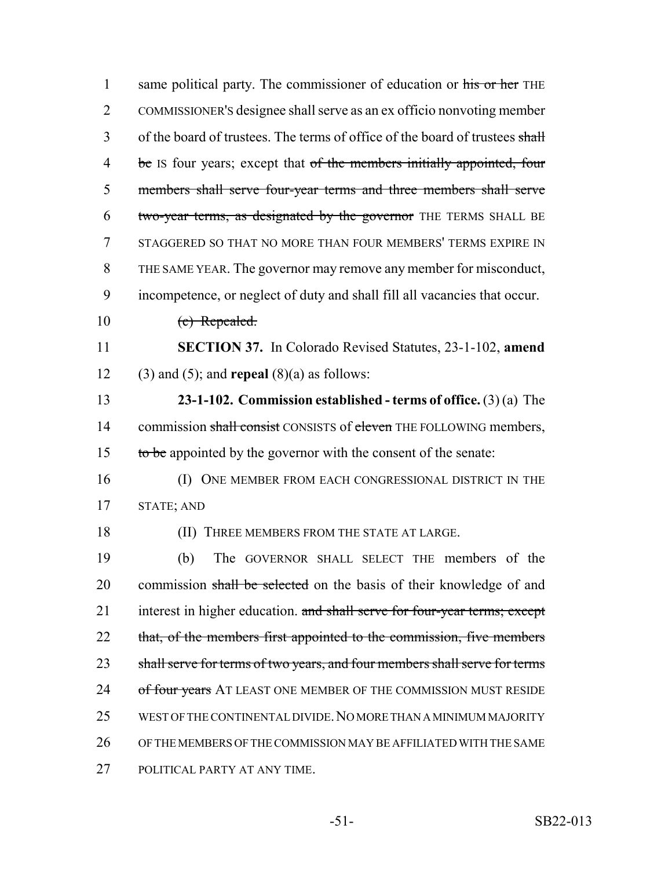| $\mathbf{1}$   | same political party. The commissioner of education or his or her THE        |
|----------------|------------------------------------------------------------------------------|
| $\overline{2}$ | COMMISSIONER'S designee shall serve as an ex officio nonvoting member        |
| 3              | of the board of trustees. The terms of office of the board of trustees shall |
| $\overline{4}$ | be Is four years; except that of the members initially appointed, four       |
| 5              | members shall serve four-year terms and three members shall serve            |
| 6              | two-year terms, as designated by the governor THE TERMS SHALL BE             |
| 7              | STAGGERED SO THAT NO MORE THAN FOUR MEMBERS' TERMS EXPIRE IN                 |
| 8              | THE SAME YEAR. The governor may remove any member for misconduct,            |
| 9              | incompetence, or neglect of duty and shall fill all vacancies that occur.    |
| 10             | (c) Repealed.                                                                |
| 11             | <b>SECTION 37.</b> In Colorado Revised Statutes, 23-1-102, amend             |
| 12             | $(3)$ and $(5)$ ; and <b>repeal</b> $(8)(a)$ as follows:                     |
| 13             | 23-1-102. Commission established - terms of office. $(3)(a)$ The             |
| 14             | commission shall consist CONSISTS of eleven THE FOLLOWING members,           |
| 15             | to be appointed by the governor with the consent of the senate:              |
| 16             | (I) ONE MEMBER FROM EACH CONGRESSIONAL DISTRICT IN THE                       |
| 17             | STATE; AND                                                                   |
| 18             | (II) THREE MEMBERS FROM THE STATE AT LARGE.                                  |
| 19             | (b)<br>The GOVERNOR SHALL SELECT THE members of the                          |
| 20             | commission shall be selected on the basis of their knowledge of and          |
| 21             | interest in higher education. and shall serve for four-year terms; except    |
| 22             | that, of the members first appointed to the commission, five members         |
| 23             | shall serve for terms of two years, and four members shall serve for terms   |
| 24             | of four years AT LEAST ONE MEMBER OF THE COMMISSION MUST RESIDE              |
| 25             | WEST OF THE CONTINENTAL DIVIDE. NO MORE THAN A MINIMUM MAJORITY              |
| 26             | OF THE MEMBERS OF THE COMMISSION MAY BE AFFILIATED WITH THE SAME             |
| 27             | POLITICAL PARTY AT ANY TIME.                                                 |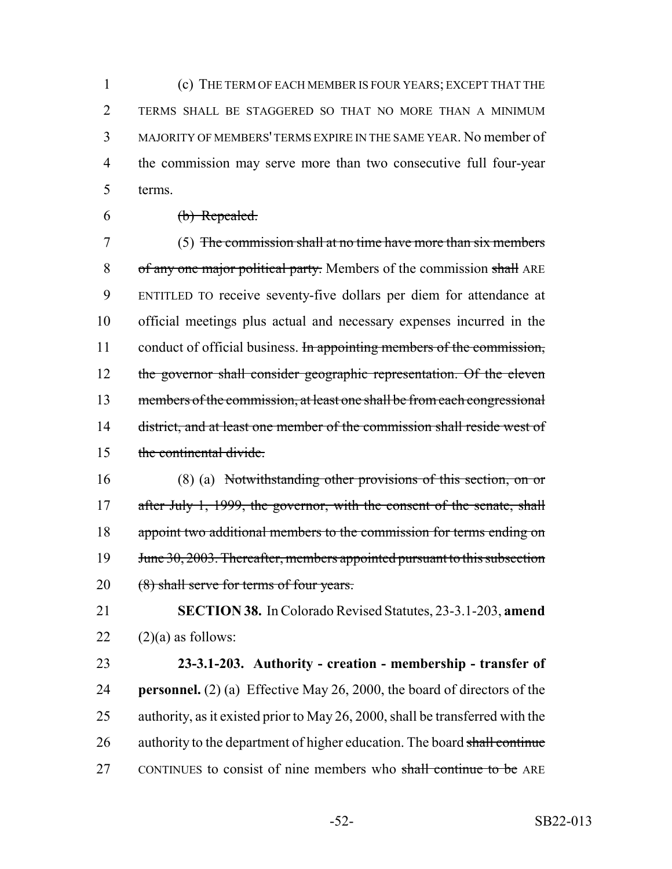(c) THE TERM OF EACH MEMBER IS FOUR YEARS; EXCEPT THAT THE TERMS SHALL BE STAGGERED SO THAT NO MORE THAN A MINIMUM MAJORITY OF MEMBERS' TERMS EXPIRE IN THE SAME YEAR. No member of the commission may serve more than two consecutive full four-year 5 terms.

 $6 \t\t(b) Repeated.$ 

7 (5) The commission shall at no time have more than six members 8 of any one major political party. Members of the commission shall ARE 9 ENTITLED TO receive seventy-five dollars per diem for attendance at 10 official meetings plus actual and necessary expenses incurred in the 11 conduct of official business. In appointing members of the commission, 12 the governor shall consider geographic representation. Of the eleven 13 members of the commission, at least one shall be from each congressional 14 district, and at least one member of the commission shall reside west of 15 the continental divide.

16 (8) (a) Notwithstanding other provisions of this section, on or 17 after July 1, 1999, the governor, with the consent of the senate, shall 18 appoint two additional members to the commission for terms ending on 19 June 30, 2003. Thereafter, members appointed pursuant to this subsection 20 (8) shall serve for terms of four years.

21 **SECTION 38.** In Colorado Revised Statutes, 23-3.1-203, **amend** 22  $(2)(a)$  as follows:

23 **23-3.1-203. Authority - creation - membership - transfer of** 24 **personnel.** (2) (a) Effective May 26, 2000, the board of directors of the 25 authority, as it existed prior to May 26, 2000, shall be transferred with the 26 authority to the department of higher education. The board shall continue 27 CONTINUES to consist of nine members who shall continue to be ARE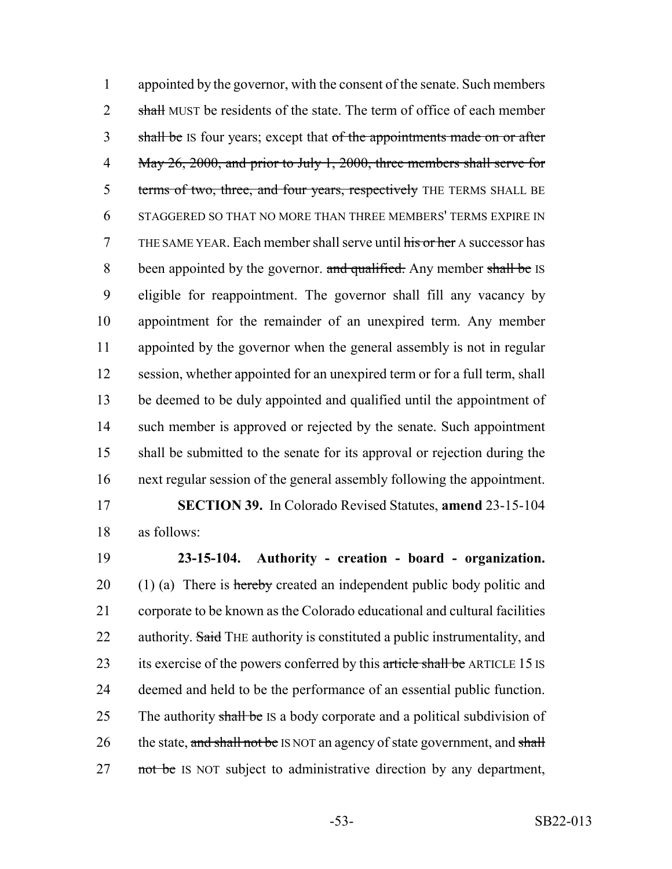1 appointed by the governor, with the consent of the senate. Such members 2 shall MUST be residents of the state. The term of office of each member 3 shall be IS four years; except that of the appointments made on or after 4 May 26, 2000, and prior to July 1, 2000, three members shall serve for 5 terms of two, three, and four years, respectively THE TERMS SHALL BE 6 STAGGERED SO THAT NO MORE THAN THREE MEMBERS' TERMS EXPIRE IN 7 THE SAME YEAR. Each member shall serve until his or her A successor has 8 been appointed by the governor. and qualified. Any member shall be IS 9 eligible for reappointment. The governor shall fill any vacancy by 10 appointment for the remainder of an unexpired term. Any member 11 appointed by the governor when the general assembly is not in regular 12 session, whether appointed for an unexpired term or for a full term, shall 13 be deemed to be duly appointed and qualified until the appointment of 14 such member is approved or rejected by the senate. Such appointment 15 shall be submitted to the senate for its approval or rejection during the 16 next regular session of the general assembly following the appointment.

17 **SECTION 39.** In Colorado Revised Statutes, **amend** 23-15-104 18 as follows:

19 **23-15-104. Authority - creation - board - organization.** 20 (1) (a) There is hereby created an independent public body politic and 21 corporate to be known as the Colorado educational and cultural facilities 22 authority. Said THE authority is constituted a public instrumentality, and 23 its exercise of the powers conferred by this article shall be ARTICLE 15 IS 24 deemed and held to be the performance of an essential public function. 25 The authority shall be IS a body corporate and a political subdivision of 26 the state, and shall not be IS NOT an agency of state government, and shall 27 not be IS NOT subject to administrative direction by any department,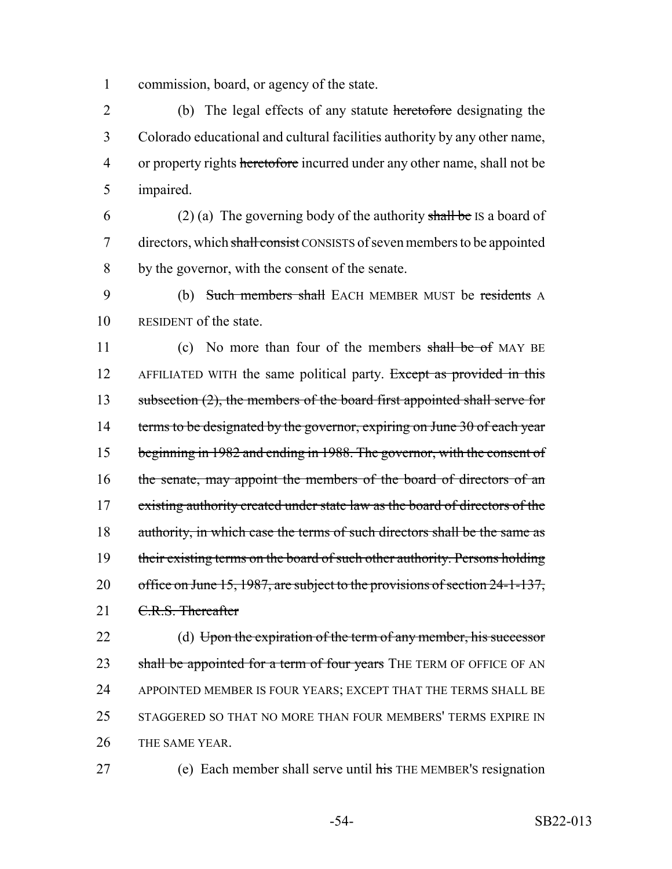1 commission, board, or agency of the state.

 (b) The legal effects of any statute heretofore designating the Colorado educational and cultural facilities authority by any other name, 4 or property rights heretofore incurred under any other name, shall not be impaired.

6 (2) (a) The governing body of the authority shall be IS a board of 7 directors, which shall consist CONSISTS of seven members to be appointed 8 by the governor, with the consent of the senate.

9 (b) Such members shall EACH MEMBER MUST be residents A 10 RESIDENT of the state.

11 (c) No more than four of the members shall be of MAY BE 12 AFFILIATED WITH the same political party. Except as provided in this 13 subsection (2), the members of the board first appointed shall serve for 14 terms to be designated by the governor, expiring on June 30 of each year 15 beginning in 1982 and ending in 1988. The governor, with the consent of 16 the senate, may appoint the members of the board of directors of an 17 existing authority created under state law as the board of directors of the 18 authority, in which case the terms of such directors shall be the same as 19 their existing terms on the board of such other authority. Persons holding 20 office on June 15, 1987, are subject to the provisions of section 24-1-137, 21 C.R.S. Thereafter

22 (d) Upon the expiration of the term of any member, his successor 23 shall be appointed for a term of four years THE TERM OF OFFICE OF AN 24 APPOINTED MEMBER IS FOUR YEARS; EXCEPT THAT THE TERMS SHALL BE 25 STAGGERED SO THAT NO MORE THAN FOUR MEMBERS' TERMS EXPIRE IN 26 THE SAME YEAR.

27 (e) Each member shall serve until his THE MEMBER's resignation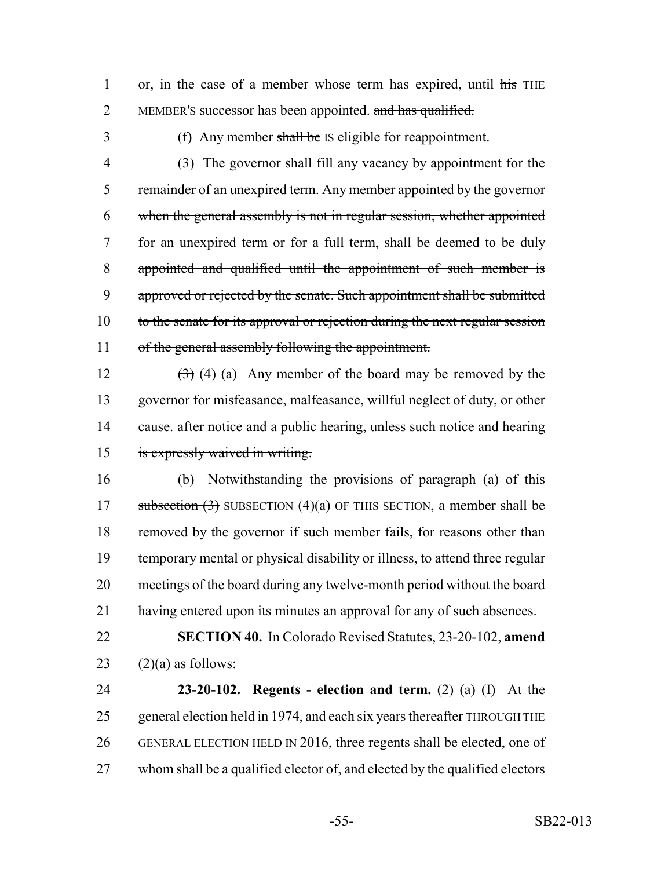1 or, in the case of a member whose term has expired, until his THE 2 MEMBER'S successor has been appointed. and has qualified.

3 (f) Any member shall be IS eligible for reappointment.

4 (3) The governor shall fill any vacancy by appointment for the 5 remainder of an unexpired term. Any member appointed by the governor 6 when the general assembly is not in regular session, whether appointed 7 for an unexpired term or for a full term, shall be deemed to be duly 8 appointed and qualified until the appointment of such member is 9 approved or rejected by the senate. Such appointment shall be submitted 10 to the senate for its approval or rejection during the next regular session 11 of the general assembly following the appointment.

 $(3)$  (4) (a) Any member of the board may be removed by the governor for misfeasance, malfeasance, willful neglect of duty, or other 14 cause. after notice and a public hearing, unless such notice and hearing is expressly waived in writing.

 (b) Notwithstanding the provisions of paragraph (a) of this 17 subsection  $(3)$  SUBSECTION  $(4)(a)$  OF THIS SECTION, a member shall be removed by the governor if such member fails, for reasons other than temporary mental or physical disability or illness, to attend three regular meetings of the board during any twelve-month period without the board having entered upon its minutes an approval for any of such absences.

22 **SECTION 40.** In Colorado Revised Statutes, 23-20-102, **amend** 23  $(2)(a)$  as follows:

 **23-20-102. Regents - election and term.** (2) (a) (I) At the general election held in 1974, and each six years thereafter THROUGH THE GENERAL ELECTION HELD IN 2016, three regents shall be elected, one of whom shall be a qualified elector of, and elected by the qualified electors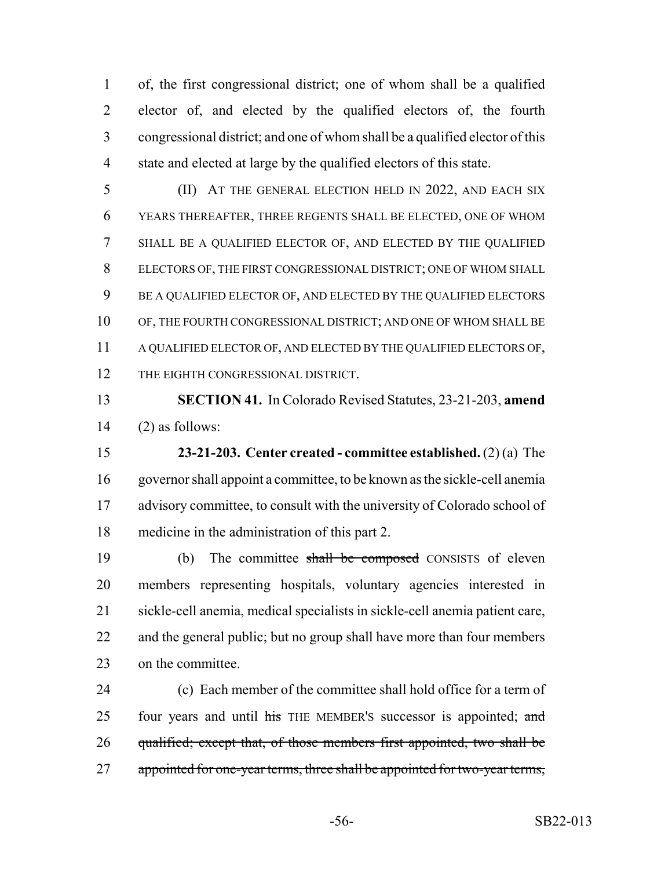of, the first congressional district; one of whom shall be a qualified elector of, and elected by the qualified electors of, the fourth congressional district; and one of whom shall be a qualified elector of this state and elected at large by the qualified electors of this state.

 (II) AT THE GENERAL ELECTION HELD IN 2022, AND EACH SIX YEARS THEREAFTER, THREE REGENTS SHALL BE ELECTED, ONE OF WHOM SHALL BE A QUALIFIED ELECTOR OF, AND ELECTED BY THE QUALIFIED ELECTORS OF, THE FIRST CONGRESSIONAL DISTRICT; ONE OF WHOM SHALL BE A QUALIFIED ELECTOR OF, AND ELECTED BY THE QUALIFIED ELECTORS OF, THE FOURTH CONGRESSIONAL DISTRICT; AND ONE OF WHOM SHALL BE A QUALIFIED ELECTOR OF, AND ELECTED BY THE QUALIFIED ELECTORS OF, 12 THE EIGHTH CONGRESSIONAL DISTRICT.

 **SECTION 41.** In Colorado Revised Statutes, 23-21-203, **amend** (2) as follows:

 **23-21-203. Center created - committee established.** (2) (a) The governor shall appoint a committee, to be known as the sickle-cell anemia 17 advisory committee, to consult with the university of Colorado school of medicine in the administration of this part 2.

 (b) The committee shall be composed CONSISTS of eleven members representing hospitals, voluntary agencies interested in sickle-cell anemia, medical specialists in sickle-cell anemia patient care, 22 and the general public; but no group shall have more than four members on the committee.

 (c) Each member of the committee shall hold office for a term of 25 four years and until his THE MEMBER's successor is appointed; and 26 qualified; except that, of those members first appointed, two shall be 27 appointed for one-year terms, three shall be appointed for two-year terms,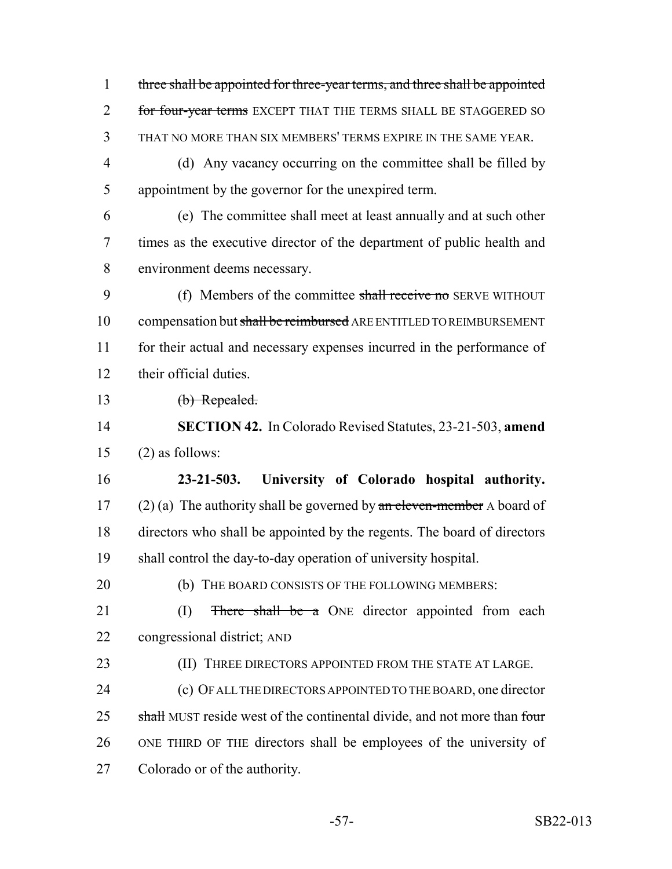three shall be appointed for three-year terms, and three shall be appointed 2 for four-year terms EXCEPT THAT THE TERMS SHALL BE STAGGERED SO THAT NO MORE THAN SIX MEMBERS' TERMS EXPIRE IN THE SAME YEAR. (d) Any vacancy occurring on the committee shall be filled by appointment by the governor for the unexpired term.

 (e) The committee shall meet at least annually and at such other times as the executive director of the department of public health and environment deems necessary.

9 (f) Members of the committee shall receive no SERVE WITHOUT 10 compensation but shall be reimbursed ARE ENTITLED TO REIMBURSEMENT for their actual and necessary expenses incurred in the performance of their official duties.

13 (b) Repealed.

 **SECTION 42.** In Colorado Revised Statutes, 23-21-503, **amend** (2) as follows:

 **23-21-503. University of Colorado hospital authority.** 17 (2) (a) The authority shall be governed by  $\alpha$  be eleven-member A board of directors who shall be appointed by the regents. The board of directors shall control the day-to-day operation of university hospital.

- 20 (b) THE BOARD CONSISTS OF THE FOLLOWING MEMBERS:
- 21 (I) There shall be a ONE director appointed from each congressional district; AND
- **(II) THREE DIRECTORS APPOINTED FROM THE STATE AT LARGE.**
- (c) OF ALL THE DIRECTORS APPOINTED TO THE BOARD, one director 25 shall MUST reside west of the continental divide, and not more than four ONE THIRD OF THE directors shall be employees of the university of Colorado or of the authority.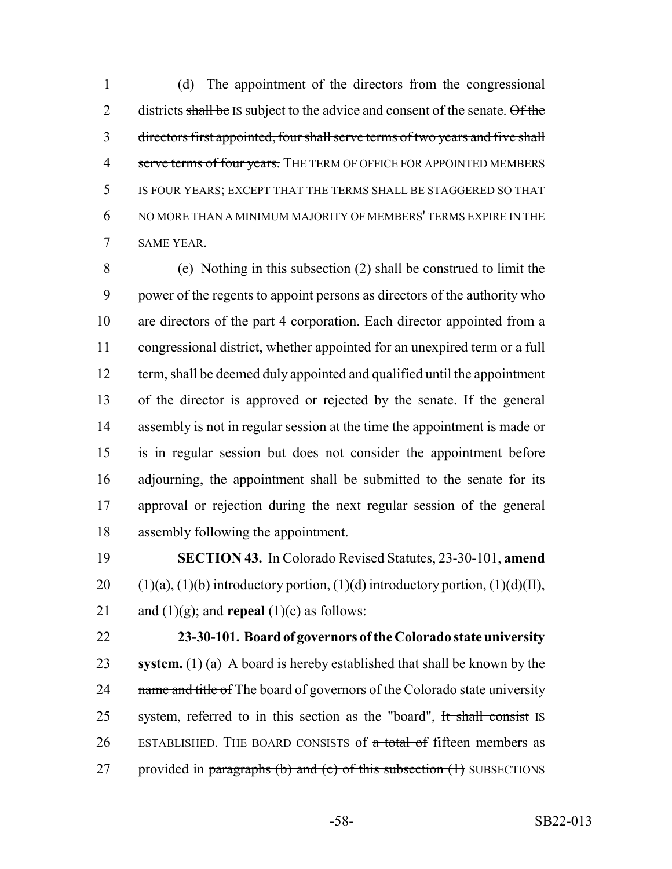(d) The appointment of the directors from the congressional 2 districts shall be IS subject to the advice and consent of the senate. Of the directors first appointed, four shall serve terms of two years and five shall 4 serve terms of four years. THE TERM OF OFFICE FOR APPOINTED MEMBERS IS FOUR YEARS; EXCEPT THAT THE TERMS SHALL BE STAGGERED SO THAT NO MORE THAN A MINIMUM MAJORITY OF MEMBERS' TERMS EXPIRE IN THE SAME YEAR.

 (e) Nothing in this subsection (2) shall be construed to limit the power of the regents to appoint persons as directors of the authority who are directors of the part 4 corporation. Each director appointed from a congressional district, whether appointed for an unexpired term or a full term, shall be deemed duly appointed and qualified until the appointment of the director is approved or rejected by the senate. If the general assembly is not in regular session at the time the appointment is made or is in regular session but does not consider the appointment before adjourning, the appointment shall be submitted to the senate for its approval or rejection during the next regular session of the general assembly following the appointment.

 **SECTION 43.** In Colorado Revised Statutes, 23-30-101, **amend** 20  $(1)(a)$ ,  $(1)(b)$  introductory portion,  $(1)(d)$  introductory portion,  $(1)(d)(II)$ , 21 and  $(1)(g)$ ; and **repeal**  $(1)(c)$  as follows:

 **23-30-101. Board of governors of the Colorado state university system.** (1) (a) A board is hereby established that shall be known by the 24 name and title of The board of governors of the Colorado state university 25 system, referred to in this section as the "board", It shall consist IS 26 ESTABLISHED. THE BOARD CONSISTS of a total of fifteen members as 27 provided in paragraphs (b) and (c) of this subsection  $(1)$  SUBSECTIONS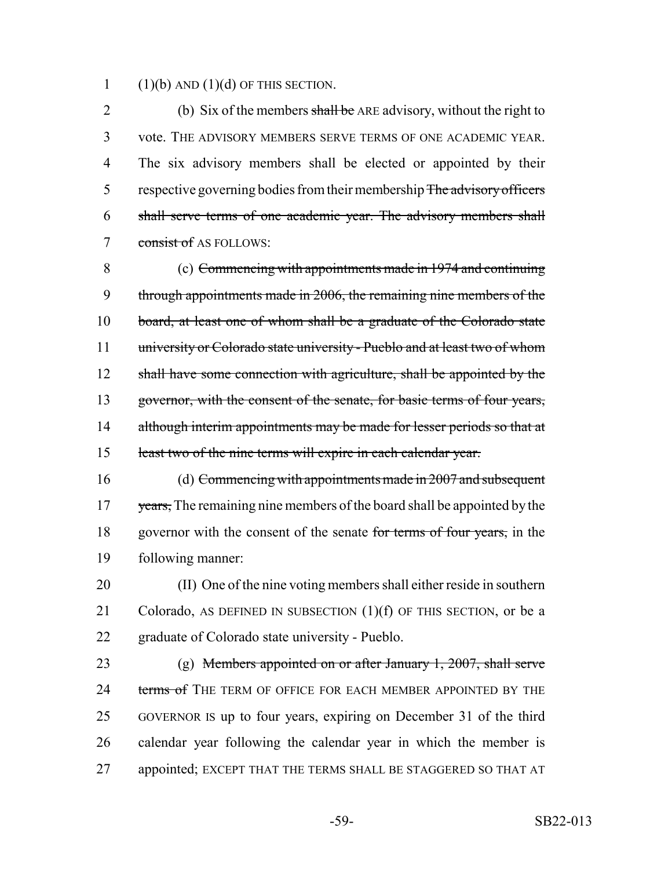1  $(1)(b)$  AND  $(1)(d)$  OF THIS SECTION.

2 (b) Six of the members shall be ARE advisory, without the right to 3 vote. THE ADVISORY MEMBERS SERVE TERMS OF ONE ACADEMIC YEAR. 4 The six advisory members shall be elected or appointed by their 5 respective governing bodies from their membership The advisory officers 6 shall serve terms of one academic year. The advisory members shall 7 consist of AS FOLLOWS:

8 (c) Commencing with appointments made in 1974 and continuing 9 through appointments made in 2006, the remaining nine members of the 10 board, at least one of whom shall be a graduate of the Colorado state 11 university or Colorado state university - Pueblo and at least two of whom 12 shall have some connection with agriculture, shall be appointed by the 13 governor, with the consent of the senate, for basic terms of four years, 14 although interim appointments may be made for lesser periods so that at 15 least two of the nine terms will expire in each calendar year.

16 (d) Commencing with appointments made in 2007 and subsequent 17 years, The remaining nine members of the board shall be appointed by the 18 governor with the consent of the senate for terms of four years, in the 19 following manner:

20 (II) One of the nine voting members shall either reside in southern 21 Colorado, AS DEFINED IN SUBSECTION  $(1)(f)$  OF THIS SECTION, or be a 22 graduate of Colorado state university - Pueblo.

 (g) Members appointed on or after January 1, 2007, shall serve 24 terms of THE TERM OF OFFICE FOR EACH MEMBER APPOINTED BY THE GOVERNOR IS up to four years, expiring on December 31 of the third calendar year following the calendar year in which the member is appointed; EXCEPT THAT THE TERMS SHALL BE STAGGERED SO THAT AT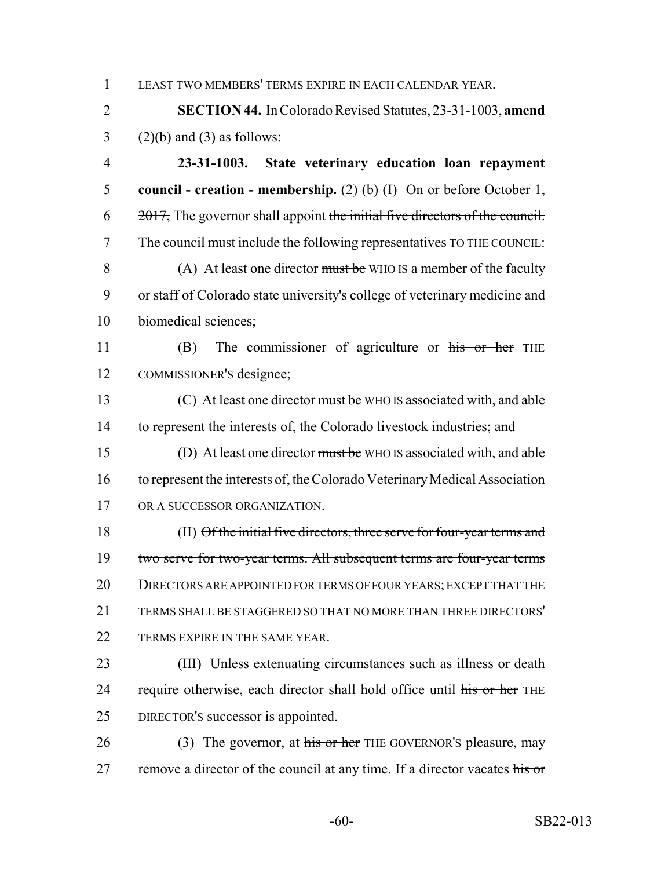1 LEAST TWO MEMBERS' TERMS EXPIRE IN EACH CALENDAR YEAR.

2 **SECTION 44.** In Colorado Revised Statutes, 23-31-1003, **amend**  $3$  (2)(b) and (3) as follows:

4 **23-31-1003. State veterinary education loan repayment** 5 **council - creation - membership.** (2) (b) (I)  $\Theta$ <del>n or before October 1,</del>  $6 \times 2017$ , The governor shall appoint the initial five directors of the council. 7 The council must include the following representatives TO THE COUNCIL: 8 (A) At least one director must be WHO IS a member of the faculty 9 or staff of Colorado state university's college of veterinary medicine and 10 biomedical sciences;

11 (B) The commissioner of agriculture or his or her THE 12 COMMISSIONER'S designee;

13 (C) At least one director must be WHO IS associated with, and able to represent the interests of, the Colorado livestock industries; and (D) At least one director must be WHO IS associated with, and able to represent the interests of, the Colorado Veterinary Medical Association OR A SUCCESSOR ORGANIZATION.

18 (II) Of the initial five directors, three serve for four-year terms and 19 two serve for two-year terms. All subsequent terms are four-year terms 20 DIRECTORS ARE APPOINTED FOR TERMS OF FOUR YEARS; EXCEPT THAT THE 21 TERMS SHALL BE STAGGERED SO THAT NO MORE THAN THREE DIRECTORS' 22 TERMS EXPIRE IN THE SAME YEAR.

23 (III) Unless extenuating circumstances such as illness or death 24 require otherwise, each director shall hold office until his or her THE 25 DIRECTOR'S successor is appointed.

26 (3) The governor, at his or her THE GOVERNOR's pleasure, may 27 remove a director of the council at any time. If a director vacates his or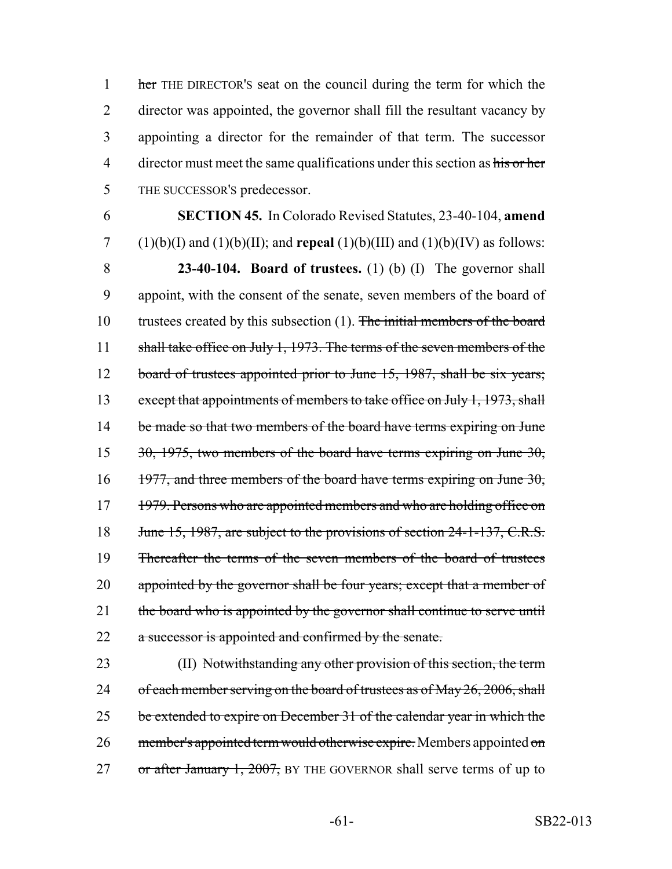1 her THE DIRECTOR's seat on the council during the term for which the 2 director was appointed, the governor shall fill the resultant vacancy by 3 appointing a director for the remainder of that term. The successor 4 director must meet the same qualifications under this section as his or her 5 THE SUCCESSOR'S predecessor.

6 **SECTION 45.** In Colorado Revised Statutes, 23-40-104, **amend** 7 (1)(b)(I) and (1)(b)(II); and **repeal** (1)(b)(III) and (1)(b)(IV) as follows: 8 **23-40-104. Board of trustees.** (1) (b) (I) The governor shall 9 appoint, with the consent of the senate, seven members of the board of 10 trustees created by this subsection (1). The initial members of the board 11 shall take office on July 1, 1973. The terms of the seven members of the 12 board of trustees appointed prior to June 15, 1987, shall be six years; 13 except that appointments of members to take office on July 1, 1973, shall 14 be made so that two members of the board have terms expiring on June 15 30, 1975, two members of the board have terms expiring on June 30, 16 1977, and three members of the board have terms expiring on June 30, 17 1979. Persons who are appointed members and who are holding office on 18 June 15, 1987, are subject to the provisions of section 24-1-137, C.R.S. 19 Thereafter the terms of the seven members of the board of trustees 20 appointed by the governor shall be four years; except that a member of 21 the board who is appointed by the governor shall continue to serve until 22 a successor is appointed and confirmed by the senate.

23 (II) Notwithstanding any other provision of this section, the term 24 of each member serving on the board of trustees as of May 26, 2006, shall 25 be extended to expire on December 31 of the calendar year in which the 26 member's appointed term would otherwise expire. Members appointed on 27 or after January 1, 2007, BY THE GOVERNOR shall serve terms of up to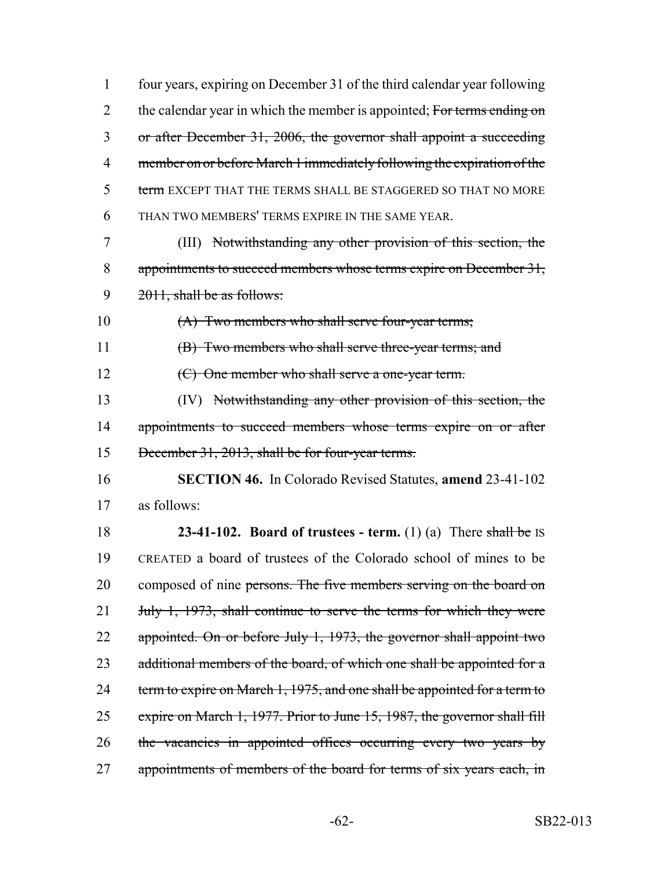| $\mathbf{1}$   | four years, expiring on December 31 of the third calendar year following  |
|----------------|---------------------------------------------------------------------------|
| $\overline{2}$ | the calendar year in which the member is appointed; For terms ending on   |
| 3              | or after December 31, 2006, the governor shall appoint a succeeding       |
| 4              | member on or before March 1 immediately following the expiration of the   |
| 5              | term EXCEPT THAT THE TERMS SHALL BE STAGGERED SO THAT NO MORE             |
| 6              | THAN TWO MEMBERS' TERMS EXPIRE IN THE SAME YEAR.                          |
| 7              | (III) Notwithstanding any other provision of this section, the            |
| 8              | appointments to succeed members whose terms expire on December 31,        |
| 9              | 2011, shall be as follows:                                                |
| 10             | (A) Two members who shall serve four-year terms;                          |
| 11             | (B) Two members who shall serve three-year terms; and                     |
| 12             | (C) One member who shall serve a one-year term.                           |
| 13             | (IV) Notwithstanding any other provision of this section, the             |
| 14             | appointments to succeed members whose terms expire on or after            |
| 15             | December 31, 2013, shall be for four-year terms.                          |
| 16             | <b>SECTION 46.</b> In Colorado Revised Statutes, <b>amend</b> 23-41-102   |
| 17             | as follows:                                                               |
| 18             | <b>23-41-102.</b> Board of trustees - term. $(1)$ $(a)$ There shall be IS |
| 19             | CREATED a board of trustees of the Colorado school of mines to be         |
| 20             | composed of nine persons. The five members serving on the board on        |
| 21             | July 1, 1973, shall continue to serve the terms for which they were       |
| 22             | appointed. On or before July 1, 1973, the governor shall appoint two      |
| 23             | additional members of the board, of which one shall be appointed for a    |
| 24             | term to expire on March 1, 1975, and one shall be appointed for a term to |
| 25             | expire on March 1, 1977. Prior to June 15, 1987, the governor shall fill  |
| 26             | the vacancies in appointed offices occurring every two years by           |
| 27             | appointments of members of the board for terms of six years each, in      |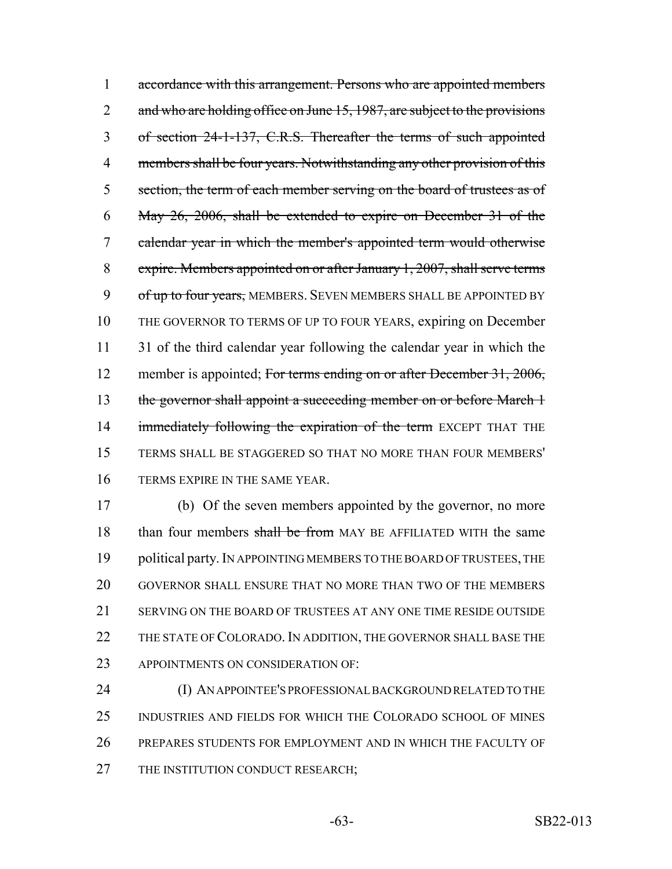1 accordance with this arrangement. Persons who are appointed members 2 and who are holding office on June 15, 1987, are subject to the provisions 3 of section 24-1-137, C.R.S. Thereafter the terms of such appointed 4 members shall be four years. Notwithstanding any other provision of this 5 section, the term of each member serving on the board of trustees as of 6 May 26, 2006, shall be extended to expire on December 31 of the 7 calendar year in which the member's appointed term would otherwise 8 expire. Members appointed on or after January 1, 2007, shall serve terms 9 of up to four years, MEMBERS. SEVEN MEMBERS SHALL BE APPOINTED BY 10 THE GOVERNOR TO TERMS OF UP TO FOUR YEARS, expiring on December 11 31 of the third calendar year following the calendar year in which the 12 member is appointed; For terms ending on or after December 31, 2006, 13 the governor shall appoint a succeeding member on or before March 1 14 immediately following the expiration of the term EXCEPT THAT THE 15 TERMS SHALL BE STAGGERED SO THAT NO MORE THAN FOUR MEMBERS' 16 TERMS EXPIRE IN THE SAME YEAR.

17 (b) Of the seven members appointed by the governor, no more 18 than four members shall be from MAY BE AFFILIATED WITH the same 19 political party. IN APPOINTING MEMBERS TO THE BOARD OF TRUSTEES, THE 20 GOVERNOR SHALL ENSURE THAT NO MORE THAN TWO OF THE MEMBERS 21 SERVING ON THE BOARD OF TRUSTEES AT ANY ONE TIME RESIDE OUTSIDE 22 THE STATE OF COLORADO. IN ADDITION, THE GOVERNOR SHALL BASE THE 23 APPOINTMENTS ON CONSIDER ATION OF:

 (I) AN APPOINTEE'S PROFESSIONAL BACKGROUND RELATED TO THE INDUSTRIES AND FIELDS FOR WHICH THE COLORADO SCHOOL OF MINES PREPARES STUDENTS FOR EMPLOYMENT AND IN WHICH THE FACULTY OF 27 THE INSTITUTION CONDUCT RESEARCH;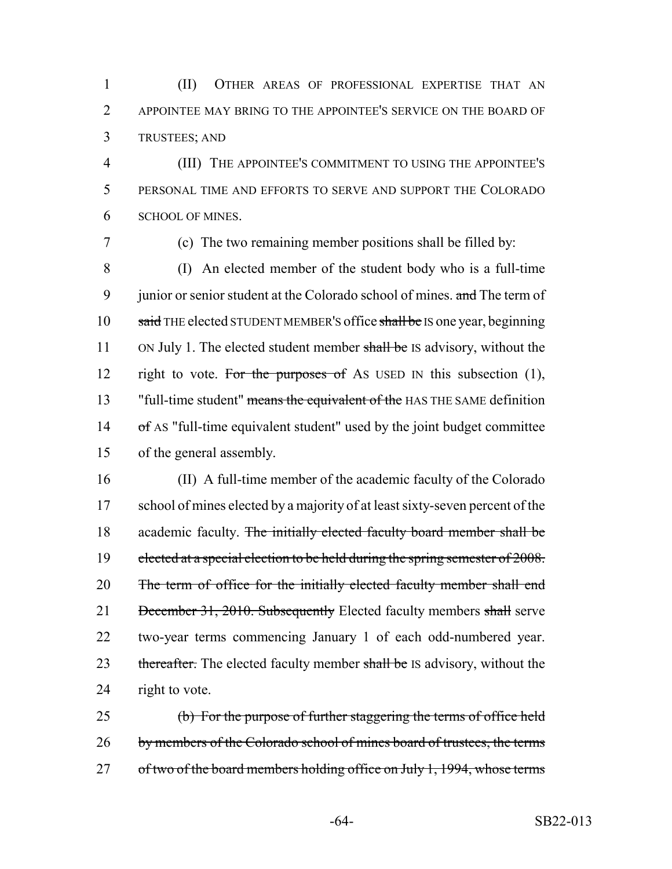1 (II) OTHER AREAS OF PROFESSIONAL EXPERTISE THAT AN 2 APPOINTEE MAY BRING TO THE APPOINTEE'S SERVICE ON THE BOARD OF 3 TRUSTEES; AND

4 (III) THE APPOINTEE'S COMMITMENT TO USING THE APPOINTEE'S 5 PERSONAL TIME AND EFFORTS TO SERVE AND SUPPORT THE COLORADO 6 SCHOOL OF MINES.

7 (c) The two remaining member positions shall be filled by:

8 (I) An elected member of the student body who is a full-time 9 junior or senior student at the Colorado school of mines. and The term of 10 said THE elected STUDENT MEMBER'S office shall be IS one year, beginning 11 ON July 1. The elected student member shall be IS advisory, without the 12 right to vote. For the purposes of As USED IN this subsection  $(1)$ , 13 "full-time student" means the equivalent of the HAS THE SAME definition 14 of AS "full-time equivalent student" used by the joint budget committee 15 of the general assembly.

16 (II) A full-time member of the academic faculty of the Colorado 17 school of mines elected by a majority of at least sixty-seven percent of the 18 academic faculty. The initially elected faculty board member shall be 19 elected at a special election to be held during the spring semester of 2008. 20 The term of office for the initially elected faculty member shall end 21 December 31, 2010. Subsequently Elected faculty members shall serve 22 two-year terms commencing January 1 of each odd-numbered year. 23 thereafter. The elected faculty member shall be IS advisory, without the 24 right to vote.

25 (b) For the purpose of further staggering the terms of office held 26 by members of the Colorado school of mines board of trustees, the terms 27 of two of the board members holding office on July 1, 1994, whose terms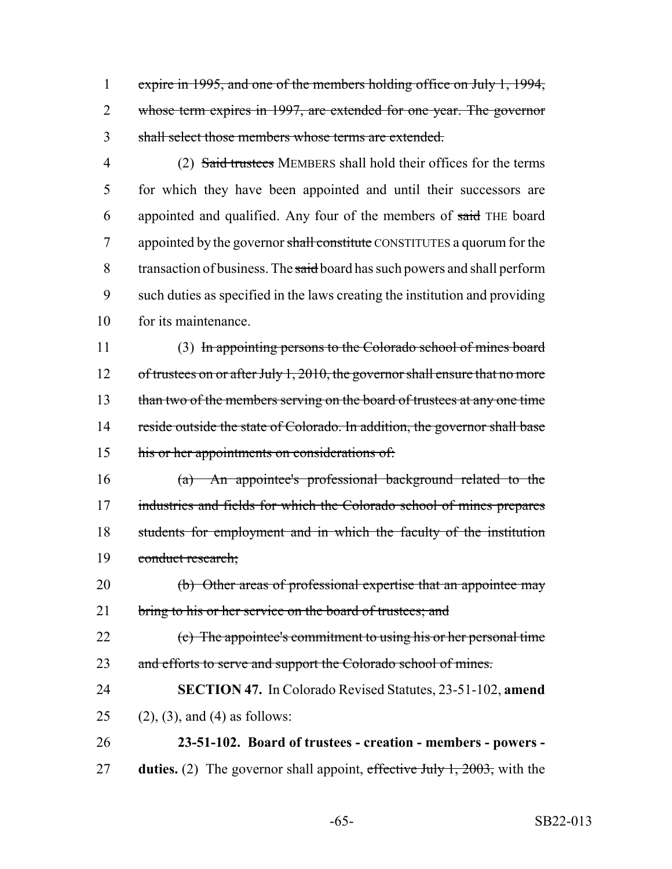1 expire in 1995, and one of the members holding office on July 1, 1994, 2 whose term expires in 1997, are extended for one year. The governor 3 shall select those members whose terms are extended.

4 (2) Said trustees MEMBERS shall hold their offices for the terms 5 for which they have been appointed and until their successors are 6 appointed and qualified. Any four of the members of said THE board 7 appointed by the governor shall constitute CONSTITUTES a quorum for the 8 transaction of business. The said board has such powers and shall perform 9 such duties as specified in the laws creating the institution and providing 10 for its maintenance.

11 (3) In appointing persons to the Colorado school of mines board 12 of trustees on or after July 1, 2010, the governor shall ensure that no more 13 than two of the members serving on the board of trustees at any one time 14 reside outside the state of Colorado. In addition, the governor shall base 15 his or her appointments on considerations of:

16 (a) An appointee's professional background related to the 17 industries and fields for which the Colorado school of mines prepares 18 students for employment and in which the faculty of the institution 19 conduct research;

20 (b) Other areas of professional expertise that an appointee may 21 bring to his or her service on the board of trustees; and

22 (c) The appointee's commitment to using his or her personal time 23 and efforts to serve and support the Colorado school of mines.

24 **SECTION 47.** In Colorado Revised Statutes, 23-51-102, **amend** 25 (2), (3), and (4) as follows:

26 **23-51-102. Board of trustees - creation - members - powers -** 27 **duties.** (2) The governor shall appoint, effective July 1, 2003, with the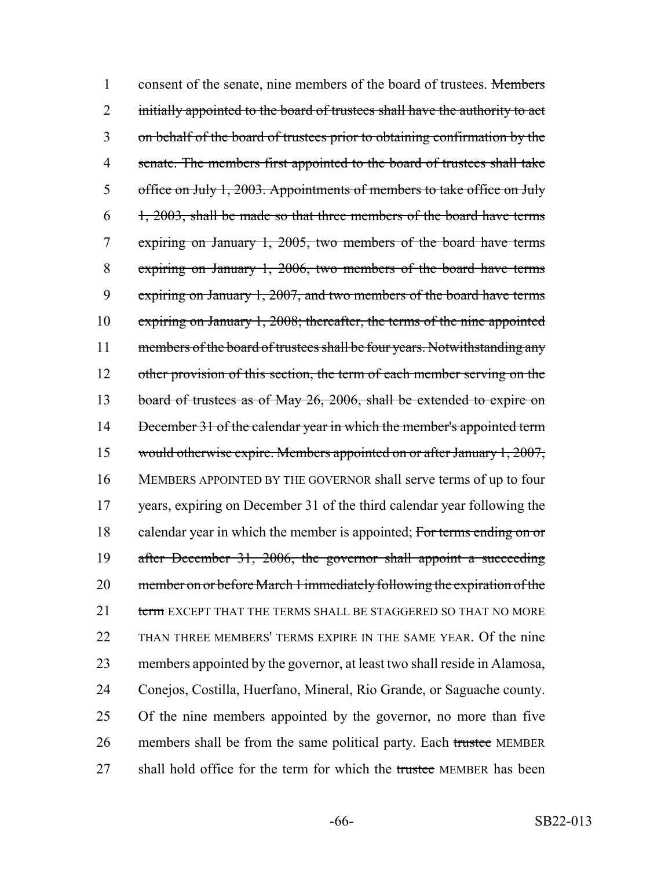1 consent of the senate, nine members of the board of trustees. Members 2 initially appointed to the board of trustees shall have the authority to act 3 on behalf of the board of trustees prior to obtaining confirmation by the 4 senate. The members first appointed to the board of trustees shall take 5 office on July 1, 2003. Appointments of members to take office on July  $6$  1, 2003, shall be made so that three members of the board have terms 7 expiring on January 1, 2005, two members of the board have terms 8 expiring on January 1, 2006, two members of the board have terms 9 expiring on January 1, 2007, and two members of the board have terms 10 expiring on January 1, 2008; thereafter, the terms of the nine appointed 11 members of the board of trustees shall be four years. Notwithstanding any 12 other provision of this section, the term of each member serving on the 13 board of trustees as of May 26, 2006, shall be extended to expire on 14 December 31 of the calendar year in which the member's appointed term 15 would otherwise expire. Members appointed on or after January 1, 2007, 16 MEMBERS APPOINTED BY THE GOVERNOR shall serve terms of up to four 17 years, expiring on December 31 of the third calendar year following the 18 calendar year in which the member is appointed; For terms ending on or 19 after December 31, 2006, the governor shall appoint a succeeding 20 member on or before March 1 immediately following the expiration of the 21 term EXCEPT THAT THE TERMS SHALL BE STAGGERED SO THAT NO MORE 22 THAN THREE MEMBERS' TERMS EXPIRE IN THE SAME YEAR. Of the nine 23 members appointed by the governor, at least two shall reside in Alamosa, 24 Conejos, Costilla, Huerfano, Mineral, Rio Grande, or Saguache county. 25 Of the nine members appointed by the governor, no more than five 26 members shall be from the same political party. Each trustee MEMBER 27 shall hold office for the term for which the trustee MEMBER has been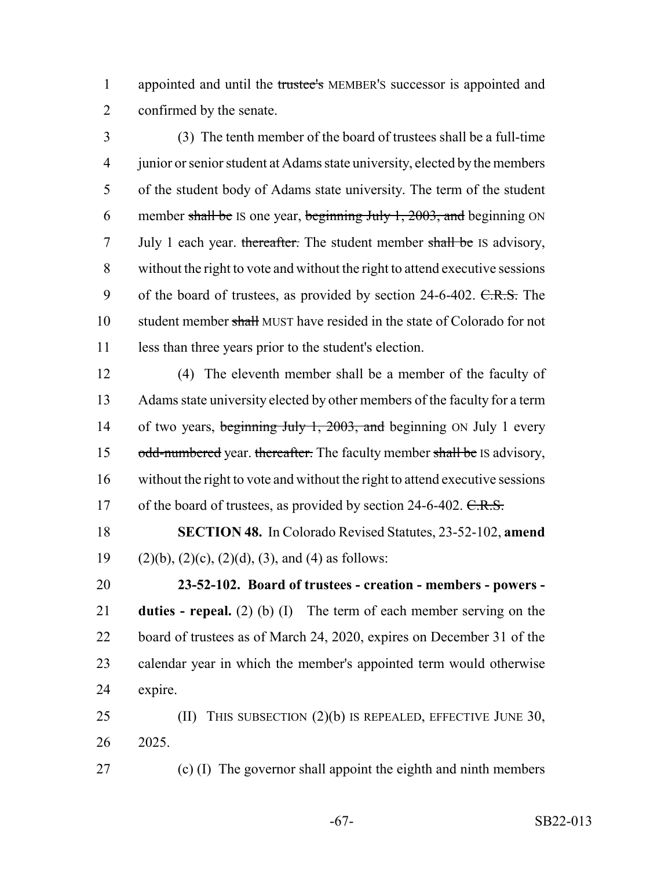1 appointed and until the trustee's MEMBER's successor is appointed and confirmed by the senate.

 (3) The tenth member of the board of trustees shall be a full-time junior or senior student at Adams state university, elected by the members of the student body of Adams state university. The term of the student 6 member shall be IS one year, beginning July 1, , and beginning ON 7 July 1 each year. thereafter. The student member shall be IS advisory, without the right to vote and without the right to attend executive sessions 9 of the board of trustees, as provided by section 24-6-402. C.R.S. The 10 student member shall MUST have resided in the state of Colorado for not less than three years prior to the student's election.

 (4) The eleventh member shall be a member of the faculty of Adams state university elected by other members of the faculty for a term 14 of two years, beginning July 1, 2003, and beginning ON July 1 every 15 odd-numbered year. thereafter. The faculty member shall be IS advisory, without the right to vote and without the right to attend executive sessions 17 of the board of trustees, as provided by section 24-6-402. C.R.S.

 **SECTION 48.** In Colorado Revised Statutes, 23-52-102, **amend** 19 (2)(b), (2)(c), (2)(d), (3), and (4) as follows:

 **23-52-102. Board of trustees - creation - members - powers - duties - repeal.** (2) (b) (I) The term of each member serving on the board of trustees as of March 24, 2020, expires on December 31 of the calendar year in which the member's appointed term would otherwise expire.

 (II) THIS SUBSECTION (2)(b) IS REPEALED, EFFECTIVE JUNE 30, 2025.

(c) (I) The governor shall appoint the eighth and ninth members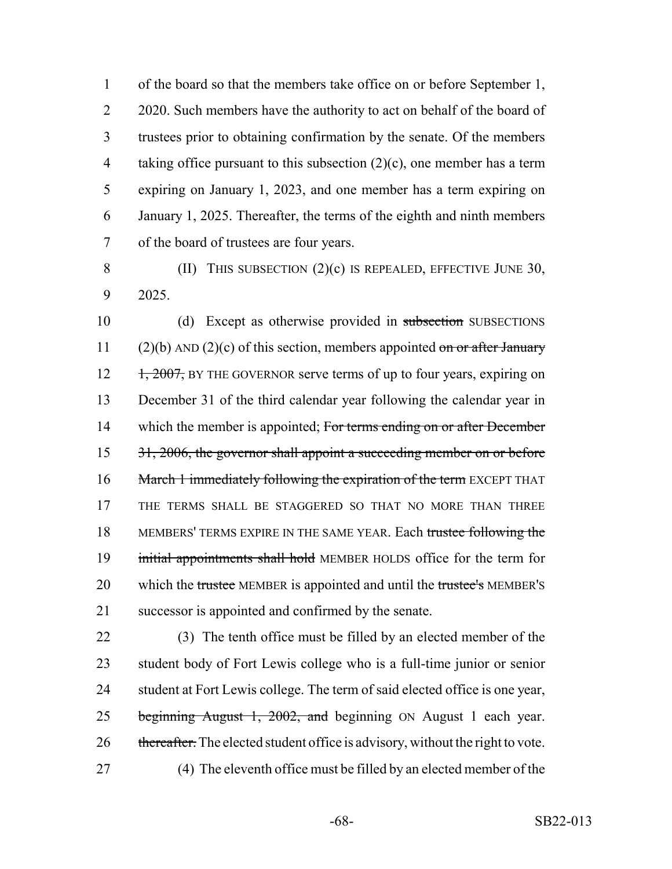of the board so that the members take office on or before September 1, 2 2020. Such members have the authority to act on behalf of the board of trustees prior to obtaining confirmation by the senate. Of the members taking office pursuant to this subsection (2)(c), one member has a term expiring on January 1, 2023, and one member has a term expiring on January 1, 2025. Thereafter, the terms of the eighth and ninth members of the board of trustees are four years.

8 (II) THIS SUBSECTION (2)(c) IS REPEALED, EFFECTIVE JUNE 30, 9 2025.

10 (d) Except as otherwise provided in subsection SUBSECTIONS 11 (2)(b) AND (2)(c) of this section, members appointed on or after January  $12 \frac{1}{2007}$ , BY THE GOVERNOR serve terms of up to four years, expiring on 13 December 31 of the third calendar year following the calendar year in 14 which the member is appointed; For terms ending on or after December 15 31, 2006, the governor shall appoint a succeeding member on or before 16 March 1 immediately following the expiration of the term EXCEPT THAT 17 THE TERMS SHALL BE STAGGERED SO THAT NO MORE THAN THREE 18 MEMBERS' TERMS EXPIRE IN THE SAME YEAR. Each trustee following the 19 initial appointments shall hold MEMBER HOLDS office for the term for 20 which the trustee MEMBER is appointed and until the trustee's MEMBER's 21 successor is appointed and confirmed by the senate.

22 (3) The tenth office must be filled by an elected member of the 23 student body of Fort Lewis college who is a full-time junior or senior 24 student at Fort Lewis college. The term of said elected office is one year, 25 beginning August 1, 2002, and beginning ON August 1 each year. 26 thereafter. The elected student office is advisory, without the right to vote. 27 (4) The eleventh office must be filled by an elected member of the

-68- SB22-013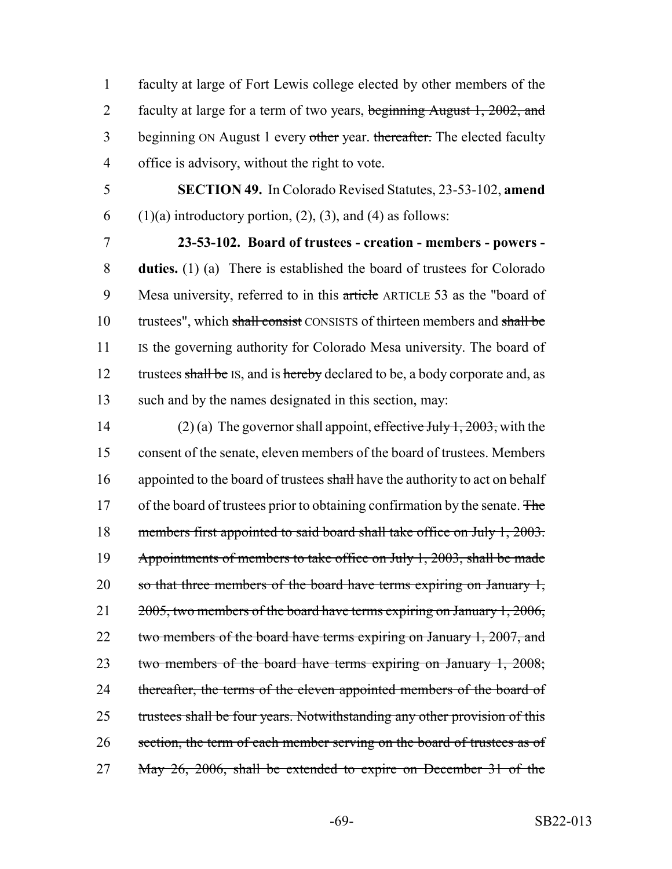1 faculty at large of Fort Lewis college elected by other members of the 2 faculty at large for a term of two years, beginning August 1, 2002, and 3 beginning ON August 1 every other year. thereafter. The elected faculty 4 office is advisory, without the right to vote.

5 **SECTION 49.** In Colorado Revised Statutes, 23-53-102, **amend** 6 (1)(a) introductory portion, (2), (3), and (4) as follows:

7 **23-53-102. Board of trustees - creation - members - powers -** 8 **duties.** (1) (a) There is established the board of trustees for Colorado 9 Mesa university, referred to in this article ARTICLE 53 as the "board of 10 trustees", which shall consist CONSISTS of thirteen members and shall be 11 Is the governing authority for Colorado Mesa university. The board of 12 trustees shall be IS, and is hereby declared to be, a body corporate and, as 13 such and by the names designated in this section, may:

14 (2) (a) The governor shall appoint, effective July 1, 2003, with the 15 consent of the senate, eleven members of the board of trustees. Members 16 appointed to the board of trustees shall have the authority to act on behalf 17 of the board of trustees prior to obtaining confirmation by the senate. The 18 members first appointed to said board shall take office on July 1, 2003. 19 Appointments of members to take office on July 1, 2003, shall be made 20 so that three members of the board have terms expiring on January 1, 21 2005, two members of the board have terms expiring on January 1, 2006, 22 two members of the board have terms expiring on January 1, 2007, and 23 two members of the board have terms expiring on January 1, 2008; 24 thereafter, the terms of the eleven appointed members of the board of 25 trustees shall be four years. Notwithstanding any other provision of this 26 section, the term of each member serving on the board of trustees as of 27 May 26, 2006, shall be extended to expire on December 31 of the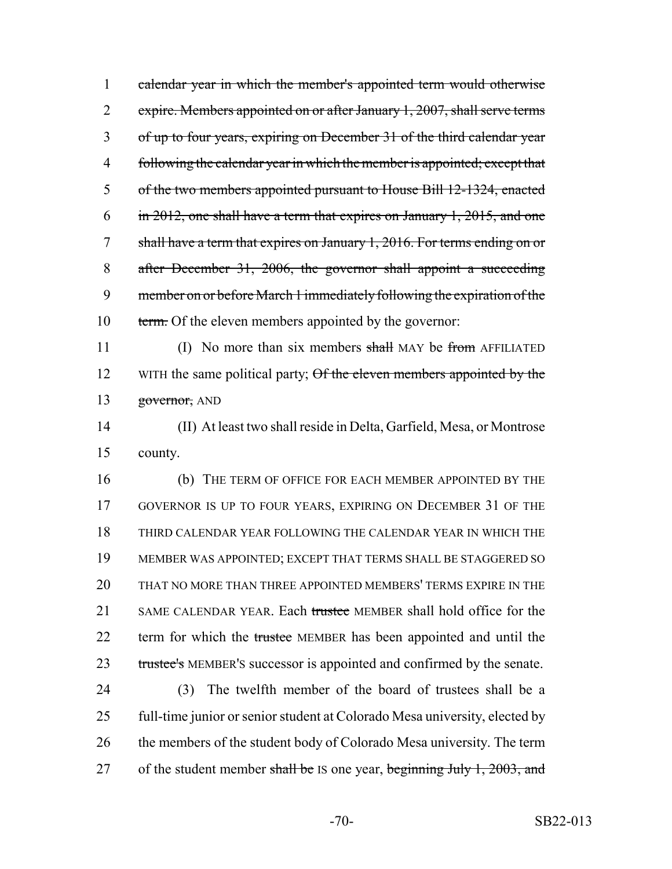1 calendar year in which the member's appointed term would otherwise 2 expire. Members appointed on or after January 1, 2007, shall serve terms 3 of up to four years, expiring on December 31 of the third calendar year 4 following the calendar year in which the member is appointed; except that 5 of the two members appointed pursuant to House Bill 12-1324, enacted 6 in 2012, one shall have a term that expires on January 1, 2015, and one 7 shall have a term that expires on January 1, 2016. For terms ending on or 8 after December 31, 2006, the governor shall appoint a succeeding 9 member on or before March 1 immediately following the expiration of the 10 term. Of the eleven members appointed by the governor:

11 (I) No more than six members shall MAY be from AFFILIATED 12 WITH the same political party; Of the eleven members appointed by the 13 governor, AND

14 (II) At least two shall reside in Delta, Garfield, Mesa, or Montrose 15 county.

 (b) THE TERM OF OFFICE FOR EACH MEMBER APPOINTED BY THE GOVERNOR IS UP TO FOUR YEARS, EXPIRING ON DECEMBER 31 OF THE THIRD CALENDAR YEAR FOLLOWING THE CALENDAR YEAR IN WHICH THE MEMBER WAS APPOINTED; EXCEPT THAT TERMS SHALL BE STAGGERED SO THAT NO MORE THAN THREE APPOINTED MEMBERS' TERMS EXPIRE IN THE 21 SAME CALENDAR YEAR. Each trustee MEMBER shall hold office for the 22 term for which the trustee MEMBER has been appointed and until the 23 trustee's MEMBER's successor is appointed and confirmed by the senate.

24 (3) The twelfth member of the board of trustees shall be a 25 full-time junior or senior student at Colorado Mesa university, elected by 26 the members of the student body of Colorado Mesa university. The term 27 of the student member shall be IS one year, beginning July 1, 2003, and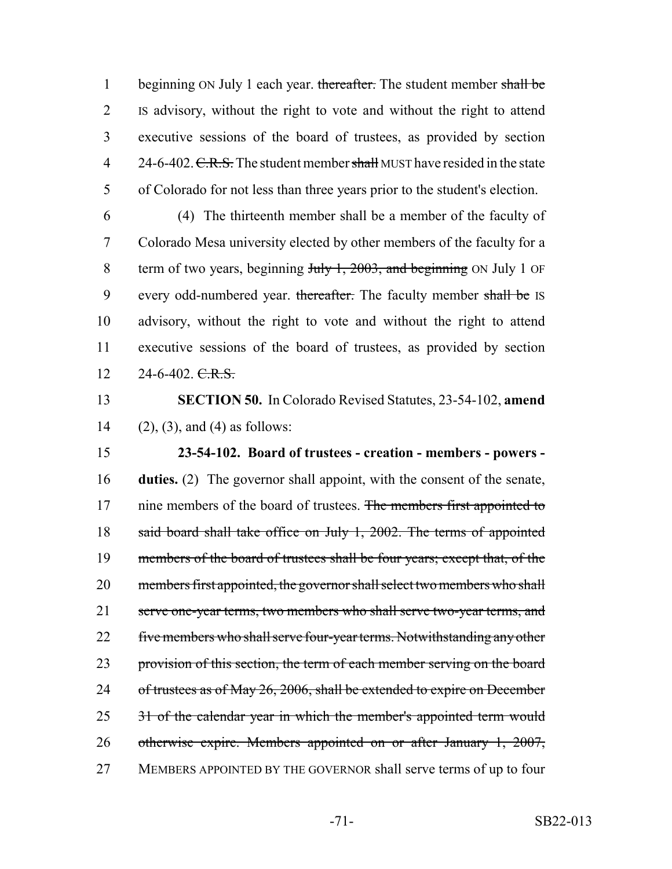1 beginning ON July 1 each year. thereafter. The student member shall be 2 IS advisory, without the right to vote and without the right to attend 3 executive sessions of the board of trustees, as provided by section 4 24-6-402. C.R.S. The student member shall MUST have resided in the state 5 of Colorado for not less than three years prior to the student's election.

6 (4) The thirteenth member shall be a member of the faculty of 7 Colorado Mesa university elected by other members of the faculty for a 8 term of two years, beginning July 1, 2003, and beginning ON July 1 OF 9 every odd-numbered year. thereafter. The faculty member shall be IS 10 advisory, without the right to vote and without the right to attend 11 executive sessions of the board of trustees, as provided by section  $12 \qquad 24\n-6\n-402.\nC.R.S.$ 

13 **SECTION 50.** In Colorado Revised Statutes, 23-54-102, **amend** 14 (2), (3), and (4) as follows:

15 **23-54-102. Board of trustees - creation - members - powers -** 16 **duties.** (2) The governor shall appoint, with the consent of the senate, 17 nine members of the board of trustees. The members first appointed to 18 said board shall take office on July 1, 2002. The terms of appointed 19 members of the board of trustees shall be four years; except that, of the 20 members first appointed, the governor shall select two members who shall 21 serve one-year terms, two members who shall serve two-year terms, and 22 five members who shall serve four-year terms. Notwithstanding any other 23 provision of this section, the term of each member serving on the board 24 of trustees as of May 26, 2006, shall be extended to expire on December 25 31 of the calendar year in which the member's appointed term would 26 otherwise expire. Members appointed on or after January 1, 2007, 27 MEMBERS APPOINTED BY THE GOVERNOR shall serve terms of up to four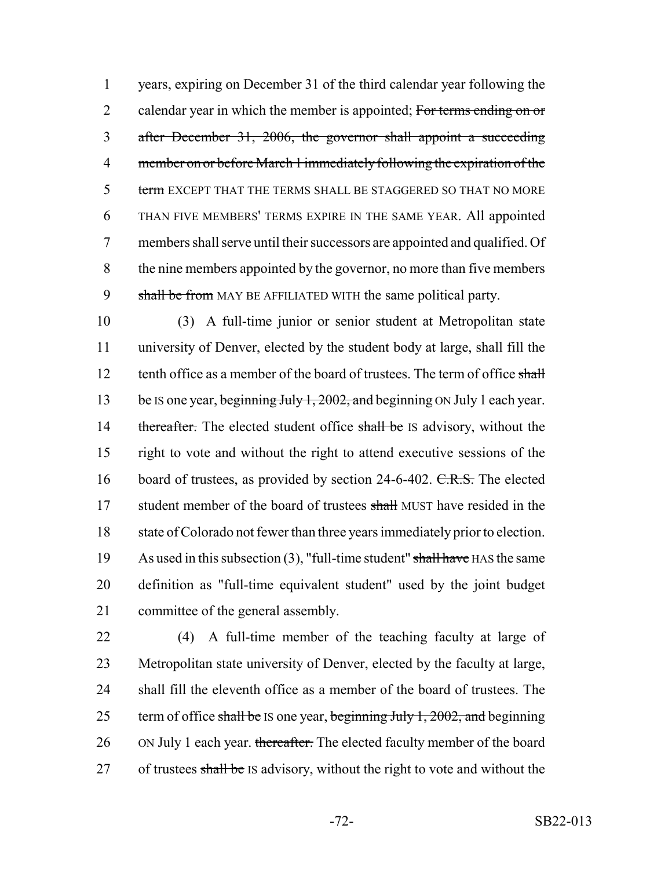1 years, expiring on December 31 of the third calendar year following the 2 calendar year in which the member is appointed; For terms ending on or 3 after December 31, 2006, the governor shall appoint a succeeding 4 member on or before March 1 immediately following the expiration of the 5 term EXCEPT THAT THE TERMS SHALL BE STAGGERED SO THAT NO MORE 6 THAN FIVE MEMBERS' TERMS EXPIRE IN THE SAME YEAR. All appointed 7 members shall serve until their successors are appointed and qualified. Of 8 the nine members appointed by the governor, no more than five members 9 shall be from MAY BE AFFILIATED WITH the same political party.

10 (3) A full-time junior or senior student at Metropolitan state 11 university of Denver, elected by the student body at large, shall fill the 12 tenth office as a member of the board of trustees. The term of office shall 13 be IS one year, beginning July 1, 2002, and beginning ON July 1 each year. 14 thereafter. The elected student office shall be IS advisory, without the 15 right to vote and without the right to attend executive sessions of the 16 board of trustees, as provided by section 24-6-402. C.R.S. The elected 17 student member of the board of trustees shall MUST have resided in the 18 state of Colorado not fewer than three years immediately prior to election. 19 As used in this subsection  $(3)$ , "full-time student" shall have HAS the same 20 definition as "full-time equivalent student" used by the joint budget 21 committee of the general assembly.

22 (4) A full-time member of the teaching faculty at large of 23 Metropolitan state university of Denver, elected by the faculty at large, 24 shall fill the eleventh office as a member of the board of trustees. The 25 term of office shall be IS one year, beginning July 1,  $2002$ , and beginning 26 ON July 1 each year. thereafter. The elected faculty member of the board 27 of trustees shall be IS advisory, without the right to vote and without the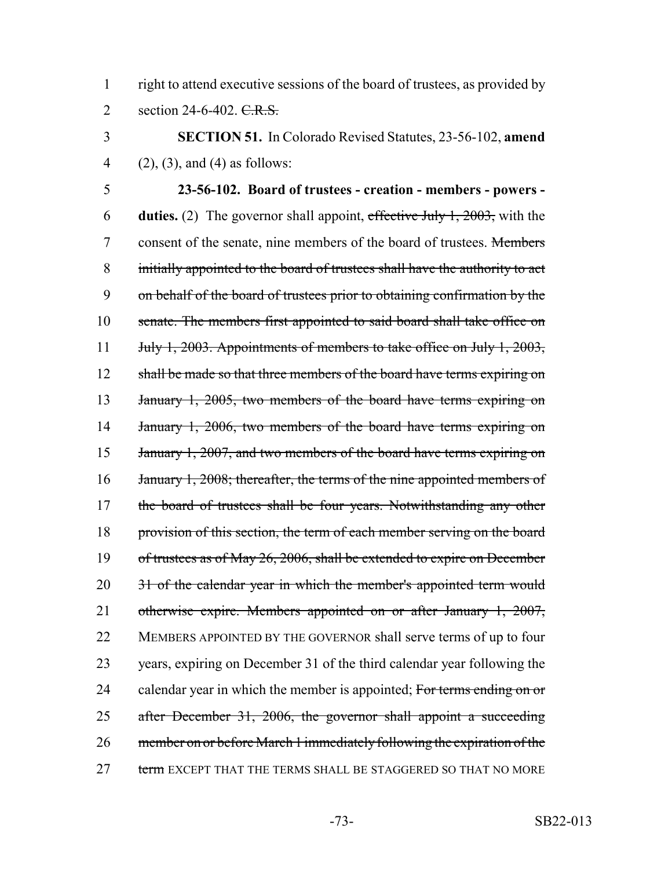1 right to attend executive sessions of the board of trustees, as provided by 2 section 24-6-402. C.R.S.

3 **SECTION 51.** In Colorado Revised Statutes, 23-56-102, **amend** 4 (2), (3), and (4) as follows:

5 **23-56-102. Board of trustees - creation - members - powers -** 6 **duties.** (2) The governor shall appoint, effective July 1, 2003, with the 7 consent of the senate, nine members of the board of trustees. Members 8 initially appointed to the board of trustees shall have the authority to act 9 on behalf of the board of trustees prior to obtaining confirmation by the 10 senate. The members first appointed to said board shall take office on 11 July 1, 2003. Appointments of members to take office on July 1, 2003, 12 shall be made so that three members of the board have terms expiring on 13 January 1, 2005, two members of the board have terms expiring on 14 January 1, 2006, two members of the board have terms expiring on 15 January 1, 2007, and two members of the board have terms expiring on 16 January 1, 2008; thereafter, the terms of the nine appointed members of 17 the board of trustees shall be four years. Notwithstanding any other 18 provision of this section, the term of each member serving on the board 19 of trustees as of May 26, 2006, shall be extended to expire on December 20 31 of the calendar year in which the member's appointed term would 21 otherwise expire. Members appointed on or after January 1, 2007, 22 MEMBERS APPOINTED BY THE GOVERNOR shall serve terms of up to four 23 years, expiring on December 31 of the third calendar year following the 24 calendar year in which the member is appointed; For terms ending on or 25 after December 31, 2006, the governor shall appoint a succeeding 26 member on or before March 1 immediately following the expiration of the 27 term EXCEPT THAT THE TERMS SHALL BE STAGGERED SO THAT NO MORE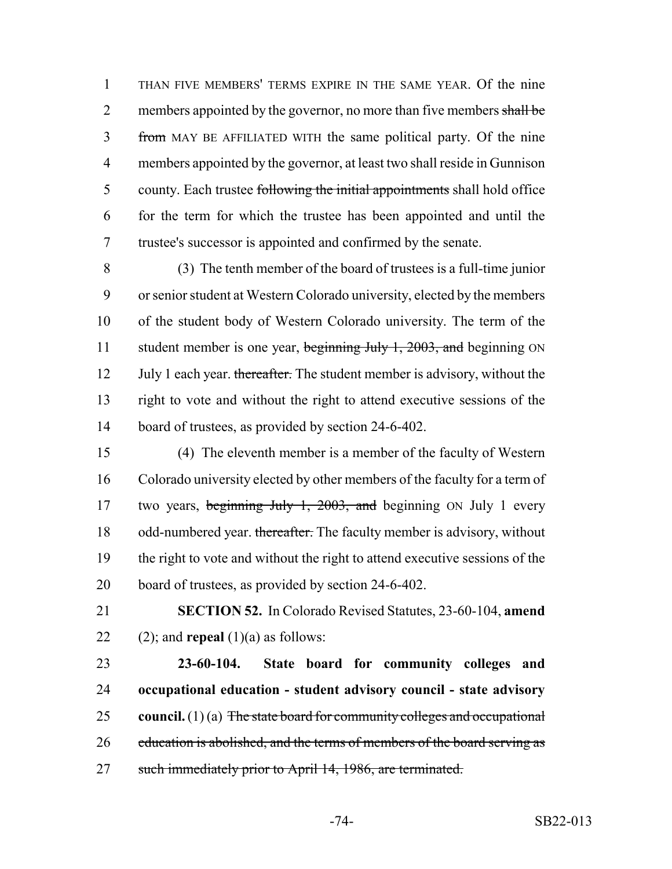THAN FIVE MEMBERS' TERMS EXPIRE IN THE SAME YEAR. Of the nine 2 members appointed by the governor, no more than five members shall be from MAY BE AFFILIATED WITH the same political party. Of the nine members appointed by the governor, at least two shall reside in Gunnison 5 county. Each trustee following the initial appointments shall hold office for the term for which the trustee has been appointed and until the trustee's successor is appointed and confirmed by the senate.

 (3) The tenth member of the board of trustees is a full-time junior or senior student at Western Colorado university, elected by the members of the student body of Western Colorado university. The term of the 11 student member is one year, beginning July 1, 2003, and beginning ON 12 July 1 each year. thereafter. The student member is advisory, without the right to vote and without the right to attend executive sessions of the board of trustees, as provided by section 24-6-402.

 (4) The eleventh member is a member of the faculty of Western Colorado university elected by other members of the faculty for a term of 17 two years, beginning July 1, 2003, and beginning ON July 1 every 18 odd-numbered year. thereafter. The faculty member is advisory, without the right to vote and without the right to attend executive sessions of the board of trustees, as provided by section 24-6-402.

 **SECTION 52.** In Colorado Revised Statutes, 23-60-104, **amend** 22 (2); and **repeal**  $(1)(a)$  as follows:

 **23-60-104. State board for community colleges and occupational education - student advisory council - state advisory council.** (1) (a) The state board for community colleges and occupational 26 education is abolished, and the terms of members of the board serving as 27 such immediately prior to April 14, 1986, are terminated.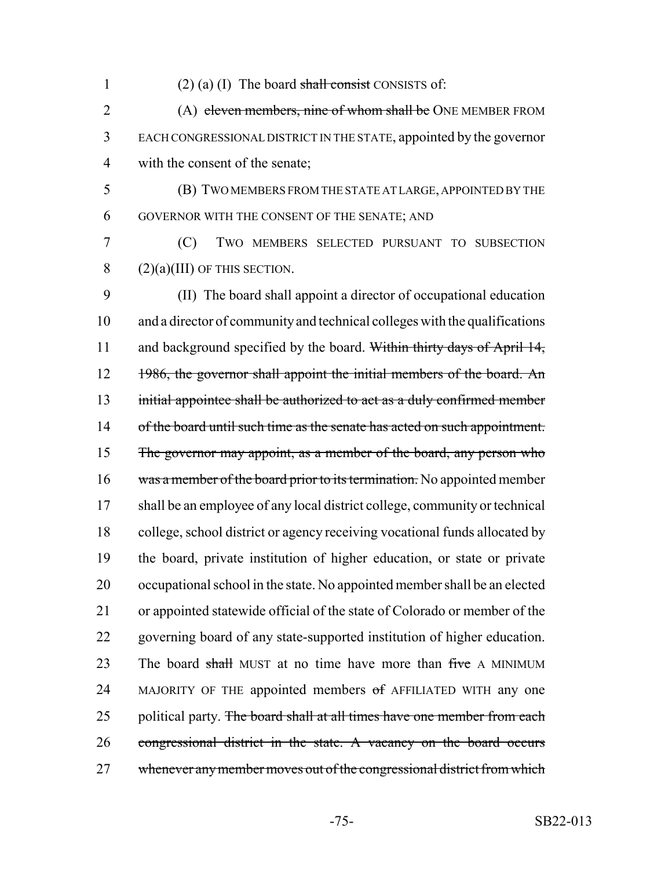1 (2) (a) (I) The board shall consist CONSISTS of:

2 (A) eleven members, nine of whom shall be ONE MEMBER FROM 3 EACH CONGRESSIONAL DISTRICT IN THE STATE, appointed by the governor 4 with the consent of the senate;

5 (B) TWO MEMBERS FROM THE STATE AT LARGE, APPOINTED BY THE 6 GOVERNOR WITH THE CONSENT OF THE SENATE; AND

7 (C) TWO MEMBERS SELECTED PURSUANT TO SUBSECTION 8  $(2)(a)(III)$  OF THIS SECTION.

9 (II) The board shall appoint a director of occupational education 10 and a director of community and technical colleges with the qualifications 11 and background specified by the board. Within thirty days of April 14, 12 1986, the governor shall appoint the initial members of the board. An 13 initial appointee shall be authorized to act as a duly confirmed member 14 of the board until such time as the senate has acted on such appointment. 15 The governor may appoint, as a member of the board, any person who 16 was a member of the board prior to its termination. No appointed member 17 shall be an employee of any local district college, community or technical 18 college, school district or agency receiving vocational funds allocated by 19 the board, private institution of higher education, or state or private 20 occupational school in the state. No appointed member shall be an elected 21 or appointed statewide official of the state of Colorado or member of the 22 governing board of any state-supported institution of higher education. 23 The board shall MUST at no time have more than five A MINIMUM 24 MAJORITY OF THE appointed members of AFFILIATED WITH any one 25 political party. The board shall at all times have one member from each 26 congressional district in the state. A vacancy on the board occurs 27 whenever any member moves out of the congressional district from which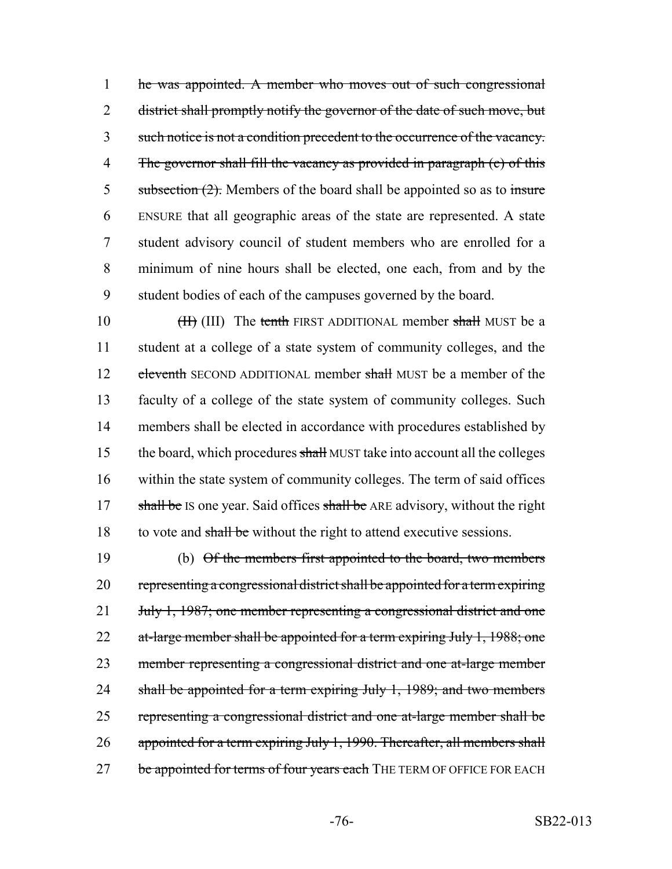he was appointed. A member who moves out of such congressional 2 district shall promptly notify the governor of the date of such move, but such notice is not a condition precedent to the occurrence of the vacancy. 4 The governor shall fill the vacancy as provided in paragraph (c) of this 5 subsection  $(2)$ . Members of the board shall be appointed so as to insure ENSURE that all geographic areas of the state are represented. A state student advisory council of student members who are enrolled for a minimum of nine hours shall be elected, one each, from and by the student bodies of each of the campuses governed by the board.

10 (III) The tenth FIRST ADDITIONAL member shall MUST be a 11 student at a college of a state system of community colleges, and the 12 eleventh SECOND ADDITIONAL member shall MUST be a member of the 13 faculty of a college of the state system of community colleges. Such 14 members shall be elected in accordance with procedures established by 15 the board, which procedures shall MUST take into account all the colleges 16 within the state system of community colleges. The term of said offices 17 shall be IS one year. Said offices shall be ARE advisory, without the right 18 to vote and shall be without the right to attend executive sessions.

19 (b) Of the members first appointed to the board, two members 20 representing a congressional district shall be appointed for a term expiring 21 July 1, 1987; one member representing a congressional district and one 22 at-large member shall be appointed for a term expiring July 1, 1988; one 23 member representing a congressional district and one at-large member 24 shall be appointed for a term expiring July 1, 1989; and two members 25 representing a congressional district and one at-large member shall be 26 appointed for a term expiring July 1, 1990. Thereafter, all members shall 27 be appointed for terms of four years each THE TERM OF OFFICE FOR EACH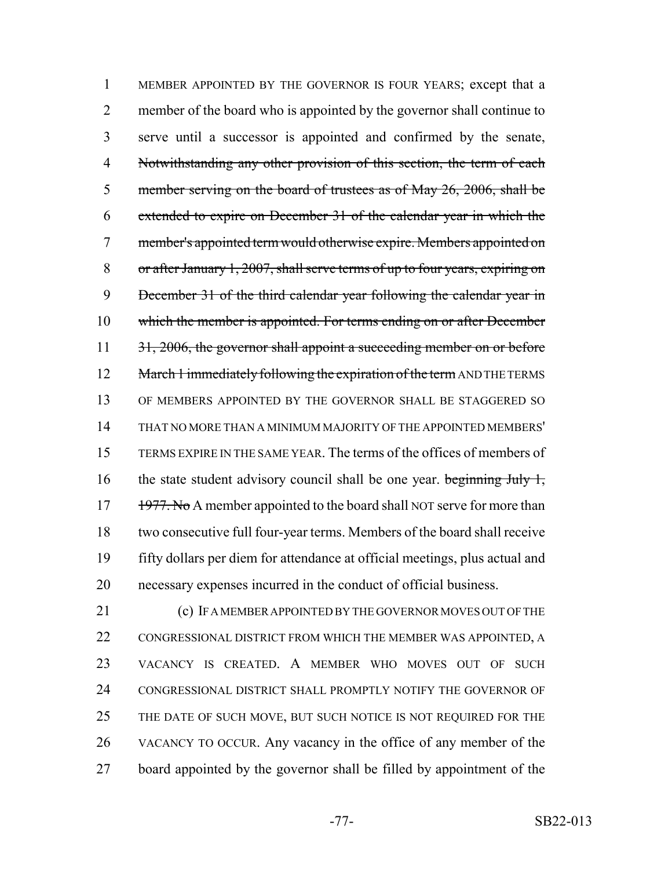MEMBER APPOINTED BY THE GOVERNOR IS FOUR YEARS; except that a member of the board who is appointed by the governor shall continue to serve until a successor is appointed and confirmed by the senate, 4 Notwithstanding any other provision of this section, the term of each 5 member serving on the board of trustees as of May 26, 2006, shall be extended to expire on December 31 of the calendar year in which the member's appointed term would otherwise expire. Members appointed on or after January 1, 2007, shall serve terms of up to four years, expiring on December 31 of the third calendar year following the calendar year in 10 which the member is appointed. For terms ending on or after December 11 31, 2006, the governor shall appoint a succeeding member on or before 12 March 1 immediately following the expiration of the term AND THE TERMS OF MEMBERS APPOINTED BY THE GOVERNOR SHALL BE STAGGERED SO THAT NO MORE THAN A MINIMUM MAJORITY OF THE APPOINTED MEMBERS' TERMS EXPIRE IN THE SAME YEAR. The terms of the offices of members of 16 the state student advisory council shall be one year. beginning July 1, 17 1977. No A member appointed to the board shall NOT serve for more than two consecutive full four-year terms. Members of the board shall receive fifty dollars per diem for attendance at official meetings, plus actual and necessary expenses incurred in the conduct of official business.

 (c) IF A MEMBER APPOINTED BY THE GOVERNOR MOVES OUT OF THE 22 CONGRESSIONAL DISTRICT FROM WHICH THE MEMBER WAS APPOINTED, A VACANCY IS CREATED. A MEMBER WHO MOVES OUT OF SUCH CONGRESSIONAL DISTRICT SHALL PROMPTLY NOTIFY THE GOVERNOR OF 25 THE DATE OF SUCH MOVE, BUT SUCH NOTICE IS NOT REQUIRED FOR THE VACANCY TO OCCUR. Any vacancy in the office of any member of the board appointed by the governor shall be filled by appointment of the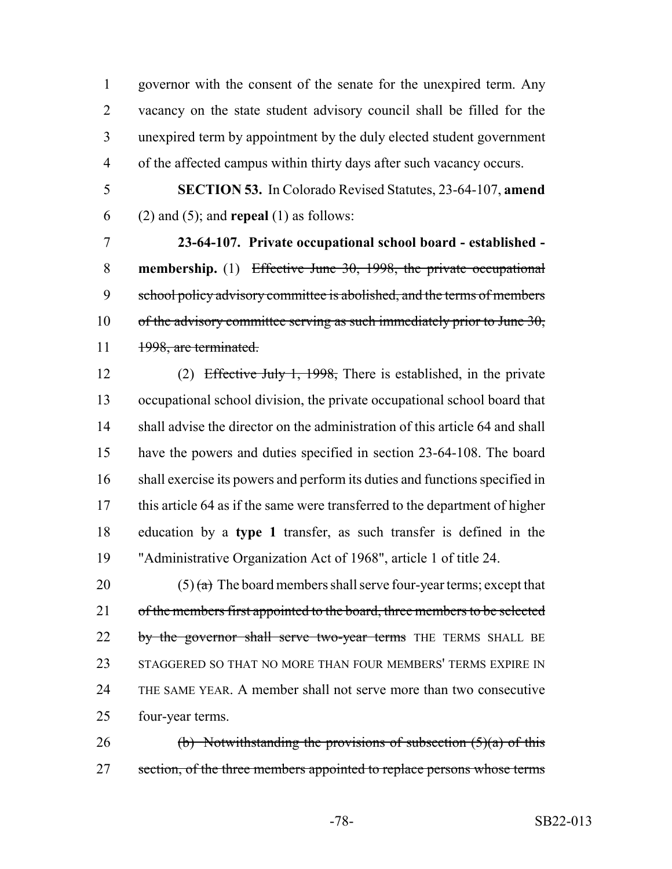governor with the consent of the senate for the unexpired term. Any vacancy on the state student advisory council shall be filled for the unexpired term by appointment by the duly elected student government of the affected campus within thirty days after such vacancy occurs.

 **SECTION 53.** In Colorado Revised Statutes, 23-64-107, **amend** (2) and (5); and **repeal** (1) as follows:

 **23-64-107. Private occupational school board - established - membership.** (1) Effective June 30, 1998, the private occupational 9 school policy advisory committee is abolished, and the terms of members 10 of the advisory committee serving as such immediately prior to June 30, 11 1998, are terminated.

 (2) Effective July 1, 1998, There is established, in the private occupational school division, the private occupational school board that 14 shall advise the director on the administration of this article 64 and shall have the powers and duties specified in section 23-64-108. The board shall exercise its powers and perform its duties and functions specified in this article 64 as if the same were transferred to the department of higher education by a **type 1** transfer, as such transfer is defined in the "Administrative Organization Act of 1968", article 1 of title 24.

20 (5)  $\left(\frac{a}{b}\right)$  The board members shall serve four-year terms; except that 21 of the members first appointed to the board, three members to be selected 22 by the governor shall serve two-year terms THE TERMS SHALL BE STAGGERED SO THAT NO MORE THAN FOUR MEMBERS' TERMS EXPIRE IN THE SAME YEAR. A member shall not serve more than two consecutive four-year terms.

26 (b) Notwithstanding the provisions of subsection  $(5)(a)$  of this 27 section, of the three members appointed to replace persons whose terms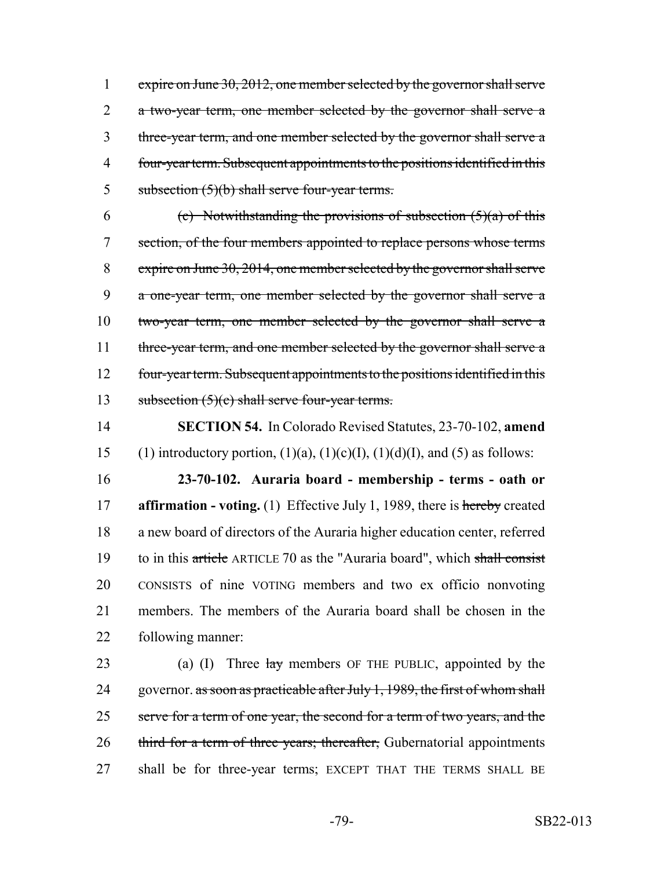1 expire on June 30, 2012, one member selected by the governor shall serve 2 a two-year term, one member selected by the governor shall serve a 3 three-year term, and one member selected by the governor shall serve a 4 four-year term. Subsequent appointments to the positions identified in this 5 subsection  $(5)(b)$  shall serve four-year terms.

6 (c) Notwithstanding the provisions of subsection  $(5)(a)$  of this 7 section, of the four members appointed to replace persons whose terms 8 expire on June 30, 2014, one member selected by the governor shall serve 9 a one-year term, one member selected by the governor shall serve a 10 two-year term, one member selected by the governor shall serve a 11 three-year term, and one member selected by the governor shall serve a 12 four-year term. Subsequent appointments to the positions identified in this 13 subsection  $(5)(c)$  shall serve four-year terms.

14 **SECTION 54.** In Colorado Revised Statutes, 23-70-102, **amend** 15 (1) introductory portion,  $(1)(a)$ ,  $(1)(c)(I)$ ,  $(1)(d)(I)$ , and  $(5)$  as follows:

 **23-70-102. Auraria board - membership - terms - oath or affirmation - voting.** (1) Effective July 1, 1989, there is hereby created a new board of directors of the Auraria higher education center, referred 19 to in this article ARTICLE 70 as the "Auraria board", which shall consist CONSISTS of nine VOTING members and two ex officio nonvoting members. The members of the Auraria board shall be chosen in the following manner:

23 (a) (I) Three  $\frac{1}{2}$  members OF THE PUBLIC, appointed by the 24 governor. as soon as practicable after July 1, 1989, the first of whom shall 25 serve for a term of one year, the second for a term of two years, and the 26 third for a term of three years; thereafter, Gubernatorial appointments 27 shall be for three-year terms; EXCEPT THAT THE TERMS SHALL BE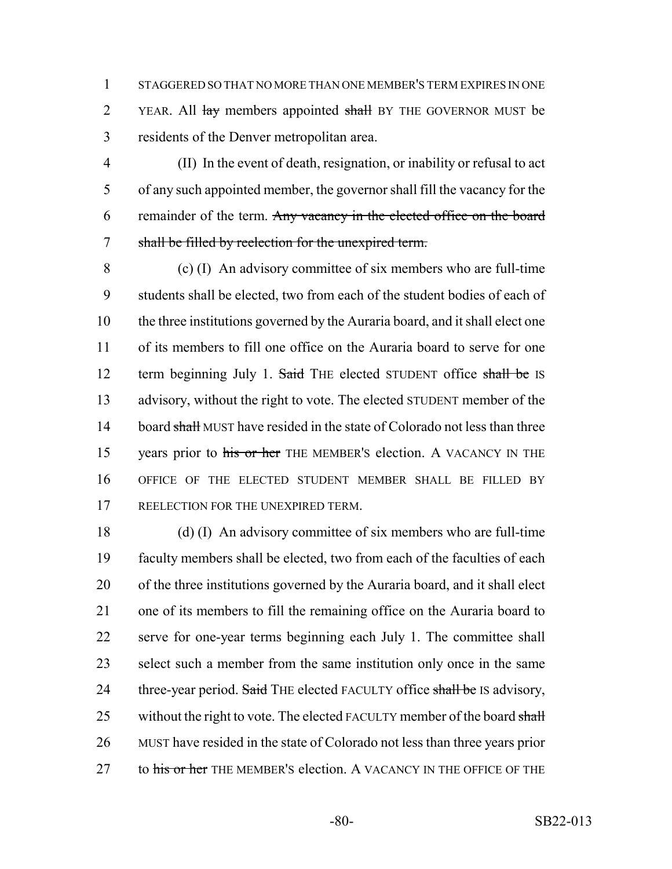STAGGERED SO THAT NO MORE THAN ONE MEMBER'S TERM EXPIRES IN ONE 2 YEAR. All lay members appointed shall BY THE GOVERNOR MUST be residents of the Denver metropolitan area.

 (II) In the event of death, resignation, or inability or refusal to act of any such appointed member, the governor shall fill the vacancy for the 6 remainder of the term. Any vacancy in the elected office on the board shall be filled by reelection for the unexpired term.

 (c) (I) An advisory committee of six members who are full-time students shall be elected, two from each of the student bodies of each of the three institutions governed by the Auraria board, and it shall elect one of its members to fill one office on the Auraria board to serve for one 12 term beginning July 1. Said THE elected STUDENT office shall be IS advisory, without the right to vote. The elected STUDENT member of the 14 board shall MUST have resided in the state of Colorado not less than three 15 vears prior to his or her THE MEMBER's election. A VACANCY IN THE OFFICE OF THE ELECTED STUDENT MEMBER SHALL BE FILLED BY 17 REELECTION FOR THE UNEXPIRED TERM.

 (d) (I) An advisory committee of six members who are full-time faculty members shall be elected, two from each of the faculties of each of the three institutions governed by the Auraria board, and it shall elect one of its members to fill the remaining office on the Auraria board to serve for one-year terms beginning each July 1. The committee shall select such a member from the same institution only once in the same 24 three-year period. Said THE elected FACULTY office shall be IS advisory, 25 without the right to vote. The elected FACULTY member of the board shall MUST have resided in the state of Colorado not less than three years prior 27 to his or her THE MEMBER's election. A VACANCY IN THE OFFICE OF THE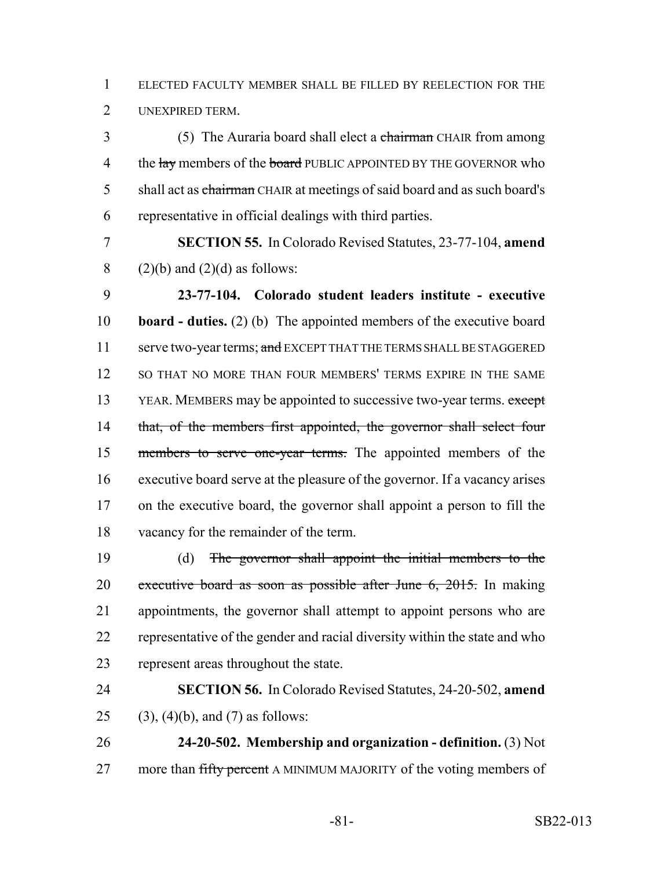ELECTED FACULTY MEMBER SHALL BE FILLED BY REELECTION FOR THE UNEXPIRED TERM.

3 (5) The Auraria board shall elect a chairman CHAIR from among 4 the lay members of the board PUBLIC APPOINTED BY THE GOVERNOR who 5 shall act as chairman CHAIR at meetings of said board and as such board's representative in official dealings with third parties.

 **SECTION 55.** In Colorado Revised Statutes, 23-77-104, **amend** 8 (2)(b) and (2)(d) as follows:

 **23-77-104. Colorado student leaders institute - executive board - duties.** (2) (b) The appointed members of the executive board 11 serve two-year terms; and EXCEPT THAT THE TERMS SHALL BE STAGGERED SO THAT NO MORE THAN FOUR MEMBERS' TERMS EXPIRE IN THE SAME 13 YEAR. MEMBERS may be appointed to successive two-year terms. except 14 that, of the members first appointed, the governor shall select four members to serve one-year terms. The appointed members of the executive board serve at the pleasure of the governor. If a vacancy arises on the executive board, the governor shall appoint a person to fill the vacancy for the remainder of the term.

 (d) The governor shall appoint the initial members to the 20 executive board as soon as possible after June  $6, 2015$ . In making appointments, the governor shall attempt to appoint persons who are representative of the gender and racial diversity within the state and who represent areas throughout the state.

 **SECTION 56.** In Colorado Revised Statutes, 24-20-502, **amend** 25 (3), (4)(b), and (7) as follows:

 **24-20-502. Membership and organization - definition.** (3) Not 27 more than fifty percent A MINIMUM MAJORITY of the voting members of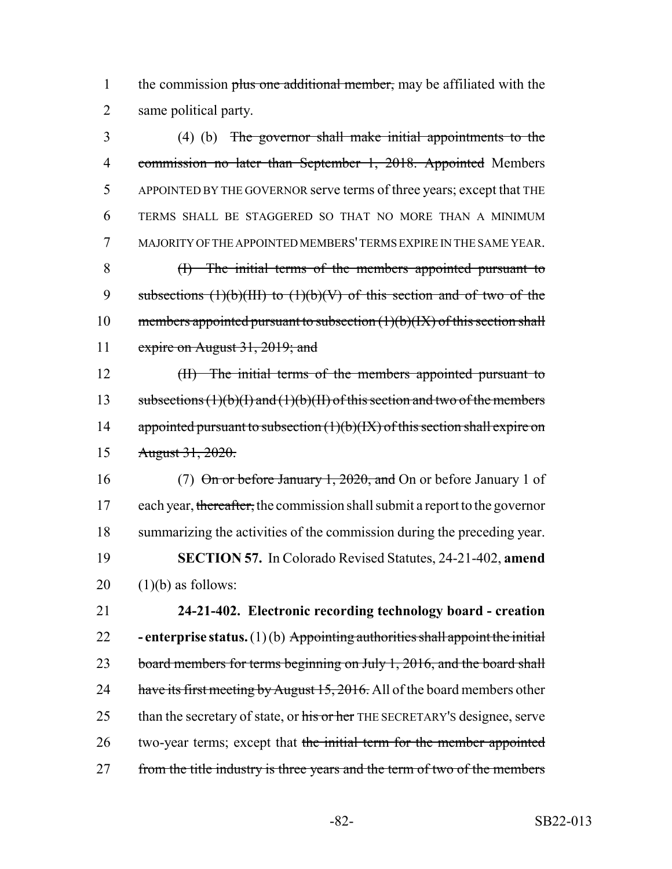1 the commission plus one additional member, may be affiliated with the 2 same political party.

 (4) (b) The governor shall make initial appointments to the 4 commission no later than September 1, 2018. Appointed Members APPOINTED BY THE GOVERNOR serve terms of three years; except that THE TERMS SHALL BE STAGGERED SO THAT NO MORE THAN A MINIMUM MAJORITY OF THE APPOINTED MEMBERS' TERMS EXPIRE IN THE SAME YEAR. (I) The initial terms of the members appointed pursuant to 9 subsections  $(1)(b)(III)$  to  $(1)(b)(V)$  of this section and of two of the 10 members appointed pursuant to subsection  $(1)(b)(IX)$  of this section shall expire on August 31, 2019; and

12 (II) The initial terms of the members appointed pursuant to 13 subsections  $(1)(b)(I)$  and  $(1)(b)(II)$  of this section and two of the members 14 appointed pursuant to subsection  $(1)(b)(IX)$  of this section shall expire on 15 August 31, 2020.

16 (7) On or before January 1, 2020, and On or before January 1 of 17 each year, thereafter, the commission shall submit a report to the governor 18 summarizing the activities of the commission during the preceding year. 19 **SECTION 57.** In Colorado Revised Statutes, 24-21-402, **amend**  $20$  (1)(b) as follows:

21 **24-21-402. Electronic recording technology board - creation** 22 **- enterprise status.** (1) (b) Appointing authorities shall appoint the initial 23 board members for terms beginning on July 1, 2016, and the board shall 24 have its first meeting by August 15, 2016. All of the board members other 25 than the secretary of state, or his or her THE SECRETARY's designee, serve 26 two-year terms; except that the initial term for the member appointed 27 from the title industry is three years and the term of two of the members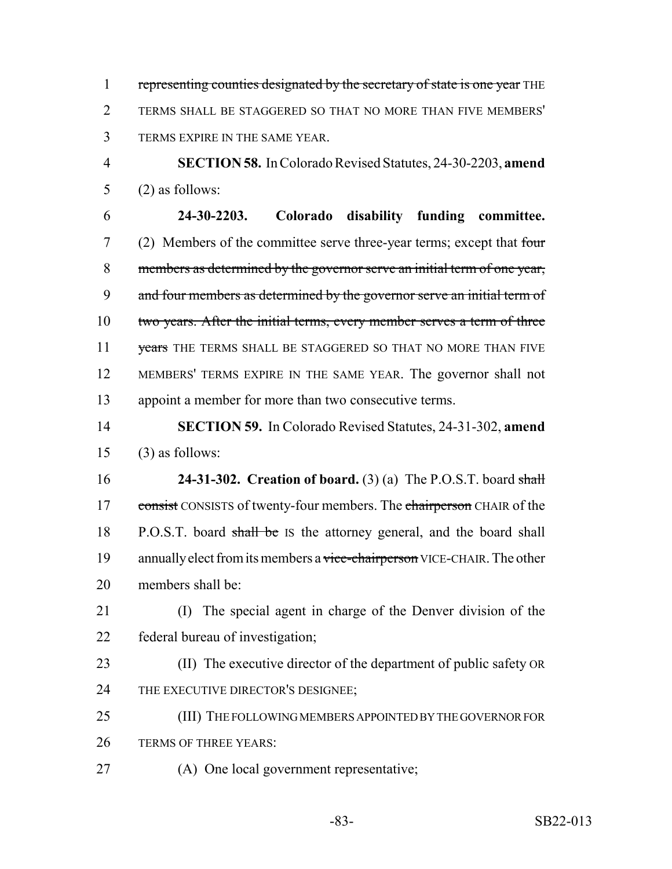1 representing counties designated by the secretary of state is one year THE TERMS SHALL BE STAGGERED SO THAT NO MORE THAN FIVE MEMBERS' TERMS EXPIRE IN THE SAME YEAR.

 **SECTION 58.** In Colorado Revised Statutes, 24-30-2203, **amend** (2) as follows:

 **24-30-2203. Colorado disability funding committee.** (2) Members of the committee serve three-year terms; except that four members as determined by the governor serve an initial term of one year, 9 and four members as determined by the governor serve an initial term of 10 two years. After the initial terms, every member serves a term of three 11 years THE TERMS SHALL BE STAGGERED SO THAT NO MORE THAN FIVE MEMBERS' TERMS EXPIRE IN THE SAME YEAR. The governor shall not appoint a member for more than two consecutive terms.

 **SECTION 59.** In Colorado Revised Statutes, 24-31-302, **amend** (3) as follows:

 **24-31-302. Creation of board.** (3) (a) The P.O.S.T. board shall 17 consist CONSISTS of twenty-four members. The chairperson CHAIR of the 18 P.O.S.T. board shall be IS the attorney general, and the board shall 19 annually elect from its members a vice-chairperson VICE-CHAIR. The other members shall be:

 (I) The special agent in charge of the Denver division of the federal bureau of investigation;

 (II) The executive director of the department of public safety OR 24 THE EXECUTIVE DIRECTOR'S DESIGNEE;

 (III) THE FOLLOWING MEMBERS APPOINTED BY THE GOVERNOR FOR 26 TERMS OF THREE YEARS:

(A) One local government representative;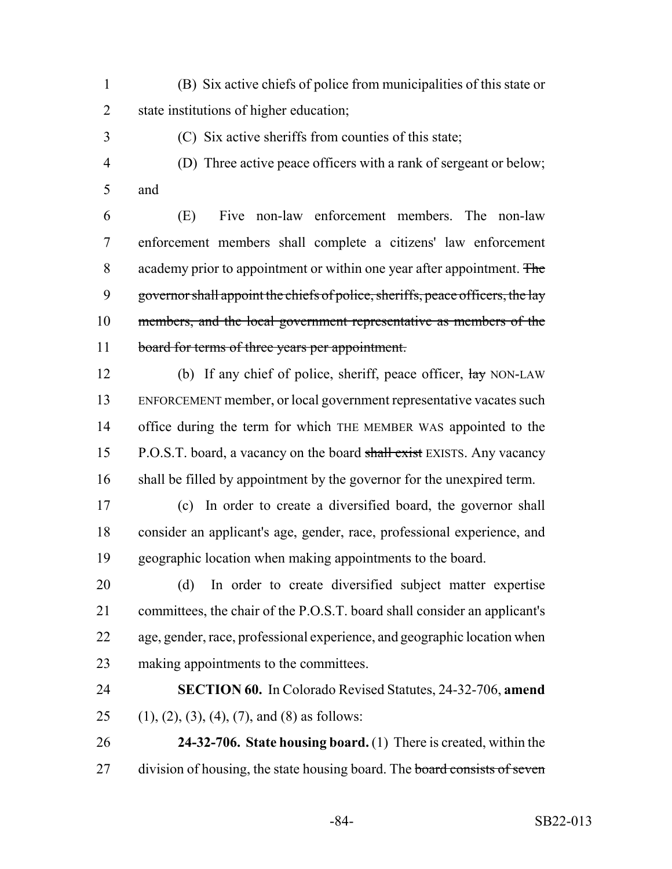- (B) Six active chiefs of police from municipalities of this state or state institutions of higher education;
- 

(C) Six active sheriffs from counties of this state;

 (D) Three active peace officers with a rank of sergeant or below; and

 (E) Five non-law enforcement members. The non-law enforcement members shall complete a citizens' law enforcement 8 academy prior to appointment or within one year after appointment. The 9 governor shall appoint the chiefs of police, sheriffs, peace officers, the lay members, and the local government representative as members of the 11 board for terms of three years per appointment.

12 (b) If any chief of police, sheriff, peace officer,  $\frac{1}{\text{day}}$  NON-LAW ENFORCEMENT member, or local government representative vacates such office during the term for which THE MEMBER WAS appointed to the 15 P.O.S.T. board, a vacancy on the board shall exist EXISTS. Any vacancy shall be filled by appointment by the governor for the unexpired term.

 (c) In order to create a diversified board, the governor shall consider an applicant's age, gender, race, professional experience, and geographic location when making appointments to the board.

 (d) In order to create diversified subject matter expertise committees, the chair of the P.O.S.T. board shall consider an applicant's age, gender, race, professional experience, and geographic location when 23 making appointments to the committees.

 **SECTION 60.** In Colorado Revised Statutes, 24-32-706, **amend** 25 (1), (2), (3), (4), (7), and (8) as follows:

 **24-32-706. State housing board.** (1) There is created, within the 27 division of housing, the state housing board. The board consists of seven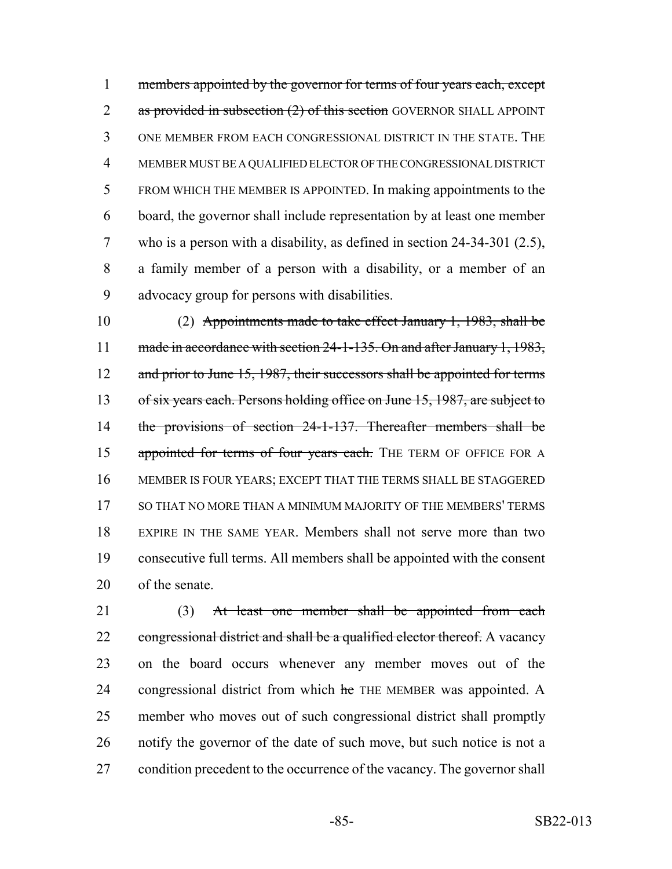members appointed by the governor for terms of four years each, except 2 as provided in subsection (2) of this section GOVERNOR SHALL APPOINT ONE MEMBER FROM EACH CONGRESSIONAL DISTRICT IN THE STATE. THE MEMBER MUST BE A QUALIFIED ELECTOR OF THE CONGRESSIONAL DISTRICT FROM WHICH THE MEMBER IS APPOINTED. In making appointments to the board, the governor shall include representation by at least one member who is a person with a disability, as defined in section 24-34-301 (2.5), a family member of a person with a disability, or a member of an advocacy group for persons with disabilities.

 (2) Appointments made to take effect January 1, 1983, shall be 11 made in accordance with section 24-1-135. On and after January 1, 1983, 12 and prior to June 15, 1987, their successors shall be appointed for terms 13 of six years each. Persons holding office on June 15, 1987, are subject to the provisions of section 24-1-137. Thereafter members shall be 15 appointed for terms of four years each. THE TERM OF OFFICE FOR A MEMBER IS FOUR YEARS; EXCEPT THAT THE TERMS SHALL BE STAGGERED SO THAT NO MORE THAN A MINIMUM MAJORITY OF THE MEMBERS' TERMS EXPIRE IN THE SAME YEAR. Members shall not serve more than two consecutive full terms. All members shall be appointed with the consent of the senate.

21 (3) At least one member shall be appointed from each 22 congressional district and shall be a qualified elector thereof. A vacancy on the board occurs whenever any member moves out of the 24 congressional district from which he THE MEMBER was appointed. A member who moves out of such congressional district shall promptly notify the governor of the date of such move, but such notice is not a 27 condition precedent to the occurrence of the vacancy. The governor shall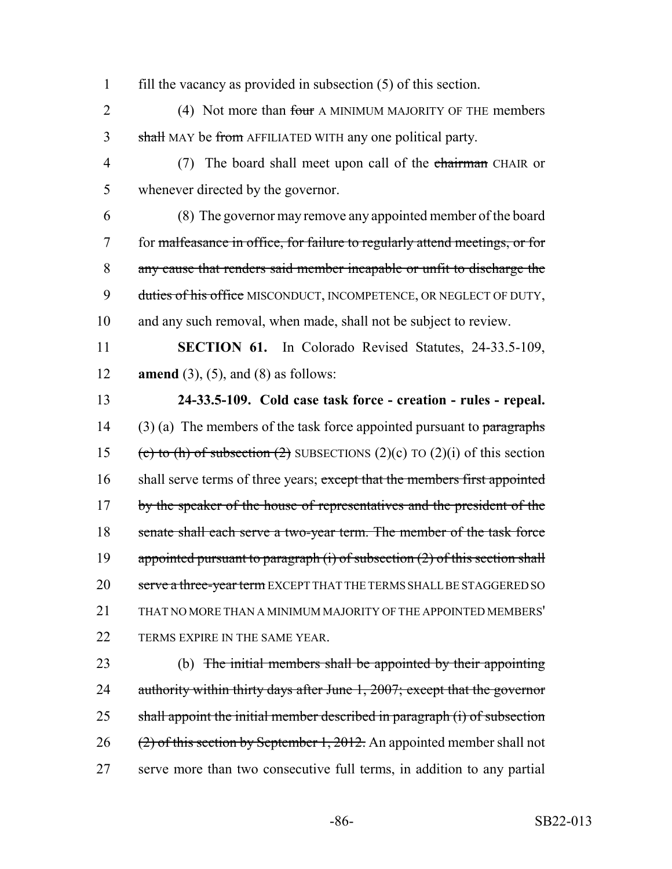1 fill the vacancy as provided in subsection (5) of this section.

2 (4) Not more than four A MINIMUM MAJORITY OF THE members 3 shall MAY be from AFFILIATED WITH any one political party.

4 (7) The board shall meet upon call of the chairman CHAIR or 5 whenever directed by the governor.

 (8) The governor may remove any appointed member of the board for malfeasance in office, for failure to regularly attend meetings, or for any cause that renders said member incapable or unfit to discharge the 9 duties of his office MISCONDUCT, INCOMPETENCE, OR NEGLECT OF DUTY, and any such removal, when made, shall not be subject to review.

11 **SECTION 61.** In Colorado Revised Statutes, 24-33.5-109, 12 **amend** (3), (5), and (8) as follows:

13 **24-33.5-109. Cold case task force - creation - rules - repeal.** 14 (3) (a) The members of the task force appointed pursuant to paragraphs 15 (c) to (h) of subsection (2) SUBSECTIONS (2)(c) TO (2)(i) of this section 16 shall serve terms of three years; except that the members first appointed 17 by the speaker of the house of representatives and the president of the 18 senate shall each serve a two-year term. The member of the task force 19 appointed pursuant to paragraph  $(i)$  of subsection  $(2)$  of this section shall 20 serve a three-year term EXCEPT THAT THE TERMS SHALL BE STAGGERED SO 21 THAT NO MORE THAN A MINIMUM MAJORITY OF THE APPOINTED MEMBERS' 22 TERMS EXPIRE IN THE SAME YEAR.

23 (b) The initial members shall be appointed by their appointing 24 authority within thirty days after June 1, 2007; except that the governor 25 shall appoint the initial member described in paragraph (i) of subsection 26 (2) of this section by September 1, 2012. An appointed member shall not 27 serve more than two consecutive full terms, in addition to any partial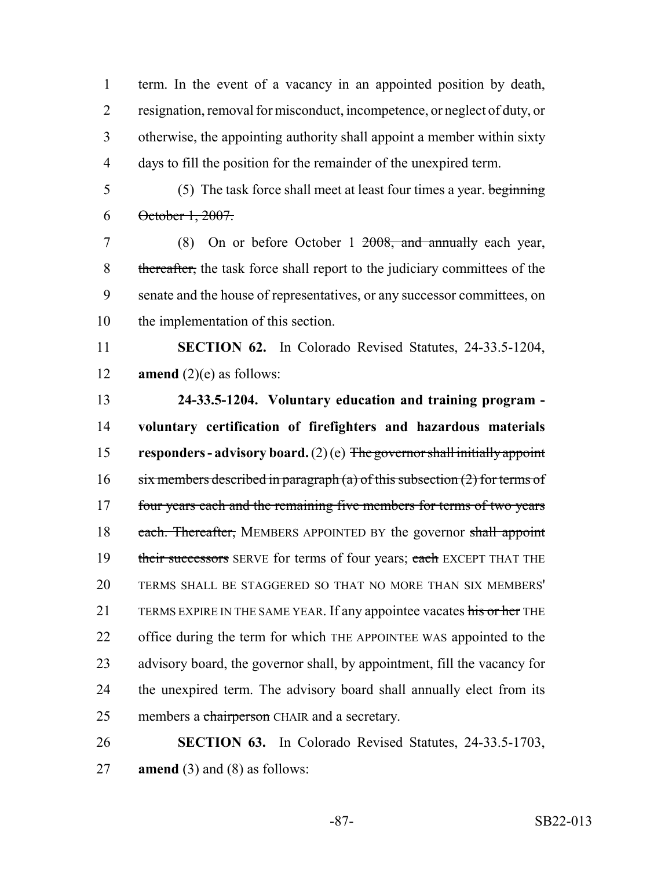term. In the event of a vacancy in an appointed position by death, resignation, removal for misconduct, incompetence, or neglect of duty, or otherwise, the appointing authority shall appoint a member within sixty days to fill the position for the remainder of the unexpired term.

5 (5) The task force shall meet at least four times a year. beginning October 1, 2007.

 (8) On or before October 1 2008, and annually each year, 8 thereafter, the task force shall report to the judiciary committees of the senate and the house of representatives, or any successor committees, on the implementation of this section.

 **SECTION 62.** In Colorado Revised Statutes, 24-33.5-1204, **amend** (2)(e) as follows:

 **24-33.5-1204. Voluntary education and training program - voluntary certification of firefighters and hazardous materials responders - advisory board.** (2) (e) The governor shall initially appoint 16 six members described in paragraph (a) of this subsection  $(2)$  for terms of 17 four years each and the remaining five members for terms of two years 18 each. Thereafter, MEMBERS APPOINTED BY the governor shall appoint 19 their successors SERVE for terms of four years; each EXCEPT THAT THE TERMS SHALL BE STAGGERED SO THAT NO MORE THAN SIX MEMBERS' 21 TERMS EXPIRE IN THE SAME YEAR. If any appointee vacates his or her THE office during the term for which THE APPOINTEE WAS appointed to the advisory board, the governor shall, by appointment, fill the vacancy for the unexpired term. The advisory board shall annually elect from its 25 members a chairperson CHAIR and a secretary.

 **SECTION 63.** In Colorado Revised Statutes, 24-33.5-1703, **amend** (3) and (8) as follows: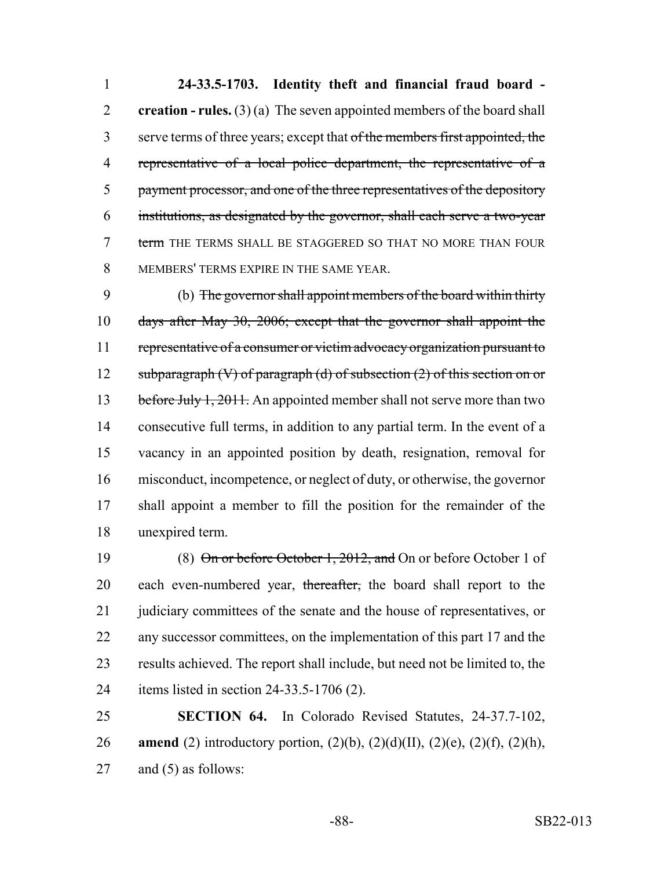**24-33.5-1703. Identity theft and financial fraud board - creation - rules.** (3) (a) The seven appointed members of the board shall 3 serve terms of three years; except that of the members first appointed, the representative of a local police department, the representative of a 5 payment processor, and one of the three representatives of the depository institutions, as designated by the governor, shall each serve a two-year 7 term THE TERMS SHALL BE STAGGERED SO THAT NO MORE THAN FOUR MEMBERS' TERMS EXPIRE IN THE SAME YEAR.

 (b) The governor shall appoint members of the board within thirty days after May 30, 2006; except that the governor shall appoint the 11 representative of a consumer or victim advocacy organization pursuant to 12 subparagraph  $(V)$  of paragraph  $(d)$  of subsection  $(2)$  of this section on or 13 before July 1, 2011. An appointed member shall not serve more than two consecutive full terms, in addition to any partial term. In the event of a vacancy in an appointed position by death, resignation, removal for misconduct, incompetence, or neglect of duty, or otherwise, the governor shall appoint a member to fill the position for the remainder of the unexpired term.

19 (8) On or before October 1, 2012, and On or before October 1 of 20 each even-numbered year, thereafter, the board shall report to the 21 judiciary committees of the senate and the house of representatives, or any successor committees, on the implementation of this part 17 and the results achieved. The report shall include, but need not be limited to, the items listed in section 24-33.5-1706 (2).

 **SECTION 64.** In Colorado Revised Statutes, 24-37.7-102, **amend** (2) introductory portion, (2)(b), (2)(d)(II), (2)(e), (2)(f), (2)(h), and (5) as follows: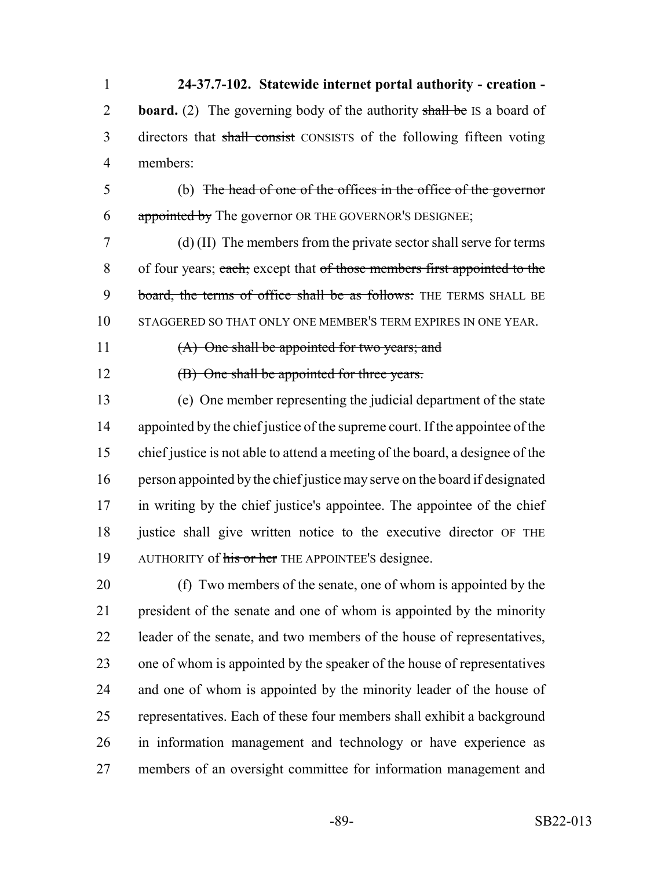**24-37.7-102. Statewide internet portal authority - creation -** 2 **board.** (2) The governing body of the authority shall be IS a board of 3 directors that shall consist CONSISTS of the following fifteen voting members:

 (b) The head of one of the offices in the office of the governor 6 appointed by The governor OR THE GOVERNOR'S DESIGNEE;

 (d) (II) The members from the private sector shall serve for terms 8 of four years; each; except that of those members first appointed to the 9 board, the terms of office shall be as follows: THE TERMS SHALL BE STAGGERED SO THAT ONLY ONE MEMBER'S TERM EXPIRES IN ONE YEAR.

(A) One shall be appointed for two years; and

**(B)** One shall be appointed for three years.

 (e) One member representing the judicial department of the state 14 appointed by the chief justice of the supreme court. If the appointee of the chief justice is not able to attend a meeting of the board, a designee of the person appointed by the chief justice may serve on the board if designated in writing by the chief justice's appointee. The appointee of the chief 18 justice shall give written notice to the executive director OF THE 19 AUTHORITY of his or her THE APPOINTEE'S designee.

 (f) Two members of the senate, one of whom is appointed by the president of the senate and one of whom is appointed by the minority leader of the senate, and two members of the house of representatives, one of whom is appointed by the speaker of the house of representatives and one of whom is appointed by the minority leader of the house of representatives. Each of these four members shall exhibit a background in information management and technology or have experience as members of an oversight committee for information management and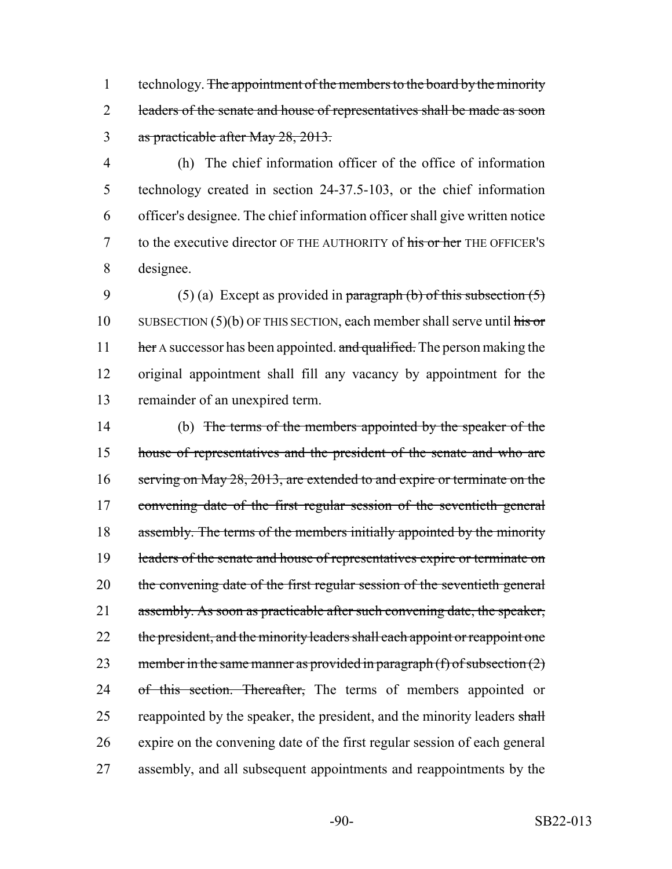1 technology. The appointment of the members to the board by the minority 2 leaders of the senate and house of representatives shall be made as soon 3 as practicable after May 28, 2013.

 (h) The chief information officer of the office of information technology created in section 24-37.5-103, or the chief information officer's designee. The chief information officer shall give written notice 7 to the executive director OF THE AUTHORITY of his or her THE OFFICER'S designee.

9 (5) (a) Except as provided in paragraph (b) of this subsection  $(5)$ 10 SUBSECTION  $(5)(b)$  OF THIS SECTION, each member shall serve until his or 11 her A successor has been appointed. and qualified. The person making the 12 original appointment shall fill any vacancy by appointment for the 13 remainder of an unexpired term.

14 (b) The terms of the members appointed by the speaker of the 15 house of representatives and the president of the senate and who are 16 serving on May 28, 2013, are extended to and expire or terminate on the 17 convening date of the first regular session of the seventieth general 18 assembly. The terms of the members initially appointed by the minority 19 leaders of the senate and house of representatives expire or terminate on 20 the convening date of the first regular session of the seventieth general 21 assembly. As soon as practicable after such convening date, the speaker, 22 the president, and the minority leaders shall each appoint or reappoint one 23 member in the same manner as provided in paragraph  $(f)$  of subsection  $(2)$ 24 of this section. Thereafter, The terms of members appointed or 25 reappointed by the speaker, the president, and the minority leaders shall 26 expire on the convening date of the first regular session of each general 27 assembly, and all subsequent appointments and reappointments by the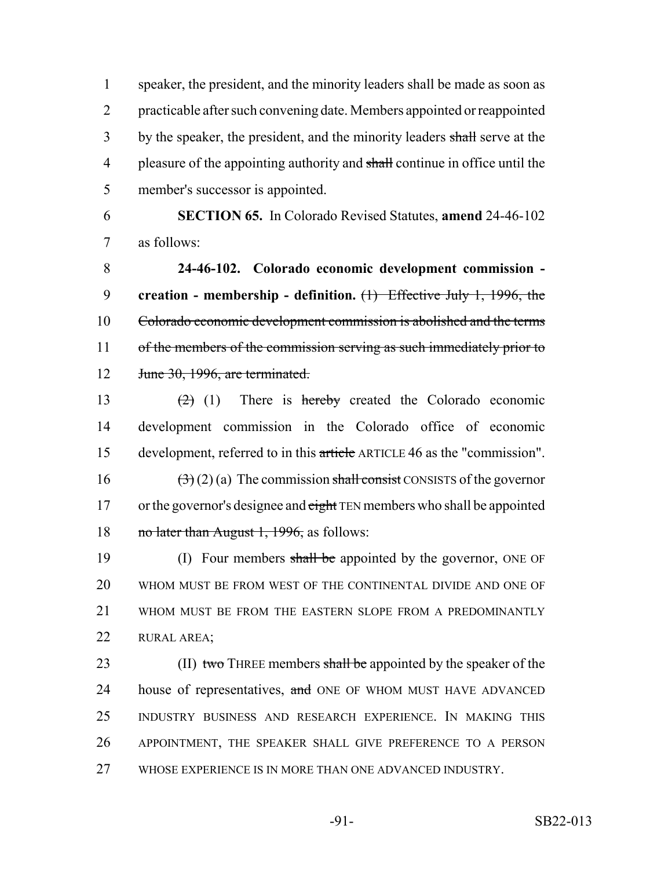1 speaker, the president, and the minority leaders shall be made as soon as 2 practicable after such convening date. Members appointed or reappointed 3 by the speaker, the president, and the minority leaders shall serve at the 4 pleasure of the appointing authority and shall continue in office until the 5 member's successor is appointed.

6 **SECTION 65.** In Colorado Revised Statutes, **amend** 24-46-102 7 as follows:

8 **24-46-102. Colorado economic development commission -** 9 **creation - membership - definition.** (1) Effective July 1, 1996, the 10 Colorado economic development commission is abolished and the terms 11 of the members of the commission serving as such immediately prior to 12 June 30, 1996, are terminated.

 $(2)$  (1) There is hereby created the Colorado economic development commission in the Colorado office of economic development, referred to in this article ARTICLE 46 as the "commission".  $(3)(2)(a)$  The commission shall consist CONSISTS of the governor 17 or the governor's designee and eight TEN members who shall be appointed 18 no later than August 1, 1996, as follows:

19 (I) Four members shall be appointed by the governor, ONE OF WHOM MUST BE FROM WEST OF THE CONTINENTAL DIVIDE AND ONE OF WHOM MUST BE FROM THE EASTERN SLOPE FROM A PREDOMINANTLY RURAL AREA;

23 (II) two THREE members shall be appointed by the speaker of the 24 house of representatives, and ONE OF WHOM MUST HAVE ADVANCED 25 INDUSTRY BUSINESS AND RESEARCH EXPERIENCE. IN MAKING THIS 26 APPOINTMENT, THE SPEAKER SHALL GIVE PREFERENCE TO A PERSON 27 WHOSE EXPERIENCE IS IN MORE THAN ONE ADVANCED INDUSTRY.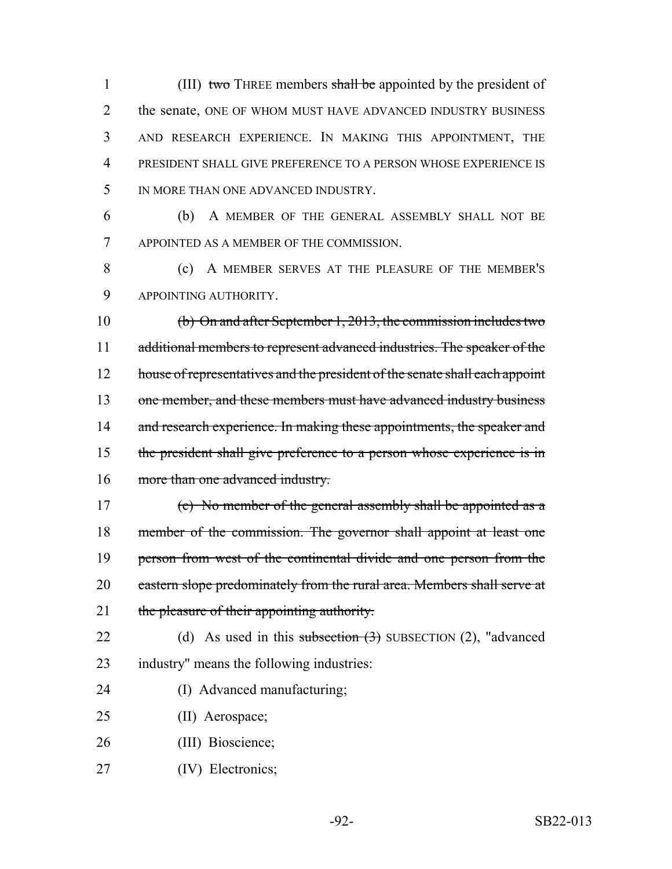1 (III) two THREE members shall be appointed by the president of 2 the senate, ONE OF WHOM MUST HAVE ADVANCED INDUSTRY BUSINESS 3 AND RESEARCH EXPERIENCE. IN MAKING THIS APPOINTMENT, THE 4 PRESIDENT SHALL GIVE PREFERENCE TO A PERSON WHOSE EXPERIENCE IS 5 IN MORE THAN ONE ADVANCED INDUSTRY.

6 (b) A MEMBER OF THE GENERAL ASSEMBLY SHALL NOT BE 7 APPOINTED AS A MEMBER OF THE COMMISSION.

8 (c) A MEMBER SERVES AT THE PLEASURE OF THE MEMBER'S 9 APPOINTING AUTHORITY.

10 (b) On and after September 1, 2013, the commission includes two 11 additional members to represent advanced industries. The speaker of the 12 house of representatives and the president of the senate shall each appoint 13 one member, and these members must have advanced industry business 14 and research experience. In making these appointments, the speaker and 15 the president shall give preference to a person whose experience is in 16 more than one advanced industry.

17 (c) No member of the general assembly shall be appointed as a 18 member of the commission. The governor shall appoint at least one 19 person from west of the continental divide and one person from the 20 eastern slope predominately from the rural area. Members shall serve at 21 the pleasure of their appointing authority.

- 22 (d) As used in this subsection (3) SUBSECTION (2), "advanced 23 industry" means the following industries:
- 24 (I) Advanced manufacturing;
- 25 (II) Aerospace;
- 26 (III) Bioscience;
- 27 (IV) Electronics;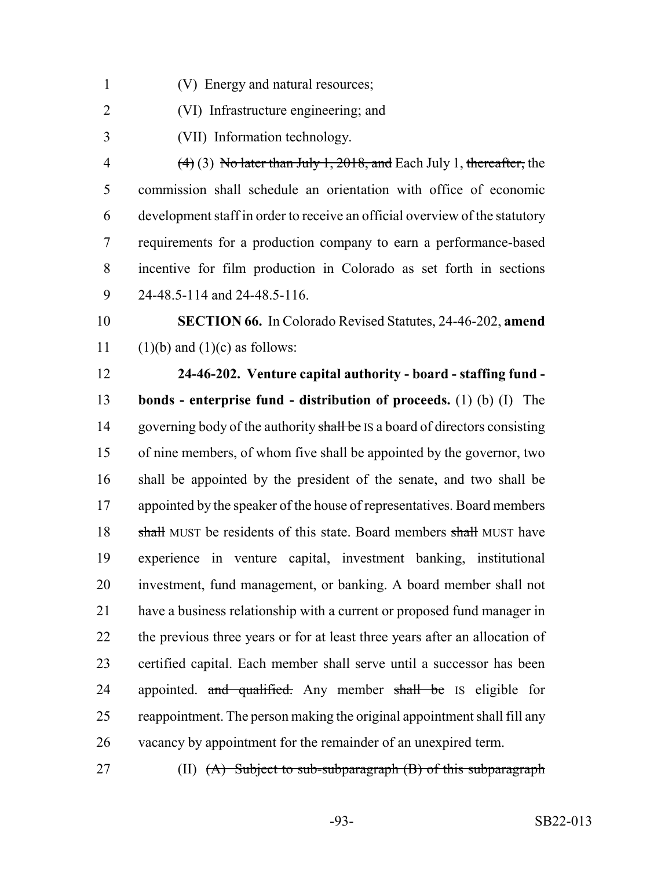- (V) Energy and natural resources;
- (VI) Infrastructure engineering; and
- (VII) Information technology.

 $(4)$  (3) No later than July 1, 2018, and Each July 1, thereafter, the commission shall schedule an orientation with office of economic development staff in order to receive an official overview of the statutory requirements for a production company to earn a performance-based incentive for film production in Colorado as set forth in sections 24-48.5-114 and 24-48.5-116.

 **SECTION 66.** In Colorado Revised Statutes, 24-46-202, **amend** 11 (1)(b) and (1)(c) as follows:

 **24-46-202. Venture capital authority - board - staffing fund - bonds - enterprise fund - distribution of proceeds.** (1) (b) (I) The 14 governing body of the authority shall be IS a board of directors consisting of nine members, of whom five shall be appointed by the governor, two shall be appointed by the president of the senate, and two shall be 17 appointed by the speaker of the house of representatives. Board members 18 shall MUST be residents of this state. Board members shall MUST have experience in venture capital, investment banking, institutional investment, fund management, or banking. A board member shall not have a business relationship with a current or proposed fund manager in the previous three years or for at least three years after an allocation of certified capital. Each member shall serve until a successor has been 24 appointed. and qualified. Any member shall be IS eligible for reappointment. The person making the original appointment shall fill any vacancy by appointment for the remainder of an unexpired term.

27 (II) <del>(A) Subject to sub-subparagraph (B) of this subparagraph</del>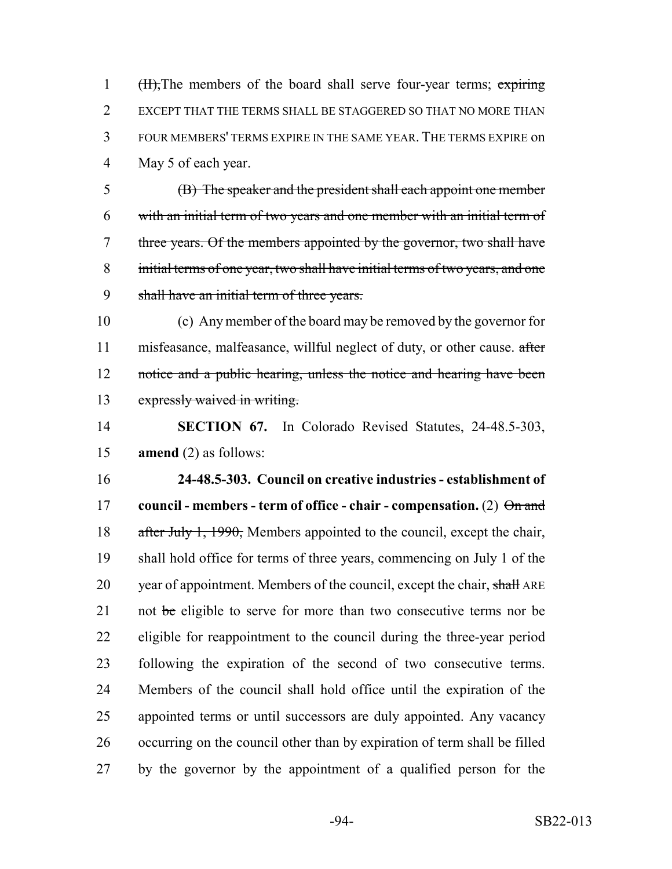1 (H), The members of the board shall serve four-year terms; expiring EXCEPT THAT THE TERMS SHALL BE STAGGERED SO THAT NO MORE THAN FOUR MEMBERS' TERMS EXPIRE IN THE SAME YEAR. THE TERMS EXPIRE on May 5 of each year.

 (B) The speaker and the president shall each appoint one member with an initial term of two years and one member with an initial term of three years. Of the members appointed by the governor, two shall have initial terms of one year, two shall have initial terms of two years, and one shall have an initial term of three years.

 (c) Any member of the board may be removed by the governor for 11 misfeasance, malfeasance, willful neglect of duty, or other cause. after 12 notice and a public hearing, unless the notice and hearing have been expressly waived in writing.

 **SECTION 67.** In Colorado Revised Statutes, 24-48.5-303, **amend** (2) as follows:

 **24-48.5-303. Council on creative industries - establishment of council - members - term of office - chair - compensation.** (2)  $\theta$  and 18 after July 1, 1990, Members appointed to the council, except the chair, shall hold office for terms of three years, commencing on July 1 of the 20 year of appointment. Members of the council, except the chair, shall ARE 21 not be eligible to serve for more than two consecutive terms nor be eligible for reappointment to the council during the three-year period following the expiration of the second of two consecutive terms. Members of the council shall hold office until the expiration of the appointed terms or until successors are duly appointed. Any vacancy occurring on the council other than by expiration of term shall be filled by the governor by the appointment of a qualified person for the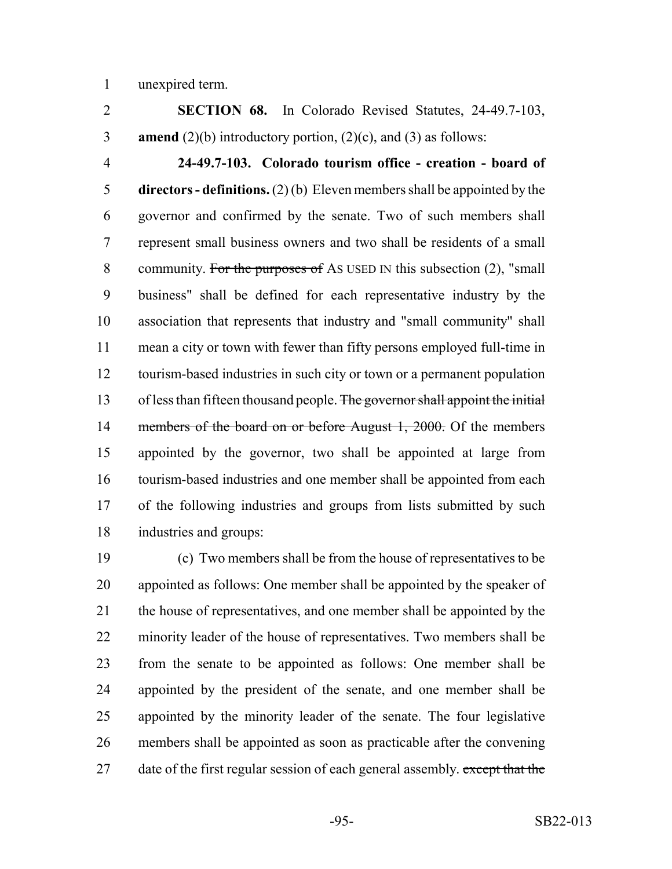unexpired term.

 **SECTION 68.** In Colorado Revised Statutes, 24-49.7-103, **amend** (2)(b) introductory portion, (2)(c), and (3) as follows:

 **24-49.7-103. Colorado tourism office - creation - board of directors - definitions.** (2) (b) Eleven members shall be appointed by the governor and confirmed by the senate. Two of such members shall represent small business owners and two shall be residents of a small 8 community. For the purposes of As USED IN this subsection (2), "small business" shall be defined for each representative industry by the association that represents that industry and "small community" shall mean a city or town with fewer than fifty persons employed full-time in tourism-based industries in such city or town or a permanent population 13 of less than fifteen thousand people. The governor shall appoint the initial 14 members of the board on or before August 1, 2000. Of the members appointed by the governor, two shall be appointed at large from tourism-based industries and one member shall be appointed from each of the following industries and groups from lists submitted by such industries and groups:

 (c) Two members shall be from the house of representatives to be appointed as follows: One member shall be appointed by the speaker of the house of representatives, and one member shall be appointed by the minority leader of the house of representatives. Two members shall be from the senate to be appointed as follows: One member shall be appointed by the president of the senate, and one member shall be appointed by the minority leader of the senate. The four legislative members shall be appointed as soon as practicable after the convening 27 date of the first regular session of each general assembly. except that the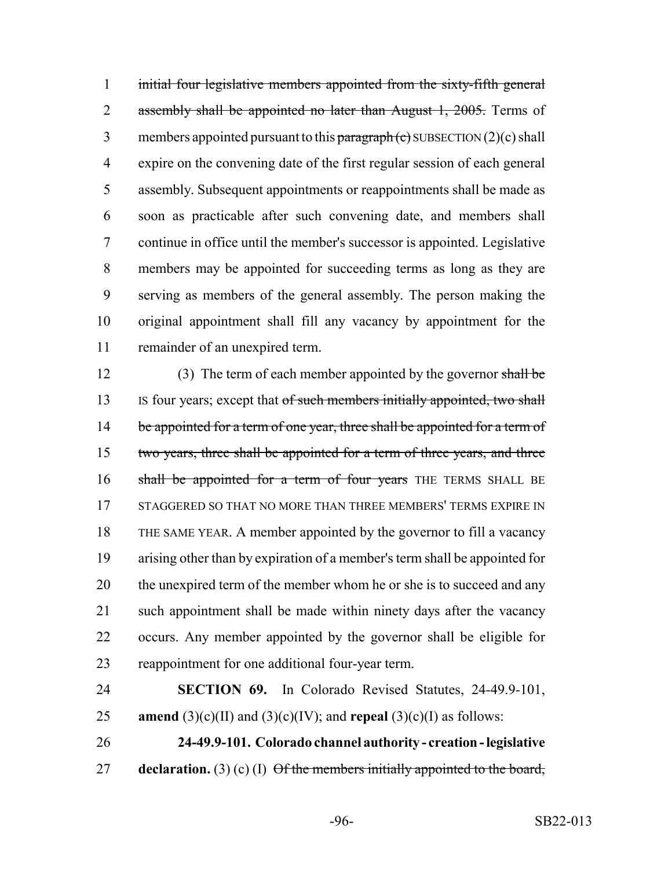initial four legislative members appointed from the sixty-fifth general 2 assembly shall be appointed no later than August 1, 2005. Terms of 3 members appointed pursuant to this paragraph  $(e)$  SUBSECTION  $(2)(e)$  shall expire on the convening date of the first regular session of each general assembly. Subsequent appointments or reappointments shall be made as soon as practicable after such convening date, and members shall continue in office until the member's successor is appointed. Legislative members may be appointed for succeeding terms as long as they are serving as members of the general assembly. The person making the original appointment shall fill any vacancy by appointment for the remainder of an unexpired term.

12 (3) The term of each member appointed by the governor shall be 13 IS four years; except that of such members initially appointed, two shall 14 be appointed for a term of one year, three shall be appointed for a term of 15 two years, three shall be appointed for a term of three years, and three 16 shall be appointed for a term of four years THE TERMS SHALL BE 17 STAGGERED SO THAT NO MORE THAN THREE MEMBERS' TERMS EXPIRE IN THE SAME YEAR. A member appointed by the governor to fill a vacancy arising other than by expiration of a member's term shall be appointed for 20 the unexpired term of the member whom he or she is to succeed and any such appointment shall be made within ninety days after the vacancy occurs. Any member appointed by the governor shall be eligible for reappointment for one additional four-year term.

 **SECTION 69.** In Colorado Revised Statutes, 24-49.9-101, **amend** (3)(c)(II) and (3)(c)(IV); and **repeal** (3)(c)(I) as follows:

 **24-49.9-101. Colorado channel authority - creation - legislative declaration.** (3) (c) (I) Of the members initially appointed to the board,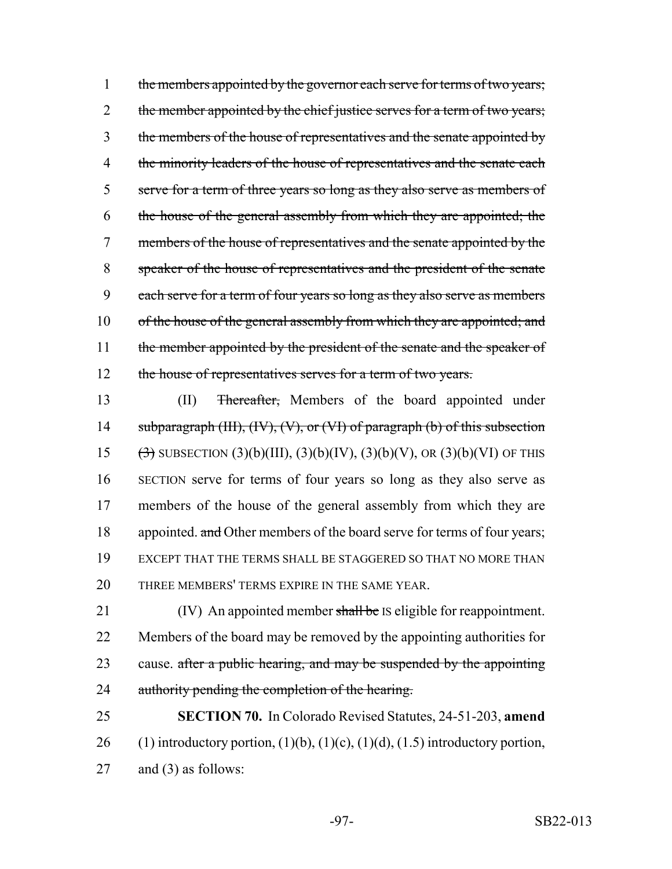1 the members appointed by the governor each serve for terms of two years; 2 the member appointed by the chief justice serves for a term of two years; 3 the members of the house of representatives and the senate appointed by 4 the minority leaders of the house of representatives and the senate each 5 serve for a term of three years so long as they also serve as members of 6 the house of the general assembly from which they are appointed; the 7 members of the house of representatives and the senate appointed by the 8 speaker of the house of representatives and the president of the senate 9 each serve for a term of four years so long as they also serve as members 10 of the house of the general assembly from which they are appointed; and 11 the member appointed by the president of the senate and the speaker of 12 the house of representatives serves for a term of two years.

 (II) Thereafter, Members of the board appointed under 14 subparagraph (III), (IV), (V), or (VI) of paragraph (b) of this subsection  $(\frac{3}{3})$  SUBSECTION  $(3)(b)(III)$ ,  $(3)(b)(IV)$ ,  $(3)(b)(V)$ , OR  $(3)(b)(VI)$  OF THIS SECTION serve for terms of four years so long as they also serve as members of the house of the general assembly from which they are 18 appointed. and Other members of the board serve for terms of four years; EXCEPT THAT THE TERMS SHALL BE STAGGERED SO THAT NO MORE THAN THREE MEMBERS' TERMS EXPIRE IN THE SAME YEAR.

21 (IV) An appointed member shall be IS eligible for reappointment. 22 Members of the board may be removed by the appointing authorities for 23 cause. after a public hearing, and may be suspended by the appointing 24 authority pending the completion of the hearing.

25 **SECTION 70.** In Colorado Revised Statutes, 24-51-203, **amend** 26 (1) introductory portion,  $(1)(b)$ ,  $(1)(c)$ ,  $(1)(d)$ ,  $(1.5)$  introductory portion, 27 and (3) as follows: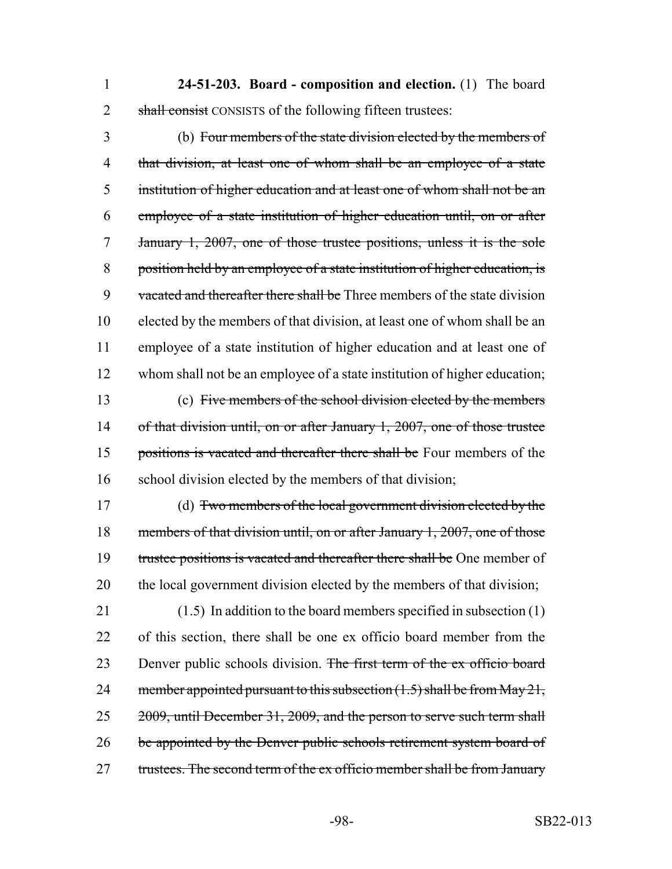1 **24-51-203. Board - composition and election.** (1) The board 2 shall consist CONSISTS of the following fifteen trustees:

 (b) Four members of the state division elected by the members of 4 that division, at least one of whom shall be an employee of a state institution of higher education and at least one of whom shall not be an employee of a state institution of higher education until, on or after January 1, 2007, one of those trustee positions, unless it is the sole position held by an employee of a state institution of higher education, is 9 vacated and thereafter there shall be Three members of the state division elected by the members of that division, at least one of whom shall be an employee of a state institution of higher education and at least one of whom shall not be an employee of a state institution of higher education; (c) Five members of the school division elected by the members 14 of that division until, on or after January 1, 2007, one of those trustee 15 positions is vacated and thereafter there shall be Four members of the school division elected by the members of that division;

17 (d) Two members of the local government division elected by the 18 members of that division until, on or after January 1, 2007, one of those 19 trustee positions is vacated and thereafter there shall be One member of 20 the local government division elected by the members of that division;

21 (1.5) In addition to the board members specified in subsection (1) 22 of this section, there shall be one ex officio board member from the 23 Denver public schools division. The first term of the ex officio board 24 member appointed pursuant to this subsection  $(1.5)$  shall be from May 21, 25 2009, until December 31, 2009, and the person to serve such term shall 26 be appointed by the Denver public schools retirement system board of 27 trustees. The second term of the ex officio member shall be from January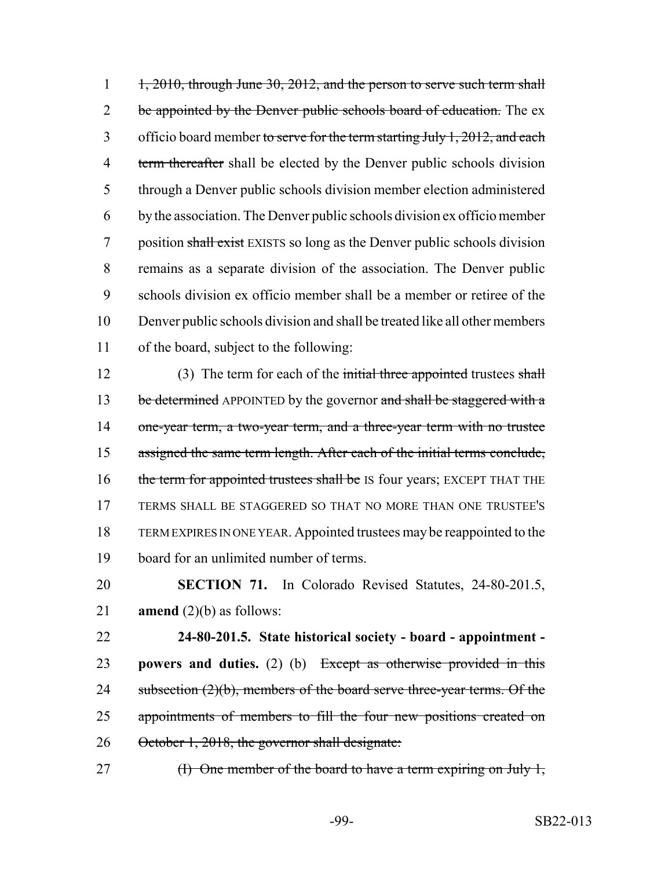1 1, 2010, through June 30, 2012, and the person to serve such term shall 2 be appointed by the Denver public schools board of education. The ex 3 officio board member to serve for the term starting July  $1, 2012$ , and each 4 term thereafter shall be elected by the Denver public schools division 5 through a Denver public schools division member election administered 6 by the association. The Denver public schools division ex officio member 7 position shall exist EXISTS so long as the Denver public schools division 8 remains as a separate division of the association. The Denver public 9 schools division ex officio member shall be a member or retiree of the 10 Denver public schools division and shall be treated like all other members 11 of the board, subject to the following:

12 (3) The term for each of the initial three appointed trustees shall 13 be determined APPOINTED by the governor and shall be staggered with a 14 one-year term, a two-year term, and a three-year term with no trustee 15 assigned the same term length. After each of the initial terms conclude, 16 the term for appointed trustees shall be IS four years; EXCEPT THAT THE 17 TERMS SHALL BE STAGGERED SO THAT NO MORE THAN ONE TRUSTEE'S 18 TERM EXPIRES IN ONE YEAR. Appointed trustees may be reappointed to the 19 board for an unlimited number of terms.

20 **SECTION 71.** In Colorado Revised Statutes, 24-80-201.5, 21 **amend** (2)(b) as follows:

22 **24-80-201.5. State historical society - board - appointment -** 23 **powers and duties.** (2) (b) Except as otherwise provided in this 24 subsection (2)(b), members of the board serve three-year terms. Of the 25 appointments of members to fill the four new positions created on 26 October 1, 2018, the governor shall designate:

27 (I) One member of the board to have a term expiring on July 1,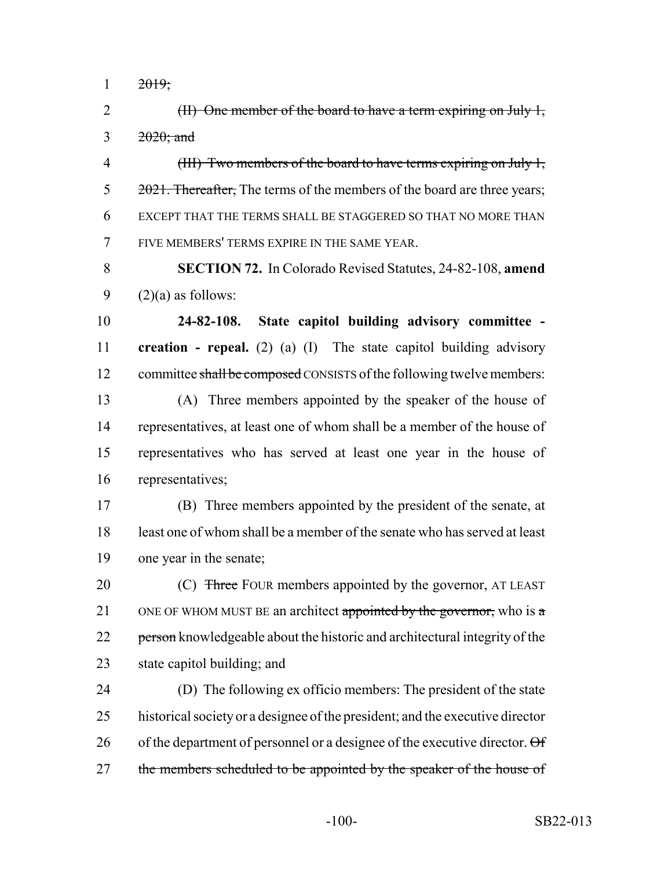$1 \t 2019;$ 

2 (II) One member of the board to have a term expiring on July 1, 3  $2020$ ; and

4 (III) Two members of the board to have terms expiring on July 1, 5 2021. Thereafter, The terms of the members of the board are three years; 6 EXCEPT THAT THE TERMS SHALL BE STAGGERED SO THAT NO MORE THAN 7 FIVE MEMBERS' TERMS EXPIRE IN THE SAME YEAR.

8 **SECTION 72.** In Colorado Revised Statutes, 24-82-108, **amend** 9  $(2)(a)$  as follows:

10 **24-82-108. State capitol building advisory committee -** 11 **creation - repeal.** (2) (a) (I) The state capitol building advisory 12 committee shall be composed CONSISTS of the following twelve members:

 (A) Three members appointed by the speaker of the house of representatives, at least one of whom shall be a member of the house of representatives who has served at least one year in the house of representatives;

17 (B) Three members appointed by the president of the senate, at 18 least one of whom shall be a member of the senate who has served at least 19 one year in the senate;

20 (C) Three FOUR members appointed by the governor, AT LEAST 21 ONE OF WHOM MUST BE an architect appointed by the governor, who is a 22 person knowledgeable about the historic and architectural integrity of the 23 state capitol building; and

24 (D) The following ex officio members: The president of the state 25 historical society or a designee of the president; and the executive director 26 of the department of personnel or a designee of the executive director.  $\Theta$  f 27 the members scheduled to be appointed by the speaker of the house of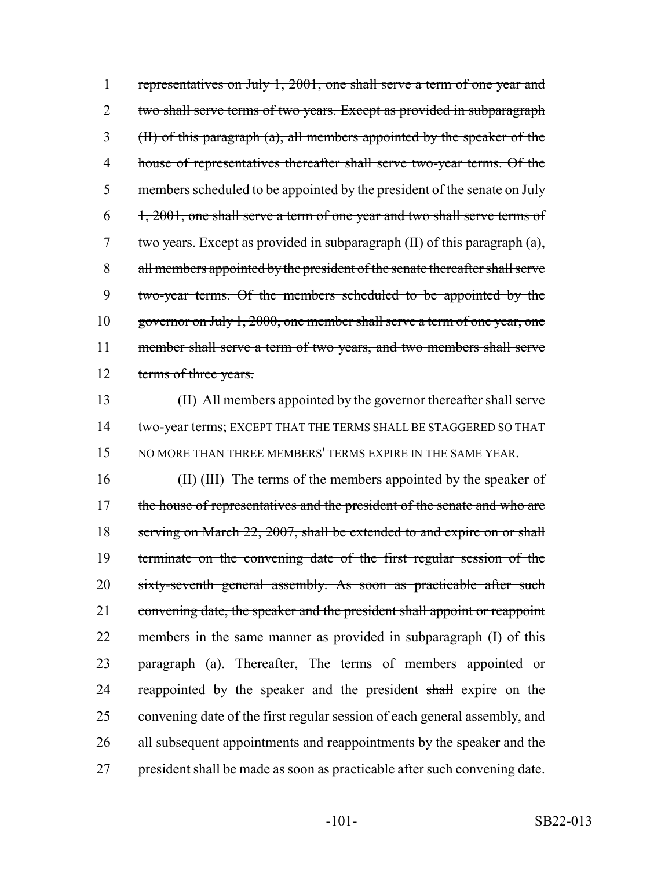1 representatives on July 1, 2001, one shall serve a term of one year and 2 two shall serve terms of two years. Except as provided in subparagraph 3 (II) of this paragraph (a), all members appointed by the speaker of the 4 house of representatives thereafter shall serve two-year terms. Of the 5 members scheduled to be appointed by the president of the senate on July  $6\quad 1, 2001$ , one shall serve a term of one year and two shall serve terms of 7 two years. Except as provided in subparagraph (II) of this paragraph (a), 8 all members appointed by the president of the senate thereafter shall serve 9 two-year terms. Of the members scheduled to be appointed by the 10 governor on July 1, 2000, one member shall serve a term of one year, one 11 member shall serve a term of two years, and two members shall serve 12 terms of three years.

13 (II) All members appointed by the governor thereafter shall serve 14 two-year terms; EXCEPT THAT THE TERMS SHALL BE STAGGERED SO THAT 15 NO MORE THAN THREE MEMBERS' TERMS EXPIRE IN THE SAME YEAR.

16 (III) The terms of the members appointed by the speaker of 17 the house of representatives and the president of the senate and who are 18 serving on March 22, 2007, shall be extended to and expire on or shall 19 terminate on the convening date of the first regular session of the 20 sixty-seventh general assembly. As soon as practicable after such 21 convening date, the speaker and the president shall appoint or reappoint 22 members in the same manner as provided in subparagraph (I) of this 23 paragraph (a). Thereafter, The terms of members appointed or 24 reappointed by the speaker and the president shall expire on the 25 convening date of the first regular session of each general assembly, and 26 all subsequent appointments and reappointments by the speaker and the 27 president shall be made as soon as practicable after such convening date.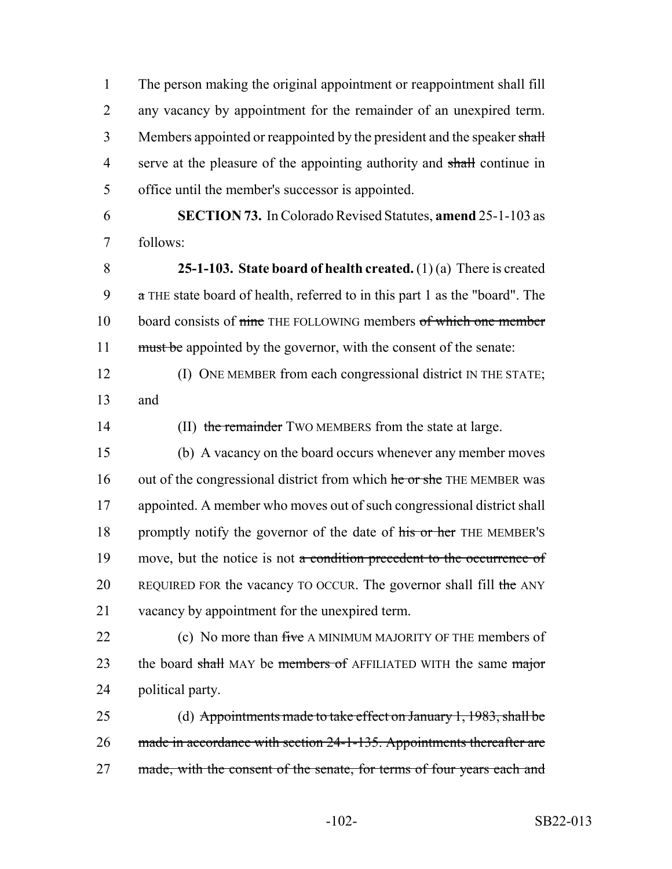1 The person making the original appointment or reappointment shall fill 2 any vacancy by appointment for the remainder of an unexpired term. 3 Members appointed or reappointed by the president and the speaker shall 4 serve at the pleasure of the appointing authority and shall continue in 5 office until the member's successor is appointed.

6 **SECTION 73.** In Colorado Revised Statutes, **amend** 25-1-103 as 7 follows:

8 **25-1-103. State board of health created.** (1) (a) There is created 9 a THE state board of health, referred to in this part 1 as the "board". The 10 board consists of nine THE FOLLOWING members of which one member 11 must be appointed by the governor, with the consent of the senate:

12 (I) ONE MEMBER from each congressional district IN THE STATE; 13 and

14 (II) the remainder TWO MEMBERS from the state at large.

15 (b) A vacancy on the board occurs whenever any member moves 16 out of the congressional district from which he or she THE MEMBER was 17 appointed. A member who moves out of such congressional district shall 18 promptly notify the governor of the date of his or her THE MEMBER's 19 move, but the notice is not a condition precedent to the occurrence of 20 REQUIRED FOR the vacancy TO OCCUR. The governor shall fill the ANY 21 vacancy by appointment for the unexpired term.

22 (c) No more than five A MINIMUM MAJORITY OF THE members of 23 the board shall MAY be members of AFFILIATED WITH the same major 24 political party.

25 (d) Appointments made to take effect on January 1, 1983, shall be 26 made in accordance with section 24-1-135. Appointments thereafter are 27 made, with the consent of the senate, for terms of four years each and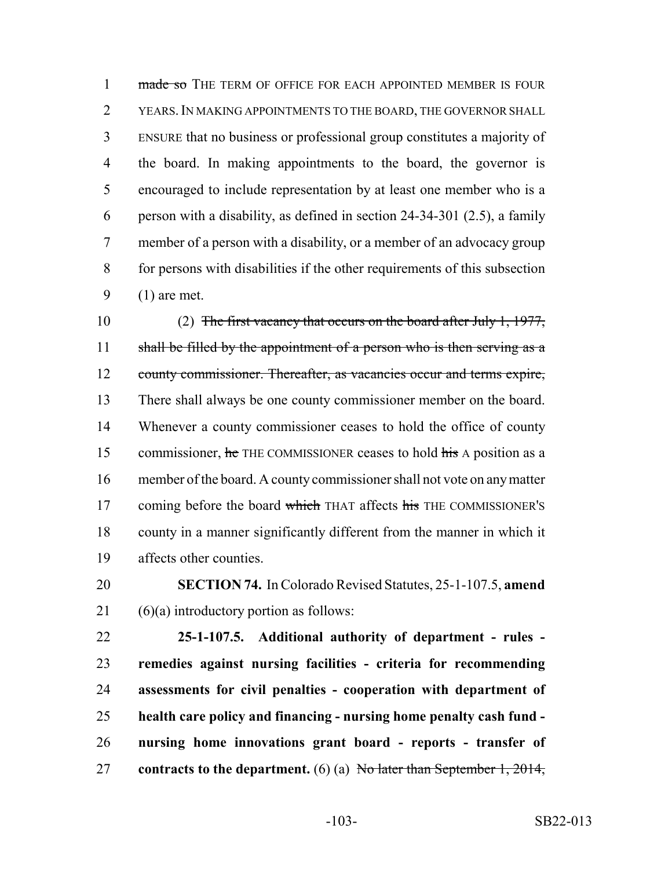1 made so THE TERM OF OFFICE FOR EACH APPOINTED MEMBER IS FOUR YEARS.IN MAKING APPOINTMENTS TO THE BOARD, THE GOVERNOR SHALL ENSURE that no business or professional group constitutes a majority of the board. In making appointments to the board, the governor is encouraged to include representation by at least one member who is a person with a disability, as defined in section 24-34-301 (2.5), a family member of a person with a disability, or a member of an advocacy group for persons with disabilities if the other requirements of this subsection (1) are met.

 (2) The first vacancy that occurs on the board after July 1, 1977, 11 shall be filled by the appointment of a person who is then serving as a 12 county commissioner. Thereafter, as vacancies occur and terms expire, There shall always be one county commissioner member on the board. Whenever a county commissioner ceases to hold the office of county 15 commissioner, he THE COMMISSIONER ceases to hold his A position as a member of the board. A county commissioner shall not vote on any matter 17 coming before the board which THAT affects his THE COMMISSIONER'S county in a manner significantly different from the manner in which it affects other counties.

 **SECTION 74.** In Colorado Revised Statutes, 25-1-107.5, **amend** (6)(a) introductory portion as follows:

 **25-1-107.5. Additional authority of department - rules - remedies against nursing facilities - criteria for recommending assessments for civil penalties - cooperation with department of health care policy and financing - nursing home penalty cash fund - nursing home innovations grant board - reports - transfer of contracts to the department.** (6) (a) No later than September 1, 2014,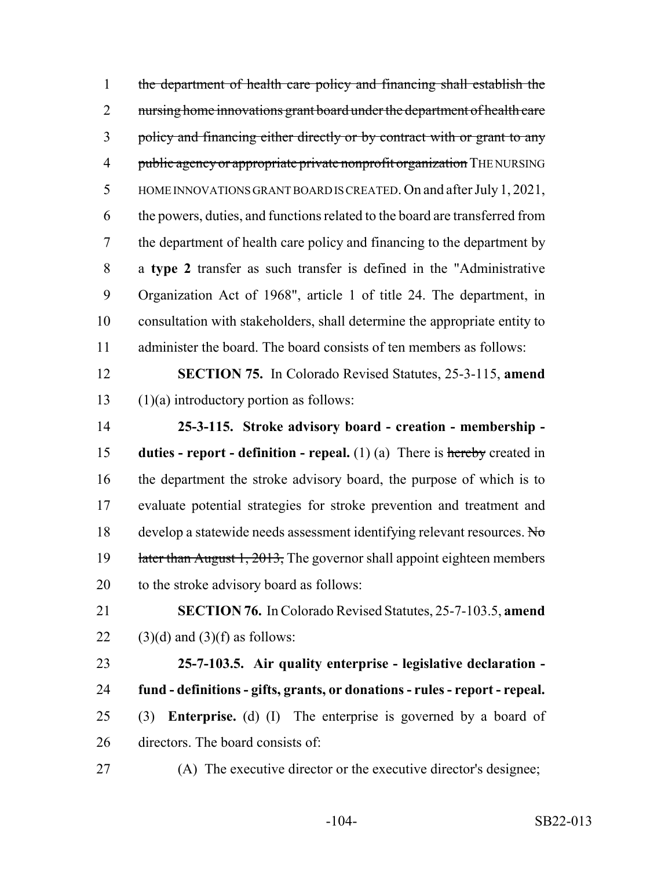the department of health care policy and financing shall establish the 2 nursing home innovations grant board under the department of health care 3 policy and financing either directly or by contract with or grant to any 4 public agency or appropriate private nonprofit organization THE NURSING HOME INNOVATIONS GRANT BOARD IS CREATED. On and after July 1, 2021, the powers, duties, and functions related to the board are transferred from the department of health care policy and financing to the department by a **type 2** transfer as such transfer is defined in the "Administrative Organization Act of 1968", article 1 of title 24. The department, in consultation with stakeholders, shall determine the appropriate entity to administer the board. The board consists of ten members as follows: **SECTION 75.** In Colorado Revised Statutes, 25-3-115, **amend**

 (1)(a) introductory portion as follows: **25-3-115. Stroke advisory board - creation - membership - duties - report - definition - repeal.** (1) (a) There is hereby created in the department the stroke advisory board, the purpose of which is to evaluate potential strategies for stroke prevention and treatment and 18 develop a statewide needs assessment identifying relevant resources. No 19 later than August 1, 2013, The governor shall appoint eighteen members to the stroke advisory board as follows:

 **SECTION 76.** In Colorado Revised Statutes, 25-7-103.5, **amend** 22  $(3)(d)$  and  $(3)(f)$  as follows:

 **25-7-103.5. Air quality enterprise - legislative declaration - fund - definitions - gifts, grants, or donations - rules - report - repeal.** (3) **Enterprise.** (d) (I) The enterprise is governed by a board of directors. The board consists of:

(A) The executive director or the executive director's designee;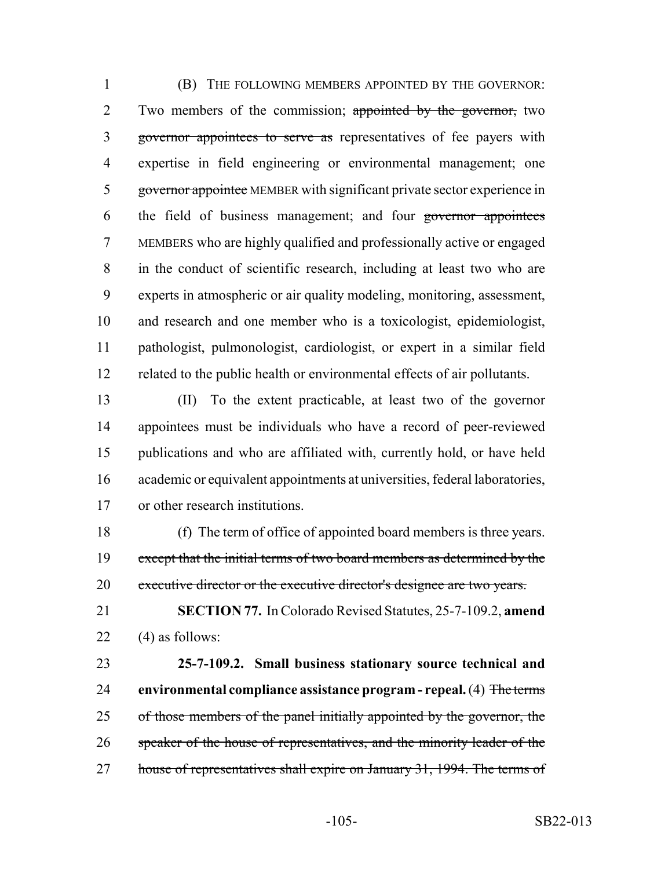(B) THE FOLLOWING MEMBERS APPOINTED BY THE GOVERNOR: 2 Two members of the commission; appointed by the governor, two 3 governor appointees to serve as representatives of fee payers with expertise in field engineering or environmental management; one governor appointee MEMBER with significant private sector experience in 6 the field of business management; and four governor appointees MEMBERS who are highly qualified and professionally active or engaged in the conduct of scientific research, including at least two who are experts in atmospheric or air quality modeling, monitoring, assessment, and research and one member who is a toxicologist, epidemiologist, pathologist, pulmonologist, cardiologist, or expert in a similar field related to the public health or environmental effects of air pollutants.

 (II) To the extent practicable, at least two of the governor appointees must be individuals who have a record of peer-reviewed publications and who are affiliated with, currently hold, or have held academic or equivalent appointments at universities, federal laboratories, or other research institutions.

 (f) The term of office of appointed board members is three years. 19 except that the initial terms of two board members as determined by the 20 executive director or the executive director's designee are two years.

 **SECTION 77.** In Colorado Revised Statutes, 25-7-109.2, **amend** 22  $(4)$  as follows:

 **25-7-109.2. Small business stationary source technical and environmental compliance assistance program - repeal.** (4) The terms 25 of those members of the panel initially appointed by the governor, the 26 speaker of the house of representatives, and the minority leader of the 27 house of representatives shall expire on January 31, 1994. The terms of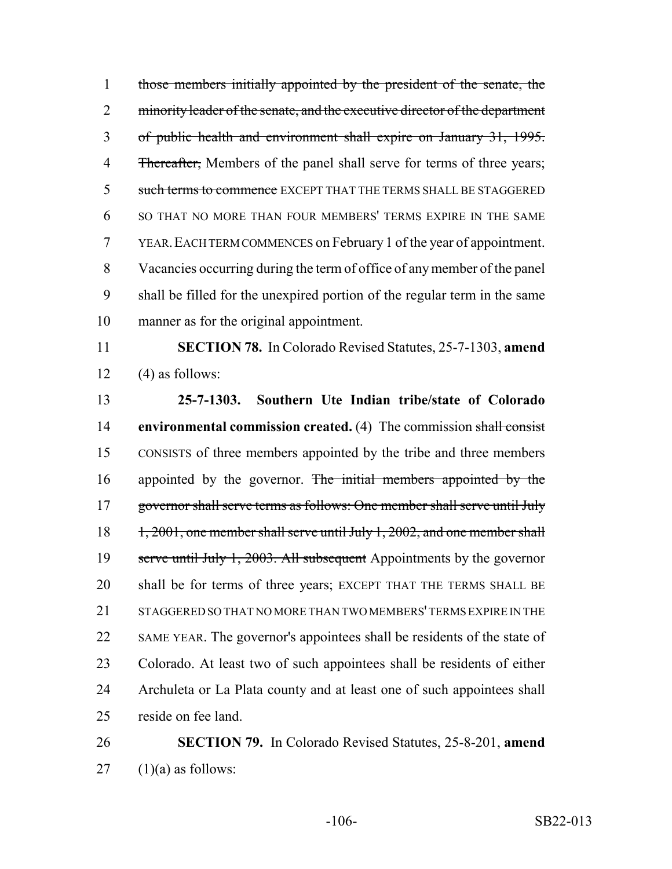those members initially appointed by the president of the senate, the 2 minority leader of the senate, and the executive director of the department of public health and environment shall expire on January 31, 1995. 4 Thereafter, Members of the panel shall serve for terms of three years; 5 such terms to commence EXCEPT THAT THE TERMS SHALL BE STAGGERED SO THAT NO MORE THAN FOUR MEMBERS' TERMS EXPIRE IN THE SAME YEAR.EACH TERM COMMENCES on February 1 of the year of appointment. Vacancies occurring during the term of office of any member of the panel shall be filled for the unexpired portion of the regular term in the same manner as for the original appointment.

 **SECTION 78.** In Colorado Revised Statutes, 25-7-1303, **amend** 12  $(4)$  as follows:

 **25-7-1303. Southern Ute Indian tribe/state of Colorado environmental commission created.** (4) The commission shall consist CONSISTS of three members appointed by the tribe and three members 16 appointed by the governor. The initial members appointed by the 17 governor shall serve terms as follows: One member shall serve until July 18 1, 2001, one member shall serve until July 1, 2002, and one member shall 19 serve until July 1, 2003. All subsequent Appointments by the governor shall be for terms of three years; EXCEPT THAT THE TERMS SHALL BE STAGGERED SO THAT NO MORE THAN TWO MEMBERS' TERMS EXPIRE IN THE SAME YEAR. The governor's appointees shall be residents of the state of Colorado. At least two of such appointees shall be residents of either Archuleta or La Plata county and at least one of such appointees shall reside on fee land.

## **SECTION 79.** In Colorado Revised Statutes, 25-8-201, **amend** (1)(a) as follows: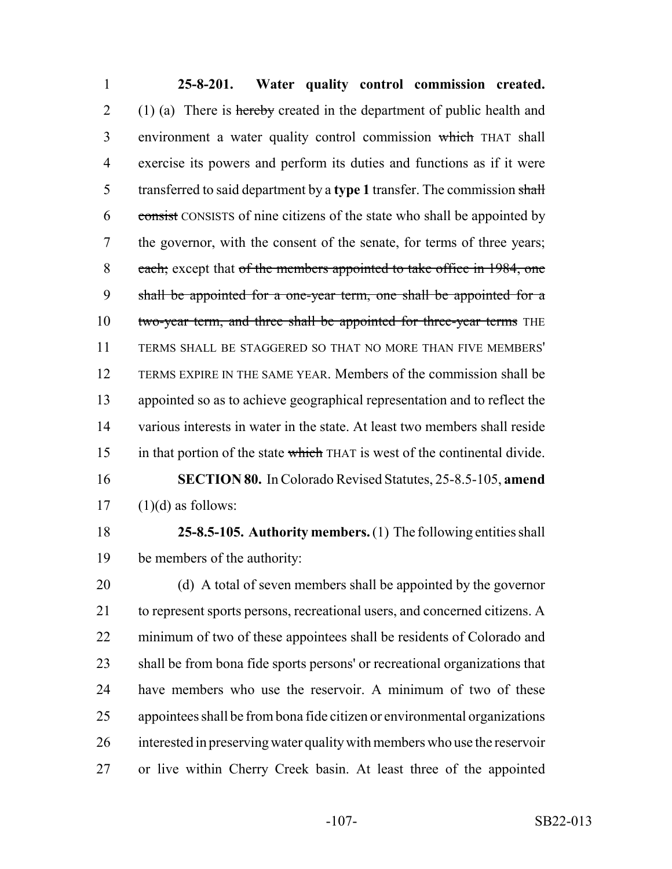**25-8-201. Water quality control commission created.** 2 (1) (a) There is hereby created in the department of public health and environment a water quality control commission which THAT shall exercise its powers and perform its duties and functions as if it were transferred to said department by a **type 1** transfer. The commission shall 6 consist CONSISTS of nine citizens of the state who shall be appointed by the governor, with the consent of the senate, for terms of three years; 8 each; except that of the members appointed to take office in 1984, one shall be appointed for a one-year term, one shall be appointed for a 10 two-year term, and three shall be appointed for three-year terms THE TERMS SHALL BE STAGGERED SO THAT NO MORE THAN FIVE MEMBERS' TERMS EXPIRE IN THE SAME YEAR. Members of the commission shall be appointed so as to achieve geographical representation and to reflect the various interests in water in the state. At least two members shall reside 15 in that portion of the state which THAT is west of the continental divide. **SECTION 80.** In Colorado Revised Statutes, 25-8.5-105, **amend**  $17 \quad (1)(d)$  as follows:

 **25-8.5-105. Authority members.** (1) The following entities shall be members of the authority:

 (d) A total of seven members shall be appointed by the governor to represent sports persons, recreational users, and concerned citizens. A minimum of two of these appointees shall be residents of Colorado and shall be from bona fide sports persons' or recreational organizations that have members who use the reservoir. A minimum of two of these appointees shall be from bona fide citizen or environmental organizations interested in preserving water quality with members who use the reservoir or live within Cherry Creek basin. At least three of the appointed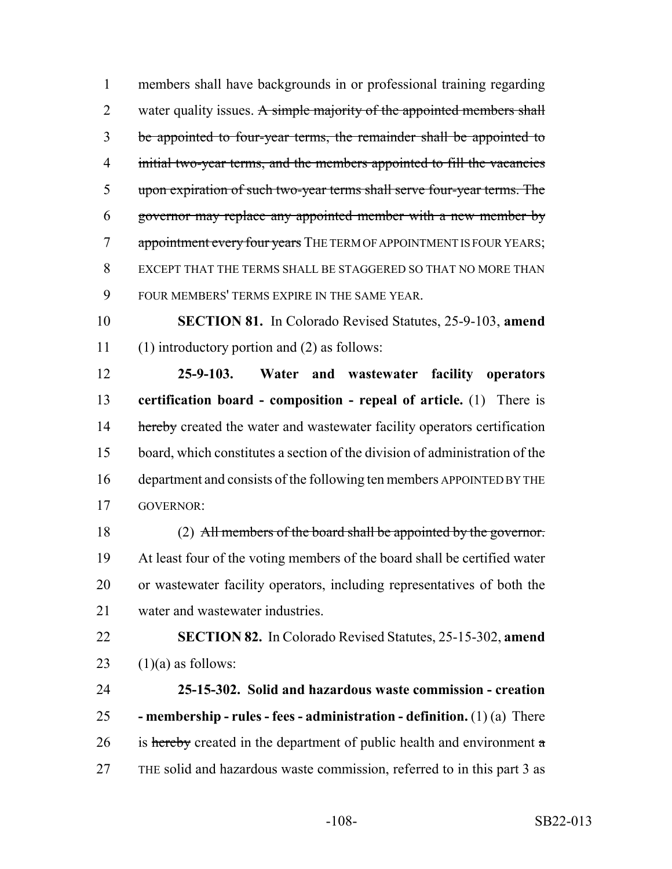members shall have backgrounds in or professional training regarding 2 water quality issues. A simple majority of the appointed members shall be appointed to four-year terms, the remainder shall be appointed to 4 initial two-year terms, and the members appointed to fill the vacancies upon expiration of such two-year terms shall serve four-year terms. The governor may replace any appointed member with a new member by 7 appointment every four years THE TERM OF APPOINTMENT IS FOUR YEARS; EXCEPT THAT THE TERMS SHALL BE STAGGERED SO THAT NO MORE THAN FOUR MEMBERS' TERMS EXPIRE IN THE SAME YEAR.

 **SECTION 81.** In Colorado Revised Statutes, 25-9-103, **amend** (1) introductory portion and (2) as follows:

 **25-9-103. Water and wastewater facility operators certification board - composition - repeal of article.** (1) There is 14 hereby created the water and wastewater facility operators certification board, which constitutes a section of the division of administration of the department and consists of the following ten members APPOINTED BY THE GOVERNOR:

18 (2) All members of the board shall be appointed by the governor. At least four of the voting members of the board shall be certified water or wastewater facility operators, including representatives of both the water and wastewater industries.

 **SECTION 82.** In Colorado Revised Statutes, 25-15-302, **amend** 23  $(1)(a)$  as follows:

 **25-15-302. Solid and hazardous waste commission - creation - membership - rules - fees - administration - definition.** (1) (a) There 26 is hereby created in the department of public health and environment  $\alpha$ THE solid and hazardous waste commission, referred to in this part 3 as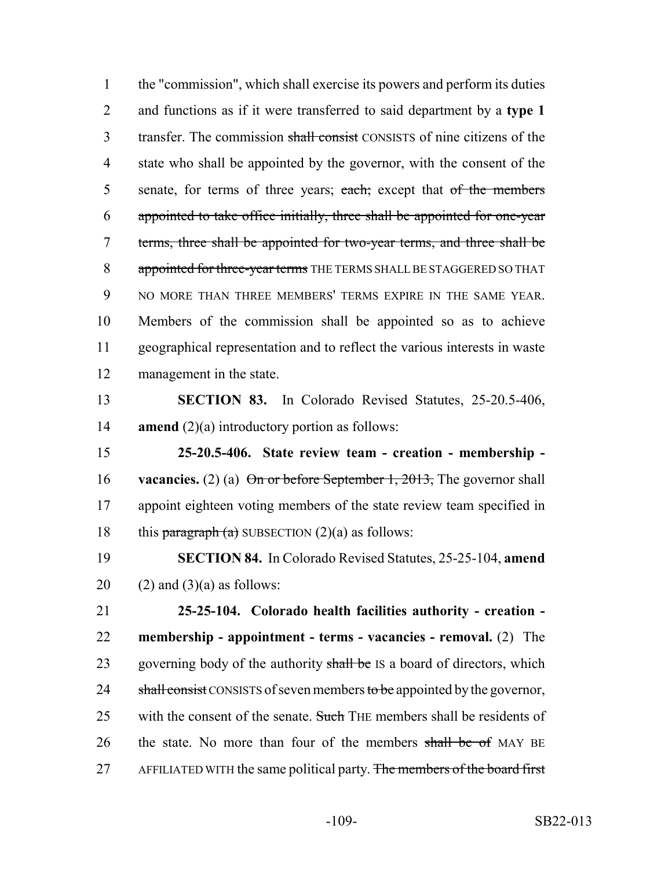the "commission", which shall exercise its powers and perform its duties and functions as if it were transferred to said department by a **type 1** 3 transfer. The commission shall consist CONSISTS of nine citizens of the state who shall be appointed by the governor, with the consent of the 5 senate, for terms of three years; each; except that of the members appointed to take office initially, three shall be appointed for one-year terms, three shall be appointed for two-year terms, and three shall be 8 appointed for three-year terms THE TERMS SHALL BE STAGGERED SO THAT NO MORE THAN THREE MEMBERS' TERMS EXPIRE IN THE SAME YEAR. Members of the commission shall be appointed so as to achieve geographical representation and to reflect the various interests in waste management in the state.

 **SECTION 83.** In Colorado Revised Statutes, 25-20.5-406, **amend** (2)(a) introductory portion as follows:

 **25-20.5-406. State review team - creation - membership - vacancies.** (2) (a) On or before September 1, 2013, The governor shall appoint eighteen voting members of the state review team specified in 18 this paragraph (a) SUBSECTION  $(2)(a)$  as follows:

 **SECTION 84.** In Colorado Revised Statutes, 25-25-104, **amend** 20  $(2)$  and  $(3)(a)$  as follows:

 **25-25-104. Colorado health facilities authority - creation - membership - appointment - terms - vacancies - removal.** (2) The 23 governing body of the authority shall be IS a board of directors, which 24 shall consist CONSISTS of seven members to be appointed by the governor, 25 with the consent of the senate. Such THE members shall be residents of 26 the state. No more than four of the members shall be of MAY BE 27 AFFILIATED WITH the same political party. The members of the board first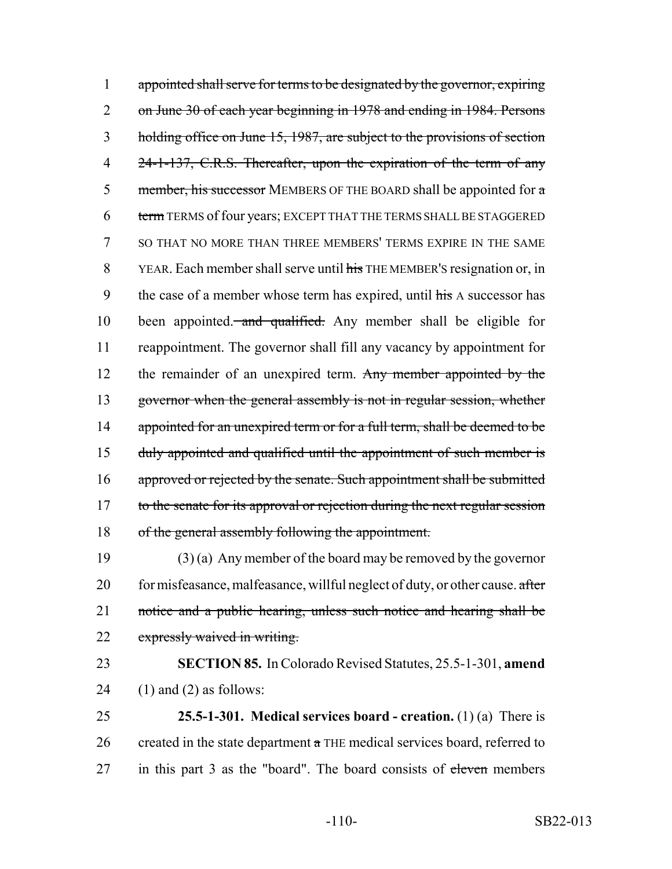1 appointed shall serve for terms to be designated by the governor, expiring 2 on June 30 of each year beginning in 1978 and ending in 1984. Persons 3 holding office on June 15, 1987, are subject to the provisions of section 4 24-1-137, C.R.S. Thereafter, upon the expiration of the term of any 5 member, his successor MEMBERS OF THE BOARD shall be appointed for  $\alpha$ 6 term TERMS of four years; EXCEPT THAT THE TERMS SHALL BE STAGGERED 7 SO THAT NO MORE THAN THREE MEMBERS' TERMS EXPIRE IN THE SAME 8 YEAR. Each member shall serve until his THE MEMBER's resignation or, in 9 the case of a member whose term has expired, until  $\frac{h}{h}$  A successor has 10 been appointed. and qualified. Any member shall be eligible for 11 reappointment. The governor shall fill any vacancy by appointment for 12 the remainder of an unexpired term. Any member appointed by the 13 governor when the general assembly is not in regular session, whether 14 appointed for an unexpired term or for a full term, shall be deemed to be 15 duly appointed and qualified until the appointment of such member is 16 approved or rejected by the senate. Such appointment shall be submitted 17 to the senate for its approval or rejection during the next regular session 18 of the general assembly following the appointment.

19 (3) (a) Any member of the board may be removed by the governor 20 for misfeasance, malfeasance, willful neglect of duty, or other cause. after 21 notice and a public hearing, unless such notice and hearing shall be 22 expressly waived in writing.

23 **SECTION 85.** In Colorado Revised Statutes, 25.5-1-301, **amend** 24  $(1)$  and  $(2)$  as follows:

25 **25.5-1-301. Medical services board - creation.** (1) (a) There is 26 created in the state department  $\alpha$  THE medical services board, referred to 27 in this part 3 as the "board". The board consists of eleven members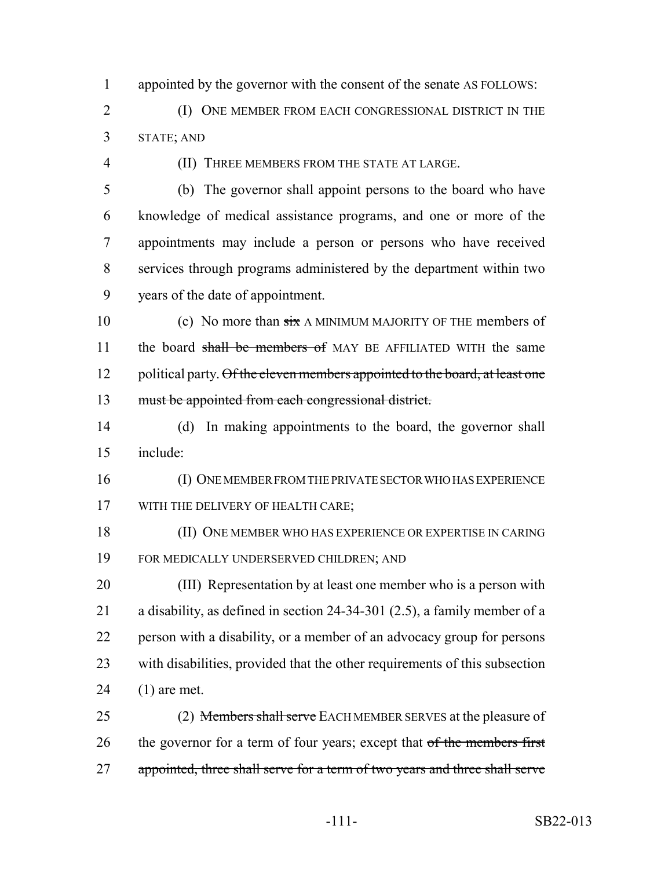appointed by the governor with the consent of the senate AS FOLLOWS:

- (I) ONE MEMBER FROM EACH CONGRESSIONAL DISTRICT IN THE STATE; AND
- 

(II) THREE MEMBERS FROM THE STATE AT LARGE.

- (b) The governor shall appoint persons to the board who have knowledge of medical assistance programs, and one or more of the appointments may include a person or persons who have received services through programs administered by the department within two years of the date of appointment.
- 10 (c) No more than  $\frac{1}{x}$  A MINIMUM MAJORITY OF THE members of 11 the board shall be members of MAY BE AFFILIATED WITH the same 12 political party. Of the eleven members appointed to the board, at least one must be appointed from each congressional district.
- (d) In making appointments to the board, the governor shall include:
- (I) ONE MEMBER FROM THE PRIVATE SECTOR WHO HAS EXPERIENCE 17 WITH THE DELIVERY OF HEALTH CARE;
- (II) ONE MEMBER WHO HAS EXPERIENCE OR EXPERTISE IN CARING FOR MEDICALLY UNDERSERVED CHILDREN; AND
- (III) Representation by at least one member who is a person with a disability, as defined in section 24-34-301 (2.5), a family member of a person with a disability, or a member of an advocacy group for persons with disabilities, provided that the other requirements of this subsection (1) are met.
- 25 (2) Members shall serve EACH MEMBER SERVES at the pleasure of 26 the governor for a term of four years; except that of the members first 27 appointed, three shall serve for a term of two years and three shall serve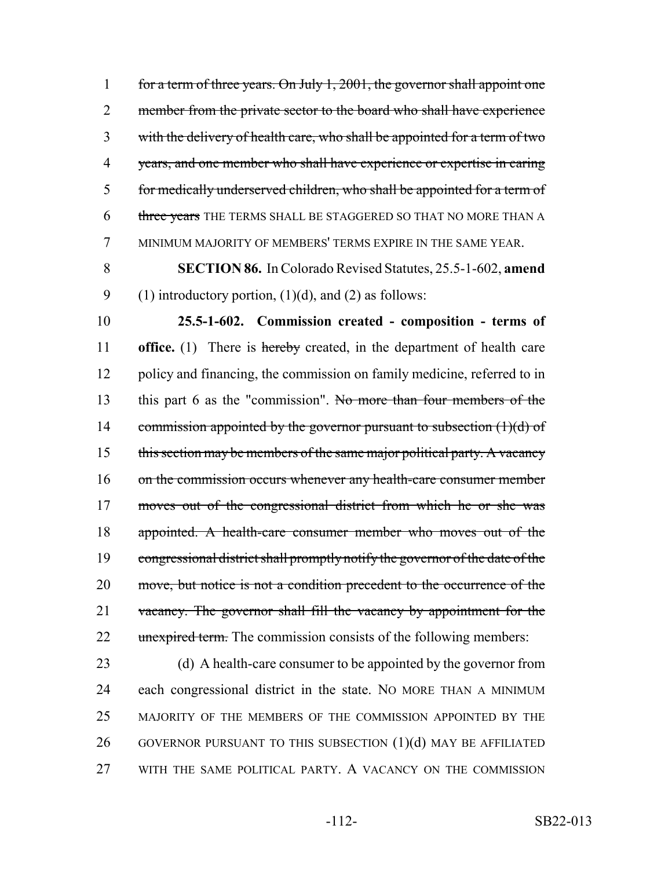for a term of three years. On July 1, 2001, the governor shall appoint one 2 member from the private sector to the board who shall have experience with the delivery of health care, who shall be appointed for a term of two years, and one member who shall have experience or expertise in caring for medically underserved children, who shall be appointed for a term of 6 three years THE TERMS SHALL BE STAGGERED SO THAT NO MORE THAN A MINIMUM MAJORITY OF MEMBERS' TERMS EXPIRE IN THE SAME YEAR.

8 **SECTION 86.** In Colorado Revised Statutes, 25.5-1-602, **amend** 9 (1) introductory portion,  $(1)(d)$ , and  $(2)$  as follows:

10 **25.5-1-602. Commission created - composition - terms of** 11 **office.** (1) There is hereby created, in the department of health care 12 policy and financing, the commission on family medicine, referred to in 13 this part 6 as the "commission". No more than four members of the 14 commission appointed by the governor pursuant to subsection  $(1)(d)$  of 15 this section may be members of the same major political party. A vacancy 16 on the commission occurs whenever any health-care consumer member 17 moves out of the congressional district from which he or she was 18 appointed. A health-care consumer member who moves out of the 19 congressional district shall promptly notify the governor of the date of the 20 move, but notice is not a condition precedent to the occurrence of the 21 vacancy. The governor shall fill the vacancy by appointment for the 22 unexpired term. The commission consists of the following members:

 (d) A health-care consumer to be appointed by the governor from each congressional district in the state. NO MORE THAN A MINIMUM MAJORITY OF THE MEMBERS OF THE COMMISSION APPOINTED BY THE 26 GOVERNOR PURSUANT TO THIS SUBSECTION (1)(d) MAY BE AFFILIATED WITH THE SAME POLITICAL PARTY. A VACANCY ON THE COMMISSION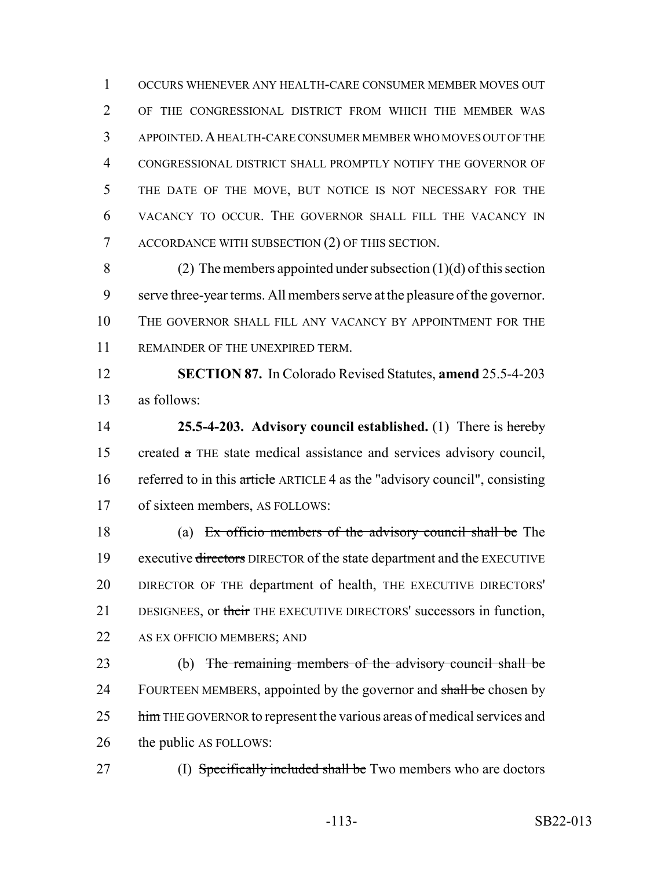OCCURS WHENEVER ANY HEALTH-CARE CONSUMER MEMBER MOVES OUT OF THE CONGRESSIONAL DISTRICT FROM WHICH THE MEMBER WAS APPOINTED.A HEALTH-CARE CONSUMER MEMBER WHO MOVES OUT OF THE CONGRESSIONAL DISTRICT SHALL PROMPTLY NOTIFY THE GOVERNOR OF THE DATE OF THE MOVE, BUT NOTICE IS NOT NECESSARY FOR THE VACANCY TO OCCUR. THE GOVERNOR SHALL FILL THE VACANCY IN ACCORDANCE WITH SUBSECTION (2) OF THIS SECTION.

8 (2) The members appointed under subsection  $(1)(d)$  of this section serve three-year terms. All members serve at the pleasure of the governor. 10 THE GOVERNOR SHALL FILL ANY VACANCY BY APPOINTMENT FOR THE REMAINDER OF THE UNEXPIRED TERM.

 **SECTION 87.** In Colorado Revised Statutes, **amend** 25.5-4-203 as follows:

 **25.5-4-203. Advisory council established.** (1) There is hereby created a THE state medical assistance and services advisory council, 16 referred to in this article ARTICLE 4 as the "advisory council", consisting of sixteen members, AS FOLLOWS:

 (a) Ex officio members of the advisory council shall be The 19 executive directors DIRECTOR of the state department and the EXECUTIVE DIRECTOR OF THE department of health, THE EXECUTIVE DIRECTORS' 21 DESIGNEES, or their THE EXECUTIVE DIRECTORS' successors in function, AS EX OFFICIO MEMBERS; AND

 (b) The remaining members of the advisory council shall be 24 FOURTEEN MEMBERS, appointed by the governor and shall be chosen by 25 him THE GOVERNOR to represent the various areas of medical services and the public AS FOLLOWS:

27 (I) Specifically included shall be Two members who are doctors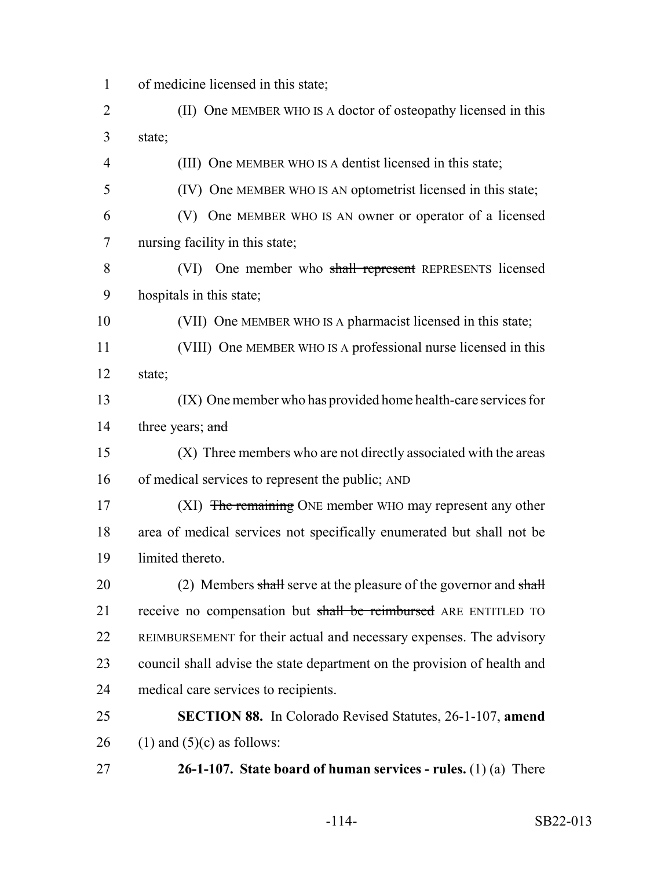- of medicine licensed in this state;
- (II) One MEMBER WHO IS A doctor of osteopathy licensed in this state;

(III) One MEMBER WHO IS A dentist licensed in this state;

- (IV) One MEMBER WHO IS AN optometrist licensed in this state;
- (V) One MEMBER WHO IS AN owner or operator of a licensed nursing facility in this state;
- (VI) One member who shall represent REPRESENTS licensed hospitals in this state;

(VII) One MEMBER WHO IS A pharmacist licensed in this state;

- (VIII) One MEMBER WHO IS A professional nurse licensed in this state;
- (IX) One member who has provided home health-care services for 14 three years; and
- (X) Three members who are not directly associated with the areas of medical services to represent the public; AND
- 17 (XI) The remaining ONE member WHO may represent any other area of medical services not specifically enumerated but shall not be limited thereto.
- 20 (2) Members shall serve at the pleasure of the governor and shall 21 receive no compensation but shall be reimbursed ARE ENTITLED TO REIMBURSEMENT for their actual and necessary expenses. The advisory council shall advise the state department on the provision of health and medical care services to recipients.
- **SECTION 88.** In Colorado Revised Statutes, 26-1-107, **amend** 26 (1) and  $(5)(c)$  as follows:
- **26-1-107. State board of human services rules.** (1) (a) There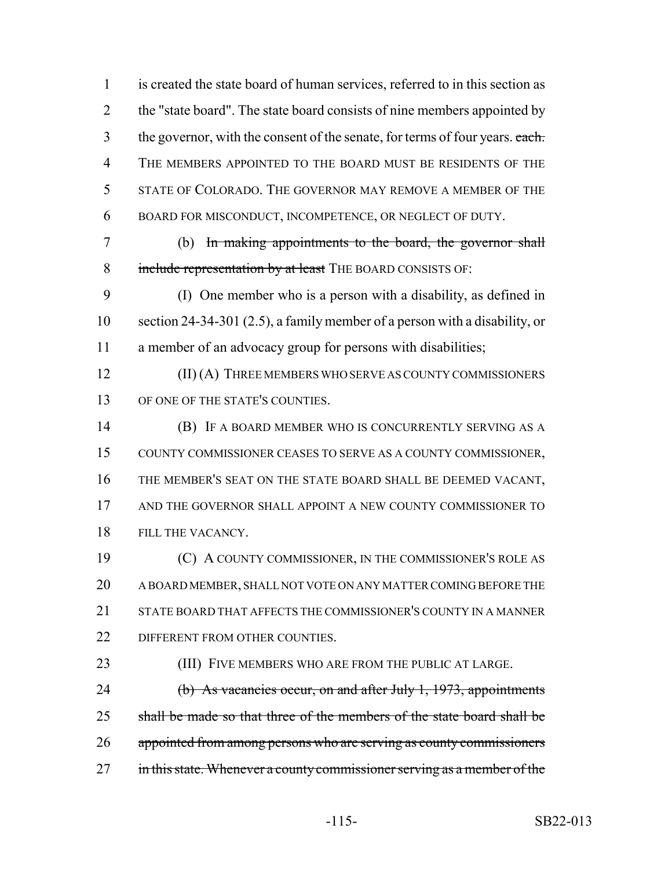is created the state board of human services, referred to in this section as 2 the "state board". The state board consists of nine members appointed by 3 the governor, with the consent of the senate, for terms of four years. each. THE MEMBERS APPOINTED TO THE BOARD MUST BE RESIDENTS OF THE STATE OF COLORADO. THE GOVERNOR MAY REMOVE A MEMBER OF THE BOARD FOR MISCONDUCT, INCOMPETENCE, OR NEGLECT OF DUTY. (b) In making appointments to the board, the governor shall 8 include representation by at least THE BOARD CONSISTS OF: (I) One member who is a person with a disability, as defined in section 24-34-301 (2.5), a family member of a person with a disability, or a member of an advocacy group for persons with disabilities; **(II) (A) THREE MEMBERS WHO SERVE AS COUNTY COMMISSIONERS**  OF ONE OF THE STATE'S COUNTIES. (B) IF A BOARD MEMBER WHO IS CONCURRENTLY SERVING AS A COUNTY COMMISSIONER CEASES TO SERVE AS A COUNTY COMMISSIONER, THE MEMBER'S SEAT ON THE STATE BOARD SHALL BE DEEMED VACANT, 17 AND THE GOVERNOR SHALL APPOINT A NEW COUNTY COMMISSIONER TO FILL THE VACANCY. (C) A COUNTY COMMISSIONER, IN THE COMMISSIONER'S ROLE AS A BOARD MEMBER, SHALL NOT VOTE ON ANY MATTER COMING BEFORE THE STATE BOARD THAT AFFECTS THE COMMISSIONER'S COUNTY IN A MANNER 22 DIFFERENT FROM OTHER COUNTIES. (III) FIVE MEMBERS WHO ARE FROM THE PUBLIC AT LARGE. 24 (b) As vacancies occur, on and after July 1, 1973, appointments 25 shall be made so that three of the members of the state board shall be appointed from among persons who are serving as county commissioners 27 in this state. Whenever a county commissioner serving as a member of the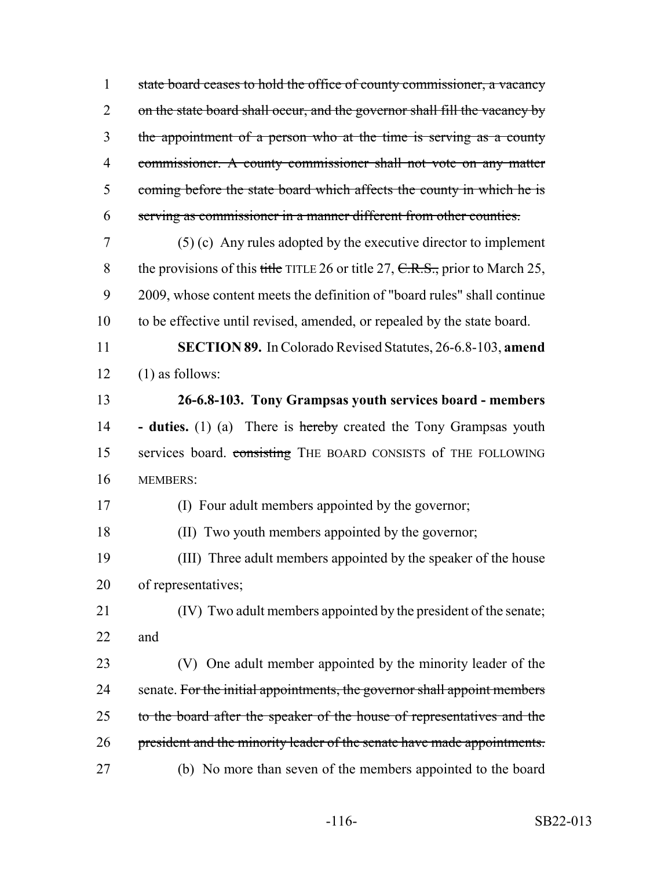state board ceases to hold the office of county commissioner, a vacancy 2 on the state board shall occur, and the governor shall fill the vacancy by the appointment of a person who at the time is serving as a county commissioner. A county commissioner shall not vote on any matter 5 coming before the state board which affects the county in which he is serving as commissioner in a manner different from other counties.

 (5) (c) Any rules adopted by the executive director to implement 8 the provisions of this title TITLE 26 or title 27,  $C.R.S.,$  prior to March 25, 2009, whose content meets the definition of "board rules" shall continue to be effective until revised, amended, or repealed by the state board.

 **SECTION 89.** In Colorado Revised Statutes, 26-6.8-103, **amend** (1) as follows:

 **26-6.8-103. Tony Grampsas youth services board - members - duties.** (1) (a) There is hereby created the Tony Grampsas youth 15 services board. consisting THE BOARD CONSISTS of THE FOLLOWING MEMBERS:

(I) Four adult members appointed by the governor;

(II) Two youth members appointed by the governor;

 (III) Three adult members appointed by the speaker of the house of representatives;

 (IV) Two adult members appointed by the president of the senate; and

 (V) One adult member appointed by the minority leader of the 24 senate. For the initial appointments, the governor shall appoint members 25 to the board after the speaker of the house of representatives and the 26 president and the minority leader of the senate have made appointments. (b) No more than seven of the members appointed to the board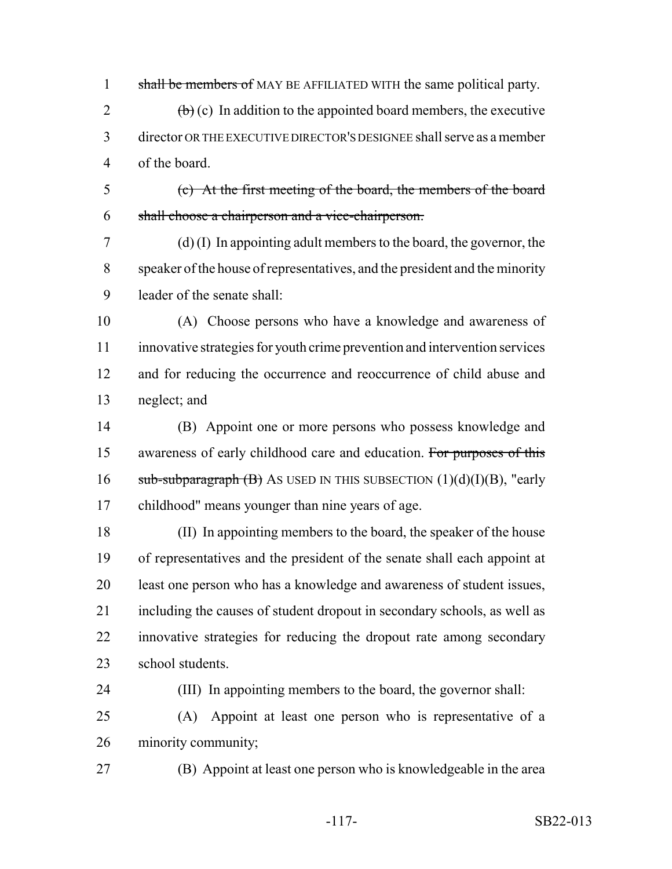1 shall be members of MAY BE AFFILIATED WITH the same political party.

2  $\left(\frac{b}{c}\right)$  (c) In addition to the appointed board members, the executive director OR THE EXECUTIVE DIRECTOR'S DESIGNEE shall serve as a member of the board.

 (c) At the first meeting of the board, the members of the board shall choose a chairperson and a vice-chairperson.

 (d) (I) In appointing adult members to the board, the governor, the speaker of the house of representatives, and the president and the minority leader of the senate shall:

 (A) Choose persons who have a knowledge and awareness of innovative strategies for youth crime prevention and intervention services and for reducing the occurrence and reoccurrence of child abuse and neglect; and

 (B) Appoint one or more persons who possess knowledge and 15 awareness of early childhood care and education. For purposes of this  $sub-sub-subparagnch (B)$  As USED IN THIS SUBSECTION  $(1)(d)(I)(B)$ , "early childhood" means younger than nine years of age.

 (II) In appointing members to the board, the speaker of the house of representatives and the president of the senate shall each appoint at least one person who has a knowledge and awareness of student issues, including the causes of student dropout in secondary schools, as well as innovative strategies for reducing the dropout rate among secondary school students.

 (III) In appointing members to the board, the governor shall: (A) Appoint at least one person who is representative of a minority community;

(B) Appoint at least one person who is knowledgeable in the area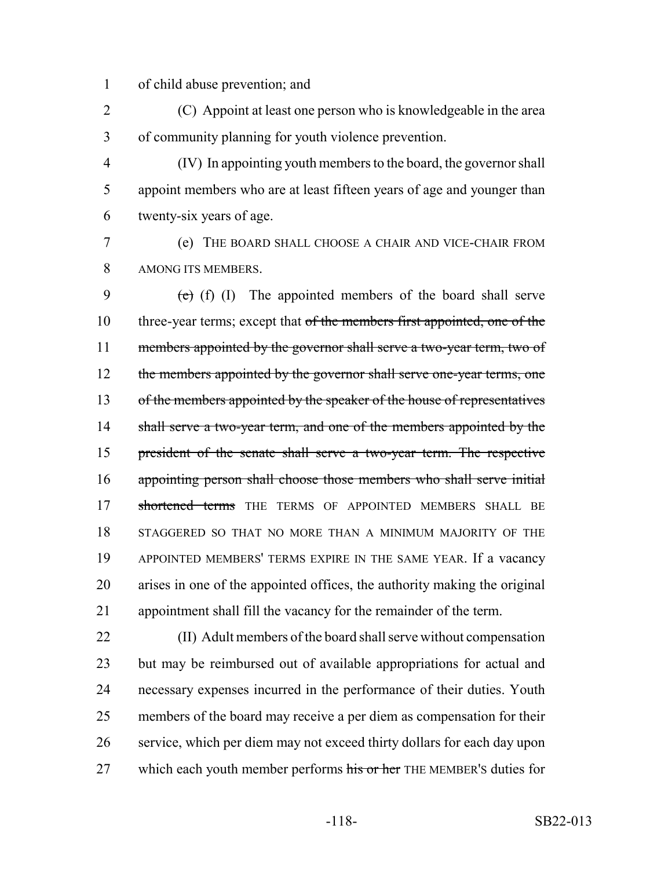of child abuse prevention; and

 (C) Appoint at least one person who is knowledgeable in the area of community planning for youth violence prevention.

 (IV) In appointing youth members to the board, the governor shall appoint members who are at least fifteen years of age and younger than twenty-six years of age.

 (e) THE BOARD SHALL CHOOSE A CHAIR AND VICE-CHAIR FROM AMONG ITS MEMBERS.

9  $\left(e\right)$  (f) (I) The appointed members of the board shall serve 10 three-year terms; except that of the members first appointed, one of the 11 members appointed by the governor shall serve a two-year term, two of 12 the members appointed by the governor shall serve one-year terms, one 13 of the members appointed by the speaker of the house of representatives 14 shall serve a two-year term, and one of the members appointed by the president of the senate shall serve a two-year term. The respective appointing person shall choose those members who shall serve initial 17 shortened terms THE TERMS OF APPOINTED MEMBERS SHALL BE STAGGERED SO THAT NO MORE THAN A MINIMUM MAJORITY OF THE APPOINTED MEMBERS' TERMS EXPIRE IN THE SAME YEAR. If a vacancy arises in one of the appointed offices, the authority making the original appointment shall fill the vacancy for the remainder of the term.

 (II) Adult members of the board shall serve without compensation but may be reimbursed out of available appropriations for actual and necessary expenses incurred in the performance of their duties. Youth members of the board may receive a per diem as compensation for their service, which per diem may not exceed thirty dollars for each day upon 27 which each youth member performs his or her THE MEMBER's duties for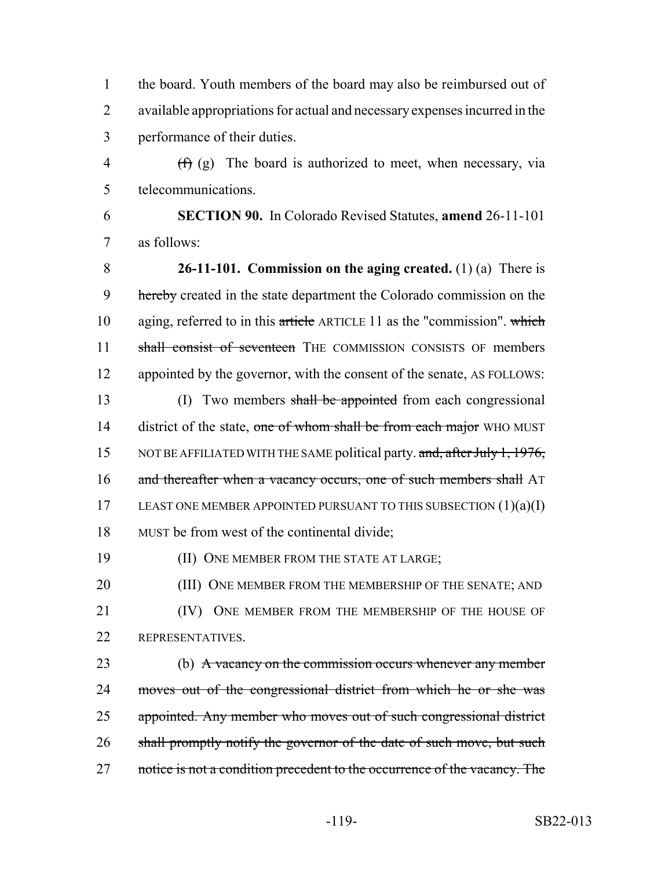1 the board. Youth members of the board may also be reimbursed out of 2 available appropriations for actual and necessary expenses incurred in the 3 performance of their duties.

4  $(f)(g)$  The board is authorized to meet, when necessary, via 5 telecommunications.

6 **SECTION 90.** In Colorado Revised Statutes, **amend** 26-11-101 7 as follows:

8 **26-11-101. Commission on the aging created.** (1) (a) There is 9 hereby created in the state department the Colorado commission on the 10 aging, referred to in this article ARTICLE 11 as the "commission". which 11 shall consist of seventeen THE COMMISSION CONSISTS OF members 12 appointed by the governor, with the consent of the senate, AS FOLLOWS: 13 (I) Two members shall be appointed from each congressional 14 district of the state, one of whom shall be from each major WHO MUST

15 NOT BE AFFILIATED WITH THE SAME political party. and, after July 1, 1976, 16 and thereafter when a vacancy occurs, one of such members shall AT 17 LEAST ONE MEMBER APPOINTED PURSUANT TO THIS SUBSECTION  $(1)(a)(I)$ 18 MUST be from west of the continental divide;

19 (II) ONE MEMBER FROM THE STATE AT LARGE;

20 (III) ONE MEMBER FROM THE MEMBERSHIP OF THE SENATE; AND 21 (IV) ONE MEMBER FROM THE MEMBERSHIP OF THE HOUSE OF 22 REPRESENTATIVES.

23 (b) A vacancy on the commission occurs whenever any member 24 moves out of the congressional district from which he or she was 25 appointed. Any member who moves out of such congressional district 26 shall promptly notify the governor of the date of such move, but such 27 notice is not a condition precedent to the occurrence of the vacancy. The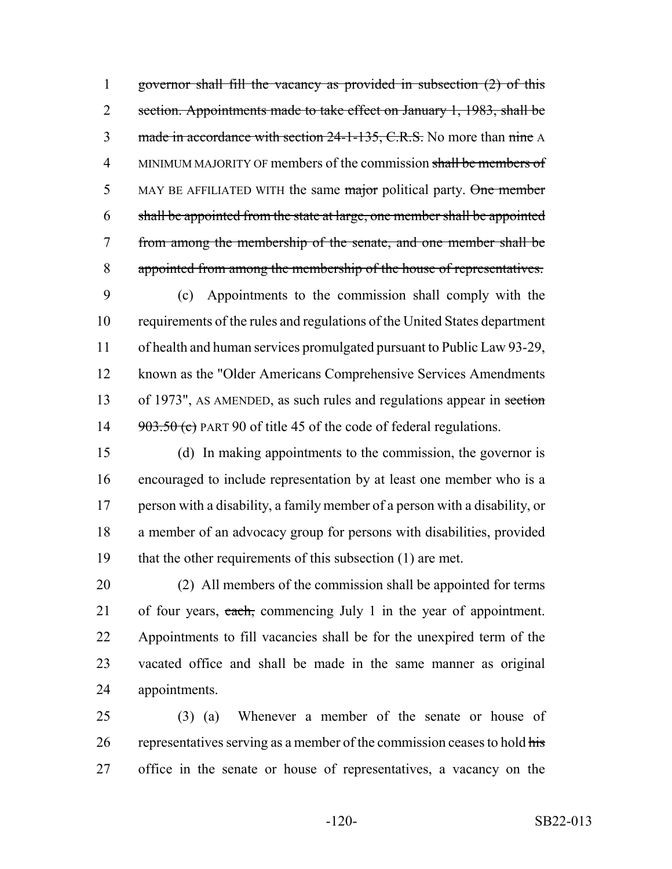governor shall fill the vacancy as provided in subsection (2) of this 2 section. Appointments made to take effect on January 1, 1983, shall be 3 made in accordance with section 24-1-135, C.R.S. No more than nine A 4 MINIMUM MAJORITY OF members of the commission shall be members of 5 MAY BE AFFILIATED WITH the same major political party. One member shall be appointed from the state at large, one member shall be appointed from among the membership of the senate, and one member shall be appointed from among the membership of the house of representatives.

 (c) Appointments to the commission shall comply with the requirements of the rules and regulations of the United States department of health and human services promulgated pursuant to Public Law 93-29, known as the "Older Americans Comprehensive Services Amendments 13 of 1973", AS AMENDED, as such rules and regulations appear in section  $903.50$  (c) PART 90 of title 45 of the code of federal regulations.

 (d) In making appointments to the commission, the governor is encouraged to include representation by at least one member who is a person with a disability, a family member of a person with a disability, or a member of an advocacy group for persons with disabilities, provided that the other requirements of this subsection (1) are met.

 (2) All members of the commission shall be appointed for terms 21 of four years, each, commencing July 1 in the year of appointment. Appointments to fill vacancies shall be for the unexpired term of the vacated office and shall be made in the same manner as original appointments.

 (3) (a) Whenever a member of the senate or house of 26 representatives serving as a member of the commission ceases to hold  $\frac{h}{\text{His}}$ office in the senate or house of representatives, a vacancy on the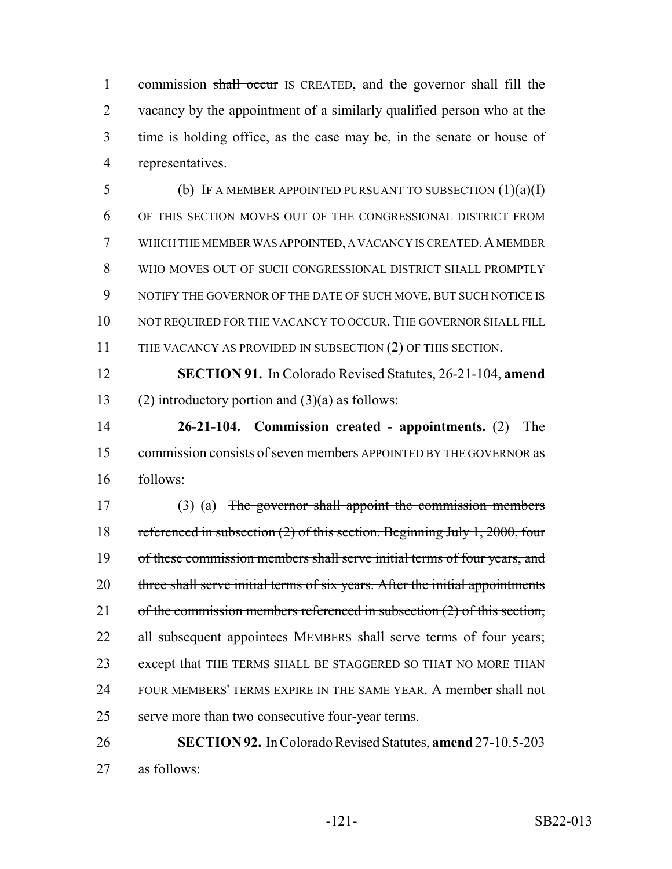1 commission shall occur IS CREATED, and the governor shall fill the vacancy by the appointment of a similarly qualified person who at the time is holding office, as the case may be, in the senate or house of representatives.

5 (b) IF A MEMBER APPOINTED PURSUANT TO SUBSECTION  $(1)(a)(I)$  OF THIS SECTION MOVES OUT OF THE CONGRESSIONAL DISTRICT FROM WHICH THE MEMBER WAS APPOINTED, A VACANCY IS CREATED.A MEMBER WHO MOVES OUT OF SUCH CONGRESSIONAL DISTRICT SHALL PROMPTLY NOTIFY THE GOVERNOR OF THE DATE OF SUCH MOVE, BUT SUCH NOTICE IS 10 NOT REQUIRED FOR THE VACANCY TO OCCUR. THE GOVERNOR SHALL FILL 11 THE VACANCY AS PROVIDED IN SUBSECTION (2) OF THIS SECTION.

 **SECTION 91.** In Colorado Revised Statutes, 26-21-104, **amend** 13 (2) introductory portion and  $(3)(a)$  as follows:

 **26-21-104. Commission created - appointments.** (2) The commission consists of seven members APPOINTED BY THE GOVERNOR as follows:

 (3) (a) The governor shall appoint the commission members referenced in subsection (2) of this section. Beginning July 1, 2000, four 19 of these commission members shall serve initial terms of four years, and 20 three shall serve initial terms of six years. After the initial appointments 21 of the commission members referenced in subsection (2) of this section, 22 all subsequent appointees MEMBERS shall serve terms of four years; except that THE TERMS SHALL BE STAGGERED SO THAT NO MORE THAN FOUR MEMBERS' TERMS EXPIRE IN THE SAME YEAR. A member shall not serve more than two consecutive four-year terms.

 **SECTION 92.** In Colorado Revised Statutes, **amend** 27-10.5-203 as follows: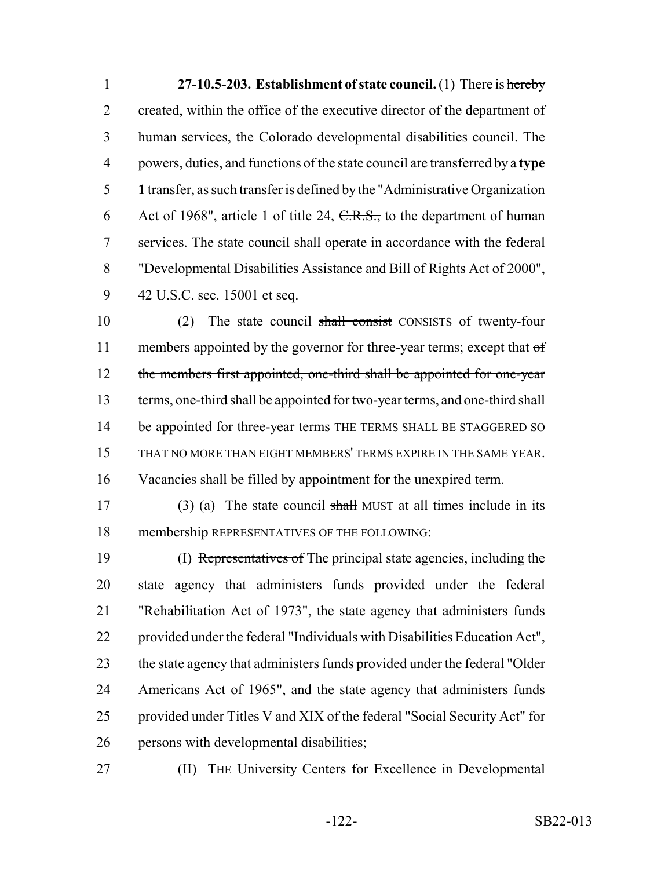**27-10.5-203. Establishment of state council.** (1) There is hereby 2 created, within the office of the executive director of the department of human services, the Colorado developmental disabilities council. The powers, duties, and functions of the state council are transferred by a **type 1** transfer, as such transfer is defined by the "Administrative Organization 6 Act of 1968", article 1 of title 24,  $C.R.S.,$  to the department of human services. The state council shall operate in accordance with the federal "Developmental Disabilities Assistance and Bill of Rights Act of 2000", 42 U.S.C. sec. 15001 et seq.

10 (2) The state council shall consist CONSISTS of twenty-four 11 members appointed by the governor for three-year terms; except that  $\sigma f$ 12 the members first appointed, one-third shall be appointed for one-year 13 terms, one-third shall be appointed for two-year terms, and one-third shall 14 be appointed for three-year terms THE TERMS SHALL BE STAGGERED SO THAT NO MORE THAN EIGHT MEMBERS' TERMS EXPIRE IN THE SAME YEAR. Vacancies shall be filled by appointment for the unexpired term.

17 (3) (a) The state council shall MUST at all times include in its membership REPRESENTATIVES OF THE FOLLOWING:

 (I) Representatives of The principal state agencies, including the state agency that administers funds provided under the federal "Rehabilitation Act of 1973", the state agency that administers funds provided under the federal "Individuals with Disabilities Education Act", the state agency that administers funds provided under the federal "Older Americans Act of 1965", and the state agency that administers funds provided under Titles V and XIX of the federal "Social Security Act" for persons with developmental disabilities;

(II) THE University Centers for Excellence in Developmental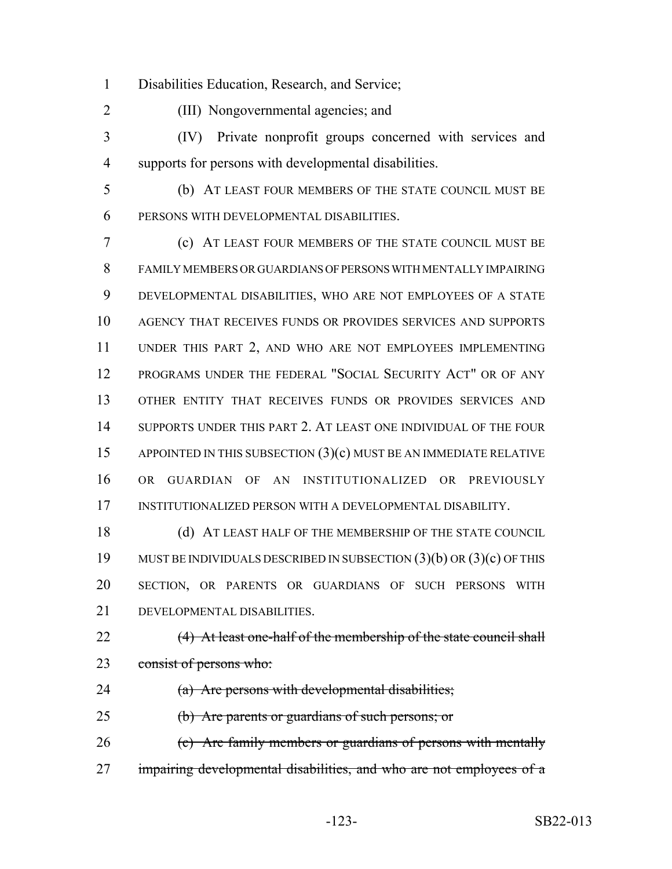Disabilities Education, Research, and Service;

(III) Nongovernmental agencies; and

 (IV) Private nonprofit groups concerned with services and supports for persons with developmental disabilities.

 (b) AT LEAST FOUR MEMBERS OF THE STATE COUNCIL MUST BE PERSONS WITH DEVELOPMENTAL DISABILITIES.

 (c) AT LEAST FOUR MEMBERS OF THE STATE COUNCIL MUST BE FAMILY MEMBERS OR GUARDIANS OF PERSONS WITH MENTALLY IMPAIRING DEVELOPMENTAL DISABILITIES, WHO ARE NOT EMPLOYEES OF A STATE AGENCY THAT RECEIVES FUNDS OR PROVIDES SERVICES AND SUPPORTS UNDER THIS PART 2, AND WHO ARE NOT EMPLOYEES IMPLEMENTING PROGRAMS UNDER THE FEDERAL "SOCIAL SECURITY ACT" OR OF ANY OTHER ENTITY THAT RECEIVES FUNDS OR PROVIDES SERVICES AND SUPPORTS UNDER THIS PART 2. AT LEAST ONE INDIVIDUAL OF THE FOUR APPOINTED IN THIS SUBSECTION (3)(c) MUST BE AN IMMEDIATE RELATIVE OR GUARDIAN OF AN INSTITUTIONALIZED OR PREVIOUSLY INSTITUTIONALIZED PERSON WITH A DEVELOPMENTAL DISABILITY.

18 (d) AT LEAST HALF OF THE MEMBERSHIP OF THE STATE COUNCIL MUST BE INDIVIDUALS DESCRIBED IN SUBSECTION (3)(b) OR (3)(c) OF THIS SECTION, OR PARENTS OR GUARDIANS OF SUCH PERSONS WITH DEVELOPMENTAL DISABILITIES.

22 (4) At least one-half of the membership of the state council shall 23 consist of persons who:

24 (a) Are persons with developmental disabilities;

(b) Are parents or guardians of such persons; or

26 (c) Are family members or guardians of persons with mentally 27 impairing developmental disabilities, and who are not employees of a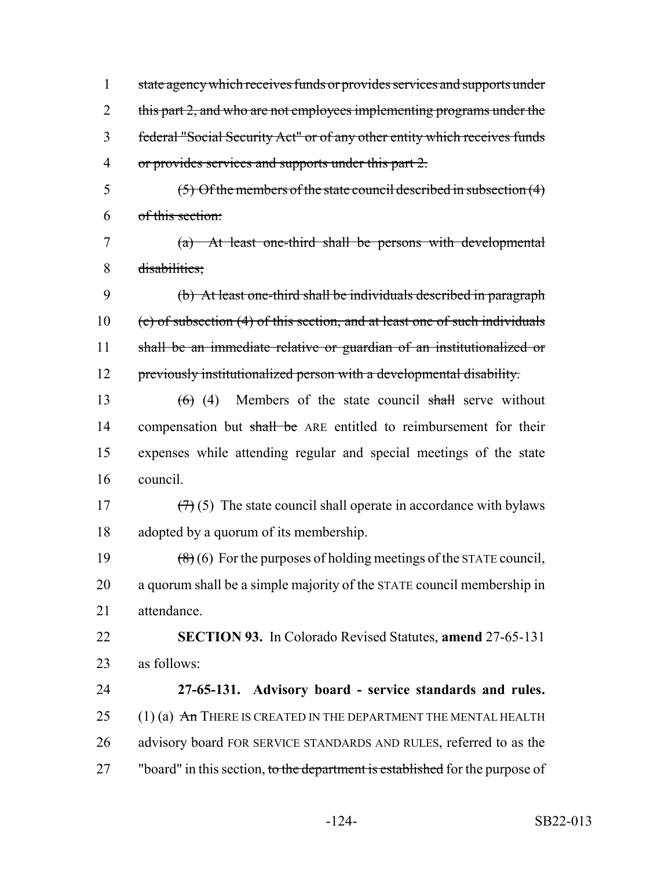1 state agency which receives funds or provides services and supports under 2 this part 2, and who are not employees implementing programs under the 3 federal "Social Security Act" or of any other entity which receives funds 4 or provides services and supports under this part 2.

5  $(5)$  Of the members of the state council described in subsection  $(4)$ 6 of this section:

7 (a) At least one-third shall be persons with developmental 8 disabilities;

 (b) At least one-third shall be individuals described in paragraph (c) of subsection (4) of this section, and at least one of such individuals 11 shall be an immediate relative or guardian of an institutionalized or previously institutionalized person with a developmental disability.

13  $(6)$  (4) Members of the state council shall serve without 14 compensation but shall be ARE entitled to reimbursement for their 15 expenses while attending regular and special meetings of the state 16 council.

17  $(7)(5)$  The state council shall operate in accordance with bylaws 18 adopted by a quorum of its membership.

19  $(8)(6)$  For the purposes of holding meetings of the STATE council, 20 a quorum shall be a simple majority of the STATE council membership in 21 attendance.

22 **SECTION 93.** In Colorado Revised Statutes, **amend** 27-65-131 23 as follows:

24 **27-65-131. Advisory board - service standards and rules.** 25  $(1)$  (a)  $\overline{An}$  There is created in the department the Mental Health 26 advisory board FOR SERVICE STANDARDS AND RULES, referred to as the 27 "board" in this section, to the department is established for the purpose of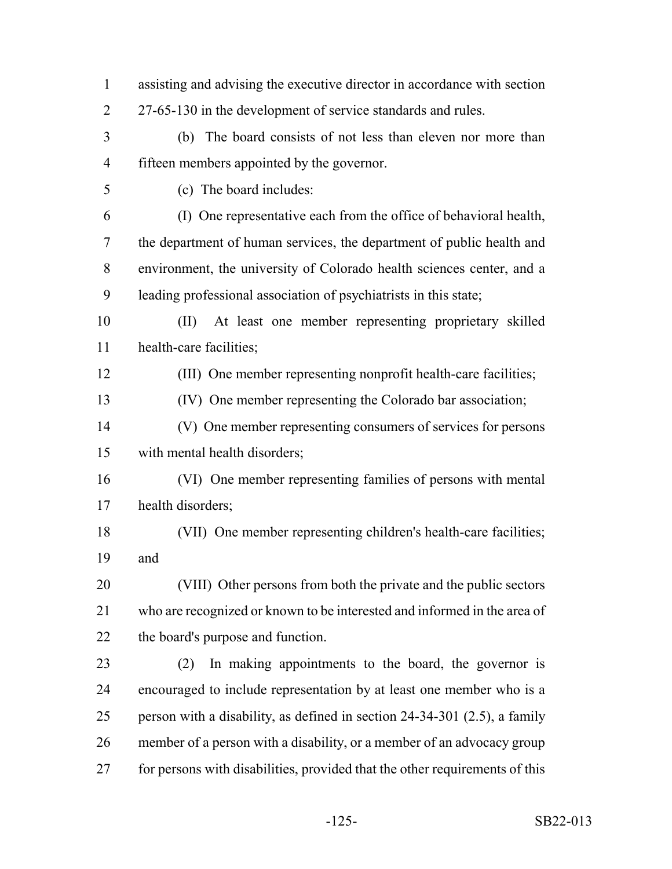| $\mathbf{1}$   | assisting and advising the executive director in accordance with section    |
|----------------|-----------------------------------------------------------------------------|
| $\overline{2}$ | 27-65-130 in the development of service standards and rules.                |
| 3              | (b) The board consists of not less than eleven nor more than                |
| $\overline{4}$ | fifteen members appointed by the governor.                                  |
| 5              | (c) The board includes:                                                     |
| 6              | (I) One representative each from the office of behavioral health,           |
| 7              | the department of human services, the department of public health and       |
| 8              | environment, the university of Colorado health sciences center, and a       |
| 9              | leading professional association of psychiatrists in this state;            |
| 10             | At least one member representing proprietary skilled<br>$(\Pi)$             |
| 11             | health-care facilities;                                                     |
| 12             | (III) One member representing nonprofit health-care facilities;             |
| 13             | (IV) One member representing the Colorado bar association;                  |
| 14             | (V) One member representing consumers of services for persons               |
| 15             | with mental health disorders;                                               |
| 16             | (VI) One member representing families of persons with mental                |
| 17             | health disorders;                                                           |
| 18             | (VII) One member representing children's health-care facilities;            |
| 19             | and                                                                         |
| 20             | (VIII) Other persons from both the private and the public sectors           |
| 21             | who are recognized or known to be interested and informed in the area of    |
| 22             | the board's purpose and function.                                           |
| 23             | In making appointments to the board, the governor is<br>(2)                 |
| 24             | encouraged to include representation by at least one member who is a        |
| 25             | person with a disability, as defined in section $24-34-301$ (2.5), a family |
| 26             | member of a person with a disability, or a member of an advocacy group      |
| 27             | for persons with disabilities, provided that the other requirements of this |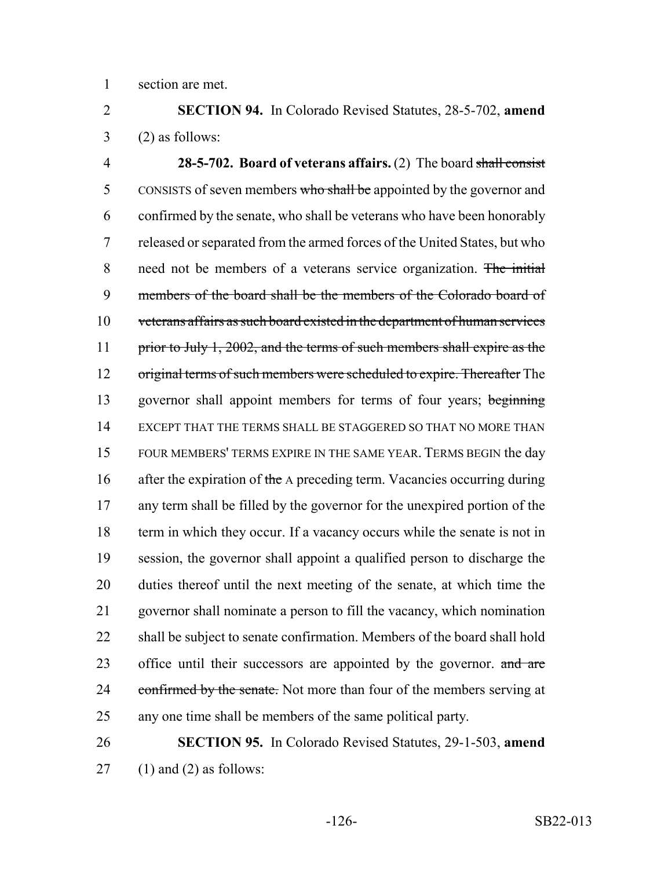section are met.

 **SECTION 94.** In Colorado Revised Statutes, 28-5-702, **amend**  $3 \qquad (2)$  as follows:

 **28-5-702. Board of veterans affairs.** (2) The board shall consist 5 CONSISTS of seven members who shall be appointed by the governor and confirmed by the senate, who shall be veterans who have been honorably released or separated from the armed forces of the United States, but who need not be members of a veterans service organization. The initial members of the board shall be the members of the Colorado board of veterans affairs as such board existed in the department of human services 11 prior to July 1, 2002, and the terms of such members shall expire as the 12 original terms of such members were scheduled to expire. Thereafter The 13 governor shall appoint members for terms of four years; beginning EXCEPT THAT THE TERMS SHALL BE STAGGERED SO THAT NO MORE THAN FOUR MEMBERS' TERMS EXPIRE IN THE SAME YEAR. TERMS BEGIN the day 16 after the expiration of the A preceding term. Vacancies occurring during any term shall be filled by the governor for the unexpired portion of the 18 term in which they occur. If a vacancy occurs while the senate is not in session, the governor shall appoint a qualified person to discharge the duties thereof until the next meeting of the senate, at which time the governor shall nominate a person to fill the vacancy, which nomination 22 shall be subject to senate confirmation. Members of the board shall hold 23 office until their successors are appointed by the governor. and are 24 confirmed by the senate. Not more than four of the members serving at any one time shall be members of the same political party.

 **SECTION 95.** In Colorado Revised Statutes, 29-1-503, **amend** (1) and (2) as follows: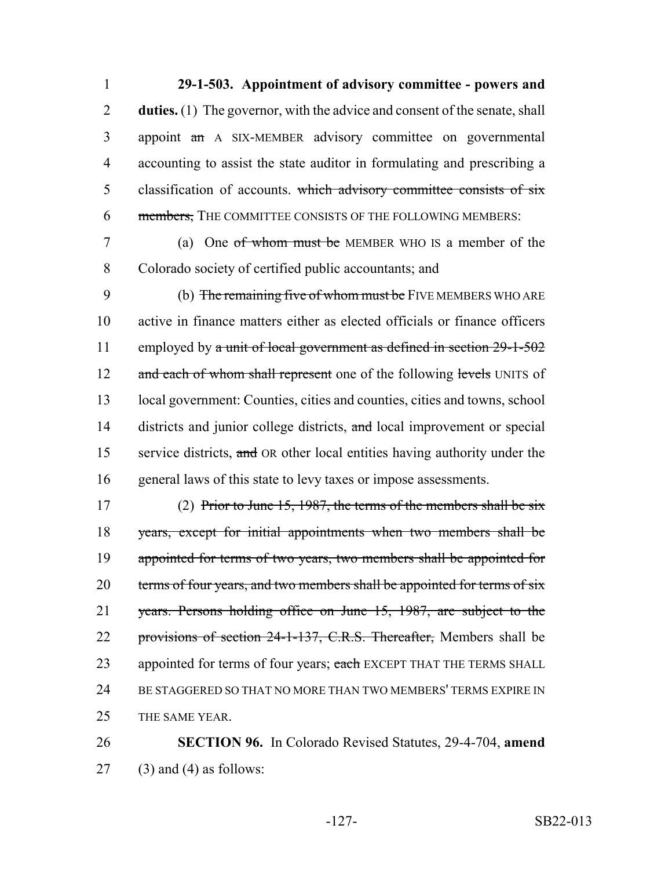**29-1-503. Appointment of advisory committee - powers and duties.** (1) The governor, with the advice and consent of the senate, shall appoint an A SIX-MEMBER advisory committee on governmental accounting to assist the state auditor in formulating and prescribing a 5 classification of accounts. which advisory committee consists of six 6 members, THE COMMITTEE CONSISTS OF THE FOLLOWING MEMBERS:

7 (a) One of whom must be MEMBER WHO IS a member of the 8 Colorado society of certified public accountants; and

9 (b) The remaining five of whom must be FIVE MEMBERS WHO ARE 10 active in finance matters either as elected officials or finance officers 11 employed by a unit of local government as defined in section 29-1-502 12 and each of whom shall represent one of the following levels UNITS of 13 local government: Counties, cities and counties, cities and towns, school 14 districts and junior college districts, and local improvement or special 15 service districts, and OR other local entities having authority under the 16 general laws of this state to levy taxes or impose assessments.

17 (2) Prior to June 15, 1987, the terms of the members shall be six 18 years, except for initial appointments when two members shall be 19 appointed for terms of two years, two members shall be appointed for 20 terms of four years, and two members shall be appointed for terms of six 21 years. Persons holding office on June 15, 1987, are subject to the 22 provisions of section 24-1-137, C.R.S. Thereafter, Members shall be 23 appointed for terms of four years; each EXCEPT THAT THE TERMS SHALL 24 BE STAGGERED SO THAT NO MORE THAN TWO MEMBERS' TERMS EXPIRE IN 25 THE SAME YEAR.

26 **SECTION 96.** In Colorado Revised Statutes, 29-4-704, **amend**  $27$  (3) and (4) as follows: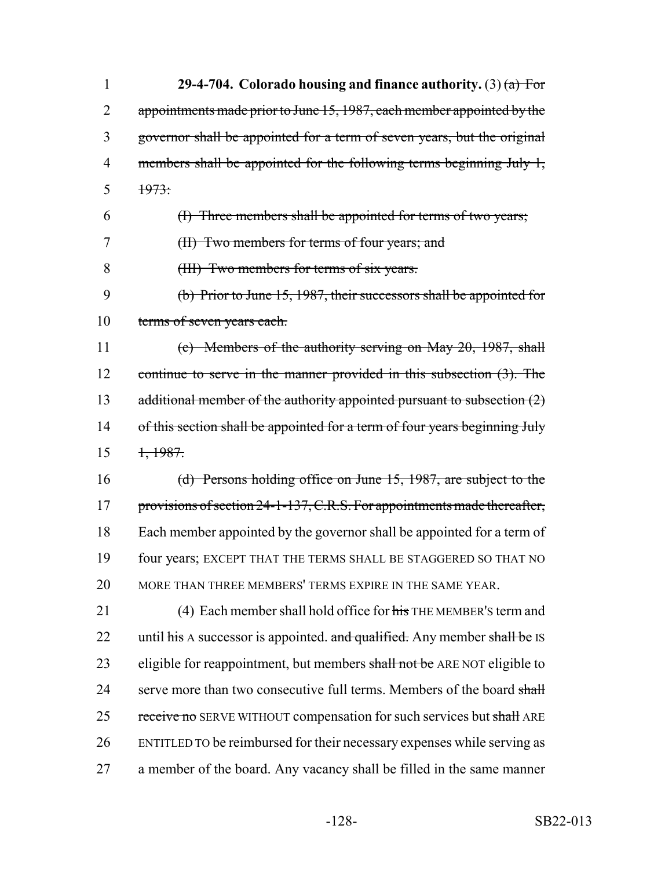| $\mathbf{1}$ | 29-4-704. Colorado housing and finance authority. (3) $(a)$ For             |
|--------------|-----------------------------------------------------------------------------|
| 2            | appointments made prior to June 15, 1987, each member appointed by the      |
| 3            | governor shall be appointed for a term of seven years, but the original     |
| 4            | members shall be appointed for the following terms beginning July 1,        |
| 5            | 1973:                                                                       |
| 6            | (I) Three members shall be appointed for terms of two years;                |
| 7            | (II) Two members for terms of four years; and                               |
| 8            | (III) Two members for terms of six years.                                   |
| 9            | (b) Prior to June 15, 1987, their successors shall be appointed for         |
| 10           | terms of seven years each.                                                  |
| 11           | $(e)$ Members of the authority serving on May 20, 1987, shall               |
| 12           | continue to serve in the manner provided in this subsection $(3)$ . The     |
| 13           | additional member of the authority appointed pursuant to subsection $(2)$   |
| 14           | of this section shall be appointed for a term of four years beginning July  |
| 15           | <del>1, 1987.</del>                                                         |
| 16           | (d) Persons holding office on June $15$ , 1987, are subject to the          |
| 17           | provisions of section 24-1-137, C.R.S. For appointments made thereafter,    |
| 18           | Each member appointed by the governor shall be appointed for a term of      |
| 19           | four years; EXCEPT THAT THE TERMS SHALL BE STAGGERED SO THAT NO             |
| 20           | MORE THAN THREE MEMBERS' TERMS EXPIRE IN THE SAME YEAR.                     |
| 21           | (4) Each member shall hold office for $\frac{1}{115}$ THE MEMBER's term and |
| 22           | until his A successor is appointed. and qualified. Any member shall be IS   |
| 23           | eligible for reappointment, but members shall not be ARE NOT eligible to    |
| 24           | serve more than two consecutive full terms. Members of the board shall      |
| 25           | receive no SERVE WITHOUT compensation for such services but shall ARE       |
| 26           | ENTITLED TO be reimbursed for their necessary expenses while serving as     |
| 27           | a member of the board. Any vacancy shall be filled in the same manner       |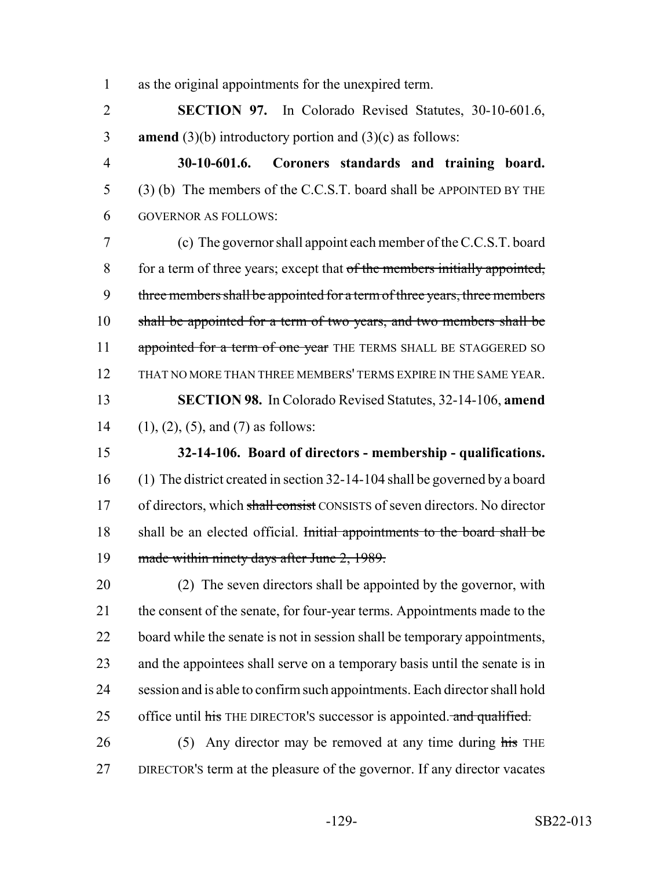as the original appointments for the unexpired term.

 **SECTION 97.** In Colorado Revised Statutes, 30-10-601.6, **amend** (3)(b) introductory portion and (3)(c) as follows:

 **30-10-601.6. Coroners standards and training board.** (3) (b) The members of the C.C.S.T. board shall be APPOINTED BY THE GOVERNOR AS FOLLOWS:

 (c) The governor shall appoint each member of the C.C.S.T. board 8 for a term of three years; except that of the members initially appointed, 9 three members shall be appointed for a term of three years, three members shall be appointed for a term of two years, and two members shall be 11 appointed for a term of one year THE TERMS SHALL BE STAGGERED SO THAT NO MORE THAN THREE MEMBERS' TERMS EXPIRE IN THE SAME YEAR. **SECTION 98.** In Colorado Revised Statutes, 32-14-106, **amend** (1), (2), (5), and (7) as follows:

 **32-14-106. Board of directors - membership - qualifications.** (1) The district created in section 32-14-104 shall be governed by a board 17 of directors, which shall consist CONSISTS of seven directors. No director 18 shall be an elected official. Initial appointments to the board shall be 19 made within ninety days after June 2, 1989.

 (2) The seven directors shall be appointed by the governor, with 21 the consent of the senate, for four-year terms. Appointments made to the 22 board while the senate is not in session shall be temporary appointments, and the appointees shall serve on a temporary basis until the senate is in session and is able to confirm such appointments. Each director shall hold 25 office until his THE DIRECTOR's successor is appointed. and qualified.

26 (5) Any director may be removed at any time during his THE DIRECTOR'S term at the pleasure of the governor. If any director vacates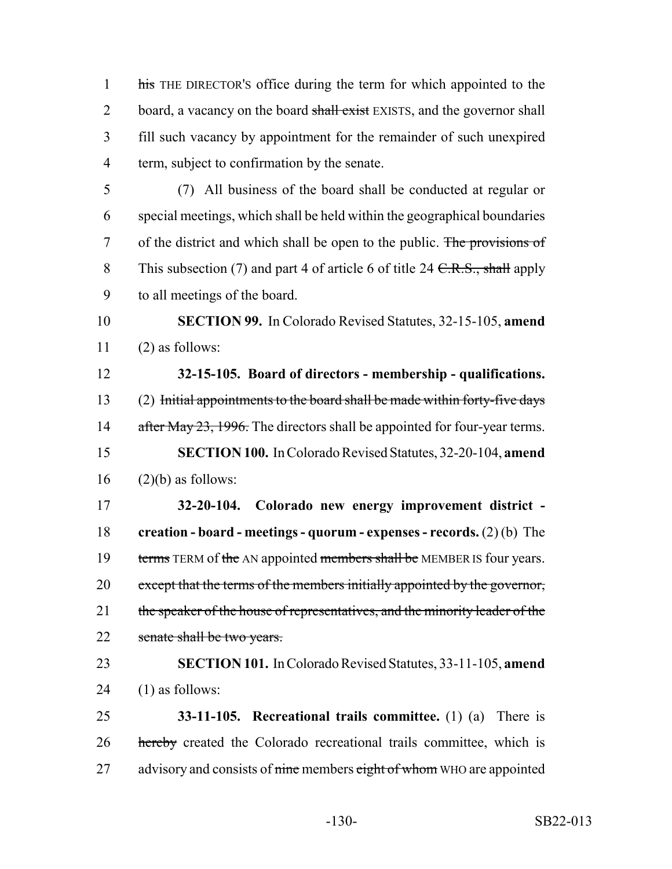1 his THE DIRECTOR's office during the term for which appointed to the 2 board, a vacancy on the board shall exist EXISTS, and the governor shall 3 fill such vacancy by appointment for the remainder of such unexpired 4 term, subject to confirmation by the senate.

5 (7) All business of the board shall be conducted at regular or 6 special meetings, which shall be held within the geographical boundaries 7 of the district and which shall be open to the public. The provisions of 8 This subsection (7) and part 4 of article 6 of title 24  $C.R.S.,$  shall apply 9 to all meetings of the board.

10 **SECTION 99.** In Colorado Revised Statutes, 32-15-105, **amend**  $11$  (2) as follows:

 **32-15-105. Board of directors - membership - qualifications.** (2) Initial appointments to the board shall be made within forty-five days 14 after May 23, 1996. The directors shall be appointed for four-year terms. **SECTION 100.** In Colorado Revised Statutes, 32-20-104, **amend** (2)(b) as follows:

17 **32-20-104. Colorado new energy improvement district -** 18 **creation - board - meetings - quorum - expenses - records.** (2) (b) The 19 terms TERM of the AN appointed members shall be MEMBER IS four years. 20 except that the terms of the members initially appointed by the governor, 21 the speaker of the house of representatives, and the minority leader of the 22 senate shall be two years.

23 **SECTION 101.** In Colorado Revised Statutes, 33-11-105, **amend** 24  $(1)$  as follows:

25 **33-11-105. Recreational trails committee.** (1) (a) There is 26 hereby created the Colorado recreational trails committee, which is 27 advisory and consists of nine members eight of whom WHO are appointed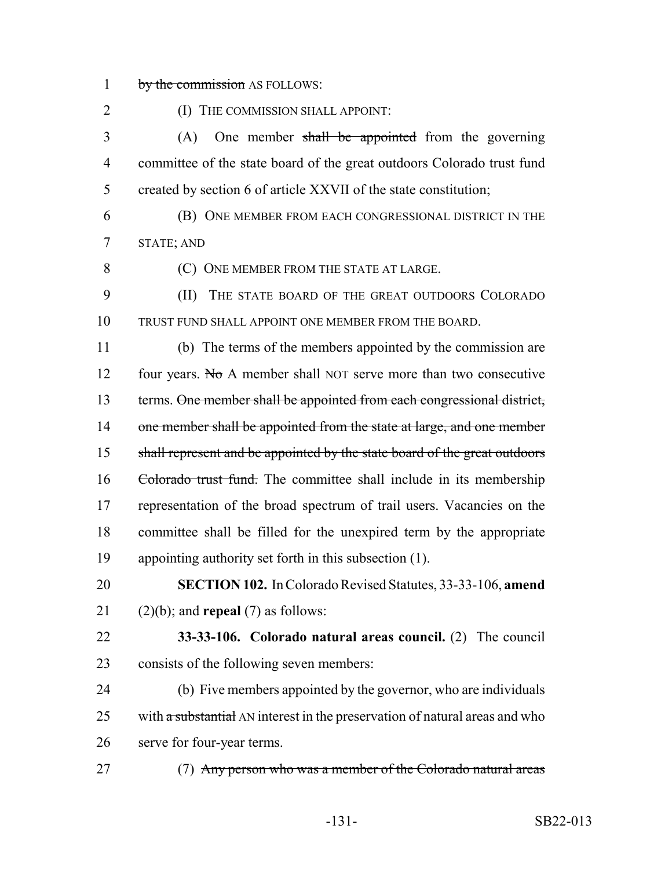1 by the commission AS FOLLOWS:

**(I) THE COMMISSION SHALL APPOINT:** 3 (A) One member shall be appointed from the governing committee of the state board of the great outdoors Colorado trust fund created by section 6 of article XXVII of the state constitution; (B) ONE MEMBER FROM EACH CONGRESSIONAL DISTRICT IN THE STATE; AND (C) ONE MEMBER FROM THE STATE AT LARGE. (II) THE STATE BOARD OF THE GREAT OUTDOORS COLORADO TRUST FUND SHALL APPOINT ONE MEMBER FROM THE BOARD. (b) The terms of the members appointed by the commission are 12 four years. No A member shall NOT serve more than two consecutive 13 terms. One member shall be appointed from each congressional district, 14 one member shall be appointed from the state at large, and one member 15 shall represent and be appointed by the state board of the great outdoors 16 Colorado trust fund. The committee shall include in its membership representation of the broad spectrum of trail users. Vacancies on the committee shall be filled for the unexpired term by the appropriate appointing authority set forth in this subsection (1). **SECTION 102.** In Colorado Revised Statutes, 33-33-106, **amend** (2)(b); and **repeal** (7) as follows: **33-33-106. Colorado natural areas council.** (2) The council

 consists of the following seven members: (b) Five members appointed by the governor, who are individuals 25 with  $\alpha$  substantial AN interest in the preservation of natural areas and who

serve for four-year terms.

27 (7) Any person who was a member of the Colorado natural areas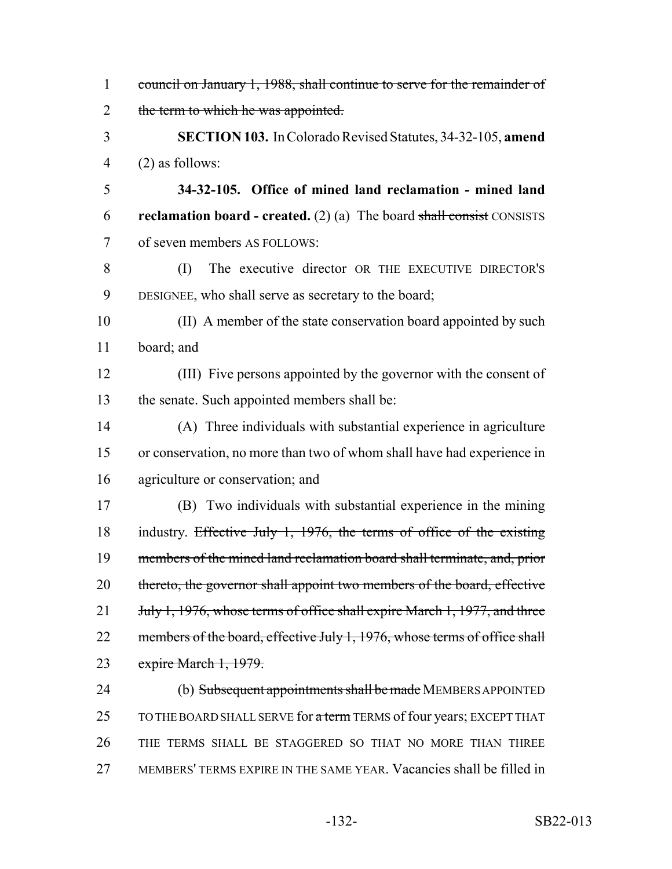| $\mathbf{1}$   | council on January 1, 1988, shall continue to serve for the remainder of        |
|----------------|---------------------------------------------------------------------------------|
| $\overline{2}$ | the term to which he was appointed.                                             |
| 3              | <b>SECTION 103.</b> In Colorado Revised Statutes, 34-32-105, amend              |
| $\overline{4}$ | $(2)$ as follows:                                                               |
| 5              | 34-32-105. Office of mined land reclamation - mined land                        |
| 6              | <b>reclamation board - created.</b> (2) (a) The board shall consist CONSISTS    |
| $\overline{7}$ | of seven members AS FOLLOWS:                                                    |
| 8              | The executive director OR THE EXECUTIVE DIRECTOR'S<br>(I)                       |
| 9              | DESIGNEE, who shall serve as secretary to the board;                            |
| 10             | (II) A member of the state conservation board appointed by such                 |
| 11             | board; and                                                                      |
| 12             | (III) Five persons appointed by the governor with the consent of                |
| 13             | the senate. Such appointed members shall be:                                    |
| 14             | (A) Three individuals with substantial experience in agriculture                |
| 15             | or conservation, no more than two of whom shall have had experience in          |
| 16             | agriculture or conservation; and                                                |
| 17             | (B) Two individuals with substantial experience in the mining                   |
| 18             | industry. Effective July 1, 1976, the terms of office of the existing           |
| 19             | members of the mined land reclamation board shall terminate, and, prior         |
| 20             | thereto, the governor shall appoint two members of the board, effective         |
| 21             | July 1, 1976, whose terms of office shall expire March 1, 1977, and three       |
| 22             | members of the board, effective July 1, 1976, whose terms of office shall       |
| 23             | expire March 1, 1979.                                                           |
| 24             | (b) Subsequent appointments shall be made MEMBERS APPOINTED                     |
| 25             | TO THE BOARD SHALL SERVE for <del>a term</del> TERMS of four years; EXCEPT THAT |
| 26             | THE TERMS SHALL BE STAGGERED SO THAT NO MORE THAN THREE                         |
| 27             | MEMBERS' TERMS EXPIRE IN THE SAME YEAR. Vacancies shall be filled in            |
|                |                                                                                 |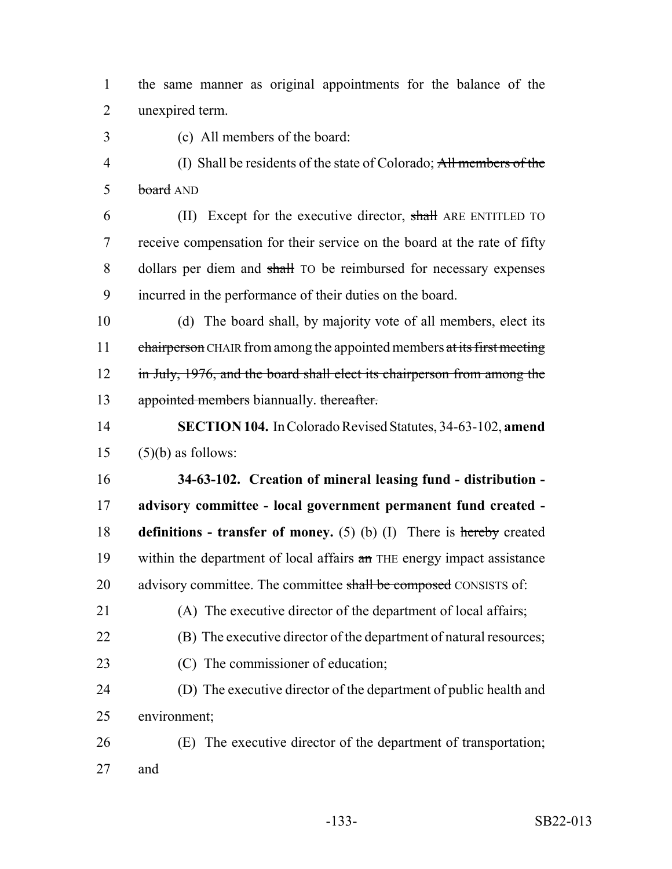the same manner as original appointments for the balance of the unexpired term.

(c) All members of the board:

 (I) Shall be residents of the state of Colorado; All members of the 5 board AND

6 (II) Except for the executive director, shall ARE ENTITLED TO receive compensation for their service on the board at the rate of fifty 8 dollars per diem and shall TO be reimbursed for necessary expenses incurred in the performance of their duties on the board.

 (d) The board shall, by majority vote of all members, elect its 11 chairperson CHAIR from among the appointed members at its first meeting 12 in July, 1976, and the board shall elect its chairperson from among the 13 appointed members biannually. thereafter.

 **SECTION 104.** In Colorado Revised Statutes, 34-63-102, **amend** (5)(b) as follows:

 **34-63-102. Creation of mineral leasing fund - distribution - advisory committee - local government permanent fund created - definitions - transfer of money.** (5) (b) (I) There is hereby created 19 within the department of local affairs an THE energy impact assistance 20 advisory committee. The committee shall be composed CONSISTS of:

- (A) The executive director of the department of local affairs; (B) The executive director of the department of natural resources; 23 (C) The commissioner of education;
- (D) The executive director of the department of public health and environment;
- (E) The executive director of the department of transportation; and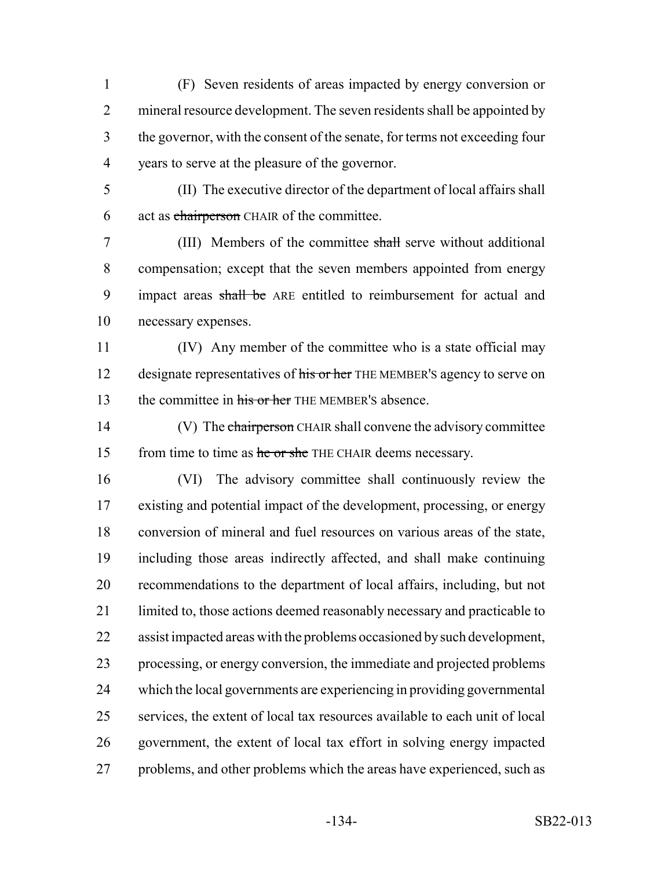(F) Seven residents of areas impacted by energy conversion or 2 mineral resource development. The seven residents shall be appointed by the governor, with the consent of the senate, for terms not exceeding four years to serve at the pleasure of the governor.

 (II) The executive director of the department of local affairs shall 6 act as chairperson CHAIR of the committee.

 (III) Members of the committee shall serve without additional compensation; except that the seven members appointed from energy 9 impact areas shall be ARE entitled to reimbursement for actual and necessary expenses.

 (IV) Any member of the committee who is a state official may 12 designate representatives of his or her THE MEMBER's agency to serve on 13 the committee in his or her THE MEMBER's absence.

14 (V) The chairperson CHAIR shall convene the advisory committee 15 from time to time as he or she THE CHAIR deems necessary.

 (VI) The advisory committee shall continuously review the existing and potential impact of the development, processing, or energy conversion of mineral and fuel resources on various areas of the state, including those areas indirectly affected, and shall make continuing recommendations to the department of local affairs, including, but not 21 limited to, those actions deemed reasonably necessary and practicable to assist impacted areas with the problems occasioned by such development, processing, or energy conversion, the immediate and projected problems which the local governments are experiencing in providing governmental services, the extent of local tax resources available to each unit of local government, the extent of local tax effort in solving energy impacted 27 problems, and other problems which the areas have experienced, such as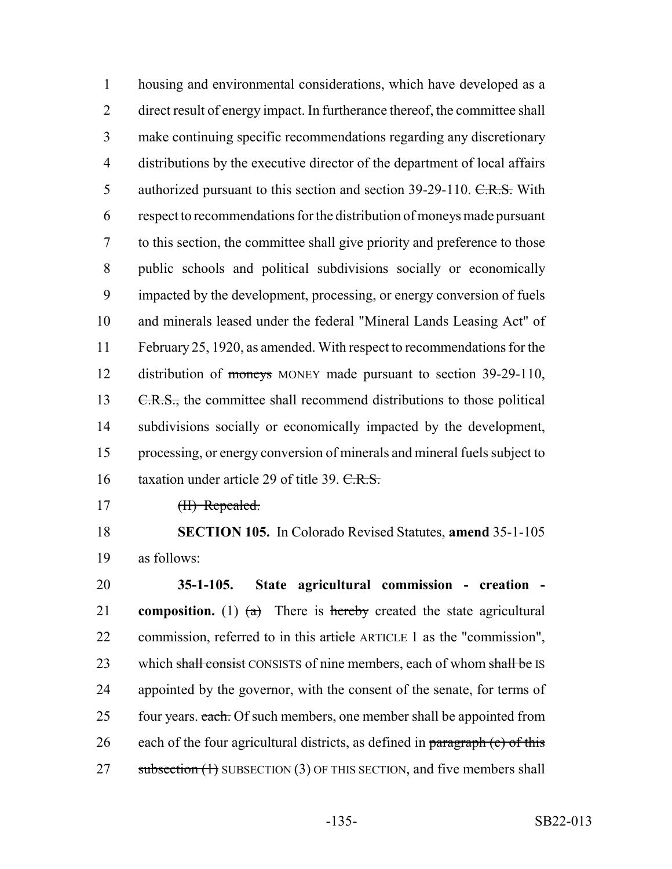housing and environmental considerations, which have developed as a direct result of energy impact. In furtherance thereof, the committee shall make continuing specific recommendations regarding any discretionary distributions by the executive director of the department of local affairs 5 authorized pursuant to this section and section 39-29-110. C.R.S. With respect to recommendations for the distribution of moneys made pursuant to this section, the committee shall give priority and preference to those public schools and political subdivisions socially or economically impacted by the development, processing, or energy conversion of fuels and minerals leased under the federal "Mineral Lands Leasing Act" of February 25, 1920, as amended. With respect to recommendations for the 12 distribution of moneys MONEY made pursuant to section 39-29-110, 13 C.R.S., the committee shall recommend distributions to those political subdivisions socially or economically impacted by the development, processing, or energy conversion of minerals and mineral fuels subject to 16 taxation under article 29 of title 39. C.R.S.

17 <del>(II) Repealed.</del>

18 **SECTION 105.** In Colorado Revised Statutes, **amend** 35-1-105 19 as follows:

20 **35-1-105. State agricultural commission - creation -** 21 **composition.** (1)  $(a)$  There is hereby created the state agricultural 22 commission, referred to in this article ARTICLE 1 as the "commission", 23 which shall consist CONSISTS of nine members, each of whom shall be IS 24 appointed by the governor, with the consent of the senate, for terms of 25 four years. each. Of such members, one member shall be appointed from 26 each of the four agricultural districts, as defined in paragraph  $(c)$  of this 27 subsection (1) SUBSECTION (3) OF THIS SECTION, and five members shall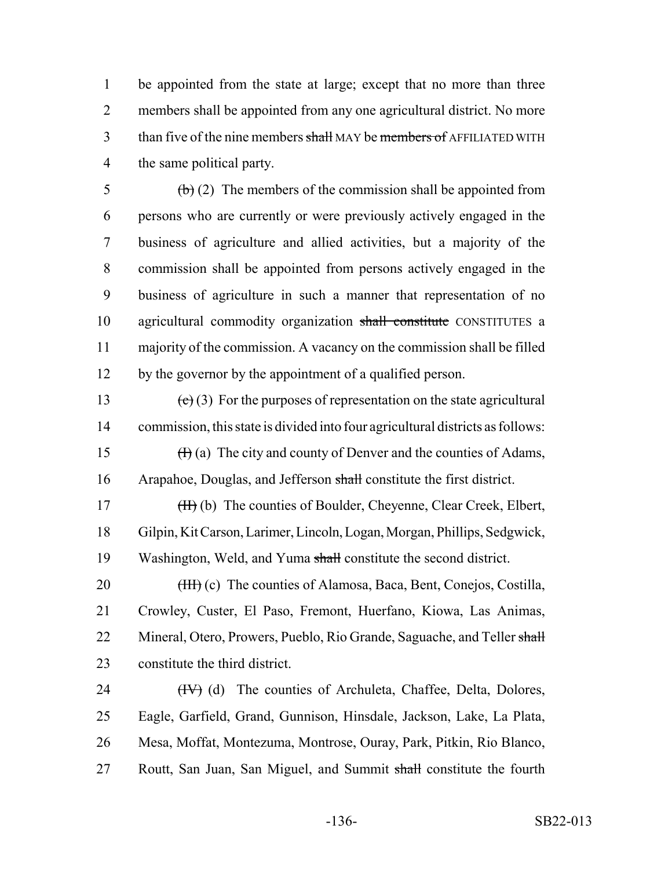be appointed from the state at large; except that no more than three members shall be appointed from any one agricultural district. No more 3 than five of the nine members shall MAY be members of AFFILIATED WITH the same political party.

 $\overline{6}$  (b) (2) The members of the commission shall be appointed from persons who are currently or were previously actively engaged in the business of agriculture and allied activities, but a majority of the commission shall be appointed from persons actively engaged in the business of agriculture in such a manner that representation of no 10 agricultural commodity organization shall constitute CONSTITUTES a majority of the commission. A vacancy on the commission shall be filled by the governor by the appointment of a qualified person.

13 (c) (3) For the purposes of representation on the state agricultural 14 commission, this state is divided into four agricultural districts as follows: 15  $(H)(a)$  The city and county of Denver and the counties of Adams, 16 Arapahoe, Douglas, and Jefferson shall constitute the first district.

17 (H) (b) The counties of Boulder, Cheyenne, Clear Creek, Elbert, 18 Gilpin, Kit Carson, Larimer, Lincoln, Logan, Morgan, Phillips, Sedgwick, 19 Washington, Weld, and Yuma shall constitute the second district.

20 <del>(III)</del> (c) The counties of Alamosa, Baca, Bent, Conejos, Costilla, 21 Crowley, Custer, El Paso, Fremont, Huerfano, Kiowa, Las Animas, 22 Mineral, Otero, Prowers, Pueblo, Rio Grande, Saguache, and Teller shall 23 constitute the third district.

24 (IV) (d) The counties of Archuleta, Chaffee, Delta, Dolores, 25 Eagle, Garfield, Grand, Gunnison, Hinsdale, Jackson, Lake, La Plata, 26 Mesa, Moffat, Montezuma, Montrose, Ouray, Park, Pitkin, Rio Blanco, 27 Routt, San Juan, San Miguel, and Summit shall constitute the fourth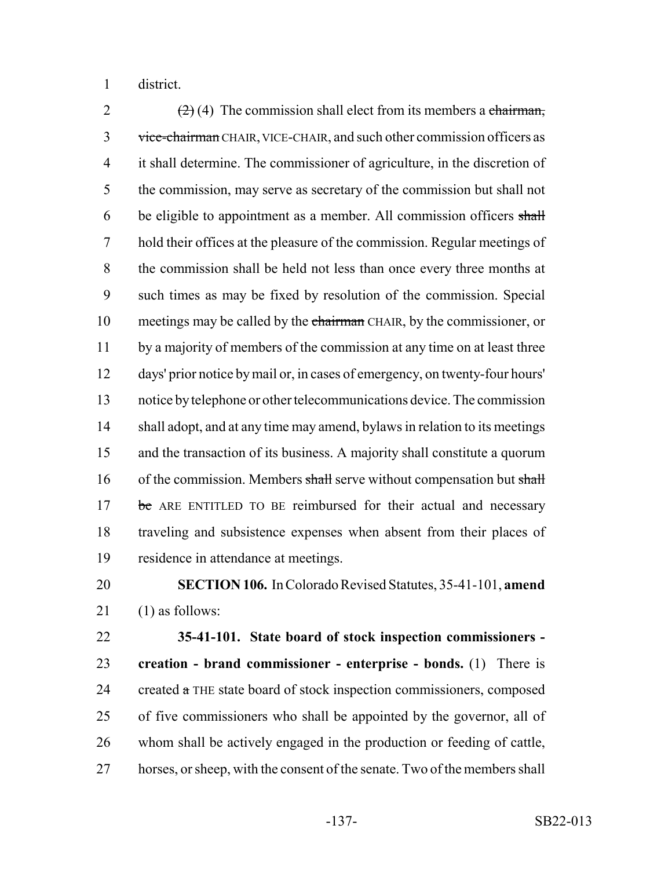district.

 $(2)$  (4) The commission shall elect from its members a chairman, 3 vice-chairman CHAIR, VICE-CHAIR, and such other commission officers as it shall determine. The commissioner of agriculture, in the discretion of the commission, may serve as secretary of the commission but shall not be eligible to appointment as a member. All commission officers shall hold their offices at the pleasure of the commission. Regular meetings of the commission shall be held not less than once every three months at such times as may be fixed by resolution of the commission. Special 10 meetings may be called by the chairman CHAIR, by the commissioner, or 11 by a majority of members of the commission at any time on at least three days' prior notice by mail or, in cases of emergency, on twenty-four hours' notice by telephone or other telecommunications device. The commission shall adopt, and at any time may amend, bylaws in relation to its meetings and the transaction of its business. A majority shall constitute a quorum 16 of the commission. Members shall serve without compensation but shall 17 be ARE ENTITLED TO BE reimbursed for their actual and necessary traveling and subsistence expenses when absent from their places of residence in attendance at meetings.

## **SECTION 106.** In Colorado Revised Statutes, 35-41-101, **amend** (1) as follows:

 **35-41-101. State board of stock inspection commissioners - creation - brand commissioner - enterprise - bonds.** (1) There is 24 created  $\alpha$  THE state board of stock inspection commissioners, composed of five commissioners who shall be appointed by the governor, all of whom shall be actively engaged in the production or feeding of cattle, horses, or sheep, with the consent of the senate. Two of the members shall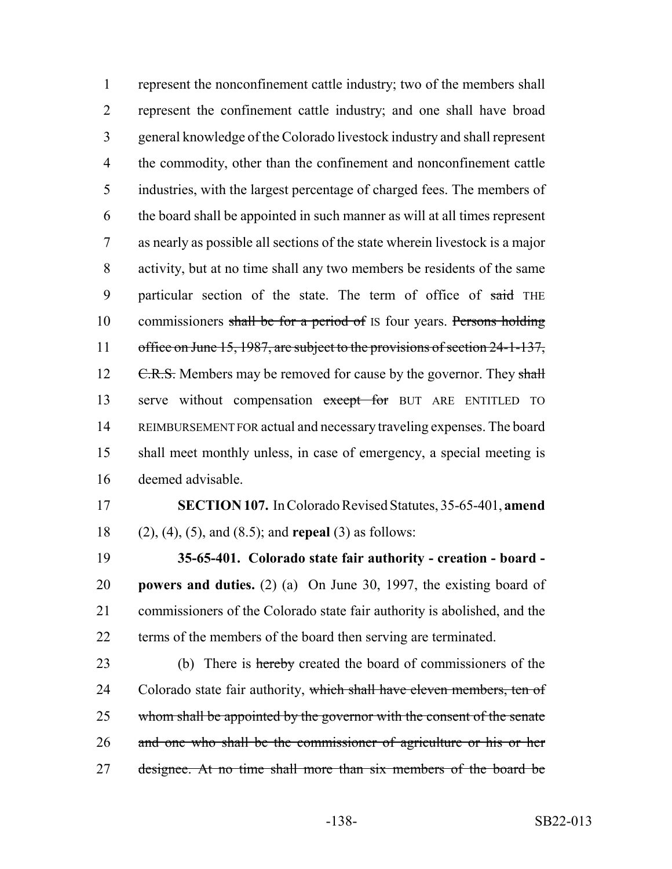represent the nonconfinement cattle industry; two of the members shall represent the confinement cattle industry; and one shall have broad general knowledge of the Colorado livestock industry and shall represent the commodity, other than the confinement and nonconfinement cattle industries, with the largest percentage of charged fees. The members of the board shall be appointed in such manner as will at all times represent as nearly as possible all sections of the state wherein livestock is a major activity, but at no time shall any two members be residents of the same 9 particular section of the state. The term of office of said THE 10 commissioners shall be for a period of IS four years. Persons holding 11 office on June 15, 1987, are subject to the provisions of section 24-1-137, 12 C.R.S. Members may be removed for cause by the governor. They shall 13 serve without compensation except for BUT ARE ENTITLED TO REIMBURSEMENT FOR actual and necessary traveling expenses. The board shall meet monthly unless, in case of emergency, a special meeting is deemed advisable.

**SECTION 107.** In Colorado Revised Statutes, 35-65-401, **amend**

(2), (4), (5), and (8.5); and **repeal** (3) as follows:

 **35-65-401. Colorado state fair authority - creation - board - powers and duties.** (2) (a) On June 30, 1997, the existing board of commissioners of the Colorado state fair authority is abolished, and the terms of the members of the board then serving are terminated.

23 (b) There is hereby created the board of commissioners of the 24 Colorado state fair authority, which shall have eleven members, ten of 25 whom shall be appointed by the governor with the consent of the senate 26 and one who shall be the commissioner of agriculture or his or her 27 designee. At no time shall more than six members of the board be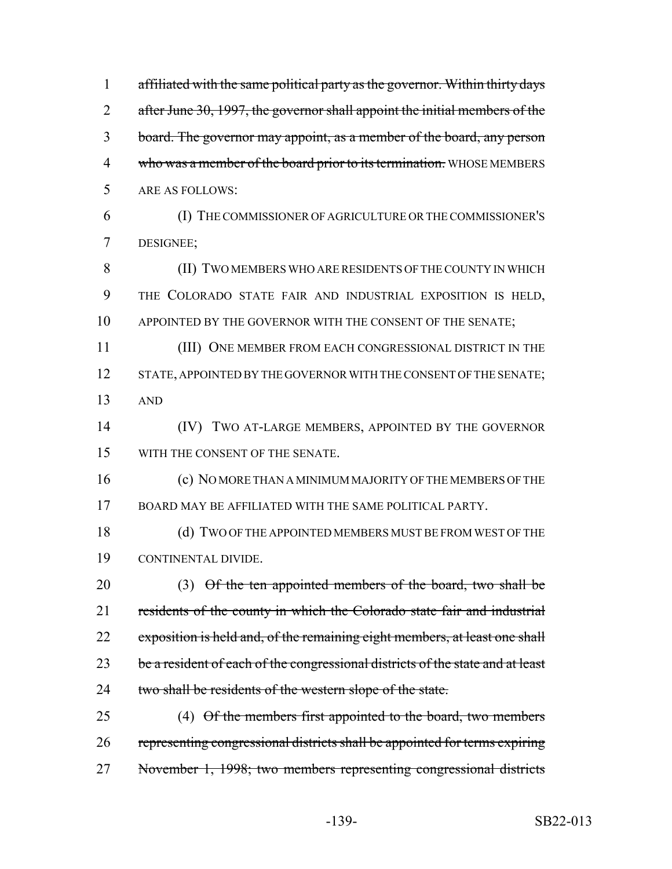| $\mathbf{1}$   | affiliated with the same political party as the governor. Within thirty days   |
|----------------|--------------------------------------------------------------------------------|
| $\overline{2}$ | after June 30, 1997, the governor shall appoint the initial members of the     |
| 3              | board. The governor may appoint, as a member of the board, any person          |
| $\overline{4}$ | who was a member of the board prior to its termination. WHOSE MEMBERS          |
| 5              | <b>ARE AS FOLLOWS:</b>                                                         |
| 6              | (I) THE COMMISSIONER OF AGRICULTURE OR THE COMMISSIONER'S                      |
| 7              | DESIGNEE;                                                                      |
| 8              | (II) TWO MEMBERS WHO ARE RESIDENTS OF THE COUNTY IN WHICH                      |
| 9              | THE COLORADO STATE FAIR AND INDUSTRIAL EXPOSITION IS HELD,                     |
| 10             | APPOINTED BY THE GOVERNOR WITH THE CONSENT OF THE SENATE;                      |
| 11             | (III) ONE MEMBER FROM EACH CONGRESSIONAL DISTRICT IN THE                       |
| 12             | STATE, APPOINTED BY THE GOVERNOR WITH THE CONSENT OF THE SENATE;               |
| 13             | <b>AND</b>                                                                     |
| 14             | (IV) TWO AT-LARGE MEMBERS, APPOINTED BY THE GOVERNOR                           |
| 15             | WITH THE CONSENT OF THE SENATE.                                                |
| 16             | (c) NO MORE THAN A MINIMUM MAJORITY OF THE MEMBERS OF THE                      |
| 17             | BOARD MAY BE AFFILIATED WITH THE SAME POLITICAL PARTY.                         |
| 18             | (d) TWO OF THE APPOINTED MEMBERS MUST BE FROM WEST OF THE                      |
| 19             | CONTINENTAL DIVIDE.                                                            |
| 20             | $(3)$ Of the ten appointed members of the board, two shall be                  |
| 21             | residents of the county in which the Colorado state fair and industrial        |
| 22             | exposition is held and, of the remaining eight members, at least one shall     |
| 23             | be a resident of each of the congressional districts of the state and at least |
| 24             | two shall be residents of the western slope of the state.                      |
| 25             | $(4)$ Of the members first appointed to the board, two members                 |
| 26             | representing congressional districts shall be appointed for terms expiring     |
| 27             | November 1, 1998; two members representing congressional districts             |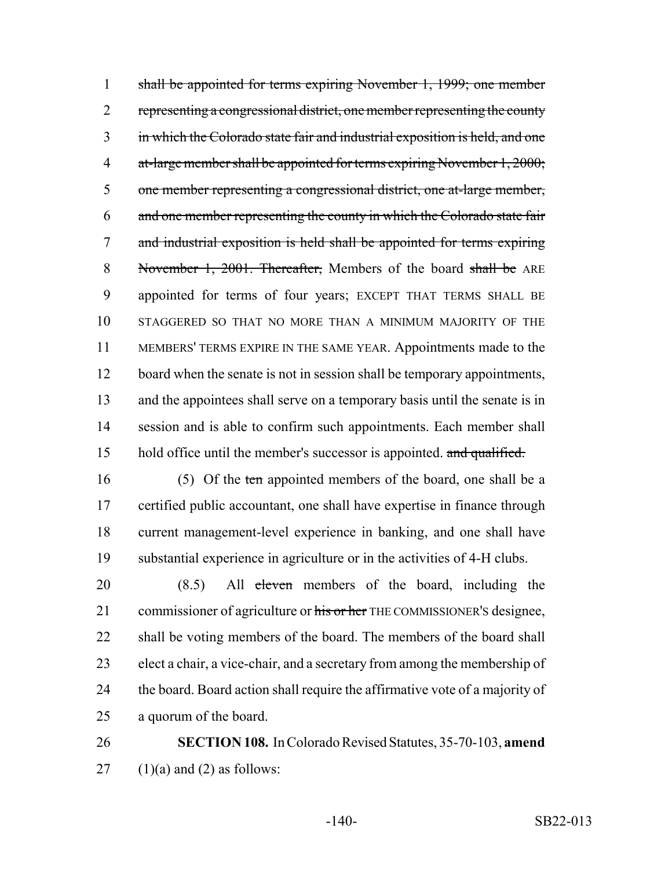shall be appointed for terms expiring November 1, 1999; one member 2 representing a congressional district, one member representing the county in which the Colorado state fair and industrial exposition is held, and one 4 at-large member shall be appointed for terms expiring November 1, 2000; one member representing a congressional district, one at-large member, and one member representing the county in which the Colorado state fair and industrial exposition is held shall be appointed for terms expiring 8 November 1, 2001. Thereafter, Members of the board shall be ARE appointed for terms of four years; EXCEPT THAT TERMS SHALL BE STAGGERED SO THAT NO MORE THAN A MINIMUM MAJORITY OF THE MEMBERS' TERMS EXPIRE IN THE SAME YEAR. Appointments made to the 12 board when the senate is not in session shall be temporary appointments, and the appointees shall serve on a temporary basis until the senate is in 14 session and is able to confirm such appointments. Each member shall 15 hold office until the member's successor is appointed. and qualified.

16 (5) Of the ten appointed members of the board, one shall be a certified public accountant, one shall have expertise in finance through current management-level experience in banking, and one shall have substantial experience in agriculture or in the activities of 4-H clubs.

20 (8.5) All eleven members of the board, including the 21 commissioner of agriculture or his or her THE COMMISSIONER's designee, shall be voting members of the board. The members of the board shall elect a chair, a vice-chair, and a secretary from among the membership of the board. Board action shall require the affirmative vote of a majority of a quorum of the board.

 **SECTION 108.** In Colorado Revised Statutes, 35-70-103, **amend** 27  $(1)(a)$  and  $(2)$  as follows: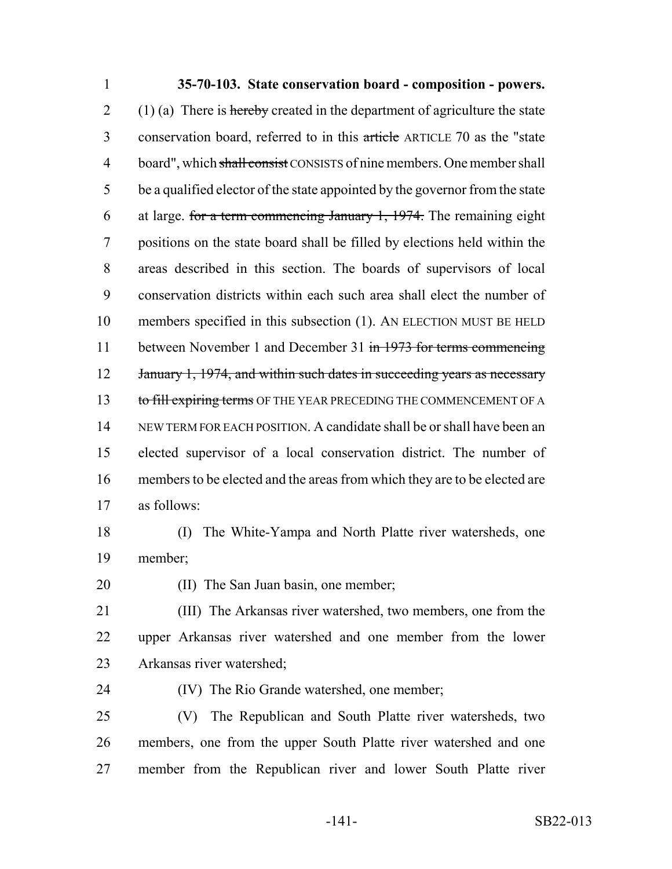## **35-70-103. State conservation board - composition - powers.** 2 (1) (a) There is hereby created in the department of agriculture the state 3 conservation board, referred to in this article ARTICLE 70 as the "state" 4 board", which shall consist CONSISTS of nine members. One member shall be a qualified elector of the state appointed by the governor from the state 6 at large. for a term commencing January 1, . The remaining eight positions on the state board shall be filled by elections held within the areas described in this section. The boards of supervisors of local conservation districts within each such area shall elect the number of members specified in this subsection (1). AN ELECTION MUST BE HELD 11 between November 1 and December 31 in 1973 for terms commencing 12 January 1, 1974, and within such dates in succeeding years as necessary 13 to fill expiring terms OF THE YEAR PRECEDING THE COMMENCEMENT OF A NEW TERM FOR EACH POSITION. A candidate shall be or shall have been an elected supervisor of a local conservation district. The number of members to be elected and the areas from which they are to be elected are as follows:

- (I) The White-Yampa and North Platte river watersheds, one member;
- 

20 (II) The San Juan basin, one member;

 (III) The Arkansas river watershed, two members, one from the upper Arkansas river watershed and one member from the lower Arkansas river watershed;

(IV) The Rio Grande watershed, one member;

 (V) The Republican and South Platte river watersheds, two members, one from the upper South Platte river watershed and one member from the Republican river and lower South Platte river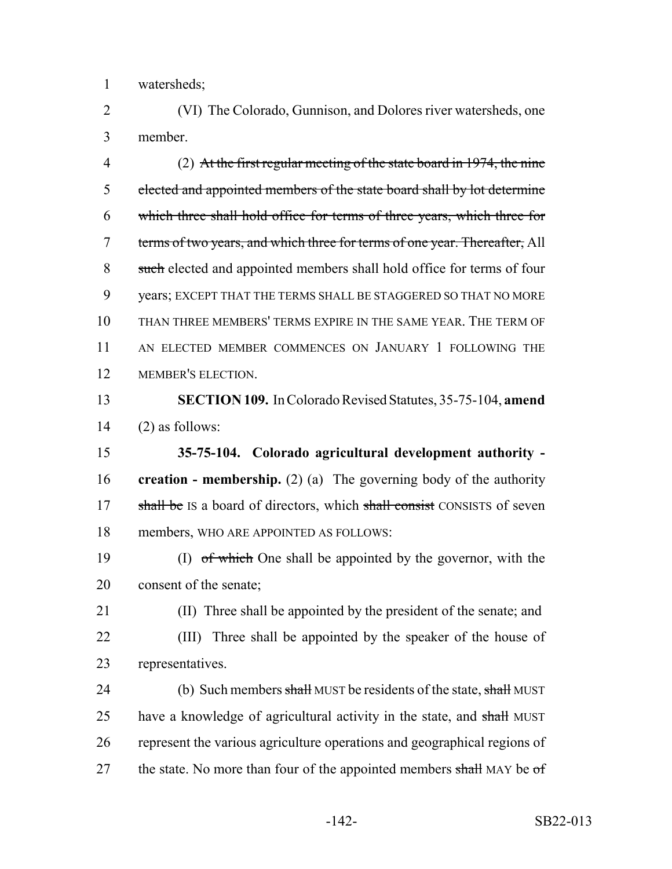watersheds;

 (VI) The Colorado, Gunnison, and Dolores river watersheds, one member.

 (2) At the first regular meeting of the state board in 1974, the nine elected and appointed members of the state board shall by lot determine which three shall hold office for terms of three years, which three for 7 terms of two years, and which three for terms of one year. Thereafter, All 8 such elected and appointed members shall hold office for terms of four years; EXCEPT THAT THE TERMS SHALL BE STAGGERED SO THAT NO MORE THAN THREE MEMBERS' TERMS EXPIRE IN THE SAME YEAR. THE TERM OF AN ELECTED MEMBER COMMENCES ON JANUARY 1 FOLLOWING THE MEMBER'S ELECTION.

 **SECTION 109.** In Colorado Revised Statutes, 35-75-104, **amend** (2) as follows:

 **35-75-104. Colorado agricultural development authority - creation - membership.** (2) (a) The governing body of the authority 17 shall be IS a board of directors, which shall consist CONSISTS of seven members, WHO ARE APPOINTED AS FOLLOWS:

19 (I) of which One shall be appointed by the governor, with the consent of the senate;

 (II) Three shall be appointed by the president of the senate; and (III) Three shall be appointed by the speaker of the house of representatives.

24 (b) Such members shall MUST be residents of the state, shall MUST 25 have a knowledge of agricultural activity in the state, and shall MUST represent the various agriculture operations and geographical regions of 27 the state. No more than four of the appointed members shall MAY be  $\sigma f$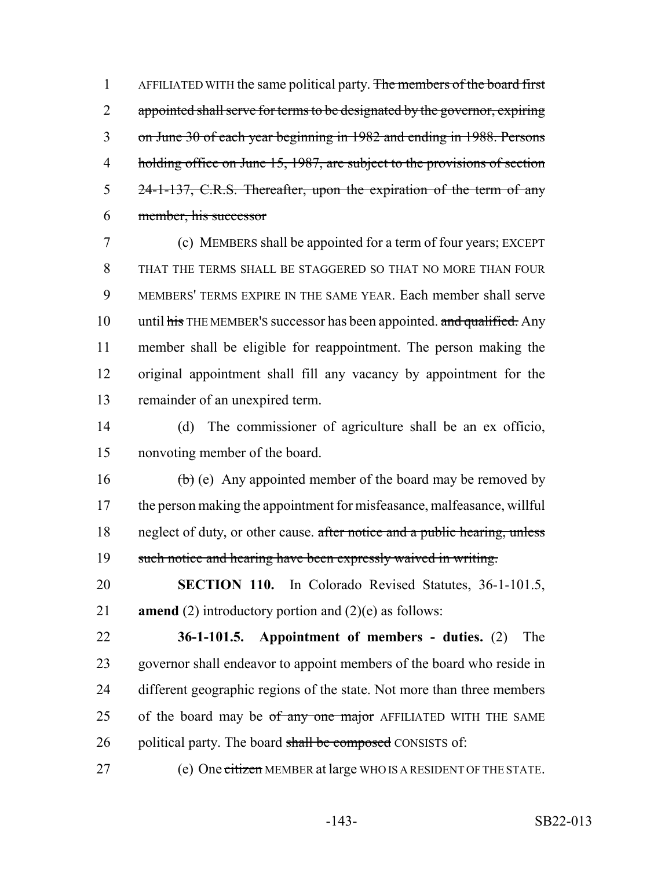1 AFFILIATED WITH the same political party. The members of the board first 2 appointed shall serve for terms to be designated by the governor, expiring 3 on June 30 of each year beginning in 1982 and ending in 1988. Persons 4 holding office on June 15, 1987, are subject to the provisions of section 5 24-1-137, C.R.S. Thereafter, upon the expiration of the term of any 6 member, his successor

 (c) MEMBERS shall be appointed for a term of four years; EXCEPT THAT THE TERMS SHALL BE STAGGERED SO THAT NO MORE THAN FOUR MEMBERS' TERMS EXPIRE IN THE SAME YEAR. Each member shall serve 10 until  $\frac{1}{10}$  until  $\frac{1}{10}$  THE MEMBER's successor has been appointed. and qualified. Any member shall be eligible for reappointment. The person making the original appointment shall fill any vacancy by appointment for the remainder of an unexpired term.

14 (d) The commissioner of agriculture shall be an ex officio, 15 nonvoting member of the board.

16  $\left(\frac{b}{b}\right)$  (e) Any appointed member of the board may be removed by 17 the person making the appointment for misfeasance, malfeasance, willful 18 neglect of duty, or other cause. after notice and a public hearing, unless 19 such notice and hearing have been expressly waived in writing.

20 **SECTION 110.** In Colorado Revised Statutes, 36-1-101.5, 21 **amend** (2) introductory portion and (2)(e) as follows:

22 **36-1-101.5. Appointment of members - duties.** (2) The 23 governor shall endeavor to appoint members of the board who reside in 24 different geographic regions of the state. Not more than three members 25 of the board may be of any one major AFFILIATED WITH THE SAME 26 political party. The board shall be composed CONSISTS of:

27 (e) One citizen MEMBER at large WHO IS A RESIDENT OF THE STATE.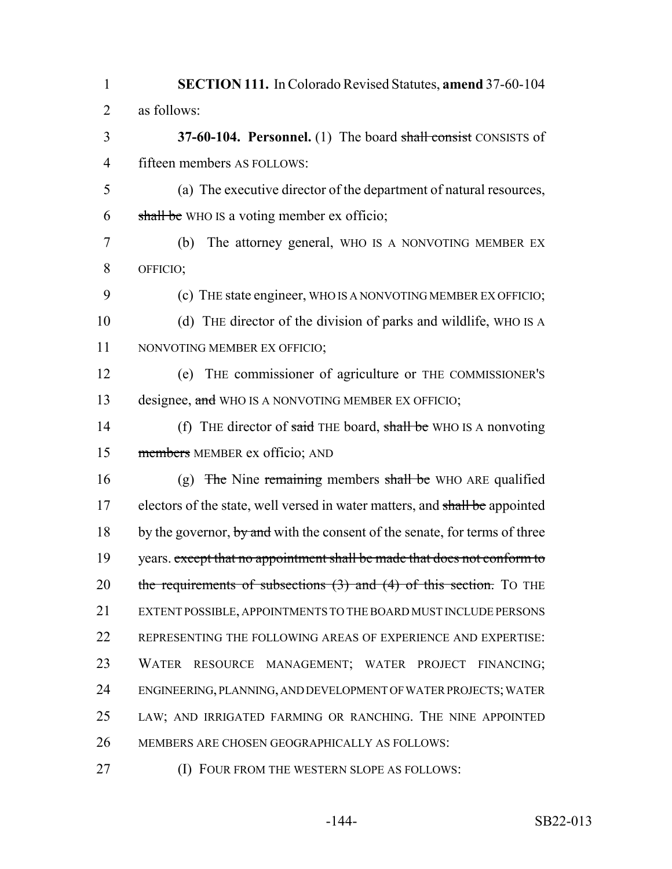**SECTION 111.** In Colorado Revised Statutes, **amend** 37-60-104 as follows: **37-60-104. Personnel.** (1) The board shall consist CONSISTS of fifteen members AS FOLLOWS: (a) The executive director of the department of natural resources, 6 shall be WHO IS a voting member ex officio; (b) The attorney general, WHO IS A NONVOTING MEMBER EX OFFICIO; (c) THE state engineer, WHO IS A NONVOTING MEMBER EX OFFICIO; (d) THE director of the division of parks and wildlife, WHO IS A NONVOTING MEMBER EX OFFICIO; (e) THE commissioner of agriculture or THE COMMISSIONER'S 13 designee, and WHO IS A NONVOTING MEMBER EX OFFICIO; 14 (f) THE director of said THE board, shall be WHO IS A nonvoting members MEMBER ex officio; AND 16 (g) The Nine remaining members shall be WHO ARE qualified 17 electors of the state, well versed in water matters, and shall be appointed 18 by the governor, by and with the consent of the senate, for terms of three 19 years. except that no appointment shall be made that does not conform to 20 the requirements of subsections  $(3)$  and  $(4)$  of this section. To THE EXTENT POSSIBLE, APPOINTMENTS TO THE BOARD MUST INCLUDE PERSONS REPRESENTING THE FOLLOWING AREAS OF EXPERIENCE AND EXPERTISE: WATER RESOURCE MANAGEMENT; WATER PROJECT FINANCING; ENGINEERING, PLANNING, AND DEVELOPMENT OF WATER PROJECTS; WATER LAW; AND IRRIGATED FARMING OR RANCHING. THE NINE APPOINTED MEMBERS ARE CHOSEN GEOGRAPHICALLY AS FOLLOWS: (I) FOUR FROM THE WESTERN SLOPE AS FOLLOWS: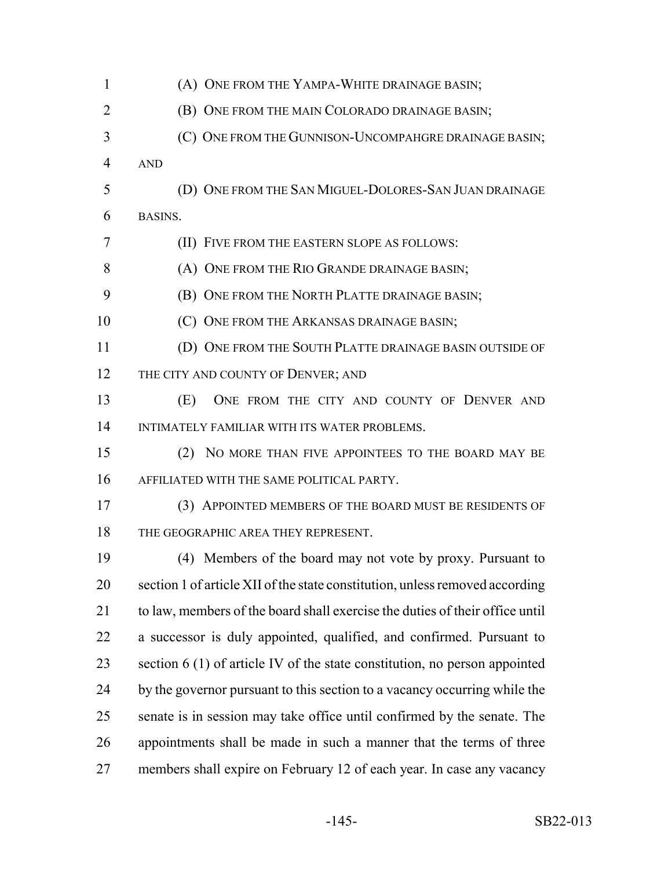| $\mathbf{1}$   | (A) ONE FROM THE YAMPA-WHITE DRAINAGE BASIN;                                 |
|----------------|------------------------------------------------------------------------------|
| $\overline{2}$ | (B) ONE FROM THE MAIN COLORADO DRAINAGE BASIN;                               |
| 3              | (C) ONE FROM THE GUNNISON-UNCOMPAHGRE DRAINAGE BASIN;                        |
| 4              | <b>AND</b>                                                                   |
| 5              | (D) ONE FROM THE SAN MIGUEL-DOLORES-SAN JUAN DRAINAGE                        |
| 6              | BASINS.                                                                      |
| 7              | (II) FIVE FROM THE EASTERN SLOPE AS FOLLOWS:                                 |
| 8              | (A) ONE FROM THE RIO GRANDE DRAINAGE BASIN;                                  |
| 9              | (B) ONE FROM THE NORTH PLATTE DRAINAGE BASIN;                                |
| 10             | (C) ONE FROM THE ARKANSAS DRAINAGE BASIN;                                    |
| 11             | (D) ONE FROM THE SOUTH PLATTE DRAINAGE BASIN OUTSIDE OF                      |
| 12             | THE CITY AND COUNTY OF DENVER; AND                                           |
| 13             | (E)<br>ONE FROM THE CITY AND COUNTY OF DENVER AND                            |
| 14             | INTIMATELY FAMILIAR WITH ITS WATER PROBLEMS.                                 |
| 15             | NO MORE THAN FIVE APPOINTEES TO THE BOARD MAY BE<br>(2)                      |
| 16             | AFFILIATED WITH THE SAME POLITICAL PARTY.                                    |
| 17             | (3) APPOINTED MEMBERS OF THE BOARD MUST BE RESIDENTS OF                      |
| 18             | THE GEOGRAPHIC AREA THEY REPRESENT.                                          |
| 19             | (4) Members of the board may not vote by proxy. Pursuant to                  |
| 20             | section 1 of article XII of the state constitution, unless removed according |
| 21             | to law, members of the board shall exercise the duties of their office until |
| 22             | a successor is duly appointed, qualified, and confirmed. Pursuant to         |
| 23             | section $6(1)$ of article IV of the state constitution, no person appointed  |
| 24             | by the governor pursuant to this section to a vacancy occurring while the    |
| 25             | senate is in session may take office until confirmed by the senate. The      |
| 26             | appointments shall be made in such a manner that the terms of three          |
| 27             | members shall expire on February 12 of each year. In case any vacancy        |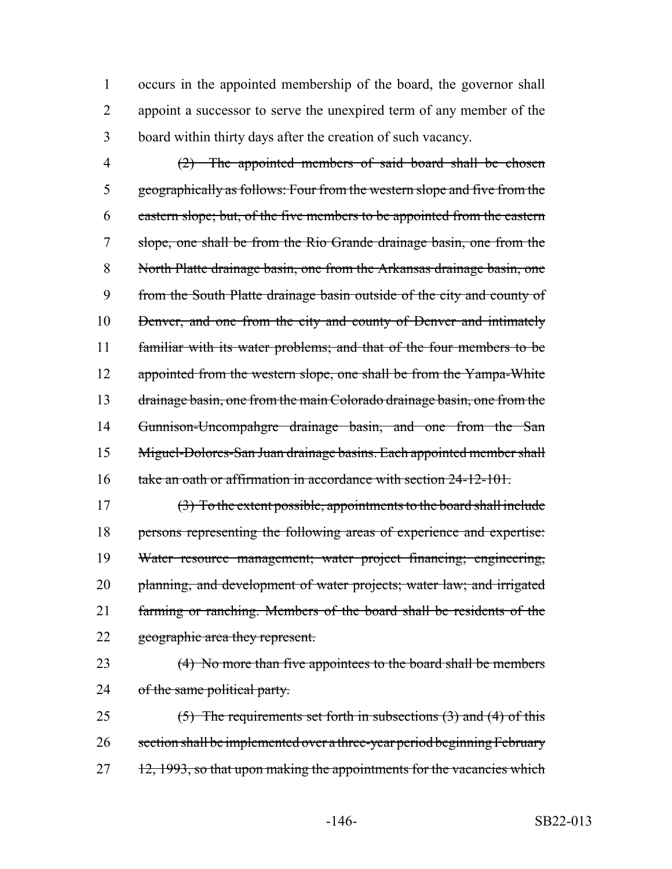occurs in the appointed membership of the board, the governor shall appoint a successor to serve the unexpired term of any member of the board within thirty days after the creation of such vacancy.

 (2) The appointed members of said board shall be chosen geographically as follows: Four from the western slope and five from the eastern slope; but, of the five members to be appointed from the eastern slope, one shall be from the Rio Grande drainage basin, one from the 8 North Platte drainage basin, one from the Arkansas drainage basin, one from the South Platte drainage basin outside of the city and county of 10 Denver, and one from the city and county of Denver and intimately familiar with its water problems; and that of the four members to be 12 appointed from the western slope, one shall be from the Yampa-White 13 drainage basin, one from the main Colorado drainage basin, one from the Gunnison-Uncompahgre drainage basin, and one from the San Miguel-Dolores-San Juan drainage basins. Each appointed member shall take an oath or affirmation in accordance with section 24-12-101.

 (3) To the extent possible, appointments to the board shall include persons representing the following areas of experience and expertise: Water resource management; water project financing; engineering, 20 planning, and development of water projects; water law; and irrigated farming or ranching. Members of the board shall be residents of the 22 geographic area they represent.

23 (4) No more than five appointees to the board shall be members 24 of the same political party.

25  $(5)$  The requirements set forth in subsections  $(3)$  and  $(4)$  of this 26 section shall be implemented over a three-year period beginning February 12, 1993, so that upon making the appointments for the vacancies which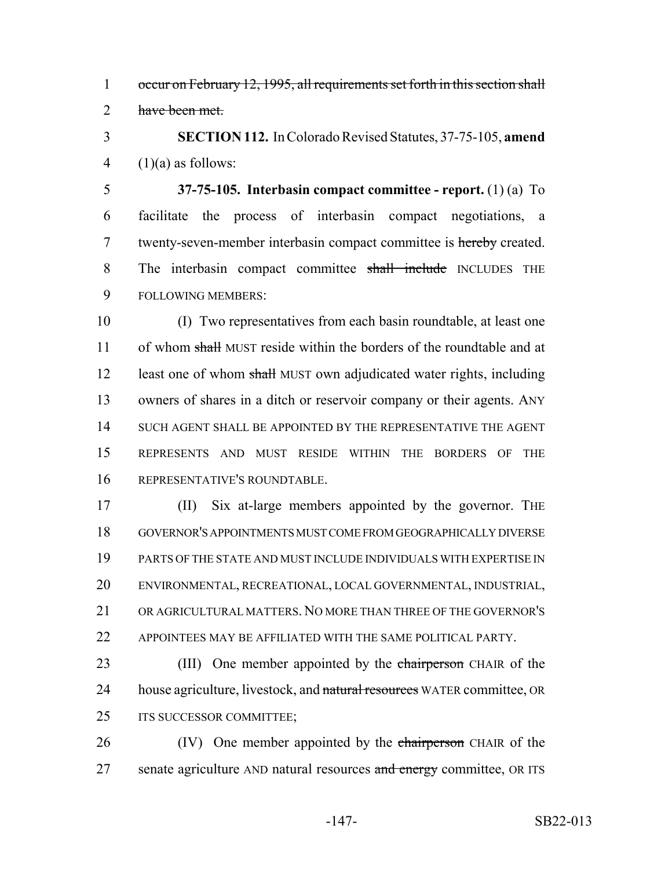1 occur on February 12, 1995, all requirements set forth in this section shall 2 have been met.

3 **SECTION 112.** In Colorado Revised Statutes, 37-75-105, **amend** 4  $(1)(a)$  as follows:

5 **37-75-105. Interbasin compact committee - report.** (1) (a) To 6 facilitate the process of interbasin compact negotiations, a 7 twenty-seven-member interbasin compact committee is hereby created. 8 The interbasin compact committee shall include INCLUDES THE 9 FOLLOWING MEMBERS:

 (I) Two representatives from each basin roundtable, at least one 11 of whom shall MUST reside within the borders of the roundtable and at 12 least one of whom shall MUST own adjudicated water rights, including owners of shares in a ditch or reservoir company or their agents. ANY SUCH AGENT SHALL BE APPOINTED BY THE REPRESENTATIVE THE AGENT REPRESENTS AND MUST RESIDE WITHIN THE BORDERS OF THE REPRESENTATIVE'S ROUNDTABLE.

17 (II) Six at-large members appointed by the governor. The GOVERNOR'S APPOINTMENTS MUST COME FROM GEOGRAPHICALLY DIVERSE PARTS OF THE STATE AND MUST INCLUDE INDIVIDUALS WITH EXPERTISE IN ENVIRONMENTAL, RECREATIONAL, LOCAL GOVERNMENTAL, INDUSTRIAL, OR AGRICULTURAL MATTERS. NO MORE THAN THREE OF THE GOVERNOR'S 22 APPOINTEES MAY BE AFFILIATED WITH THE SAME POLITICAL PARTY.

23 (III) One member appointed by the chairperson CHAIR of the 24 house agriculture, livestock, and natural resources WATER committee, OR 25 ITS SUCCESSOR COMMITTEE;

26 (IV) One member appointed by the chairperson CHAIR of the 27 senate agriculture AND natural resources and energy committee, OR ITS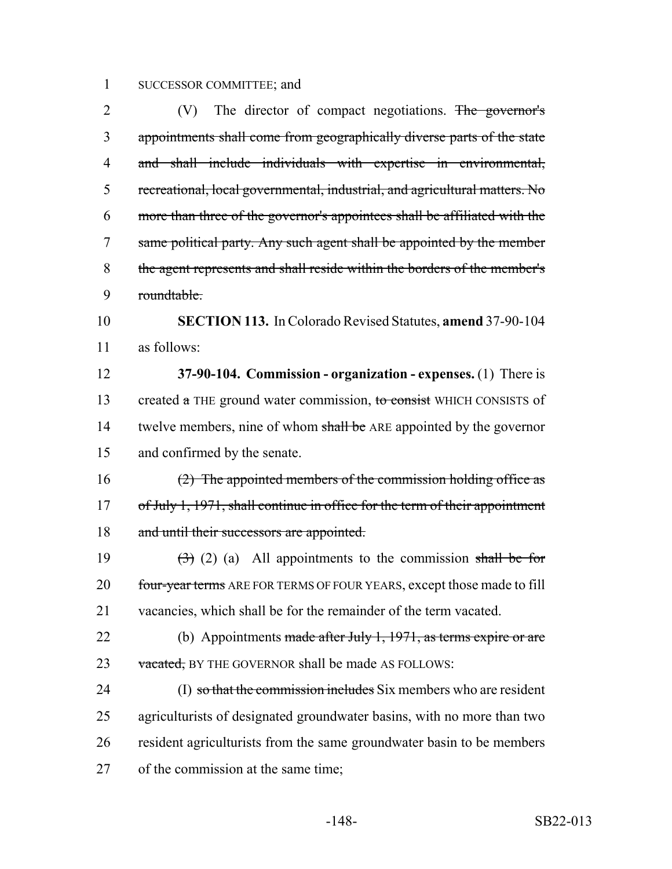## SUCCESSOR COMMITTEE; and

2 (V) The director of compact negotiations. The governor's appointments shall come from geographically diverse parts of the state and shall include individuals with expertise in environmental, recreational, local governmental, industrial, and agricultural matters. No more than three of the governor's appointees shall be affiliated with the same political party. Any such agent shall be appointed by the member the agent represents and shall reside within the borders of the member's roundtable.

 **SECTION 113.** In Colorado Revised Statutes, **amend** 37-90-104 as follows:

 **37-90-104. Commission - organization - expenses.** (1) There is 13 created a THE ground water commission, to consist WHICH CONSISTS of 14 twelve members, nine of whom shall be ARE appointed by the governor and confirmed by the senate.

 (2) The appointed members of the commission holding office as 17 of July 1, 1971, shall continue in office for the term of their appointment 18 and until their successors are appointed.

19  $(3)$  (2) (a) All appointments to the commission shall be for 20 four-year terms ARE FOR TERMS OF FOUR YEARS, except those made to fill vacancies, which shall be for the remainder of the term vacated.

22 (b) Appointments made after July 1, 1971, as terms expire or are 23 vacated, BY THE GOVERNOR shall be made AS FOLLOWS:

24 (I) so that the commission includes Six members who are resident agriculturists of designated groundwater basins, with no more than two resident agriculturists from the same groundwater basin to be members of the commission at the same time;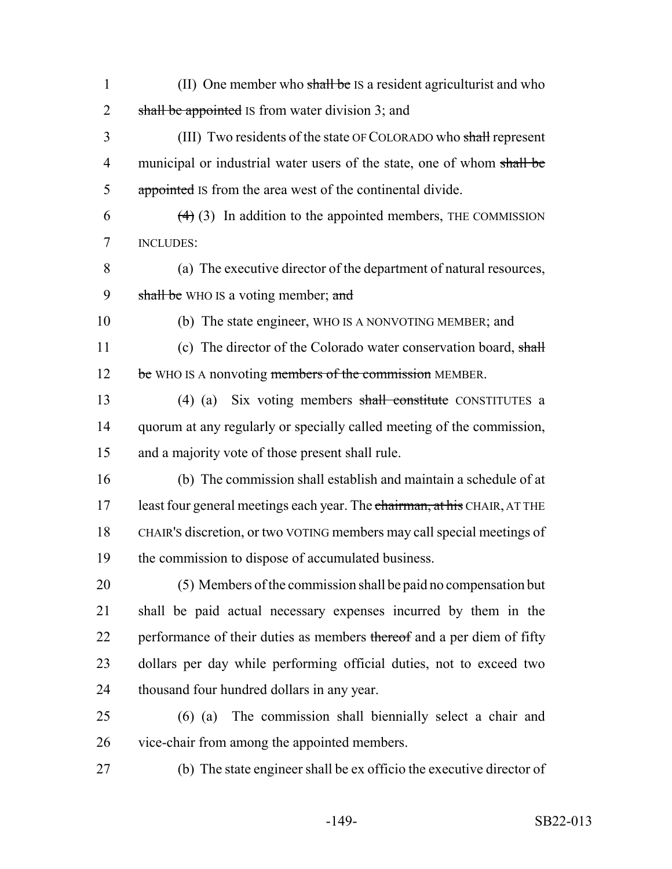- 1 (II) One member who shall be IS a resident agriculturist and who 2 shall be appointed IS from water division 3; and
- (III) Two residents of the state OF COLORADO who shall represent 4 municipal or industrial water users of the state, one of whom shall be 5 appointed IS from the area west of the continental divide.
- $(4)$  (3) In addition to the appointed members, THE COMMISSION INCLUDES:
- (a) The executive director of the department of natural resources, 9 shall be WHO IS a voting member; and
- 

(b) The state engineer, WHO IS A NONVOTING MEMBER; and

11 (c) The director of the Colorado water conservation board, shall 12 be WHO IS A nonvoting members of the commission MEMBER.

 (4) (a) Six voting members shall constitute CONSTITUTES a quorum at any regularly or specially called meeting of the commission, and a majority vote of those present shall rule.

 (b) The commission shall establish and maintain a schedule of at 17 least four general meetings each year. The chairman, at his CHAIR, AT THE CHAIR'S discretion, or two VOTING members may call special meetings of the commission to dispose of accumulated business.

 (5) Members of the commission shall be paid no compensation but shall be paid actual necessary expenses incurred by them in the 22 performance of their duties as members thereof and a per diem of fifty dollars per day while performing official duties, not to exceed two thousand four hundred dollars in any year.

- (6) (a) The commission shall biennially select a chair and vice-chair from among the appointed members.
- 

(b) The state engineer shall be ex officio the executive director of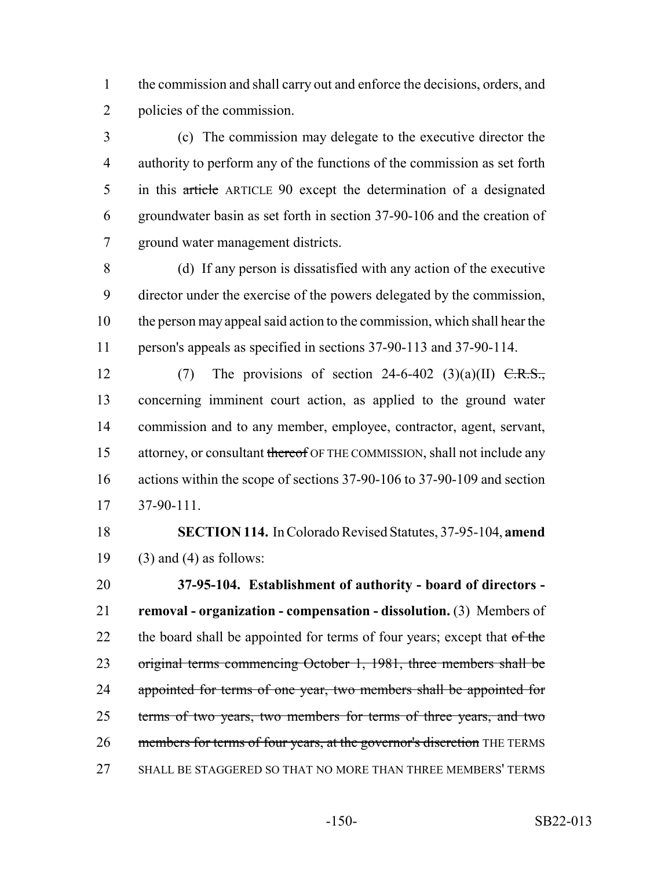the commission and shall carry out and enforce the decisions, orders, and policies of the commission.

 (c) The commission may delegate to the executive director the authority to perform any of the functions of the commission as set forth in this article ARTICLE 90 except the determination of a designated groundwater basin as set forth in section 37-90-106 and the creation of ground water management districts.

 (d) If any person is dissatisfied with any action of the executive director under the exercise of the powers delegated by the commission, the person may appeal said action to the commission, which shall hear the person's appeals as specified in sections 37-90-113 and 37-90-114.

12 (7) The provisions of section 24-6-402 (3)(a)(II)  $\overline{C.R.S.}$ , concerning imminent court action, as applied to the ground water commission and to any member, employee, contractor, agent, servant, 15 attorney, or consultant thereof OF THE COMMISSION, shall not include any 16 actions within the scope of sections 37-90-106 to 37-90-109 and section 37-90-111.

 **SECTION 114.** In Colorado Revised Statutes, 37-95-104, **amend** 19 (3) and (4) as follows:

 **37-95-104. Establishment of authority - board of directors - removal - organization - compensation - dissolution.** (3) Members of 22 the board shall be appointed for terms of four years; except that of the original terms commencing October 1, 1981, three members shall be 24 appointed for terms of one year, two members shall be appointed for 25 terms of two years, two members for terms of three years, and two 26 members for terms of four years, at the governor's discretion THE TERMS SHALL BE STAGGERED SO THAT NO MORE THAN THREE MEMBERS' TERMS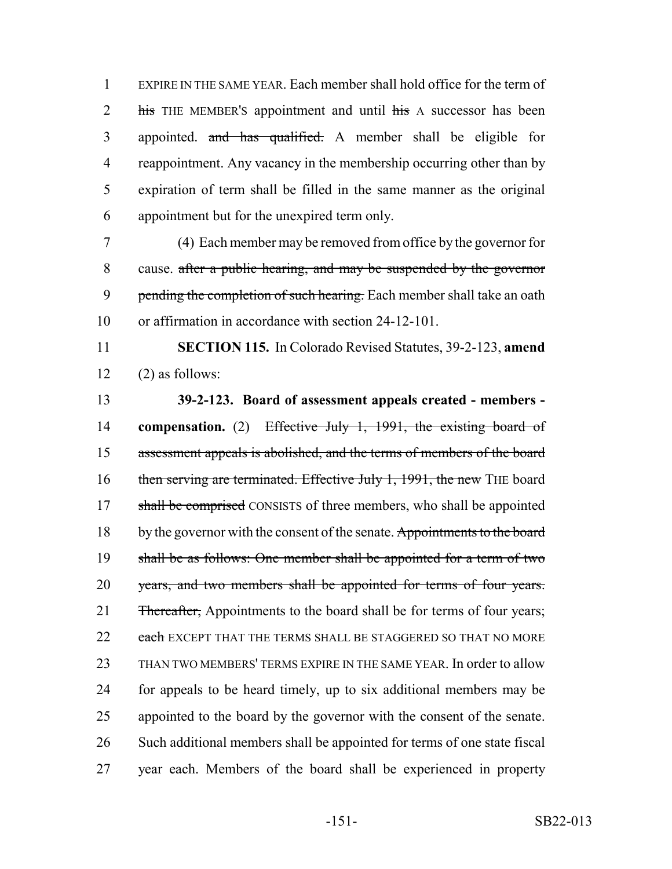EXPIRE IN THE SAME YEAR. Each member shall hold office for the term of 2 his THE MEMBER's appointment and until his A successor has been appointed. and has qualified. A member shall be eligible for reappointment. Any vacancy in the membership occurring other than by expiration of term shall be filled in the same manner as the original appointment but for the unexpired term only.

 (4) Each member may be removed from office by the governor for cause. after a public hearing, and may be suspended by the governor 9 pending the completion of such hearing. Each member shall take an oath or affirmation in accordance with section 24-12-101.

 **SECTION 115.** In Colorado Revised Statutes, 39-2-123, **amend**  $12 \qquad (2)$  as follows:

## **39-2-123. Board of assessment appeals created - members -**

 **compensation.** (2) Effective July 1, 1991, the existing board of assessment appeals is abolished, and the terms of members of the board 16 then serving are terminated. Effective July 1, 1991, the new THE board 17 shall be comprised CONSISTS of three members, who shall be appointed 18 by the governor with the consent of the senate. Appointments to the board shall be as follows: One member shall be appointed for a term of two 20 years, and two members shall be appointed for terms of four years. 21 Thereafter, Appointments to the board shall be for terms of four years; 22 each EXCEPT THAT THE TERMS SHALL BE STAGGERED SO THAT NO MORE THAN TWO MEMBERS' TERMS EXPIRE IN THE SAME YEAR. In order to allow for appeals to be heard timely, up to six additional members may be appointed to the board by the governor with the consent of the senate. Such additional members shall be appointed for terms of one state fiscal year each. Members of the board shall be experienced in property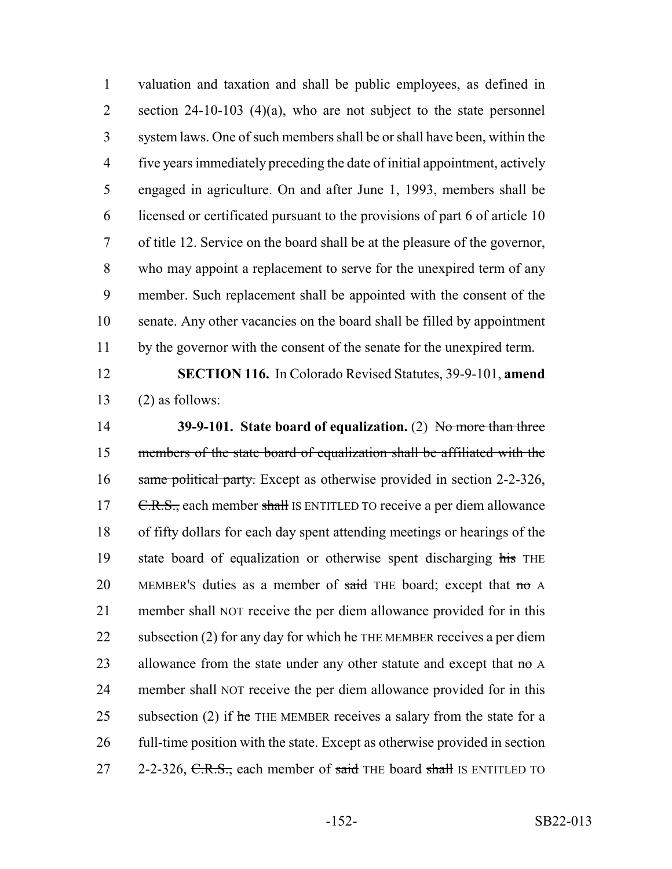valuation and taxation and shall be public employees, as defined in 2 section 24-10-103 (4)(a), who are not subject to the state personnel system laws. One of such members shall be or shall have been, within the five years immediately preceding the date of initial appointment, actively engaged in agriculture. On and after June 1, 1993, members shall be licensed or certificated pursuant to the provisions of part 6 of article 10 of title 12. Service on the board shall be at the pleasure of the governor, who may appoint a replacement to serve for the unexpired term of any member. Such replacement shall be appointed with the consent of the senate. Any other vacancies on the board shall be filled by appointment by the governor with the consent of the senate for the unexpired term.

 **SECTION 116.** In Colorado Revised Statutes, 39-9-101, **amend** 13  $(2)$  as follows:

 **39-9-101. State board of equalization.** (2) No more than three members of the state board of equalization shall be affiliated with the 16 same political party. Except as otherwise provided in section 2-2-326, 17 C.R.S., each member shall IS ENTITLED TO receive a per diem allowance of fifty dollars for each day spent attending meetings or hearings of the 19 state board of equalization or otherwise spent discharging his THE 20 MEMBER's duties as a member of  $said$  THE board; except that  $mo A$  member shall NOT receive the per diem allowance provided for in this 22 subsection (2) for any day for which  $he$  THE MEMBER receives a per diem 23 allowance from the state under any other statute and except that  $m\sigma A$  member shall NOT receive the per diem allowance provided for in this 25 subsection (2) if  $\theta$  THE MEMBER receives a salary from the state for a full-time position with the state. Except as otherwise provided in section 27 2-2-326, C.R.S., each member of said THE board shall IS ENTITLED TO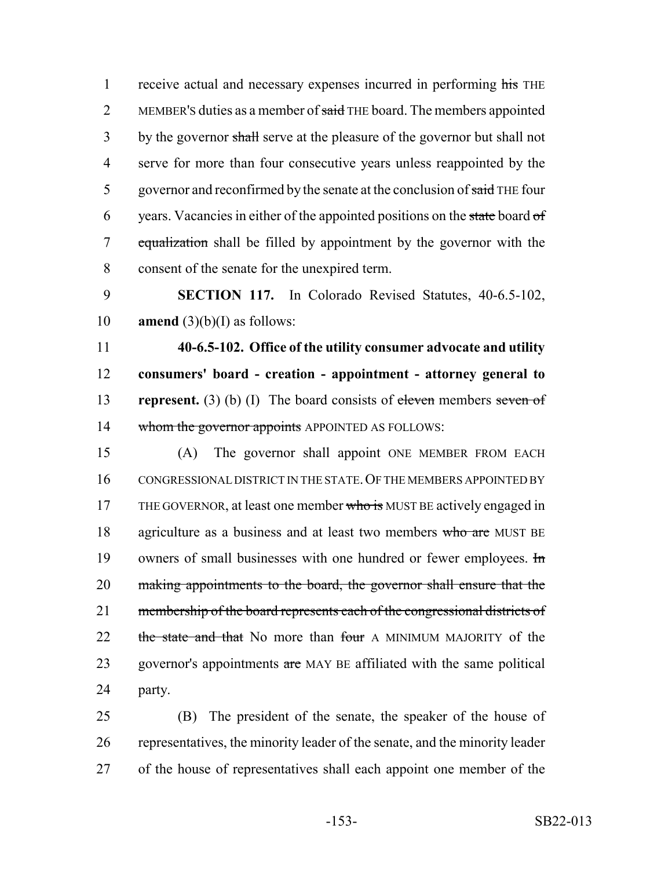1 receive actual and necessary expenses incurred in performing his THE 2 MEMBER's duties as a member of said THE board. The members appointed 3 by the governor shall serve at the pleasure of the governor but shall not 4 serve for more than four consecutive years unless reappointed by the 5 governor and reconfirmed by the senate at the conclusion of said THE four 6 years. Vacancies in either of the appointed positions on the state board  $\sigma f$ 7 equalization shall be filled by appointment by the governor with the 8 consent of the senate for the unexpired term.

9 **SECTION 117.** In Colorado Revised Statutes, 40-6.5-102, 10 **amend** (3)(b)(I) as follows:

 **40-6.5-102. Office of the utility consumer advocate and utility consumers' board - creation - appointment - attorney general to represent.** (3) (b) (I) The board consists of eleven members seven of 14 whom the governor appoints APPOINTED AS FOLLOWS:

15 (A) The governor shall appoint ONE MEMBER FROM EACH 16 CONGRESSIONAL DISTRICT IN THE STATE.OF THE MEMBERS APPOINTED BY 17 THE GOVERNOR, at least one member who is MUST BE actively engaged in 18 agriculture as a business and at least two members who are MUST BE 19 owners of small businesses with one hundred or fewer employees.  $\text{Im}$ 20 making appointments to the board, the governor shall ensure that the 21 membership of the board represents each of the congressional districts of 22 the state and that No more than four A MINIMUM MAJORITY of the 23 governor's appointments are MAY BE affiliated with the same political 24 party.

25 (B) The president of the senate, the speaker of the house of 26 representatives, the minority leader of the senate, and the minority leader 27 of the house of representatives shall each appoint one member of the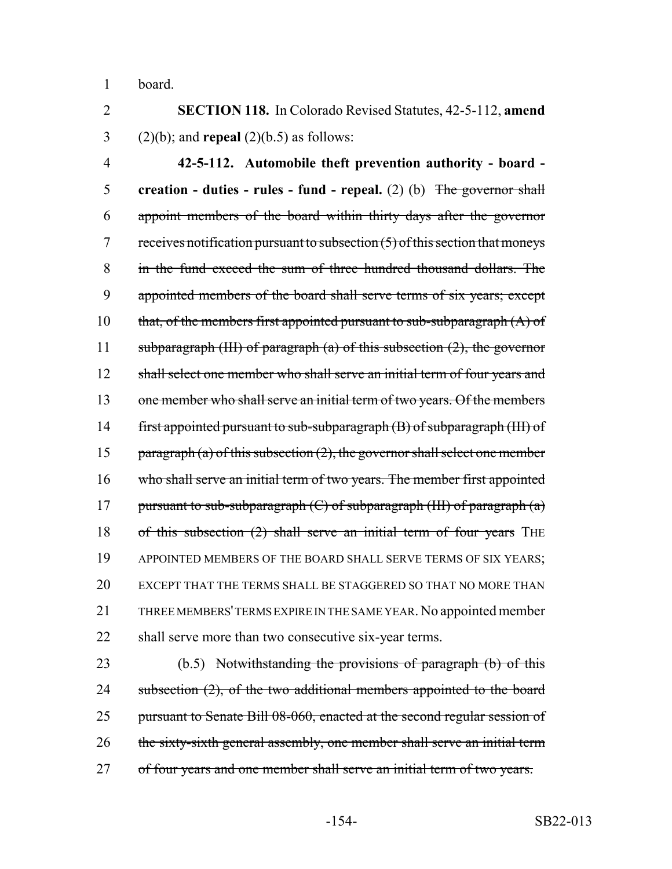1 board.

2 **SECTION 118.** In Colorado Revised Statutes, 42-5-112, **amend** 3 (2)(b); and **repeal** (2)(b.5) as follows:

4 **42-5-112. Automobile theft prevention authority - board -** 5 **creation - duties - rules - fund - repeal.** (2) (b) The governor shall 6 appoint members of the board within thirty days after the governor  $7$  receives notification pursuant to subsection  $(5)$  of this section that moneys 8 in the fund exceed the sum of three hundred thousand dollars. The 9 appointed members of the board shall serve terms of six years; except 10 that, of the members first appointed pursuant to sub-subparagraph  $(A)$  of 11 subparagraph (III) of paragraph (a) of this subsection  $(2)$ , the governor 12 shall select one member who shall serve an initial term of four years and 13 one member who shall serve an initial term of two years. Of the members 14 first appointed pursuant to sub-subparagraph (B) of subparagraph (III) of 15 paragraph (a) of this subsection  $(2)$ , the governor shall select one member 16 who shall serve an initial term of two years. The member first appointed 17 pursuant to sub-subparagraph  $(C)$  of subparagraph (III) of paragraph  $(a)$ 18 of this subsection (2) shall serve an initial term of four years THE 19 APPOINTED MEMBERS OF THE BOARD SHALL SERVE TERMS OF SIX YEARS; 20 EXCEPT THAT THE TERMS SHALL BE STAGGERED SO THAT NO MORE THAN 21 THREE MEMBERS' TERMS EXPIRE IN THE SAME YEAR. No appointed member 22 shall serve more than two consecutive six-year terms.

23 (b.5) Notwithstanding the provisions of paragraph (b) of this 24 subsection (2), of the two additional members appointed to the board 25 pursuant to Senate Bill 08-060, enacted at the second regular session of 26 the sixty-sixth general assembly, one member shall serve an initial term 27 of four years and one member shall serve an initial term of two years.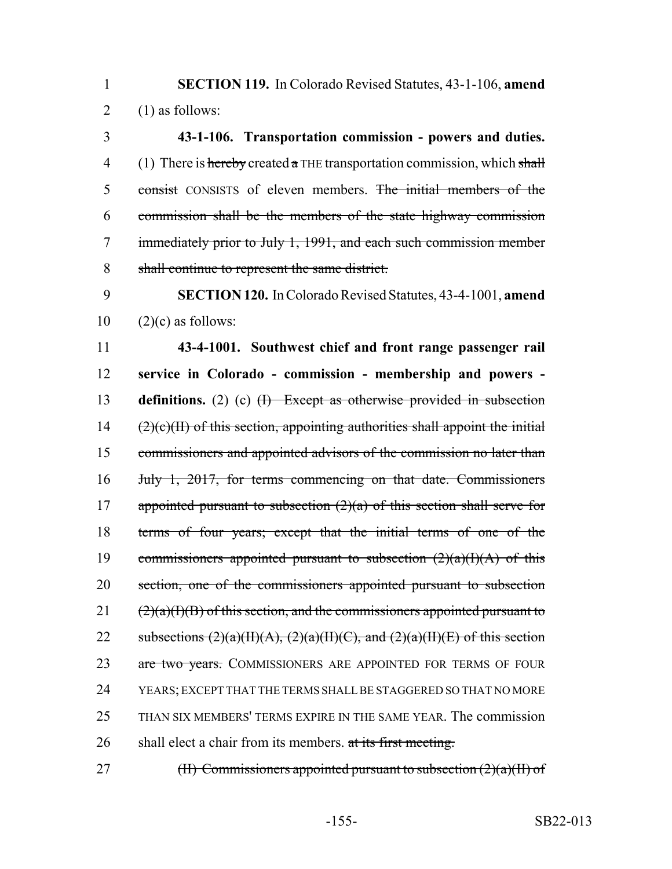**SECTION 119.** In Colorado Revised Statutes, 43-1-106, **amend** 2  $(1)$  as follows:

 **43-1-106. Transportation commission - powers and duties.** 4 (1) There is hereby created a THE transportation commission, which shall 5 consist CONSISTS of eleven members. The initial members of the commission shall be the members of the state highway commission immediately prior to July 1, 1991, and each such commission member shall continue to represent the same district.

 **SECTION 120.** In Colorado Revised Statutes, 43-4-1001, **amend**  $10 \quad (2)(c)$  as follows:

 **43-4-1001. Southwest chief and front range passenger rail service in Colorado - commission - membership and powers - definitions.** (2) (c) (I) Except as otherwise provided in subsection (2)(c)(II) of this section, appointing authorities shall appoint the initial commissioners and appointed advisors of the commission no later than July 1, 2017, for terms commencing on that date. Commissioners 17 appointed pursuant to subsection  $(2)(a)$  of this section shall serve for terms of four years; except that the initial terms of one of the 19 commissioners appointed pursuant to subsection  $(2)(a)(I)(A)$  of this section, one of the commissioners appointed pursuant to subsection ( $2$ )(a)(I)(B) of this section, and the commissioners appointed pursuant to 22 subsections  $(2)(a)(H)(A), (2)(a)(H)(C),$  and  $(2)(a)(H)(E)$  of this section 23 are two years. COMMISSIONERS ARE APPOINTED FOR TERMS OF FOUR YEARS; EXCEPT THAT THE TERMS SHALL BE STAGGERED SO THAT NO MORE THAN SIX MEMBERS' TERMS EXPIRE IN THE SAME YEAR. The commission 26 shall elect a chair from its members. at its first meeting.

27 (II) Commissioners appointed pursuant to subsection  $(2)(a)(II)$  of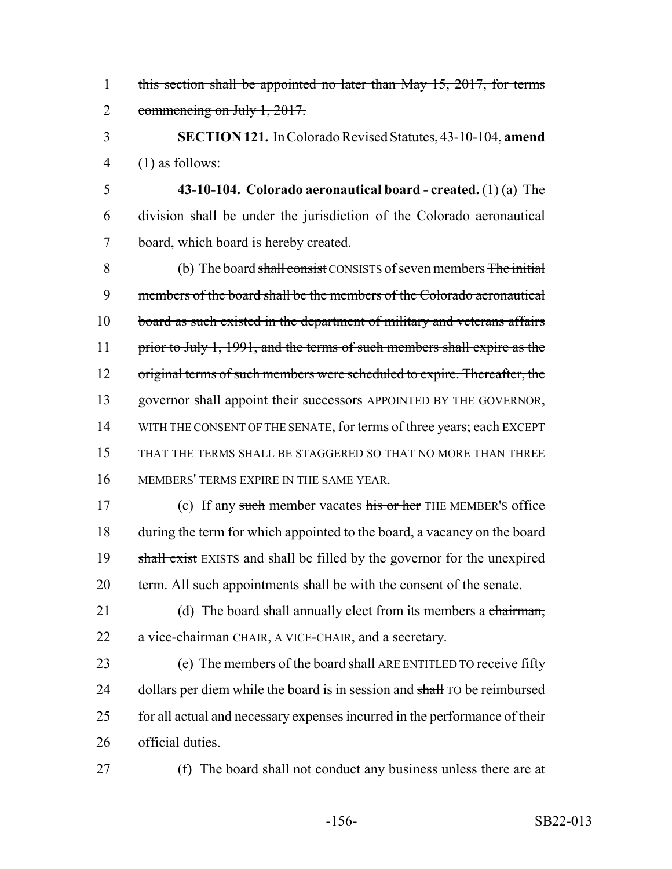1 this section shall be appointed no later than May 15, 2017, for terms 2 commencing on July 1, 2017.

3 **SECTION 121.** In Colorado Revised Statutes, 43-10-104, **amend** 4 (1) as follows:

5 **43-10-104. Colorado aeronautical board - created.** (1) (a) The 6 division shall be under the jurisdiction of the Colorado aeronautical 7 board, which board is hereby created.

8 (b) The board shall consist CONSISTS of seven members The initial 9 members of the board shall be the members of the Colorado aeronautical 10 board as such existed in the department of military and veterans affairs 11 prior to July 1, 1991, and the terms of such members shall expire as the 12 original terms of such members were scheduled to expire. Thereafter, the 13 governor shall appoint their successors APPOINTED BY THE GOVERNOR, 14 WITH THE CONSENT OF THE SENATE, for terms of three years; each EXCEPT 15 THAT THE TERMS SHALL BE STAGGERED SO THAT NO MORE THAN THREE 16 MEMBERS' TERMS EXPIRE IN THE SAME YEAR.

17 (c) If any such member vacates his or her THE MEMBER's office 18 during the term for which appointed to the board, a vacancy on the board 19 shall exist EXISTS and shall be filled by the governor for the unexpired 20 term. All such appointments shall be with the consent of the senate.

21 (d) The board shall annually elect from its members a chairman, 22 a vice-chairman CHAIR, A VICE-CHAIR, and a secretary.

23 (e) The members of the board shall ARE ENTITLED TO receive fifty 24 dollars per diem while the board is in session and shall TO be reimbursed 25 for all actual and necessary expenses incurred in the performance of their 26 official duties.

27 (f) The board shall not conduct any business unless there are at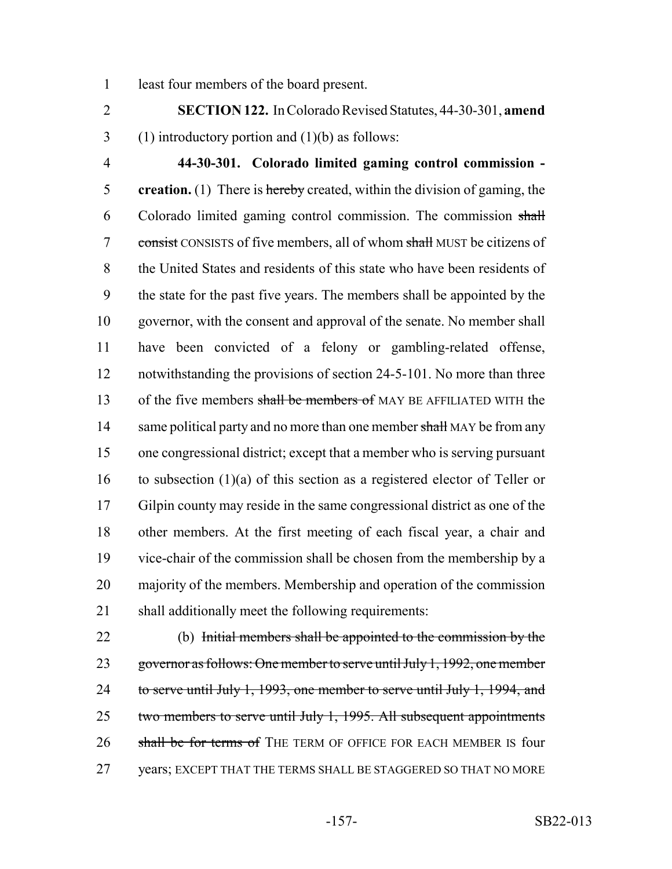least four members of the board present.

 **SECTION 122.** In Colorado Revised Statutes, 44-30-301, **amend** 3 (1) introductory portion and  $(1)(b)$  as follows:

 **44-30-301. Colorado limited gaming control commission - creation.** (1) There is hereby created, within the division of gaming, the Colorado limited gaming control commission. The commission shall 7 consist CONSISTS of five members, all of whom shall MUST be citizens of the United States and residents of this state who have been residents of the state for the past five years. The members shall be appointed by the governor, with the consent and approval of the senate. No member shall have been convicted of a felony or gambling-related offense, 12 notwithstanding the provisions of section 24-5-101. No more than three 13 of the five members shall be members of MAY BE AFFILIATED WITH the 14 same political party and no more than one member shall MAY be from any one congressional district; except that a member who is serving pursuant 16 to subsection  $(1)(a)$  of this section as a registered elector of Teller or Gilpin county may reside in the same congressional district as one of the other members. At the first meeting of each fiscal year, a chair and vice-chair of the commission shall be chosen from the membership by a majority of the members. Membership and operation of the commission shall additionally meet the following requirements:

 (b) Initial members shall be appointed to the commission by the 23 governor as follows: One member to serve until July 1, 1992, one member 24 to serve until July 1, 1993, one member to serve until July 1, 1994, and 25 two members to serve until July 1, 1995. All subsequent appointments 26 shall be for terms of THE TERM OF OFFICE FOR EACH MEMBER IS four years; EXCEPT THAT THE TERMS SHALL BE STAGGERED SO THAT NO MORE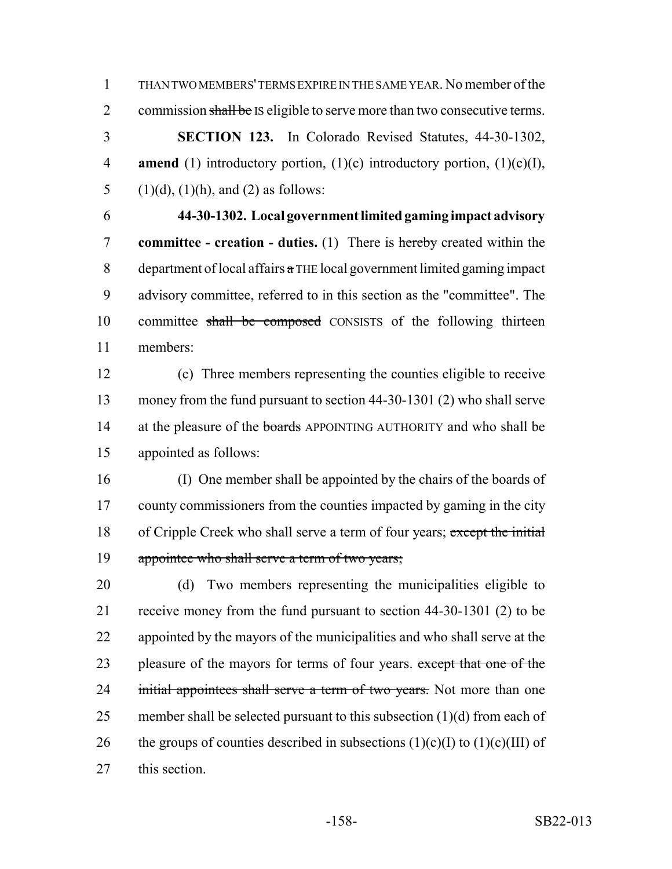1 THAN TWO MEMBERS' TERMS EXPIRE IN THE SAME YEAR. No member of the 2 commission shall be IS eligible to serve more than two consecutive terms. 3 **SECTION 123.** In Colorado Revised Statutes, 44-30-1302,

4 **amend** (1) introductory portion, (1)(c) introductory portion, (1)(c)(I), 5 (1)(d), (1)(h), and (2) as follows:

6 **44-30-1302. Local government limited gaming impact advisory** 7 **committee - creation - duties.** (1) There is hereby created within the 8 department of local affairs  $\alpha$  THE local government limited gaming impact 9 advisory committee, referred to in this section as the "committee". The 10 committee shall be composed CONSISTS of the following thirteen 11 members:

 (c) Three members representing the counties eligible to receive money from the fund pursuant to section 44-30-1301 (2) who shall serve 14 at the pleasure of the **boards** APPOINTING AUTHORITY and who shall be appointed as follows:

16 (I) One member shall be appointed by the chairs of the boards of 17 county commissioners from the counties impacted by gaming in the city 18 of Cripple Creek who shall serve a term of four years; except the initial 19 appointee who shall serve a term of two years;

20 (d) Two members representing the municipalities eligible to 21 receive money from the fund pursuant to section 44-30-1301 (2) to be 22 appointed by the mayors of the municipalities and who shall serve at the 23 pleasure of the mayors for terms of four years. except that one of the 24 initial appointees shall serve a term of two years. Not more than one 25 member shall be selected pursuant to this subsection  $(1)(d)$  from each of 26 the groups of counties described in subsections  $(1)(c)(I)$  to  $(1)(c)(III)$  of 27 this section.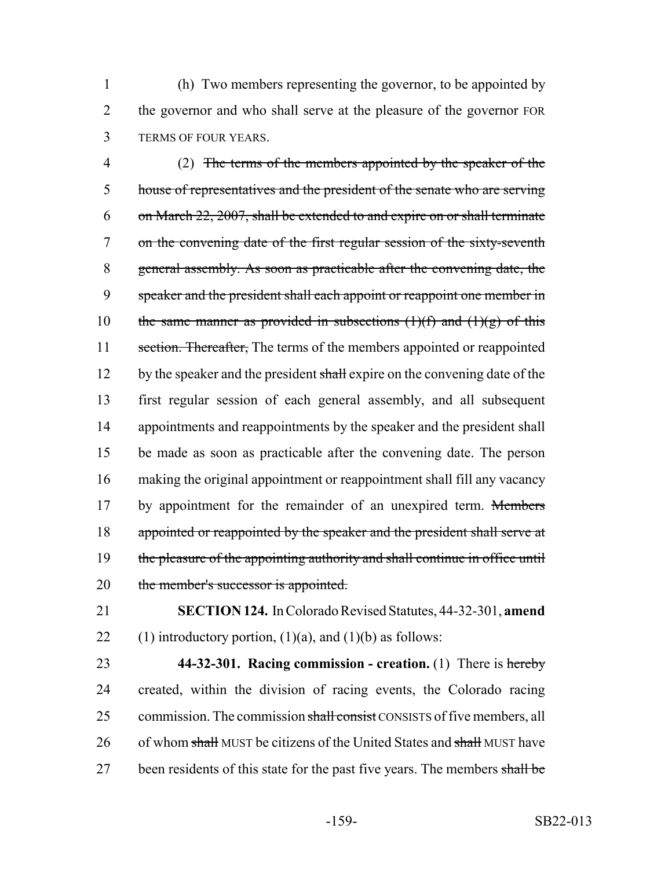1 (h) Two members representing the governor, to be appointed by 2 the governor and who shall serve at the pleasure of the governor FOR 3 TERMS OF FOUR YEARS.

4 (2) The terms of the members appointed by the speaker of the 5 house of representatives and the president of the senate who are serving 6 on March 22, 2007, shall be extended to and expire on or shall terminate 7 on the convening date of the first regular session of the sixty-seventh 8 general assembly. As soon as practicable after the convening date, the 9 speaker and the president shall each appoint or reappoint one member in 10 the same manner as provided in subsections  $(1)(f)$  and  $(1)(g)$  of this 11 section. Thereafter, The terms of the members appointed or reappointed 12 by the speaker and the president shall expire on the convening date of the 13 first regular session of each general assembly, and all subsequent 14 appointments and reappointments by the speaker and the president shall 15 be made as soon as practicable after the convening date. The person 16 making the original appointment or reappointment shall fill any vacancy 17 by appointment for the remainder of an unexpired term. Members 18 appointed or reappointed by the speaker and the president shall serve at 19 the pleasure of the appointing authority and shall continue in office until 20 the member's successor is appointed.

21 **SECTION 124.** In Colorado Revised Statutes, 44-32-301, **amend** 22 (1) introductory portion,  $(1)(a)$ , and  $(1)(b)$  as follows:

23 **44-32-301. Racing commission - creation.** (1) There is hereby 24 created, within the division of racing events, the Colorado racing 25 commission. The commission shall consist CONSISTS of five members, all 26 of whom shall MUST be citizens of the United States and shall MUST have 27 been residents of this state for the past five years. The members shall be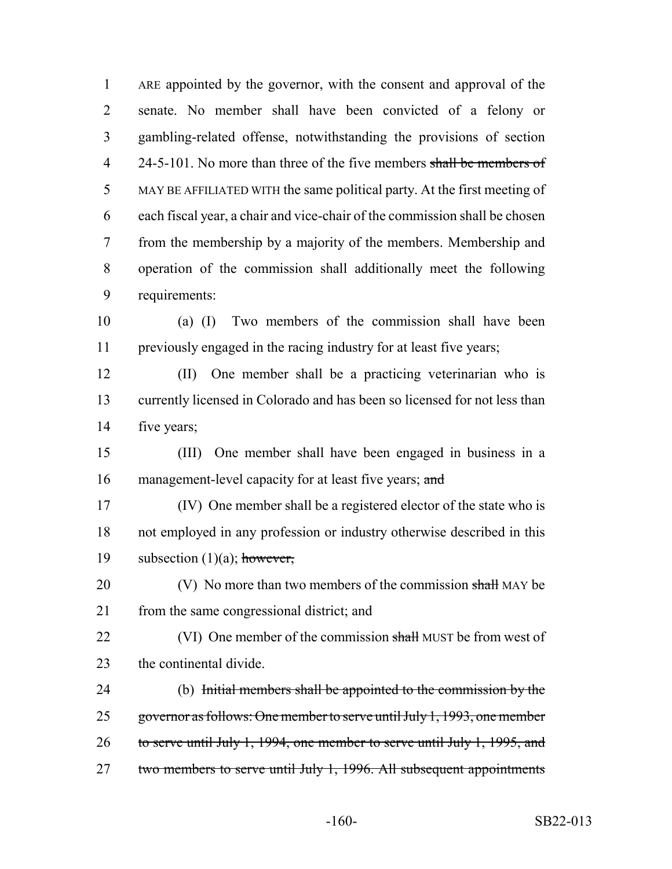ARE appointed by the governor, with the consent and approval of the senate. No member shall have been convicted of a felony or gambling-related offense, notwithstanding the provisions of section 4 24-5-101. No more than three of the five members shall be members of MAY BE AFFILIATED WITH the same political party. At the first meeting of each fiscal year, a chair and vice-chair of the commission shall be chosen from the membership by a majority of the members. Membership and operation of the commission shall additionally meet the following requirements:

- (a) (I) Two members of the commission shall have been previously engaged in the racing industry for at least five years;
- (II) One member shall be a practicing veterinarian who is currently licensed in Colorado and has been so licensed for not less than five years;
- (III) One member shall have been engaged in business in a 16 management-level capacity for at least five years; and
- (IV) One member shall be a registered elector of the state who is not employed in any profession or industry otherwise described in this 19 subsection  $(1)(a)$ ; however,
- 20 (V) No more than two members of the commission shall MAY be from the same congressional district; and
- 22 (VI) One member of the commission shall MUST be from west of the continental divide.
- (b) Initial members shall be appointed to the commission by the governor as follows: One member to serve until July 1, 1993, one member to serve until July 1, 1994, one member to serve until July 1, 1995, and 27 two members to serve until July 1, 1996. All subsequent appointments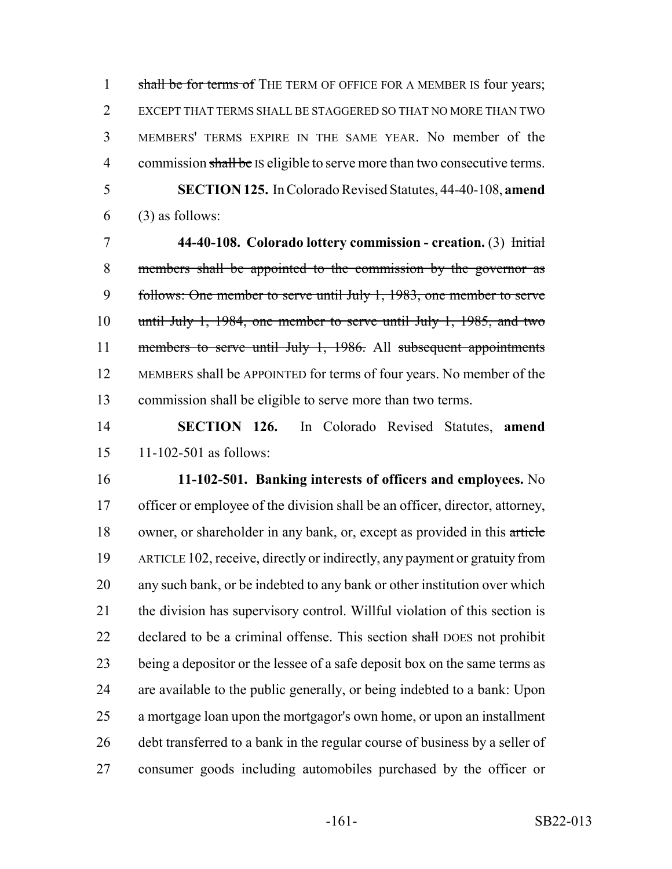1 shall be for terms of THE TERM OF OFFICE FOR A MEMBER IS four years; EXCEPT THAT TERMS SHALL BE STAGGERED SO THAT NO MORE THAN TWO MEMBERS' TERMS EXPIRE IN THE SAME YEAR. No member of the 4 commission shall be IS eligible to serve more than two consecutive terms. **SECTION 125.** In Colorado Revised Statutes, 44-40-108, **amend**

(3) as follows:

 **44-40-108. Colorado lottery commission - creation.** (3) Initial members shall be appointed to the commission by the governor as follows: One member to serve until July 1, 1983, one member to serve until July 1, 1984, one member to serve until July 1, 1985, and two 11 members to serve until July 1, 1986. All subsequent appointments MEMBERS shall be APPOINTED for terms of four years. No member of the commission shall be eligible to serve more than two terms.

 **SECTION 126.** In Colorado Revised Statutes, **amend** 11-102-501 as follows:

 **11-102-501. Banking interests of officers and employees.** No officer or employee of the division shall be an officer, director, attorney, 18 owner, or shareholder in any bank, or, except as provided in this article ARTICLE 102, receive, directly or indirectly, any payment or gratuity from any such bank, or be indebted to any bank or other institution over which the division has supervisory control. Willful violation of this section is 22 declared to be a criminal offense. This section shall DOES not prohibit being a depositor or the lessee of a safe deposit box on the same terms as are available to the public generally, or being indebted to a bank: Upon a mortgage loan upon the mortgagor's own home, or upon an installment 26 debt transferred to a bank in the regular course of business by a seller of consumer goods including automobiles purchased by the officer or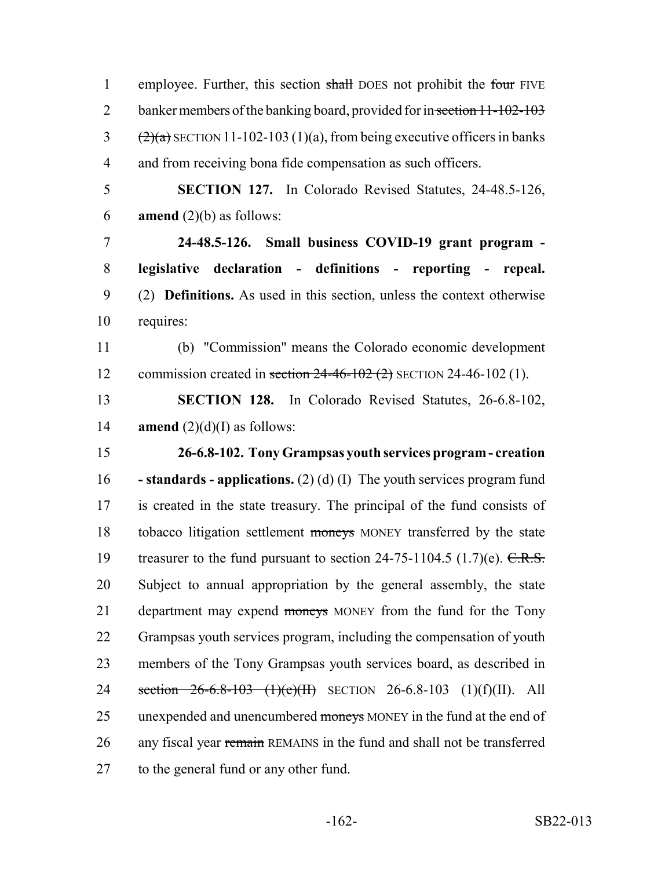| $\mathbf{1}$   | employee. Further, this section shall DOES not prohibit the four FIVE                        |
|----------------|----------------------------------------------------------------------------------------------|
| $\overline{2}$ | banker members of the banking board, provided for in section 11-102-103                      |
| $\mathfrak{Z}$ | $\left(\frac{2}{a}\right)$ SECTION 11-102-103 (1)(a), from being executive officers in banks |
| $\overline{4}$ | and from receiving bona fide compensation as such officers.                                  |
| 5              | <b>SECTION 127.</b> In Colorado Revised Statutes, 24-48.5-126,                               |
| 6              | <b>amend</b> $(2)(b)$ as follows:                                                            |
| $\tau$         | 24-48.5-126. Small business COVID-19 grant program -                                         |
| 8              | legislative declaration - definitions - reporting - repeal.                                  |
| 9              | (2) <b>Definitions.</b> As used in this section, unless the context otherwise                |
| 10             | requires:                                                                                    |
| 11             | (b) "Commission" means the Colorado economic development                                     |
| 12             | commission created in section $24-46-102$ (2) SECTION 24-46-102 (1).                         |
| 13             | <b>SECTION 128.</b> In Colorado Revised Statutes, 26-6.8-102,                                |
| 14             | <b>amend</b> $(2)(d)(I)$ as follows:                                                         |
| 15             | 26-6.8-102. Tony Grampsas youth services program - creation                                  |
| 16             | - standards - applications. $(2)$ (d) (I) The youth services program fund                    |
| 17             | is created in the state treasury. The principal of the fund consists of                      |
| 18             | tobacco litigation settlement moneys MONEY transferred by the state                          |
| 19             | treasurer to the fund pursuant to section $24-75-1104.5$ (1.7)(e). C.R.S.                    |
| 20             | Subject to annual appropriation by the general assembly, the state                           |
| 21             | department may expend moneys MONEY from the fund for the Tony                                |
| 22             | Grampsas youth services program, including the compensation of youth                         |
| 23             | members of the Tony Grampsas youth services board, as described in                           |
| 24             | section $26-6.8-103$ (1)(e)(II) SECTION 26-6.8-103 (1)(f)(II). All                           |
| 25             | unexpended and unencumbered moneys MONEY in the fund at the end of                           |
| 26             | any fiscal year remain REMAINS in the fund and shall not be transferred                      |
| 27             | to the general fund or any other fund.                                                       |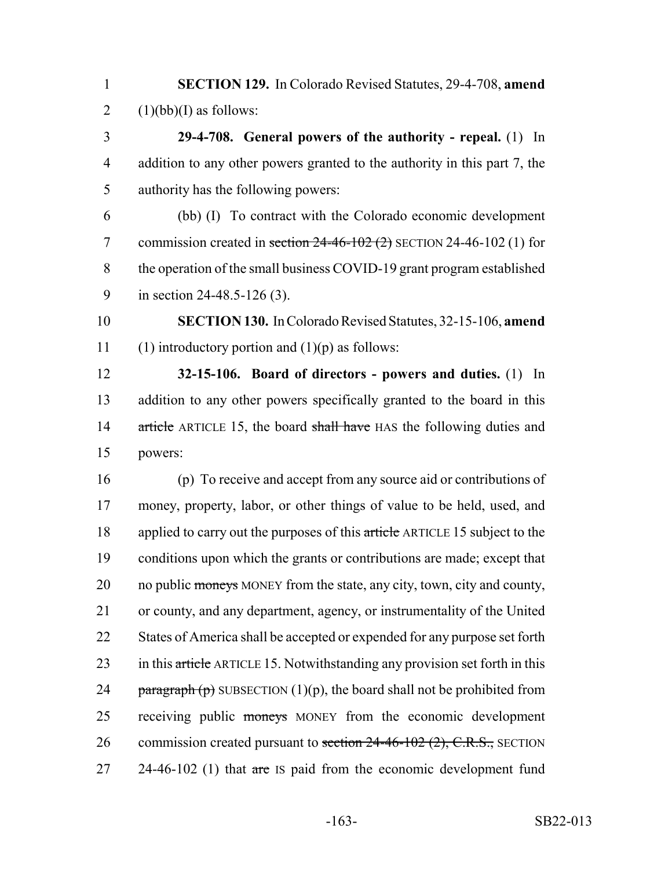1 **SECTION 129.** In Colorado Revised Statutes, 29-4-708, **amend** 2  $(1)(bb)(I)$  as follows:

3 **29-4-708. General powers of the authority - repeal.** (1) In 4 addition to any other powers granted to the authority in this part 7, the 5 authority has the following powers:

 (bb) (I) To contract with the Colorado economic development 7 commission created in section  $24-46-102$  (2) SECTION 24-46-102 (1) for the operation of the small business COVID-19 grant program established in section 24-48.5-126 (3).

10 **SECTION 130.** In Colorado Revised Statutes, 32-15-106, **amend** 11 (1) introductory portion and  $(1)(p)$  as follows:

12 **32-15-106. Board of directors - powers and duties.** (1) In 13 addition to any other powers specifically granted to the board in this 14 article ARTICLE 15, the board shall have HAS the following duties and 15 powers:

16 (p) To receive and accept from any source aid or contributions of 17 money, property, labor, or other things of value to be held, used, and 18 applied to carry out the purposes of this article ARTICLE 15 subject to the 19 conditions upon which the grants or contributions are made; except that 20 no public moneys MONEY from the state, any city, town, city and county, 21 or county, and any department, agency, or instrumentality of the United 22 States of America shall be accepted or expended for any purpose set forth 23 in this article ARTICLE 15. Notwithstanding any provision set forth in this 24 paragraph  $(p)$  SUBSECTION  $(1)(p)$ , the board shall not be prohibited from 25 receiving public moneys MONEY from the economic development 26 commission created pursuant to section 24-46-102 (2), C.R.S., SECTION 27 24-46-102 (1) that  $\pi$  is paid from the economic development fund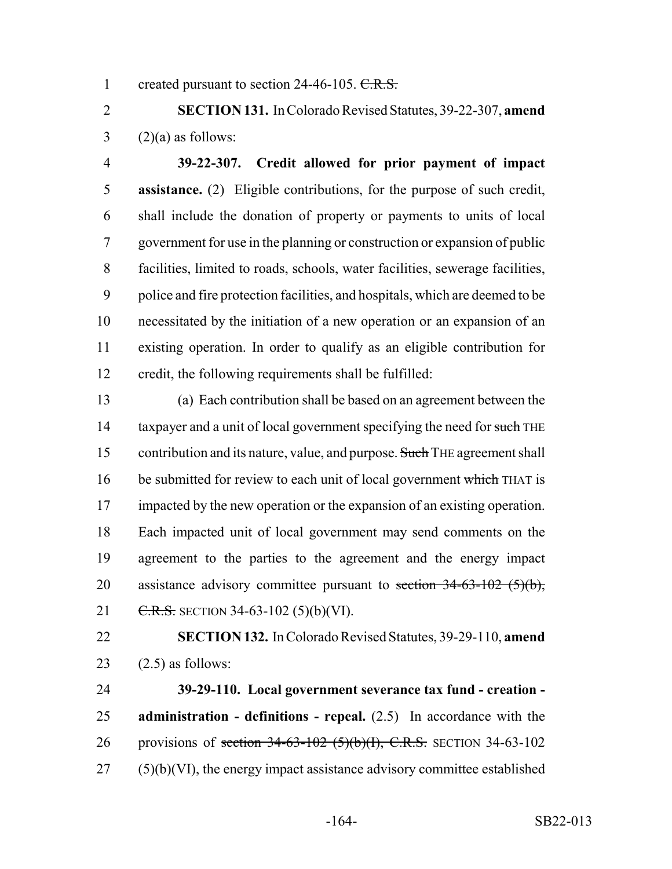1 created pursuant to section 24-46-105. C.R.S.

 **SECTION 131.** In Colorado Revised Statutes, 39-22-307, **amend**  $3 \qquad (2)(a)$  as follows:

 **39-22-307. Credit allowed for prior payment of impact assistance.** (2) Eligible contributions, for the purpose of such credit, shall include the donation of property or payments to units of local government for use in the planning or construction or expansion of public facilities, limited to roads, schools, water facilities, sewerage facilities, police and fire protection facilities, and hospitals, which are deemed to be necessitated by the initiation of a new operation or an expansion of an existing operation. In order to qualify as an eligible contribution for credit, the following requirements shall be fulfilled:

 (a) Each contribution shall be based on an agreement between the 14 taxpayer and a unit of local government specifying the need for such THE 15 contribution and its nature, value, and purpose. Such THE agreement shall 16 be submitted for review to each unit of local government which THAT is 17 impacted by the new operation or the expansion of an existing operation. Each impacted unit of local government may send comments on the agreement to the parties to the agreement and the energy impact 20 assistance advisory committee pursuant to section  $34-63-102$  (5)(b), 21 C.R.S. SECTION 34-63-102 (5)(b)(VI).

 **SECTION 132.** In Colorado Revised Statutes, 39-29-110, **amend** 23  $(2.5)$  as follows:

 **39-29-110. Local government severance tax fund - creation - administration - definitions - repeal.** (2.5) In accordance with the 26 provisions of section 34-63-102 (5)(b)(I), C.R.S. SECTION 34-63-102 (5)(b)(VI), the energy impact assistance advisory committee established